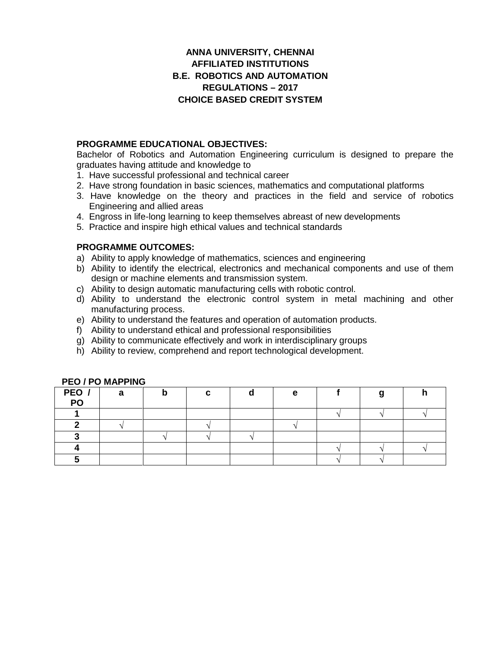## **ANNA UNIVERSITY, CHENNAI AFFILIATED INSTITUTIONS B.E. ROBOTICS AND AUTOMATION REGULATIONS –2017 CHOICE BASED CREDIT SYSTEM**

## **PROGRAMME EDUCATIONAL OBJECTIVES:**

Bachelor of Robotics and Automation Engineering curriculum is designed to prepare the graduates having attitude and knowledge to

- 1. Have successful professional and technical career
- 2. Have strong foundation in basic sciences, mathematics and computational platforms
- 3. Have knowledge on the theory and practices in the field and service of robotics Engineering and allied areas
- 4. Engross in life-long learning to keep themselves abreast of new developments
- 5. Practice and inspire high ethical values and technical standards

### **PROGRAMME OUTCOMES:**

- a) Ability to apply knowledge of mathematics, sciences and engineering
- b) Ability to identify the electrical, electronics and mechanical components and use of them design or machine elements and transmission system.
- c) Ability to design automatic manufacturing cells with robotic control.
- d) Ability to understand the electronic control system in metal machining and other manufacturing process.
- e) Ability to understand the features and operation of automation products.
- f) Ability to understand ethical and professional responsibilities
- g) Ability to communicate effectively and work in interdisciplinary groups
- h) Ability to review, comprehend and report technological development.

| PEO /<br>PO | а |  | е |  |  |
|-------------|---|--|---|--|--|
|             |   |  |   |  |  |
|             |   |  |   |  |  |
|             |   |  |   |  |  |
|             |   |  |   |  |  |
|             |   |  |   |  |  |

### **PEO / PO MAPPING**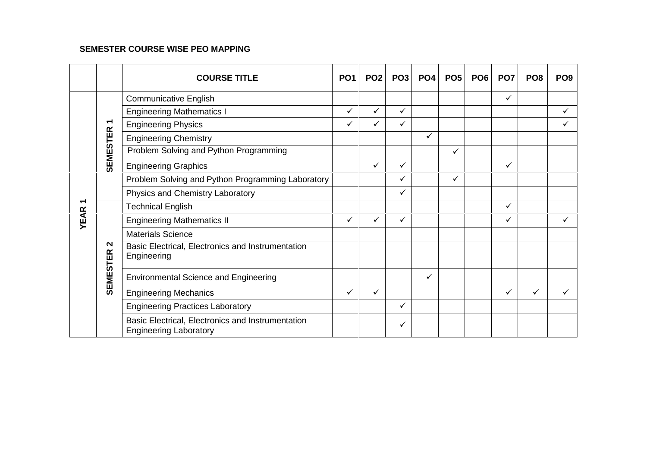## **SEMESTER COURSE WISE PEO MAPPING**

|                                                                                                                                                                        | <b>COURSE TITLE</b>                                                                | PO <sub>1</sub>                                                                                         | PO <sub>2</sub> | PO <sub>3</sub> | PO <sub>4</sub> | PO <sub>5</sub> | PO <sub>6</sub> | PO <sub>7</sub> | PO <sub>8</sub> | PO <sub>9</sub> |
|------------------------------------------------------------------------------------------------------------------------------------------------------------------------|------------------------------------------------------------------------------------|---------------------------------------------------------------------------------------------------------|-----------------|-----------------|-----------------|-----------------|-----------------|-----------------|-----------------|-----------------|
|                                                                                                                                                                        | <b>Communicative English</b>                                                       |                                                                                                         |                 |                 |                 |                 |                 | ✓               |                 |                 |
|                                                                                                                                                                        | <b>Engineering Mathematics I</b>                                                   | $\checkmark$                                                                                            | $\checkmark$    | $\checkmark$    |                 |                 |                 |                 |                 | ✓               |
| ↽                                                                                                                                                                      | <b>Engineering Physics</b>                                                         | ✓                                                                                                       | ✓               | ✓               |                 |                 |                 |                 |                 | ✓               |
|                                                                                                                                                                        | <b>Engineering Chemistry</b>                                                       |                                                                                                         |                 |                 | ✓               |                 |                 |                 |                 |                 |
|                                                                                                                                                                        | Problem Solving and Python Programming                                             |                                                                                                         |                 |                 |                 | ✓               |                 |                 |                 |                 |
| <b>SEMESTER</b><br><b>Engineering Graphics</b><br>᠆<br><b>Technical English</b><br><b>YEAR</b><br><b>Materials Science</b><br>$\sim$<br><b>SEMESTER</b><br>Engineering |                                                                                    |                                                                                                         | ✓               | $\checkmark$    |                 |                 |                 | ✓               |                 |                 |
|                                                                                                                                                                        | Problem Solving and Python Programming Laboratory                                  | ✓<br>✓<br>✓<br>✓<br>✓<br>✓<br>✓<br>$\checkmark$<br>✓<br>✓<br>✓<br>✓<br>✓<br>✓<br>✓<br>$\checkmark$<br>✓ |                 |                 |                 |                 |                 |                 |                 |                 |
|                                                                                                                                                                        | Physics and Chemistry Laboratory                                                   |                                                                                                         |                 |                 |                 |                 |                 |                 |                 |                 |
|                                                                                                                                                                        |                                                                                    |                                                                                                         |                 |                 |                 |                 |                 |                 |                 |                 |
|                                                                                                                                                                        | <b>Engineering Mathematics II</b>                                                  |                                                                                                         |                 |                 |                 |                 |                 |                 |                 |                 |
|                                                                                                                                                                        |                                                                                    |                                                                                                         |                 |                 |                 |                 |                 |                 |                 |                 |
|                                                                                                                                                                        | Basic Electrical, Electronics and Instrumentation                                  |                                                                                                         |                 |                 |                 |                 |                 |                 |                 |                 |
|                                                                                                                                                                        | <b>Environmental Science and Engineering</b>                                       |                                                                                                         |                 |                 |                 |                 |                 |                 |                 |                 |
|                                                                                                                                                                        | <b>Engineering Mechanics</b>                                                       |                                                                                                         |                 |                 |                 |                 |                 |                 |                 |                 |
|                                                                                                                                                                        | <b>Engineering Practices Laboratory</b>                                            |                                                                                                         |                 |                 |                 |                 |                 |                 |                 |                 |
|                                                                                                                                                                        | Basic Electrical, Electronics and Instrumentation<br><b>Engineering Laboratory</b> |                                                                                                         |                 |                 |                 |                 |                 |                 |                 |                 |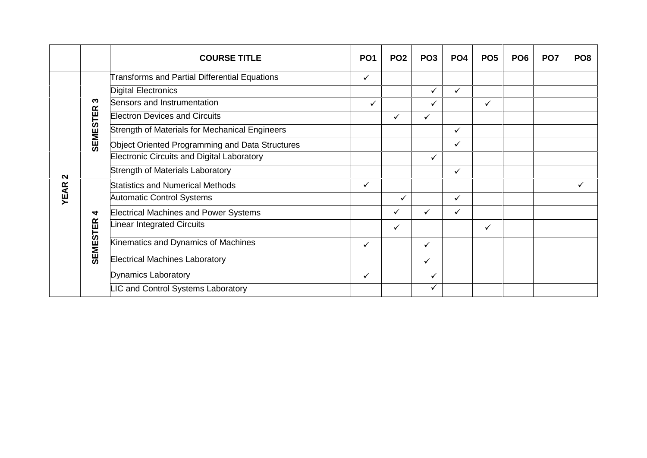|                   | <b>COURSE TITLE</b>                                                      | PO <sub>1</sub> | PO <sub>2</sub> | PO <sub>3</sub> | PO <sub>4</sub> | PO <sub>5</sub> | PO <sub>6</sub> | PO <sub>7</sub> | PO <sub>8</sub> |
|-------------------|--------------------------------------------------------------------------|-----------------|-----------------|-----------------|-----------------|-----------------|-----------------|-----------------|-----------------|
|                   | <b>Transforms and Partial Differential Equations</b>                     | ✓               |                 |                 |                 |                 |                 |                 |                 |
|                   | <b>Digital Electronics</b>                                               |                 |                 | $\checkmark$    | $\checkmark$    |                 |                 |                 |                 |
|                   | Sensors and Instrumentation<br>က                                         | ✓               |                 | $\checkmark$    |                 | $\checkmark$    |                 |                 |                 |
|                   | <b>Electron Devices and Circuits</b>                                     |                 | $\checkmark$    | ✓               |                 |                 |                 |                 |                 |
|                   | <b>SEMESTER</b><br><b>Strength of Materials for Mechanical Engineers</b> |                 |                 |                 | $\checkmark$    |                 |                 |                 |                 |
|                   | Object Oriented Programming and Data Structures                          |                 |                 |                 | $\checkmark$    |                 |                 |                 |                 |
|                   | <b>Electronic Circuits and Digital Laboratory</b>                        |                 |                 | ✓               |                 |                 |                 |                 |                 |
| $\mathbf{\Omega}$ | Strength of Materials Laboratory                                         |                 |                 |                 | $\checkmark$    |                 |                 |                 |                 |
|                   | <b>Statistics and Numerical Methods</b>                                  | $\checkmark$    |                 |                 |                 |                 |                 |                 | ✓               |
| <b>YEAR</b>       | <b>Automatic Control Systems</b>                                         |                 | ✓               |                 | $\checkmark$    |                 |                 |                 |                 |
|                   | <b>Electrical Machines and Power Systems</b><br>4                        |                 | $\checkmark$    | ✓               | ✓               |                 |                 |                 |                 |
|                   | Linear Integrated Circuits                                               |                 | $\checkmark$    |                 |                 | $\checkmark$    |                 |                 |                 |
|                   | <b>SEMESTER</b><br>Kinematics and Dynamics of Machines                   | ✓               |                 | $\checkmark$    |                 |                 |                 |                 |                 |
|                   | <b>Electrical Machines Laboratory</b>                                    |                 |                 | ✓               |                 |                 |                 |                 |                 |
|                   | <b>Dynamics Laboratory</b>                                               | ✓               |                 | $\checkmark$    |                 |                 |                 |                 |                 |
|                   | LIC and Control Systems Laboratory                                       |                 |                 | $\checkmark$    |                 |                 |                 |                 |                 |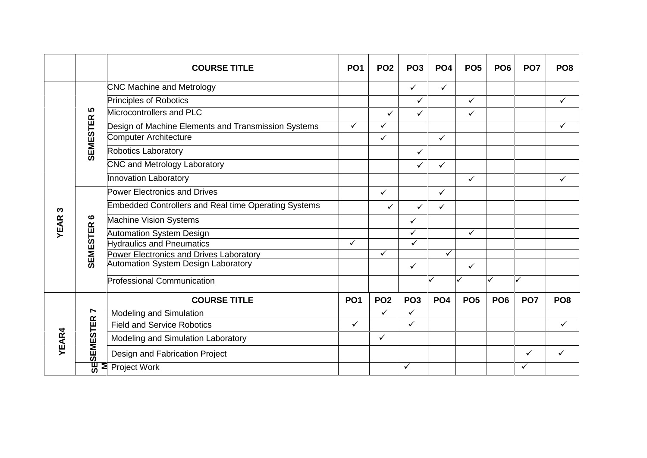|              |                   | <b>COURSE TITLE</b>                                         | PO <sub>1</sub> | PO <sub>2</sub> | PO <sub>3</sub> | PO <sub>4</sub> | PO <sub>5</sub> | PO <sub>6</sub> | PO <sub>7</sub> | PO <sub>8</sub> |
|--------------|-------------------|-------------------------------------------------------------|-----------------|-----------------|-----------------|-----------------|-----------------|-----------------|-----------------|-----------------|
|              |                   | <b>CNC Machine and Metrology</b>                            |                 |                 | $\checkmark$    | $\checkmark$    |                 |                 |                 |                 |
|              |                   | <b>Principles of Robotics</b>                               |                 |                 | $\checkmark$    |                 | $\checkmark$    |                 |                 | $\checkmark$    |
|              | <u> ဟ</u>         | Microcontrollers and PLC                                    |                 | $\checkmark$    | ✓               |                 | $\checkmark$    |                 |                 |                 |
|              |                   | Design of Machine Elements and Transmission Systems         | $\checkmark$    | ✓               |                 |                 |                 |                 |                 | ✓               |
|              |                   | Computer Architecture                                       |                 | ✓               |                 | $\checkmark$    |                 |                 |                 |                 |
|              | <b>SEMESTER</b>   | Robotics Laboratory                                         |                 |                 | $\checkmark$    |                 |                 |                 |                 |                 |
|              |                   | CNC and Metrology Laboratory                                |                 |                 | ✓               | $\checkmark$    |                 |                 |                 |                 |
|              |                   | <b>Innovation Laboratory</b>                                |                 |                 |                 |                 | $\checkmark$    |                 |                 | ✓               |
|              |                   | <b>Power Electronics and Drives</b>                         |                 | ✓               |                 | $\checkmark$    |                 |                 |                 |                 |
| ო            |                   | <b>Embedded Controllers and Real time Operating Systems</b> |                 | ✓               | ✓               | $\checkmark$    |                 |                 |                 |                 |
|              | ဖ                 | <b>Machine Vision Systems</b>                               |                 |                 | $\checkmark$    |                 |                 |                 |                 |                 |
| <b>YEAR</b>  | <b>SEMESTER</b>   | Automation System Design                                    |                 |                 | $\checkmark$    |                 | ✓               |                 |                 |                 |
|              |                   | <b>Hydraulics and Pneumatics</b>                            | $\checkmark$    |                 | $\checkmark$    |                 |                 |                 |                 |                 |
|              |                   | Power Electronics and Drives Laboratory                     |                 | $\checkmark$    |                 | ✓               |                 |                 |                 |                 |
|              |                   | Automation System Design Laboratory                         |                 |                 | $\checkmark$    |                 | $\checkmark$    |                 |                 |                 |
|              |                   | Professional Communication                                  |                 |                 |                 |                 |                 |                 | $\checkmark$    |                 |
|              |                   | <b>COURSE TITLE</b>                                         | PO <sub>1</sub> | PO <sub>2</sub> | PO <sub>3</sub> | PO <sub>4</sub> | PO <sub>5</sub> | PO <sub>6</sub> | PO <sub>7</sub> | PO <sub>8</sub> |
|              | L                 | Modeling and Simulation                                     |                 | $\checkmark$    | $\checkmark$    |                 |                 |                 |                 |                 |
|              |                   | <b>Field and Service Robotics</b>                           | $\checkmark$    |                 | $\checkmark$    |                 |                 |                 |                 | $\checkmark$    |
| <b>YEAR4</b> |                   | Modeling and Simulation Laboratory                          |                 | $\checkmark$    |                 |                 |                 |                 |                 |                 |
|              | <b>SESEMESTER</b> | Design and Fabrication Project                              |                 |                 |                 |                 |                 |                 | ✓               | $\checkmark$    |
|              |                   | $\overline{\mathbf{z}}$ Project Work                        |                 |                 | ✓               |                 |                 |                 | ✓               |                 |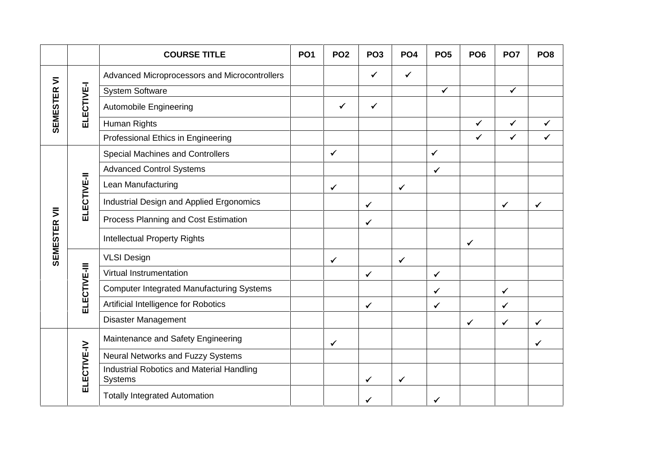|              |              | <b>COURSE TITLE</b>                                  | <b>PO1</b> | PO <sub>2</sub> | PO <sub>3</sub> | PO <sub>4</sub> | PO <sub>5</sub> | PO <sub>6</sub> | PO <sub>7</sub> | PO <sub>8</sub> |
|--------------|--------------|------------------------------------------------------|------------|-----------------|-----------------|-----------------|-----------------|-----------------|-----------------|-----------------|
|              |              | Advanced Microprocessors and Microcontrollers        |            |                 | $\checkmark$    | $\checkmark$    |                 |                 |                 |                 |
|              |              | <b>System Software</b>                               |            |                 |                 |                 | $\checkmark$    |                 | $\checkmark$    |                 |
| SEMESTER VI  | ELECTIVE-I   | Automobile Engineering                               |            | $\checkmark$    | $\checkmark$    |                 |                 |                 |                 |                 |
|              |              | Human Rights                                         |            |                 |                 |                 |                 | ✓               | $\checkmark$    | $\checkmark$    |
|              | ELECTIVE-II  | Professional Ethics in Engineering                   |            |                 |                 |                 |                 | ✓               | $\checkmark$    | $\checkmark$    |
|              |              | <b>Special Machines and Controllers</b>              |            | $\checkmark$    |                 |                 | $\checkmark$    |                 |                 |                 |
|              |              | <b>Advanced Control Systems</b>                      |            |                 |                 |                 | $\checkmark$    |                 |                 |                 |
|              |              | Lean Manufacturing                                   |            | $\checkmark$    |                 | $\checkmark$    |                 |                 |                 |                 |
|              |              | Industrial Design and Applied Ergonomics             |            |                 | $\checkmark$    |                 |                 |                 | ✓               | $\checkmark$    |
|              |              | Process Planning and Cost Estimation                 |            |                 | $\checkmark$    |                 |                 |                 |                 |                 |
| SEMESTER VII |              | <b>Intellectual Property Rights</b>                  |            |                 |                 |                 |                 | $\checkmark$    |                 |                 |
|              |              | <b>VLSI Design</b>                                   |            | $\checkmark$    |                 | $\checkmark$    |                 |                 |                 |                 |
|              |              | Virtual Instrumentation                              |            |                 | $\checkmark$    |                 | $\checkmark$    |                 |                 |                 |
|              | ELECTIVE-III | <b>Computer Integrated Manufacturing Systems</b>     |            |                 |                 |                 | $\checkmark$    |                 | $\checkmark$    |                 |
|              |              | Artificial Intelligence for Robotics                 |            |                 | $\checkmark$    |                 | $\checkmark$    |                 | $\checkmark$    |                 |
|              | ELECTIVE-IV  | <b>Disaster Management</b>                           |            |                 |                 |                 |                 | ✓               | $\checkmark$    | $\checkmark$    |
|              |              | Maintenance and Safety Engineering                   |            | $\checkmark$    |                 |                 |                 |                 |                 | $\checkmark$    |
|              |              | Neural Networks and Fuzzy Systems                    |            |                 |                 |                 |                 |                 |                 |                 |
|              |              | Industrial Robotics and Material Handling<br>Systems |            |                 | $\checkmark$    | $\checkmark$    |                 |                 |                 |                 |
|              |              | <b>Totally Integrated Automation</b>                 |            |                 | ✓               |                 | $\checkmark$    |                 |                 |                 |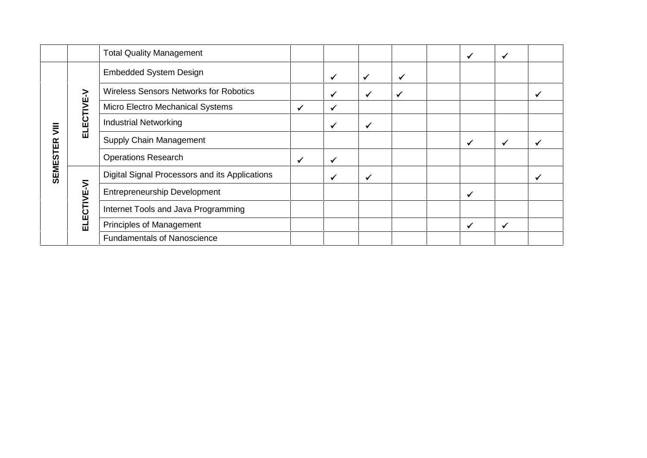|                 |             | <b>Total Quality Management</b>                |              |              |              |              | $\checkmark$ | ✓            |   |
|-----------------|-------------|------------------------------------------------|--------------|--------------|--------------|--------------|--------------|--------------|---|
|                 |             | <b>Embedded System Design</b>                  |              | $\checkmark$ | $\checkmark$ | $\checkmark$ |              |              |   |
|                 |             | <b>Wireless Sensors Networks for Robotics</b>  |              | ✓            | $\checkmark$ | ✔            |              |              |   |
|                 |             | Micro Electro Mechanical Systems               | $\checkmark$ | $\checkmark$ |              |              |              |              |   |
| ミ               | ELECTIVE-V  | <b>Industrial Networking</b>                   |              | $\checkmark$ | $\checkmark$ |              |              |              |   |
|                 |             | Supply Chain Management                        |              |              |              |              | $\checkmark$ | ✓            | ✓ |
| <b>SEMESTER</b> |             | <b>Operations Research</b>                     | $\checkmark$ | $\checkmark$ |              |              |              |              |   |
|                 |             | Digital Signal Processors and its Applications |              | $\checkmark$ | $\checkmark$ |              |              |              | ✓ |
|                 | ELECTIVE-VI | <b>Entrepreneurship Development</b>            |              |              |              |              | $\checkmark$ |              |   |
|                 |             | Internet Tools and Java Programming            |              |              |              |              |              |              |   |
|                 |             | <b>Principles of Management</b>                |              |              |              |              | $\checkmark$ | $\checkmark$ |   |
|                 |             | <b>Fundamentals of Nanoscience</b>             |              |              |              |              |              |              |   |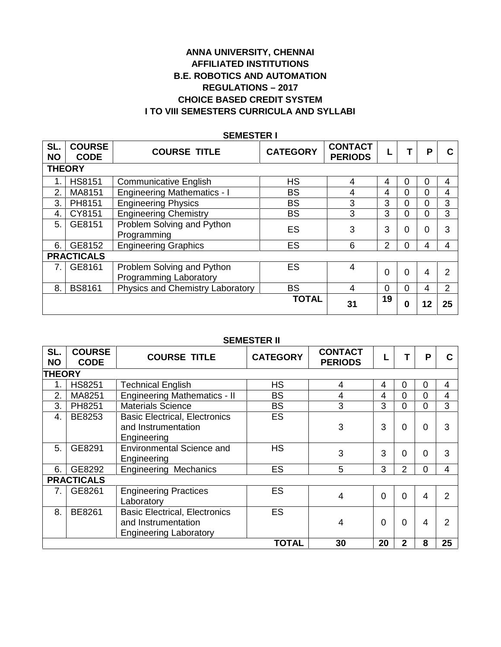## **ANNA UNIVERSITY, CHENNAI AFFILIATED INSTITUTIONS B.E. ROBOTICS AND AUTOMATION REGULATIONS –2017 CHOICE BASED CREDIT SYSTEM I TO VIII SEMESTERS CURRICULA AND SYLLABI**

| <b>SEMESTER I</b> |                              |                                                      |                 |                                  |                |          |          |    |  |  |  |  |
|-------------------|------------------------------|------------------------------------------------------|-----------------|----------------------------------|----------------|----------|----------|----|--|--|--|--|
| SL.<br><b>NO</b>  | <b>COURSE</b><br><b>CODE</b> | <b>COURSE TITLE</b>                                  | <b>CATEGORY</b> | <b>CONTACT</b><br><b>PERIODS</b> | ┗              |          | Р        | C  |  |  |  |  |
| <b>THEORY</b>     |                              |                                                      |                 |                                  |                |          |          |    |  |  |  |  |
| 1.                | <b>HS8151</b>                | <b>Communicative English</b>                         | <b>HS</b>       | 4                                | 4              | 0        | 0        | 4  |  |  |  |  |
| 2.                | MA8151                       | <b>Engineering Mathematics - I</b>                   | <b>BS</b>       | 4                                | 4              | 0        | $\Omega$ | 4  |  |  |  |  |
| 3.                | PH8151                       | <b>Engineering Physics</b>                           | <b>BS</b>       | 3                                | 3              | 0        | $\Omega$ | 3  |  |  |  |  |
| 4.                | CY8151                       | <b>Engineering Chemistry</b>                         | <b>BS</b>       | 3                                | 3              | 0        | $\Omega$ | 3  |  |  |  |  |
| 5.                | GE8151                       | Problem Solving and Python<br>Programming            | <b>ES</b>       | 3                                | 3              | 0        | $\Omega$ | 3  |  |  |  |  |
| 6.                | GE8152                       | <b>Engineering Graphics</b>                          | <b>ES</b>       | 6                                | 2              | 0        | 4        | 4  |  |  |  |  |
|                   | <b>PRACTICALS</b>            |                                                      |                 |                                  |                |          |          |    |  |  |  |  |
| 7.                | GE8161                       | Problem Solving and Python<br>Programming Laboratory | ES              | 4                                | $\overline{0}$ | 0        | 4        | 2  |  |  |  |  |
| 8.                | <b>BS8161</b>                | Physics and Chemistry Laboratory                     | <b>BS</b>       | 4                                | $\overline{0}$ | $\Omega$ | 4        | 2  |  |  |  |  |
|                   |                              |                                                      | <b>TOTAL</b>    | 31                               | 19             | 0        | 12       | 25 |  |  |  |  |

## **SEMESTER I**

#### **SEMESTER II**

| SL.<br><b>NO</b> | <b>COURSE</b><br><b>CODE</b> | <b>COURSE TITLE</b>                                                                          | <b>CATEGORY</b> | <b>CONTACT</b><br><b>PERIODS</b> |          |                | P              | С              |
|------------------|------------------------------|----------------------------------------------------------------------------------------------|-----------------|----------------------------------|----------|----------------|----------------|----------------|
| <b>THEORY</b>    |                              |                                                                                              |                 |                                  |          |                |                |                |
| $\mathbf 1$ .    | <b>HS8251</b>                | <b>Technical English</b>                                                                     | <b>HS</b>       | 4                                | 4        | 0              | 0              | 4              |
| 2.               | MA8251                       | <b>Engineering Mathematics - II</b>                                                          | <b>BS</b>       | 4                                | 4        | 0              | $\Omega$       | 4              |
| 3.               | PH8251                       | <b>Materials Science</b>                                                                     | <b>BS</b>       | 3                                | 3        | 0              | $\Omega$       | 3              |
| 4.               | BE8253                       | <b>Basic Electrical, Electronics</b><br>and Instrumentation<br>Engineering                   | <b>ES</b>       | 3                                | 3        | 0              | $\overline{0}$ | 3              |
| 5.               | GE8291                       | <b>Environmental Science and</b><br>Engineering                                              | <b>HS</b>       | 3                                | 3        | 0              | $\Omega$       | 3              |
| 6.               | GE8292                       | <b>Engineering Mechanics</b>                                                                 | ES              | 5                                | 3        | $\overline{2}$ | $\overline{0}$ | $\overline{4}$ |
|                  | <b>PRACTICALS</b>            |                                                                                              |                 |                                  |          |                |                |                |
| 7.               | GE8261                       | <b>Engineering Practices</b><br>Laboratory                                                   | ES              | 4                                | $\Omega$ | 0              | 4              | 2              |
| 8.               | BE8261                       | <b>Basic Electrical, Electronics</b><br>and Instrumentation<br><b>Engineering Laboratory</b> | ES              | 4                                | $\Omega$ | 0              | 4              | $\overline{2}$ |
|                  |                              |                                                                                              | <b>TOTAL</b>    | 30                               | 20       | 2              | 8              | 25             |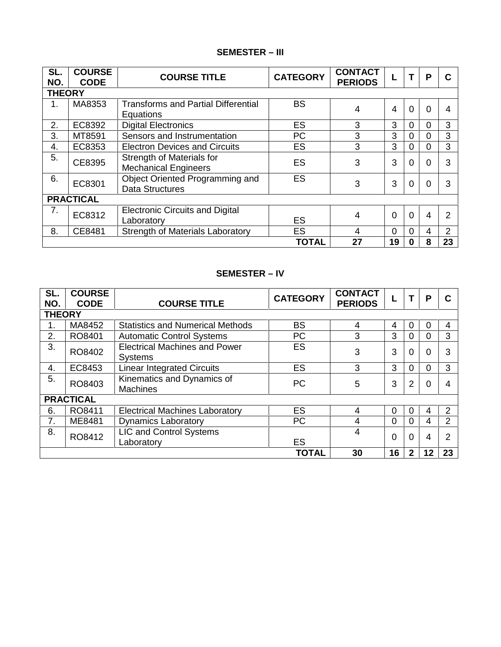## **SEMESTER – III**

| SL.<br>NO.    | <b>COURSE</b><br><b>CODE</b> | <b>COURSE TITLE</b>                                       | <b>CATEGORY</b> | <b>CONTACT</b><br><b>PERIODS</b> |    |          | P        | C              |
|---------------|------------------------------|-----------------------------------------------------------|-----------------|----------------------------------|----|----------|----------|----------------|
| <b>THEORY</b> |                              |                                                           |                 |                                  |    |          |          |                |
| 1.            | MA8353                       | <b>Transforms and Partial Differential</b><br>Equations   | <b>BS</b>       | 4                                | 4  | $\Omega$ | $\Omega$ | 4              |
| 2.            | EC8392                       | <b>Digital Electronics</b>                                | <b>ES</b>       | 3                                | 3  | $\Omega$ | 0        | 3              |
| 3.            | MT8591                       | Sensors and Instrumentation                               | РC              | 3                                | 3  | $\Omega$ | 0        | 3              |
| 4.            | EC8353                       | <b>Electron Devices and Circuits</b>                      | <b>ES</b>       | 3                                | 3  | 0        | 0        | 3              |
| 5.            | CE8395                       | Strength of Materials for<br><b>Mechanical Engineers</b>  | <b>ES</b>       | 3                                | 3  | $\Omega$ | $\Omega$ | 3              |
| 6.            | EC8301                       | Object Oriented Programming and<br><b>Data Structures</b> | <b>ES</b>       | 3                                | 3  | $\Omega$ | $\Omega$ | 3              |
|               | <b>PRACTICAL</b>             |                                                           |                 |                                  |    |          |          |                |
| 7.            | EC8312                       | <b>Electronic Circuits and Digital</b><br>Laboratory      | <b>ES</b>       | 4                                | 0  | $\Omega$ | 4        | $\overline{2}$ |
| 8.            | CE8481                       | <b>Strength of Materials Laboratory</b>                   | <b>ES</b>       | 4                                | 0  | $\Omega$ | 4        | 2              |
|               |                              |                                                           | <b>TOTAL</b>    | 27                               | 19 | 0        | 8        | 23             |

## **SEMESTER – IV**

| SL. | <b>COURSE</b>    |                                                        | <b>CATEGORY</b> | <b>CONTACT</b> |          |                | P        | C              |  |  |  |
|-----|------------------|--------------------------------------------------------|-----------------|----------------|----------|----------------|----------|----------------|--|--|--|
| NO. | <b>CODE</b>      | <b>COURSE TITLE</b>                                    |                 | <b>PERIODS</b> |          |                |          |                |  |  |  |
|     | <b>THEORY</b>    |                                                        |                 |                |          |                |          |                |  |  |  |
|     | MA8452           | <b>Statistics and Numerical Methods</b>                | <b>BS</b>       | 4              | 4        | 0              |          | 4              |  |  |  |
| 2.  | RO8401           | <b>Automatic Control Systems</b>                       | <b>PC</b>       | 3              | 3        | 0              | 0        | 3              |  |  |  |
| 3.  | RO8402           | <b>Electrical Machines and Power</b><br><b>Systems</b> | <b>ES</b>       | 3              | 3        | $\overline{0}$ | 0        | 3              |  |  |  |
| 4.  | EC8453           | <b>Linear Integrated Circuits</b>                      | ES              | 3              | 3        | $\overline{0}$ | 0        | 3              |  |  |  |
| 5.  | RO8403           | Kinematics and Dynamics of<br><b>Machines</b>          | <b>PC</b>       | 5              | 3        | $\overline{2}$ | $\Omega$ | 4              |  |  |  |
|     | <b>PRACTICAL</b> |                                                        |                 |                |          |                |          |                |  |  |  |
| 6.  | RO8411           | <b>Electrical Machines Laboratory</b>                  | <b>ES</b>       | 4              | $\Omega$ | 0              | 4        | 2              |  |  |  |
| 7.  | ME8481           | <b>Dynamics Laboratory</b>                             | <b>PC</b>       | 4              | $\Omega$ | $\mathbf 0$    | 4        | $\overline{2}$ |  |  |  |
| 8.  | RO8412           | LIC and Control Systems<br>Laboratory                  | <b>ES</b>       | 4              | $\Omega$ | 0              | 4        | $\overline{2}$ |  |  |  |
|     |                  |                                                        | <b>TOTAL</b>    | 30             | 16       | $\mathbf{2}$   | 12       | 23             |  |  |  |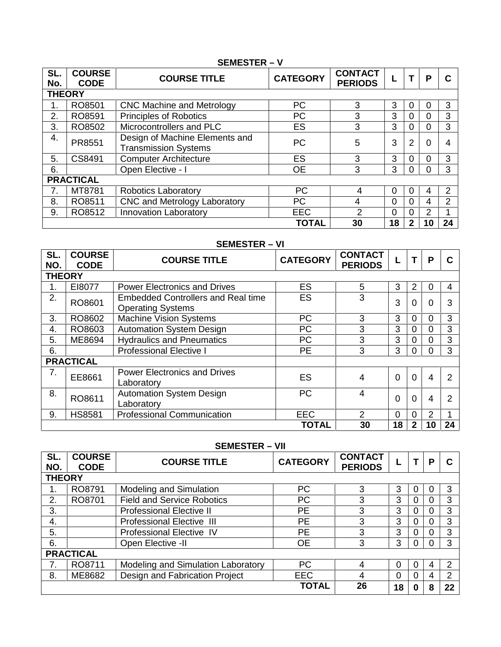## **SEMESTER – V**

| SL.<br>No.    | <b>COURSE</b><br><b>CODE</b> | <b>COURSE TITLE</b>                                           | <b>CATEGORY</b> | <b>CONTACT</b><br><b>PERIODS</b> |          |                | Р              | C  |
|---------------|------------------------------|---------------------------------------------------------------|-----------------|----------------------------------|----------|----------------|----------------|----|
| <b>THEORY</b> |                              |                                                               |                 |                                  |          |                |                |    |
|               | RO8501                       | <b>CNC Machine and Metrology</b>                              | <b>PC</b>       | 3                                | 3        | 0              | 0              | 3  |
| 2.            | RO8591                       | <b>Principles of Robotics</b>                                 | PC              | 3                                | 3        | $\Omega$       | 0              | 3  |
| 3.            | RO8502                       | Microcontrollers and PLC                                      | <b>ES</b>       | 3                                | 3        | 0              | 0              | 3  |
| 4.            | PR8551                       | Design of Machine Elements and<br><b>Transmission Systems</b> | PC              | 5                                | 3        | 2              | $\Omega$       | 4  |
| 5.            | CS8491                       | <b>Computer Architecture</b>                                  | <b>ES</b>       | 3                                | 3        | $\Omega$       | $\Omega$       | 3  |
| 6.            |                              | Open Elective - I                                             | <b>OE</b>       | 3                                | 3        | $\Omega$       | 0              | 3  |
|               | <b>PRACTICAL</b>             |                                                               |                 |                                  |          |                |                |    |
| 7.            | MT8781                       | <b>Robotics Laboratory</b>                                    | <b>PC</b>       | 4                                | 0        | $\overline{0}$ | 4              | 2  |
| 8.            | RO8511                       | CNC and Metrology Laboratory                                  | PC              | 4                                | $\Omega$ | $\Omega$       | 4              | 2  |
| 9.            | RO8512                       | <b>Innovation Laboratory</b>                                  | <b>EEC</b>      | 2                                | 0        | 0              | $\overline{2}$ |    |
|               |                              |                                                               | <b>TOTAL</b>    | 30                               | 18       | 2              | 10             | 24 |

## **SEMESTER – VI**

| SL.<br>NO.    | <b>COURSE</b><br><b>CODE</b> | <b>COURSE TITLE</b>                                                   | <b>CATEGORY</b> | <b>CONTACT</b><br><b>PERIODS</b> |                |          | P        | C              |
|---------------|------------------------------|-----------------------------------------------------------------------|-----------------|----------------------------------|----------------|----------|----------|----------------|
| <b>THEORY</b> |                              |                                                                       |                 |                                  |                |          |          |                |
|               | E18077                       | <b>Power Electronics and Drives</b>                                   | <b>ES</b>       | 5                                | 3              | 2        | 0        | 4              |
| 2.            | RO8601                       | <b>Embedded Controllers and Real time</b><br><b>Operating Systems</b> | <b>ES</b>       | 3                                | 3              | 0        | $\Omega$ | 3              |
| 3.            | RO8602                       | <b>Machine Vision Systems</b>                                         | PC              | 3                                | 3              | 0        | 0        | 3              |
| 4.            | RO8603                       | <b>Automation System Design</b>                                       | PC              | 3                                | 3              |          | 0        | 3              |
| 5.            | ME8694                       | <b>Hydraulics and Pneumatics</b>                                      | PC.             | 3                                | 3              |          | 0        | 3              |
| 6.            |                              | <b>Professional Elective I</b>                                        | <b>PE</b>       | 3                                | 3              | 0        | $\Omega$ | 3              |
|               | <b>PRACTICAL</b>             |                                                                       |                 |                                  |                |          |          |                |
| 7.            | EE8661                       | <b>Power Electronics and Drives</b><br>Laboratory                     | <b>ES</b>       | 4                                | $\overline{0}$ | $\Omega$ | 4        | $\overline{2}$ |
| 8.            | RO8611                       | <b>Automation System Design</b><br>Laboratory                         | <b>PC</b>       | 4                                | $\Omega$       | $\Omega$ | 4        | 2              |
| 9.            | <b>HS8581</b>                | <b>Professional Communication</b>                                     | <b>EEC</b>      | $\overline{2}$                   | $\Omega$       | 0        | 2        |                |
|               |                              |                                                                       | <b>TOTAL</b>    | 30                               | 18             |          | 10       | 24             |

## **SEMESTER – VII**

| SL.<br>NO. | <b>COURSE</b><br><b>CODE</b> | <b>COURSE TITLE</b>                | <b>CATEGORY</b> | <b>CONTACT</b><br><b>PERIODS</b> |          |   | Р | C  |  |  |
|------------|------------------------------|------------------------------------|-----------------|----------------------------------|----------|---|---|----|--|--|
|            | <b>THEORY</b>                |                                    |                 |                                  |          |   |   |    |  |  |
| 1.         | RO8791                       | <b>Modeling and Simulation</b>     | <b>PC</b>       | 3                                | 3        | 0 |   | 3  |  |  |
| 2.         | RO8701                       | <b>Field and Service Robotics</b>  | <b>PC</b>       | 3                                | 3        | 0 |   | 3  |  |  |
| 3.         |                              | <b>Professional Elective II</b>    | PЕ              | 3                                | 3        | 0 |   | 3  |  |  |
| 4.         |                              | <b>Professional Elective III</b>   | <b>PE</b>       | 3                                | 3        | 0 |   | 3  |  |  |
| 5.         |                              | <b>Professional Elective IV</b>    | <b>PE</b>       | 3                                | 3        | 0 |   | 3  |  |  |
| 6.         |                              | Open Elective -II                  | <b>OE</b>       | 3                                | 3        | 0 |   | 3  |  |  |
|            | <b>PRACTICAL</b>             |                                    |                 |                                  |          |   |   |    |  |  |
| 7.         | RO8711                       | Modeling and Simulation Laboratory | <b>PC</b>       | 4                                | $\Omega$ | 0 | 4 | 2  |  |  |
| 8.         | ME8682                       | Design and Fabrication Project     | <b>EEC</b>      | 4                                | $\Omega$ | 0 | 4 | 2  |  |  |
|            |                              |                                    | <b>TOTAL</b>    | 26                               | 18       |   | 8 | 22 |  |  |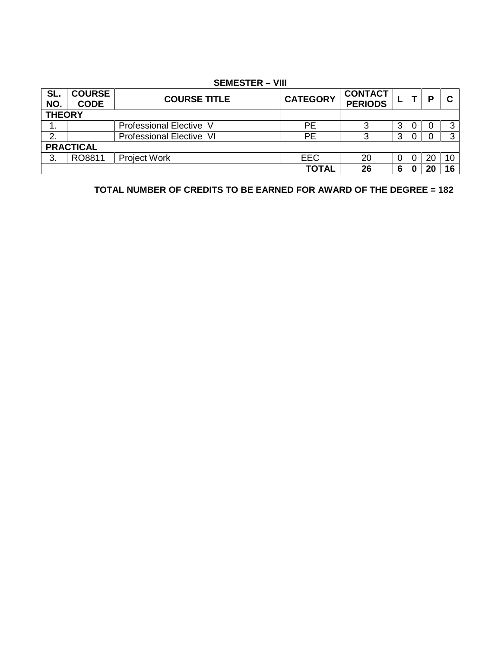### **SEMESTER – VIII**

| SL.<br>NO.       | <b>COURSE</b><br><b>CODE</b> | <b>COURSE TITLE</b>             | <b>CATEGORY</b> | <b>CONTACT</b><br><b>PERIODS</b> |          |          | D  | C  |
|------------------|------------------------------|---------------------------------|-----------------|----------------------------------|----------|----------|----|----|
| <b>THEORY</b>    |                              |                                 |                 |                                  |          |          |    |    |
| . .              |                              | Professional Elective V         | РE              |                                  | 3        | $\Omega$ |    |    |
| っ                |                              | <b>Professional Elective VI</b> | <b>PE</b>       |                                  | 3        |          |    |    |
| <b>PRACTICAL</b> |                              |                                 |                 |                                  |          |          |    |    |
| 3.               | RO8811                       | <b>Project Work</b>             | <b>EEC</b>      | 20                               | $\Omega$ |          | 20 | 10 |
|                  |                              |                                 | <b>TOTAL</b>    | 26                               | 6        |          |    | 16 |

**TOTAL NUMBER OF CREDITS TO BE EARNED FOR AWARD OF THE DEGREE = 182**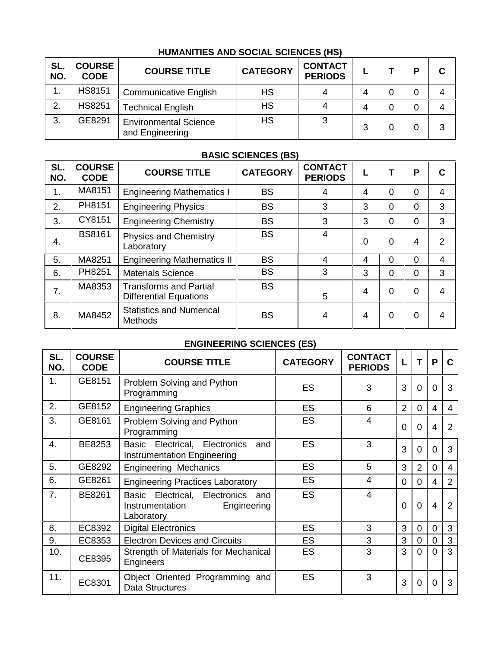## **HUMANITIES AND SOCIAL SCIENCES (HS)**

| SL.<br>NO. | <b>COURSE</b><br><b>CODE</b> | <b>COURSE TITLE</b>                             | <b>CATEGORY</b> | <b>CONTACT</b><br><b>PERIODS</b> |   | D | C |
|------------|------------------------------|-------------------------------------------------|-----------------|----------------------------------|---|---|---|
| . .        | <b>HS8151</b>                | <b>Communicative English</b>                    | <b>HS</b>       |                                  | 4 | 0 | 4 |
| 2.         | <b>HS8251</b>                | <b>Technical English</b>                        | <b>HS</b>       |                                  | 4 | 0 | 4 |
| 3.         | GE8291                       | <b>Environmental Science</b><br>and Engineering | <b>HS</b>       |                                  | 3 |   | 3 |

## **BASIC SCIENCES (BS)**

| SL.<br>NO. | <b>COURSE</b><br><b>CODE</b> | <b>COURSE TITLE</b>                                            | <b>CATEGORY</b> | <b>CONTACT</b><br><b>PERIODS</b> | ⊾              |                | P              | C              |
|------------|------------------------------|----------------------------------------------------------------|-----------------|----------------------------------|----------------|----------------|----------------|----------------|
| 1.         | MA8151                       | <b>Engineering Mathematics I</b>                               | <b>BS</b>       | 4                                | $\overline{4}$ | $\Omega$       | 0              | 4              |
| 2.         | PH8151                       | <b>Engineering Physics</b>                                     | <b>BS</b>       | 3                                | 3              | $\Omega$       | 0              | 3              |
| 3.         | CY8151                       | <b>Engineering Chemistry</b>                                   | <b>BS</b>       | 3                                | 3              | $\Omega$       | 0              | 3              |
| 4.         | <b>BS8161</b>                | <b>Physics and Chemistry</b><br>Laboratory                     | <b>BS</b>       | 4                                | 0              | $\Omega$       | 4              | 2              |
| 5.         | MA8251                       | <b>Engineering Mathematics II</b>                              | <b>BS</b>       | 4                                | 4              | $\Omega$       | $\Omega$       | 4              |
| 6.         | PH8251                       | <b>Materials Science</b>                                       | <b>BS</b>       | 3                                | 3              | $\Omega$       | 0              | 3              |
| 7.         | MA8353                       | <b>Transforms and Partial</b><br><b>Differential Equations</b> | <b>BS</b>       | 5                                | $\overline{4}$ | $\overline{0}$ | $\overline{0}$ | $\overline{4}$ |
| 8.         | MA8452                       | <b>Statistics and Numerical</b><br><b>Methods</b>              | <b>BS</b>       | 4                                | 4              | 0              | 0              | 4              |

## **ENGINEERING SCIENCES (ES)**

| SL.<br>NO.     | <b>COURSE</b><br><b>CODE</b> | <b>COURSE TITLE</b>                                                               | <b>CATEGORY</b> | <b>CONTACT</b><br><b>PERIODS</b> | L              | т              | P              | C              |  |
|----------------|------------------------------|-----------------------------------------------------------------------------------|-----------------|----------------------------------|----------------|----------------|----------------|----------------|--|
| 1.             | GE8151                       | Problem Solving and Python<br>Programming                                         | <b>ES</b>       | 3                                | 3              | $\mathbf 0$    | $\Omega$       | 3              |  |
| 2.             | GE8152                       | <b>Engineering Graphics</b>                                                       | ES              | 6                                | $\overline{2}$ | $\overline{0}$ | 4              | 4              |  |
| 3.             | GE8161                       | Problem Solving and Python<br>Programming                                         | ES              | 4                                | $\mathbf 0$    | $\mathbf 0$    | 4              | 2              |  |
| 4.             | BE8253                       | Basic Electrical, Electronics<br>and<br>Instrumentation Engineering               | <b>ES</b>       | 3                                | 3              | $\mathbf{0}$   | $\Omega$       | 3              |  |
| 5.             | GE8292                       | <b>Engineering Mechanics</b>                                                      | <b>ES</b>       | 5                                | 3              | $\overline{2}$ | $\Omega$       | 4              |  |
| 6.             | GE8261                       | <b>Engineering Practices Laboratory</b>                                           | <b>ES</b>       | 4                                | $\Omega$       | $\Omega$       | 4              | 2              |  |
| 7 <sub>1</sub> | BE8261                       | Basic Electrical, Electronics and<br>Instrumentation<br>Engineering<br>Laboratory | ES              | 4                                | 0              | $\mathbf{0}$   | $\overline{4}$ | $\overline{2}$ |  |
| 8.             | EC8392                       | <b>Digital Electronics</b>                                                        | <b>ES</b>       | 3                                | 3              | $\mathbf 0$    | 0              | 3              |  |
| 9.             | EC8353                       | <b>Electron Devices and Circuits</b>                                              | ES              | 3                                | 3              | $\mathbf 0$    | $\overline{0}$ | 3              |  |
| 10.            | CE8395                       | Strength of Materials for Mechanical<br>Engineers                                 | ES              | 3                                | 3              | $\mathbf{0}$   | $\Omega$       | 3              |  |
| 11.            | EC8301                       | Object Oriented Programming and<br><b>Data Structures</b>                         | ES              | 3                                | 3              | $\mathbf 0$    | $\Omega$       | 3              |  |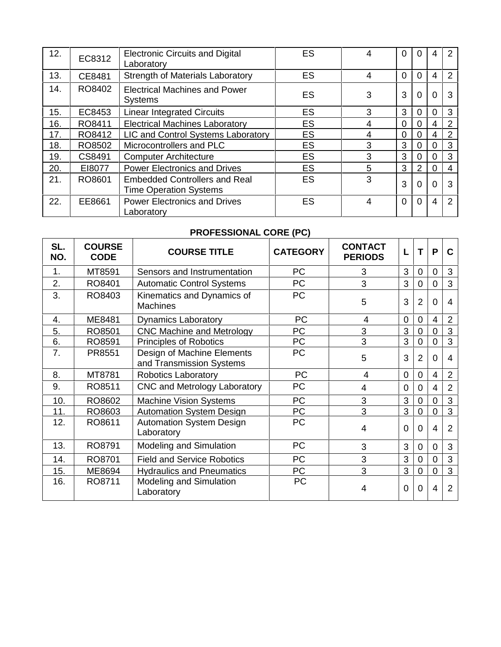| 12. | EC8312 | <b>Electronic Circuits and Digital</b><br>Laboratory                  | ES        |   | 0              |          |          | $\overline{2}$ |  |
|-----|--------|-----------------------------------------------------------------------|-----------|---|----------------|----------|----------|----------------|--|
| 13. | CE8481 | Strength of Materials Laboratory                                      | <b>ES</b> | 4 | $\Omega$       | 0        | 4        | 2              |  |
| 14. | RO8402 | <b>Electrical Machines and Power</b><br><b>Systems</b>                | ES        | 3 | 3              | 0        | $\Omega$ | 3              |  |
| 15. | EC8453 | <b>Linear Integrated Circuits</b>                                     | <b>ES</b> | 3 | 3              | 0        | 0        | 3              |  |
| 16. | RO8411 | <b>Electrical Machines Laboratory</b>                                 | <b>ES</b> | 4 | 0              | 0        | 4        | $\overline{2}$ |  |
| 17. | RO8412 | LIC and Control Systems Laboratory                                    | <b>ES</b> | 4 | 0              | 0        | 4        | $\overline{2}$ |  |
| 18. | RO8502 | Microcontrollers and PLC                                              | <b>ES</b> | 3 | 3              | 0        | $\Omega$ | 3              |  |
| 19. | CS8491 | <b>Computer Architecture</b>                                          | <b>ES</b> | 3 | 3              | 0        | $\Omega$ | 3              |  |
| 20. | EI8077 | <b>Power Electronics and Drives</b>                                   | ES        | 5 | 3              | 2        | 0        | 4              |  |
| 21. | RO8601 | <b>Embedded Controllers and Real</b><br><b>Time Operation Systems</b> | <b>ES</b> | 3 | 3              | 0        | $\Omega$ | 3              |  |
| 22. | EE8661 | <b>Power Electronics and Drives</b><br>Laboratory                     | <b>ES</b> | 4 | $\overline{0}$ | $\Omega$ | 4        | 2              |  |

## **PROFESSIONAL CORE (PC)**

| SL.<br>NO. | <b>COURSE</b><br><b>CODE</b> | <b>COURSE TITLE</b>                                    | <b>CATEGORY</b> | <b>CONTACT</b><br><b>PERIODS</b> |                | т              | P              | C              |
|------------|------------------------------|--------------------------------------------------------|-----------------|----------------------------------|----------------|----------------|----------------|----------------|
| 1.         | MT8591                       | Sensors and Instrumentation                            | <b>PC</b>       | 3                                | 3              | 0              | $\Omega$       | 3              |
| 2.         | RO8401                       | <b>Automatic Control Systems</b>                       | PC              | 3                                | 3              | 0              | 0              | 3              |
| 3.         | RO8403                       | Kinematics and Dynamics of<br><b>Machines</b>          | PC              | 5                                | 3              | $\overline{2}$ | $\Omega$       | 4              |
| 4.         | ME8481                       | <b>Dynamics Laboratory</b>                             | <b>PC</b>       | 4                                | $\overline{0}$ | $\Omega$       | 4              | $\overline{2}$ |
| 5.         | RO8501                       | <b>CNC Machine and Metrology</b>                       | <b>PC</b>       | 3                                | 3              | 0              | 0              | 3              |
| 6.         | RO8591                       | <b>Principles of Robotics</b>                          | PC              | 3                                | 3              | 0              | 0              | 3              |
| 7.         | PR8551                       | Design of Machine Elements<br>and Transmission Systems | <b>PC</b>       | 5                                | 3              | 2              | $\Omega$       | 4              |
| 8.         | MT8781                       | <b>Robotics Laboratory</b>                             | <b>PC</b>       | 4                                | $\mathbf 0$    | 0              | 4              | $\overline{2}$ |
| 9.         | RO8511                       | CNC and Metrology Laboratory                           | PC              | 4                                | $\Omega$       | 0              | 4              | 2              |
| 10.        | RO8602                       | Machine Vision Systems                                 | <b>PC</b>       | 3                                | 3              | 0              | 0              | 3              |
| 11.        | RO8603                       | <b>Automation System Design</b>                        | PC              | 3                                | 3              | 0              | 0              | 3              |
| 12.        | RO8611                       | <b>Automation System Design</b><br>Laboratory          | <b>PC</b>       | 4                                | $\Omega$       | 0              | 4              | $\overline{2}$ |
| 13.        | RO8791                       | Modeling and Simulation                                | <b>PC</b>       | 3                                | 3              | 0              | $\Omega$       | 3              |
| 14.        | RO8701                       | <b>Field and Service Robotics</b>                      | PC              | 3                                | 3              | $\Omega$       | 0              | 3              |
| 15.        | ME8694                       | <b>Hydraulics and Pneumatics</b>                       | PC              | 3                                | 3              | $\Omega$       | $\overline{0}$ | 3              |
| 16.        | RO8711                       | <b>Modeling and Simulation</b><br>Laboratory           | <b>PC</b>       | 4                                | $\Omega$       | 0              | 4              | $\overline{2}$ |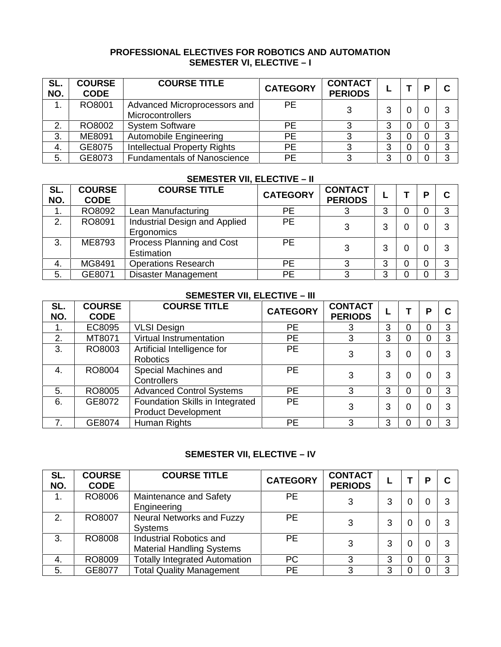## **PROFESSIONAL ELECTIVES FOR ROBOTICS AND AUTOMATION SEMESTER VI, ELECTIVE –I**

| SL.<br>NO. | <b>COURSE</b><br><b>CODE</b> | <b>COURSE TITLE</b>                              | <b>CATEGORY</b> | <b>CONTACT</b><br><b>PERIODS</b> |  | D        | C |
|------------|------------------------------|--------------------------------------------------|-----------------|----------------------------------|--|----------|---|
|            | RO8001                       | Advanced Microprocessors and<br>Microcontrollers | <b>PE</b>       | 3                                |  |          | 3 |
| 2.         | RO8002                       | <b>System Software</b>                           | <b>PE</b>       |                                  |  | $\Omega$ | 3 |
| 3.         | ME8091                       | Automobile Engineering                           | <b>PE</b>       | 3                                |  |          | 3 |
| 4.         | GE8075                       | <b>Intellectual Property Rights</b>              | <b>PE</b>       | 3                                |  |          | 3 |
| 5.         | GE8073                       | <b>Fundamentals of Nanoscience</b>               | PE              |                                  |  |          | 3 |

## **SEMESTER VII, ELECTIVE – II**

| SL.<br>NO. | <b>COURSE</b><br><b>CODE</b> | <b>COURSE TITLE</b>                            | <b>CATEGORY</b> | <b>CONTACT</b><br><b>PERIODS</b> | ► | D | C |
|------------|------------------------------|------------------------------------------------|-----------------|----------------------------------|---|---|---|
| 1.         | RO8092                       | Lean Manufacturing                             | <b>PE</b>       | 3                                | 3 |   | 3 |
| 2.         | RO8091                       | Industrial Design and Applied<br>Ergonomics    | <b>PE</b>       | 3                                | 3 |   | 3 |
| 3.         | ME8793                       | Process Planning and Cost<br><b>Estimation</b> | <b>PE</b>       | 3                                | 3 |   | 3 |
| 4.         | MG8491                       | <b>Operations Research</b>                     | PE              | 3                                | 3 |   | 3 |
| 5.         | GE8071                       | <b>Disaster Management</b>                     | <b>PE</b>       | 3                                | 3 |   | 3 |

## **SEMESTER VII, ELECTIVE –III**

| SL.<br>NO. | <b>COURSE</b><br><b>CODE</b> | <b>COURSE TITLE</b>                                           | <b>CATEGORY</b> | <b>CONTACT</b><br><b>PERIODS</b> |   |   | Р | C |
|------------|------------------------------|---------------------------------------------------------------|-----------------|----------------------------------|---|---|---|---|
| 1.         | EC8095                       | <b>VLSI Design</b>                                            | <b>PE</b>       | 3                                | 3 | 0 |   | 3 |
| 2.         | MT8071                       | Virtual Instrumentation                                       | <b>PE</b>       | 3                                | 3 | 0 |   | 3 |
| 3.         | RO8003                       | Artificial Intelligence for<br>Robotics                       | <b>PE</b>       | 3                                | 3 | 0 |   | 3 |
| 4.         | RO8004                       | Special Machines and<br><b>Controllers</b>                    | <b>PE</b>       | 3                                | 3 | 0 |   | 3 |
| 5.         | RO8005                       | <b>Advanced Control Systems</b>                               | PE              | 3                                | 3 | 0 |   | 3 |
| 6.         | GE8072                       | Foundation Skills in Integrated<br><b>Product Development</b> | <b>PE</b>       | 3                                | 3 | 0 |   | 3 |
|            | GE8074                       | Human Rights                                                  | <b>PE</b>       | 3                                | 3 | 0 |   | 3 |

## **SEMESTER VII, ELECTIVE –IV**

| SL.<br>NO. | <b>COURSE</b><br><b>CODE</b> | <b>COURSE TITLE</b>                                         | <b>CATEGORY</b> | <b>CONTACT</b><br><b>PERIODS</b> |   |   | o | C |
|------------|------------------------------|-------------------------------------------------------------|-----------------|----------------------------------|---|---|---|---|
|            | RO8006                       | Maintenance and Safety<br>Engineering                       | <b>PE</b>       | 3                                | 3 | 0 |   | 3 |
| 2.         | RO8007                       | <b>Neural Networks and Fuzzy</b><br><b>Systems</b>          | <b>PE</b>       | 3                                |   | 0 |   | 3 |
| 3.         | RO8008                       | Industrial Robotics and<br><b>Material Handling Systems</b> | <b>PE</b>       | 3                                | 3 | 0 |   | 3 |
| 4.         | RO8009                       | <b>Totally Integrated Automation</b>                        | <b>PC</b>       | 3                                | 3 | 0 |   | 3 |
| 5.         | GE8077                       | <b>Total Quality Management</b>                             | <b>PE</b>       | 3                                | 3 |   |   | 3 |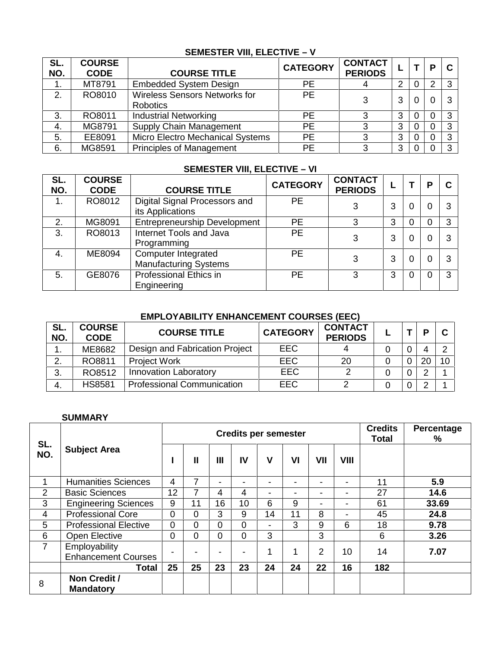## **SEMESTER VIII, ELECTIVE – V**

| SL.<br>NO. | <b>COURSE</b><br><b>CODE</b> | <b>COURSE TITLE</b>                                     | <b>CATEGORY</b> | <b>CONTACT</b><br><b>PERIODS</b> | ╺ |   | P | C |
|------------|------------------------------|---------------------------------------------------------|-----------------|----------------------------------|---|---|---|---|
|            | MT8791                       | <b>Embedded System Design</b>                           | PE              | 4                                | 2 | 0 |   | 3 |
| 2.         | RO8010                       | <b>Wireless Sensors Networks for</b><br><b>Robotics</b> | <b>PE</b>       | 3                                | 3 | 0 |   | 3 |
| 3.         | RO8011                       | <b>Industrial Networking</b>                            | PE.             | っ                                | 3 | 0 |   | 3 |
| 4.         | MG8791                       | Supply Chain Management                                 | <b>PE</b>       |                                  | 3 | 0 |   | 3 |
| 5.         | EE8091                       | Micro Electro Mechanical Systems                        | <b>PE</b>       | っ                                | 3 | 0 |   | 3 |
| 6.         | MG8591                       | <b>Principles of Management</b>                         | PE              | っ                                | 3 |   |   | 3 |

## **SEMESTER VIII, ELECTIVE - VI**

| SL.<br>NO. | <b>COURSE</b><br><b>CODE</b> | <b>COURSE TITLE</b>                                 | <b>CATEGORY</b> | <b>CONTACT</b><br><b>PERIODS</b> |   |   | D | C |
|------------|------------------------------|-----------------------------------------------------|-----------------|----------------------------------|---|---|---|---|
| 1.         | RO8012                       | Digital Signal Processors and<br>its Applications   | <b>PE</b>       | 3                                | 3 | 0 |   | 3 |
| 2.         | MG8091                       | <b>Entrepreneurship Development</b>                 | <b>PE</b>       | 3                                | 3 | 0 |   | 3 |
| 3.         | RO8013                       | Internet Tools and Java<br>Programming              | PE              | 3                                | 3 | 0 |   | 3 |
| 4.         | ME8094                       | Computer Integrated<br><b>Manufacturing Systems</b> | <b>PE</b>       |                                  | 3 | 0 |   | 3 |
| 5.         | GE8076                       | <b>Professional Ethics in</b><br>Engineering        | <b>PE</b>       | 3                                | 3 | 0 |   | 3 |

## **EMPLOYABILITY ENHANCEMENT COURSES (EEC)**

| SL.<br>NO. | <b>COURSE</b><br><b>CODE</b> | <b>COURSE TITLE</b>               | <b>CATEGORY</b> | <b>CONTACT</b><br><b>PERIODS</b> |  | n  | ◠      |
|------------|------------------------------|-----------------------------------|-----------------|----------------------------------|--|----|--------|
| ι.         | ME8682                       | Design and Fabrication Project    | <b>EEC</b>      |                                  |  |    | $\sim$ |
|            | RO8811                       | <b>Project Work</b>               | <b>EEC</b>      | 20                               |  | 20 | 10     |
| ◠<br>Ő.    | RO8512                       | <b>Innovation Laboratory</b>      | <b>EEC</b>      |                                  |  |    |        |
| 4.         | <b>HS8581</b>                | <b>Professional Communication</b> | <b>EEC</b>      |                                  |  |    |        |

## **SUMMARY**

| SL.            |                                             | <b>Credits per semester</b> |                |                |    |                          |    |                          | <b>Credits</b><br>Total  | Percentage<br>℅ |       |
|----------------|---------------------------------------------|-----------------------------|----------------|----------------|----|--------------------------|----|--------------------------|--------------------------|-----------------|-------|
| NO.            | <b>Subject Area</b>                         |                             | $\mathbf{I}$   | $\mathbf{III}$ | IV | $\mathsf{V}$             | VI | VII                      | <b>VIII</b>              |                 |       |
|                | <b>Humanities Sciences</b>                  | $\overline{4}$              | $\overline{7}$ | -              | -  | $\overline{\phantom{0}}$ | -  | ۰.                       | $\overline{\phantom{a}}$ | 11              | 5.9   |
| 2              | <b>Basic Sciences</b>                       | 12                          | 7              | 4              | 4  | $\overline{\phantom{0}}$ | ٠  | ٠                        | $\overline{\phantom{0}}$ | 27              | 14.6  |
| 3              | <b>Engineering Sciences</b>                 | 9                           | 11             | 16             | 10 | 6                        | 9  | $\overline{\phantom{a}}$ | ٠                        | 61              | 33.69 |
| $\overline{4}$ | <b>Professional Core</b>                    | $\mathbf 0$                 | $\overline{0}$ | 3              | 9  | 14                       | 11 | 8                        | $\blacksquare$           | 45              | 24.8  |
| 5              | <b>Professional Elective</b>                | $\Omega$                    | $\overline{0}$ | $\Omega$       | 0  | $\blacksquare$           | 3  | 9                        | 6                        | 18              | 9.78  |
| 6              | Open Elective                               | $\mathbf 0$                 | 0              | 0              | 0  | 3                        |    | 3                        |                          | 6               | 3.26  |
| $\overline{7}$ | Employability<br><b>Enhancement Courses</b> |                             |                | -              |    | 4                        | 1  | $\overline{2}$           | 10                       | 14              | 7.07  |
|                | Total                                       | 25                          | 25             | 23             | 23 | 24                       | 24 | 22                       | 16                       | 182             |       |
| 8              | Non Credit /<br><b>Mandatory</b>            |                             |                |                |    |                          |    |                          |                          |                 |       |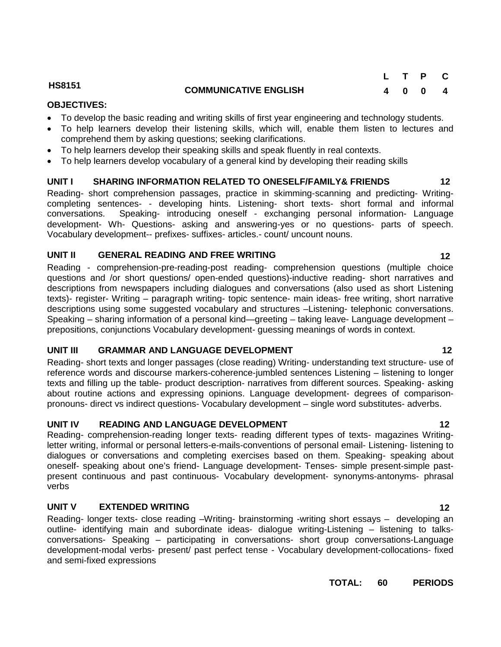## **HS8151 COMMUNICATIVE ENGLISH**

## **OBJECTIVES:**

- To develop the basic reading and writing skills of first year engineering and technology students.
- To help learners develop their listening skills, which will, enable them listen to lectures and comprehend them by asking questions; seeking clarifications.
- To help learners develop their speaking skills and speak fluently in real contexts.
- To help learners develop vocabulary of a general kind by developing their reading skills

## **UNIT I SHARING INFORMATION RELATED TO ONESELF/FAMILY& FRIENDS 12**

Reading- short comprehension passages, practice in skimming-scanning and predicting- Writing completing sentences- - developing hints. Listening- short texts- short formal and informal conversations. Speaking- introducing oneself - exchanging personal information- Language development- Wh- Questions- asking and answering-yes or no questions- parts of speech. Vocabulary development-- prefixes- suffixes- articles.- count/ uncount nouns.

## **UNIT II GENERAL READING AND FREE WRITING 12**

Reading - comprehension-pre-reading-post reading- comprehension questions (multiple choice questions and /or short questions/ open-ended questions)-inductive reading- short narratives and descriptions from newspapers including dialogues and conversations (also used as short Listening texts)- register- Writing – paragraph writing- topic sentence- main ideas- free writing, short narrative descriptions using some suggested vocabulary and structures –Listening- telephonic conversations. Speaking – sharing information of a personal kind—greeting – taking leave- Language development – prepositions, conjunctions Vocabulary development- guessing meanings of words in context.

## **UNIT III GRAMMAR AND LANGUAGE DEVELOPMENT 12**

Reading- short texts and longer passages (close reading) Writing- understanding text structure- use of reference words and discourse markers-coherence-jumbled sentences Listening – listening to longer texts and filling up the table- product description- narratives from different sources. Speaking- asking about routine actions and expressing opinions. Language development- degrees of comparison pronouns- direct vs indirect questions- Vocabulary development – single word substitutes- adverbs.

## **UNIT IV READING AND LANGUAGE DEVELOPMENT 12**

Reading- comprehension-reading longer texts- reading different types of texts- magazines Writingletter writing, informal or personal letters-e-mails-conventions of personal email- Listening- listening to dialogues or conversations and completing exercises based on them. Speaking- speaking about oneself- speaking about one's friend- Language development- Tenses- simple present-simple past present continuous and past continuous- Vocabulary development- synonyms-antonyms- phrasal verbs

## **UNIT V EXTENDED WRITING 12**

Reading- longer texts- close reading –Writing- brainstorming -writing short essays – developing an outline- identifying main and subordinate ideas- dialogue writing-Listening – listening to talks conversations- Speaking – participating in conversations- short group conversations-Language development-modal verbs- present/ past perfect tense - Vocabulary development-collocations- fixed and semi-fixed expressions

## **TOTAL: 60 PERIODS**

**L T P C 4 0 0 4**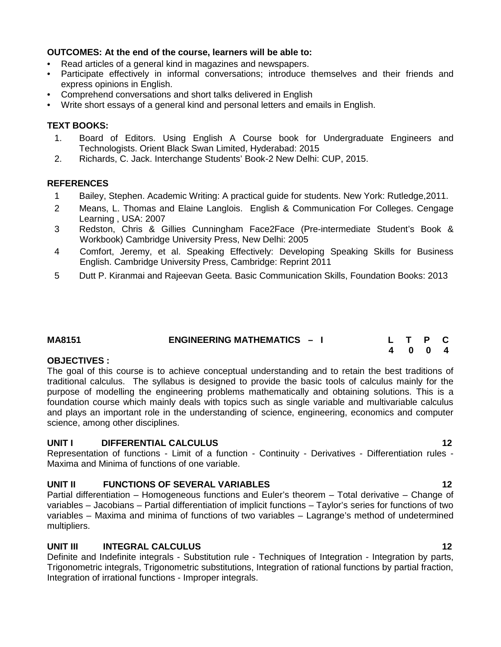## **OUTCOMES: At the end of the course, learners will be able to:**

- Read articles of a general kind in magazines and newspapers.
- Participate effectively in informal conversations; introduce themselves and their friends and express opinions in English.
- Comprehend conversations and short talks delivered in English
- Write short essays of a general kind and personal letters and emails in English.

## **TEXT BOOKS:**

- 1. Board of Editors. Using English A Course book for Undergraduate Engineers and Technologists. Orient Black Swan Limited, Hyderabad: 2015
- 2. Richards, C. Jack. Interchange Students' Book-2 New Delhi: CUP, 2015.

## **REFERENCES**

- 1 Bailey, Stephen. Academic Writing: A practical guide for students. New York: Rutledge,2011.
- 2 Means, L. Thomas and Elaine Langlois. English & Communication For Colleges. Cengage Learning , USA: 2007
- 3 Redston, Chris & Gillies Cunningham Face2Face (Pre-intermediate Student's Book & Workbook) Cambridge University Press, New Delhi: 2005
- 4 Comfort, Jeremy, et al. Speaking Effectively: Developing Speaking Skills for Business English. Cambridge University Press, Cambridge: Reprint 2011
- 5 Dutt P. Kiranmai and Rajeevan Geeta. Basic Communication Skills, Foundation Books: 2013

| <b>MA8151</b> | <b>ENGINEERING MATHEMATICS - I</b> | L T P C |  |  |
|---------------|------------------------------------|---------|--|--|
|               |                                    | 4004    |  |  |

## **OBJECTIVES :**

The goal of this course is to achieve conceptual understanding and to retain the best traditions of traditional calculus. The syllabus is designed to provide the basic tools of calculus mainly for the purpose of modelling the engineering problems mathematically and obtaining solutions. This is a foundation course which mainly deals with topics such as single variable and multivariable calculus and plays an important role in the understanding of science, engineering, economics and computer science, among other disciplines.

## **UNIT I DIFFERENTIAL CALCULUS 12**

Representation of functions - Limit of a function - Continuity - Derivatives - Differentiation rules - Maxima and Minima of functions of one variable.

## **UNIT II FUNCTIONS OF SEVERAL VARIABLES 12**

Partial differentiation – Homogeneous functions and Euler's theorem – Total derivative – Change of variables – Jacobians – Partial differentiation of implicit functions – Taylor's series for functions of two variables – Maxima and minima of functions of two variables – Lagrange's method of undetermined multipliers.

## **UNIT III INTEGRAL CALCULUS 12**

Definite and Indefinite integrals - Substitution rule - Techniques of Integration - Integration by parts, Trigonometric integrals, Trigonometric substitutions, Integration of rational functions by partial fraction, Integration of irrational functions - Improper integrals.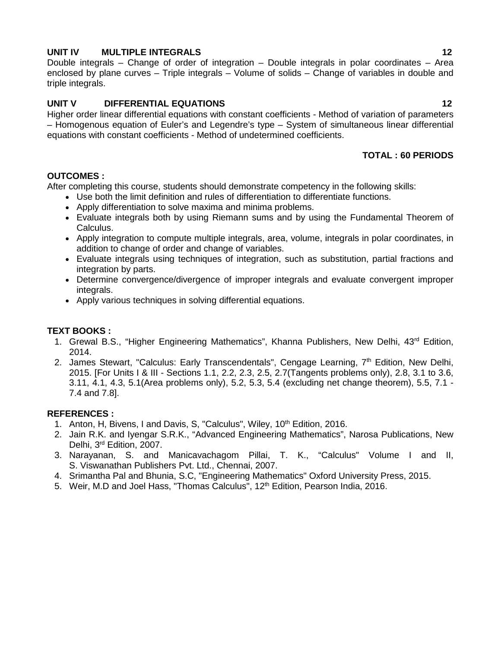## **UNIT IV MULTIPLE INTEGRALS 12**

Double integrals – Change of order of integration – Double integrals in polar coordinates – Area enclosed by plane curves – Triple integrals – Volume of solids – Change of variables in double and triple integrals.

## **UNIT V DIFFERENTIAL EQUATIONS 12**

Higher order linear differential equations with constant coefficients - Method of variation of parameters – Homogenous equation of Euler's and Legendre's type – System of simultaneous linear differential equations with constant coefficients - Method of undetermined coefficients.

## **TOTAL : 60 PERIODS**

## **OUTCOMES :**

After completing this course, students should demonstrate competency in the following skills:

- Use both the limit definition and rules of differentiation to differentiate functions.
	- Apply differentiation to solve maxima and minima problems.
	- Evaluate integrals both by using Riemann sums and by using the Fundamental Theorem of Calculus.
	- Apply integration to compute multiple integrals, area, volume, integrals in polar coordinates, in addition to change of order and change of variables.
	- Evaluate integrals using techniques of integration, such as substitution, partial fractions and integration by parts.
	- Determine convergence/divergence of improper integrals and evaluate convergent improper integrals.
	- Apply various techniques in solving differential equations.

## **TEXT BOOKS :**

- 1. Grewal B.S., "Higher Engineering Mathematics", Khanna Publishers, New Delhi, 43<sup>rd</sup> Edition, 2014.
- 2. James Stewart, "Calculus: Early Transcendentals", Cengage Learning, 7<sup>th</sup> Edition, New Delhi, 2015. [For Units I & III - Sections 1.1, 2.2, 2.3, 2.5, 2.7(Tangents problems only), 2.8, 3.1 to 3.6, 3.11, 4.1, 4.3, 5.1(Area problems only), 5.2, 5.3, 5.4 (excluding net change theorem), 5.5, 7.1 - 7.4 and 7.8].

## **REFERENCES :**

- 1. Anton, H, Bivens, I and Davis, S, "Calculus", Wiley, 10<sup>th</sup> Edition, 2016.
- 2. Jain R.K. and Iyengar S.R.K., "Advanced Engineering Mathematics", Narosa Publications, New Delhi, 3<sup>rd</sup> Edition, 2007.
- 3. Narayanan, S. and Manicavachagom Pillai, T. K., "Calculus" Volume I and II, S. Viswanathan Publishers Pvt. Ltd., Chennai, 2007.
- 4. Srimantha Pal and Bhunia, S.C, "Engineering Mathematics" Oxford University Press, 2015.
- 5. Weir, M.D and Joel Hass, "Thomas Calculus", 12<sup>th</sup> Edition, Pearson India, 2016.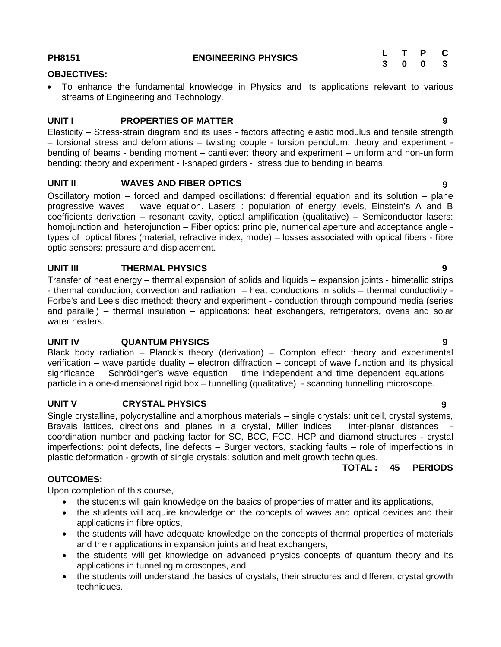| PH8151 | <b>ENGINEERING PHYSICS</b> |  | L T P C |  |
|--------|----------------------------|--|---------|--|
|        |                            |  | 3 0 0 3 |  |

#### **OBJECTIVES:**

 To enhance the fundamental knowledge in Physics and its applications relevant to various streams of Engineering and Technology.

## **UNIT I PROPERTIES OF MATTER 9**

Elasticity – Stress-strain diagram and its uses - factors affecting elastic modulus and tensile strength – torsional stress and deformations – twisting couple - torsion pendulum: theory and experiment bending of beams - bending moment – cantilever: theory and experiment – uniform and non-uniform bending: theory and experiment - I-shaped girders - stress due to bending in beams.

## **UNIT II WAVES AND FIBER OPTICS 9**

Oscillatory motion – forced and damped oscillations: differential equation and its solution – plane progressive waves – wave equation. Lasers : population of energy levels, Einstein's A and B coefficients derivation – resonant cavity, optical amplification (qualitative) – Semiconductor lasers: homojunction and heterojunction – Fiber optics: principle, numerical aperture and acceptance angle types of optical fibres (material, refractive index, mode) – losses associated with optical fibers - fibre optic sensors: pressure and displacement.

### **UNIT III THERMAL PHYSICS 9**

Transfer of heat energy – thermal expansion of solids and liquids – expansion joints - bimetallic strips - thermal conduction, convection and radiation – heat conductions in solids – thermal conductivity - Forbe's and Lee's disc method: theory and experiment - conduction through compound media (series and parallel) – thermal insulation – applications: heat exchangers, refrigerators, ovens and solar water heaters.

## **UNIT IV QUANTUM PHYSICS 9**

Black body radiation – Planck's theory (derivation) – Compton effect: theory and experimental verification – wave particle duality – electron diffraction – concept of wave function and its physical significance – Schrödinger's wave equation – time independent and time dependent equations – particle in a one-dimensional rigid box – tunnelling (qualitative) - scanning tunnelling microscope.

## **UNIT V CRYSTAL PHYSICS 9**

Single crystalline, polycrystalline and amorphous materials – single crystals: unit cell, crystal systems, Bravais lattices, directions and planes in a crystal, Miller indices – inter-planar distances coordination number and packing factor for SC, BCC, FCC, HCP and diamond structures - crystal imperfections: point defects, line defects – Burger vectors, stacking faults – role of imperfections in plastic deformation - growth of single crystals: solution and melt growth techniques.<br>**TOTAL:** 45

**TOTAL : 45 PERIODS**

## Upon completion of this course,

**OUTCOMES:**

- the students will gain knowledge on the basics of properties of matter and its applications,
- the students will acquire knowledge on the concepts of waves and optical devices and their applications in fibre optics,
- the students will have adequate knowledge on the concepts of thermal properties of materials and their applications in expansion joints and heat exchangers,
- the students will get knowledge on advanced physics concepts of quantum theory and its applications in tunneling microscopes, and
- the students will understand the basics of crystals, their structures and different crystal growth techniques.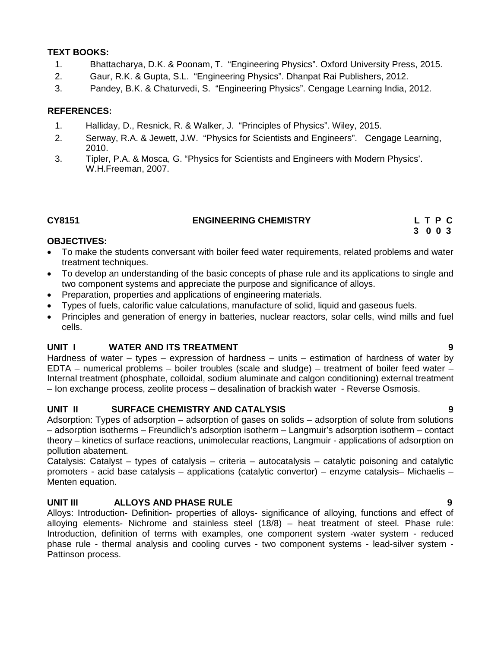## **TEXT BOOKS:**

- 1. Bhattacharya, D.K. & Poonam, T. "Engineering Physics". Oxford University Press, 2015.
- 2. Gaur, R.K. & Gupta, S.L. "Engineering Physics". Dhanpat Rai Publishers, 2012.
- 3. Pandey, B.K. & Chaturvedi, S. "Engineering Physics". Cengage Learning India, 2012.

## **REFERENCES:**

- 1. Halliday, D., Resnick, R. & Walker, J. "Principles of Physics". Wiley, 2015.
- 2. Serway, R.A. & Jewett, J.W. "Physics for Scientists and Engineers". Cengage Learning, 2010.
- 3. Tipler, P.A. & Mosca, G. "Physics for Scientists and Engineers with Modern Physics'. W.H.Freeman, 2007.

## **CY8151 ENGINEERING CHEMISTRY L T P C**

## **OBJECTIVES:**

- To make the students conversant with boiler feed water requirements, related problems and water treatment techniques.
- To develop an understanding of the basic concepts of phase rule and its applications to single and two component systems and appreciate the purpose and significance of alloys.
- Preparation, properties and applications of engineering materials.
- Types of fuels, calorific value calculations, manufacture of solid, liquid and gaseous fuels.
- Principles and generation of energy in batteries, nuclear reactors, solar cells, wind mills and fuel cells.

## **UNIT I WATER AND ITS TREATMENT 9**

Hardness of water – types – expression of hardness – units – estimation of hardness of water by EDTA – numerical problems – boiler troubles (scale and sludge) – treatment of boiler feed water – Internal treatment (phosphate, colloidal, sodium aluminate and calgon conditioning) external treatment – Ion exchange process, zeolite process – desalination of brackish water - Reverse Osmosis.

## **UNIT II SURFACE CHEMISTRY AND CATALYSIS 9**

Adsorption: Types of adsorption – adsorption of gases on solids – adsorption of solute from solutions – adsorption isotherms – Freundlich's adsorption isotherm – Langmuir's adsorption isotherm – contact theory – kinetics of surface reactions, unimolecular reactions, Langmuir - applications of adsorption on pollution abatement.

Catalysis: Catalyst – types of catalysis – criteria – autocatalysis – catalytic poisoning and catalytic promoters - acid base catalysis – applications (catalytic convertor) – enzyme catalysis– Michaelis – Menten equation.

## **UNIT III ALLOYS AND PHASE RULE 9**

Alloys: Introduction- Definition- properties of alloys- significance of alloying, functions and effect of alloying elements- Nichrome and stainless steel (18/8) – heat treatment of steel. Phase rule: Introduction, definition of terms with examples, one component system -water system - reduced phase rule - thermal analysis and cooling curves - two component systems - lead-silver system - Pattinson process.

**3 0 0 3**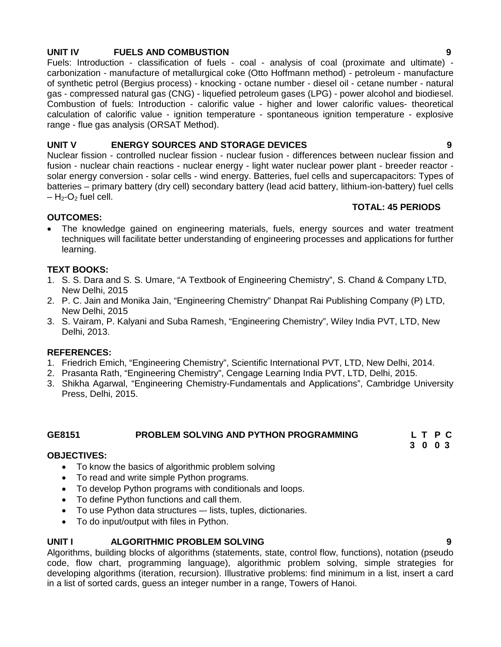## **UNIT IV FUELS AND COMBUSTION 9**

Fuels: Introduction - classification of fuels - coal - analysis of coal (proximate and ultimate) carbonization - manufacture of metallurgical coke (Otto Hoffmann method) - petroleum - manufacture of synthetic petrol (Bergius process) - knocking - octane number - diesel oil - cetane number - natural gas - compressed natural gas (CNG) - liquefied petroleum gases (LPG) - power alcohol and biodiesel. Combustion of fuels: Introduction - calorific value - higher and lower calorific values- theoretical calculation of calorific value - ignition temperature - spontaneous ignition temperature - explosive range - flue gas analysis (ORSAT Method).

## **UNIT V ENERGY SOURCES AND STORAGE DEVICES 9**

Nuclear fission - controlled nuclear fission - nuclear fusion - differences between nuclear fission and fusion - nuclear chain reactions - nuclear energy - light water nuclear power plant - breeder reactor solar energy conversion - solar cells - wind energy. Batteries, fuel cells and supercapacitors: Types of batteries – primary battery (dry cell) secondary battery (lead acid battery, lithium-ion-battery) fuel cells  $- H_2$ -O<sub>2</sub> fuel cell.

## **TOTAL: 45 PERIODS**

## **OUTCOMES:**

 The knowledge gained on engineering materials, fuels, energy sources and water treatment techniques will facilitate better understanding of engineering processes and applications for further learning.

## **TEXT BOOKS:**

- 1. S. S. Dara and S. S. Umare, "A Textbook of Engineering Chemistry", S. Chand & Company LTD, New Delhi, 2015
- 2. P. C. Jain and Monika Jain, "Engineering Chemistry" Dhanpat Rai Publishing Company (P) LTD, New Delhi, 2015
- 3. S. Vairam, P. Kalyani and Suba Ramesh, "Engineering Chemistry", Wiley India PVT, LTD, New Delhi, 2013.

## **REFERENCES:**

- 1. Friedrich Emich, "Engineering Chemistry", Scientific International PVT, LTD, New Delhi, 2014.
- 2. Prasanta Rath, "Engineering Chemistry", Cengage Learning India PVT, LTD, Delhi, 2015.
- 3. Shikha Agarwal, "Engineering Chemistry-Fundamentals and Applications", Cambridge University Press, Delhi, 2015.

#### **GE8151 PROBLEM SOLVING AND PYTHON PROGRAMMING L T P C**

## **OBJECTIVES:**

- To know the basics of algorithmic problem solving
- To read and write simple Python programs.
- To develop Python programs with conditionals and loops.
- To define Python functions and call them.
- To use Python data structures –- lists, tuples, dictionaries.
- To do input/output with files in Python.

## **UNIT I ALGORITHMIC PROBLEM SOLVING 9**

Algorithms, building blocks of algorithms (statements, state, control flow, functions), notation (pseudo code, flow chart, programming language), algorithmic problem solving, simple strategies for developing algorithms (iteration, recursion). Illustrative problems: find minimum in a list, insert a card in a list of sorted cards, guess an integer number in a range, Towers of Hanoi.

**3 0 0 3**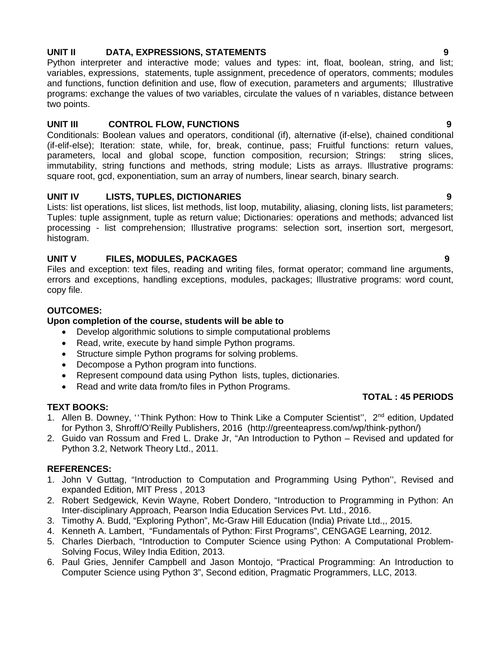## **UNIT II DATA, EXPRESSIONS, STATEMENTS 9**

Python interpreter and interactive mode; values and types: int, float, boolean, string, and list; variables, expressions, statements, tuple assignment, precedence of operators, comments; modules and functions, function definition and use, flow of execution, parameters and arguments; Illustrative programs: exchange the values of two variables, circulate the values of n variables, distance between two points.

## **UNIT III CONTROL FLOW, FUNCTIONS 9**

Conditionals: Boolean values and operators, conditional (if), alternative (if-else), chained conditional (if-elif-else); Iteration: state, while, for, break, continue, pass; Fruitful functions: return values, parameters, local and global scope, function composition, recursion; Strings: string slices, immutability, string functions and methods, string module; Lists as arrays. Illustrative programs: square root, gcd, exponentiation, sum an array of numbers, linear search, binary search.

## **UNIT IV LISTS, TUPLES, DICTIONARIES 9**

Lists: list operations, list slices, list methods, list loop, mutability, aliasing, cloning lists, list parameters; Tuples: tuple assignment, tuple as return value; Dictionaries: operations and methods; advanced list processing - list comprehension; Illustrative programs: selection sort, insertion sort, mergesort, histogram.

## **UNIT V FILES, MODULES, PACKAGES 9**

Files and exception: text files, reading and writing files, format operator; command line arguments, errors and exceptions, handling exceptions, modules, packages; Illustrative programs: word count, copy file.

## **OUTCOMES:**

## **Upon completion of the course, students will be able to**

- Develop algorithmic solutions to simple computational problems
- Read, write, execute by hand simple Python programs.
- Structure simple Python programs for solving problems.
- Decompose a Python program into functions.
- Represent compound data using Python lists, tuples, dictionaries.
- Read and write data from/to files in Python Programs.

## **TEXT BOOKS:**

- 1. Allen B. Downey, "Think Python: How to Think Like a Computer Scientist", 2<sup>nd</sup> edition, Updated for Python 3, Shroff/O'Reilly Publishers, 2016 (http://greenteapress.com/wp/think-python/)
- 2. Guido van Rossum and Fred L. Drake Jr, "An Introduction to Python Revised and updated for Python 3.2, Network Theory Ltd., 2011.

## **REFERENCES:**

- 1. John V Guttag, "Introduction to Computation and Programming Using Python'', Revised and expanded Edition, MIT Press , 2013
- 2. Robert Sedgewick, Kevin Wayne, Robert Dondero, "Introduction to Programming in Python: An Inter-disciplinary Approach, Pearson India Education Services Pvt. Ltd., 2016.
- 3. Timothy A. Budd, "Exploring Python", Mc-Graw Hill Education (India) Private Ltd.,, 2015.
- 4. Kenneth A. Lambert, "Fundamentals of Python: First Programs", CENGAGE Learning, 2012.
- 5. Charles Dierbach, "Introduction to Computer Science using Python: A Computational Problem- Solving Focus, Wiley India Edition, 2013.
- 6. Paul Gries, Jennifer Campbell and Jason Montojo, "Practical Programming: An Introduction to Computer Science using Python 3", Second edition, Pragmatic Programmers, LLC, 2013.

**TOTAL : 45 PERIODS**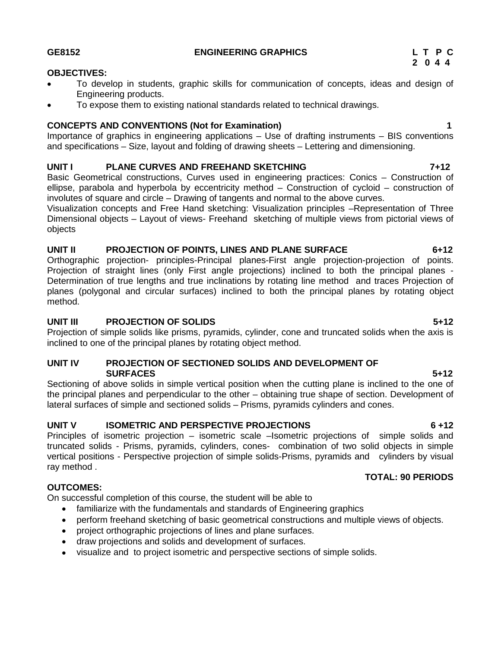#### **GE8152 ENGINEERING GRAPHICS L T P C**

#### **OBJECTIVES:**

- To develop in students, graphic skills for communication of concepts, ideas and design of Engineering products.
- To expose them to existing national standards related to technical drawings.

### **CONCEPTS AND CONVENTIONS (Not for Examination) 1**

Importance of graphics in engineering applications – Use of drafting instruments – BIS conventions and specifications – Size, layout and folding of drawing sheets – Lettering and dimensioning.

## **UNIT I PLANE CURVES AND FREEHAND SKETCHING 7+12**

Basic Geometrical constructions, Curves used in engineering practices: Conics – Construction of ellipse, parabola and hyperbola by eccentricity method – Construction of cycloid – construction of involutes of square and circle – Drawing of tangents and normal to the above curves.

Visualization concepts and Free Hand sketching: Visualization principles –Representation of Three Dimensional objects – Layout of views- Freehand sketching of multiple views from pictorial views of objects

### **UNIT II PROJECTION OF POINTS, LINES AND PLANE SURFACE 6+12**

Orthographic projection- principles-Principal planes-First angle projection-projection of points. Projection of straight lines (only First angle projections) inclined to both the principal planes - Determination of true lengths and true inclinations by rotating line method and traces Projection of planes (polygonal and circular surfaces) inclined to both the principal planes by rotating object method.

### **UNIT III PROJECTION OF SOLIDS 5+12**

Projection of simple solids like prisms, pyramids, cylinder, cone and truncated solids when the axis is inclined to one of the principal planes by rotating object method.

### **UNIT IV PROJECTION OF SECTIONED SOLIDS AND DEVELOPMENT OF SURFACES 5+12**

Sectioning of above solids in simple vertical position when the cutting plane is inclined to the one of the principal planes and perpendicular to the other – obtaining true shape of section. Development of lateral surfaces of simple and sectioned solids – Prisms, pyramids cylinders and cones.

## **UNIT V ISOMETRIC AND PERSPECTIVE PROJECTIONS 6 +12**

Principles of isometric projection – isometric scale –Isometric projections of simple solids and truncated solids - Prisms, pyramids, cylinders, cones- combination of two solid objects in simple vertical positions - Perspective projection of simple solids-Prisms, pyramids and cylinders by visual ray method .

## **OUTCOMES:**

On successful completion of this course, the student will be able to

- familiarize with the fundamentals and standards of Engineering graphics
- perform freehand sketching of basic geometrical constructions and multiple views of objects.
- project orthographic projections of lines and plane surfaces.
- draw projections and solids and development of surfaces.
- visualize and to project isometric and perspective sections of simple solids.

**TOTAL: 90 PERIODS**

# **2 0 4 4**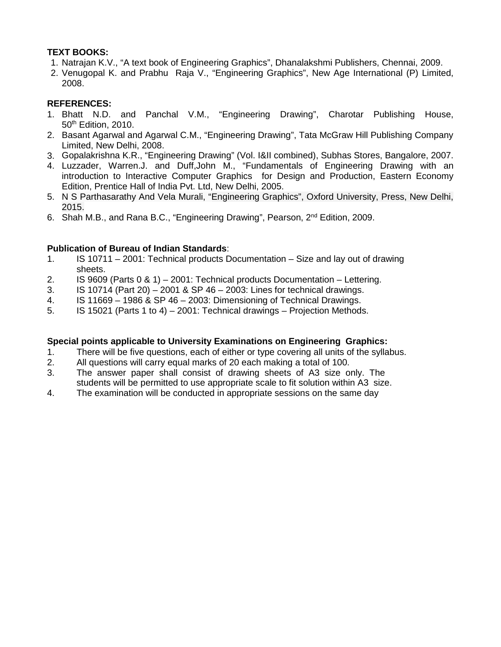## **TEXT BOOKS:**

- 1. Natrajan K.V., "A text book of Engineering Graphics", Dhanalakshmi Publishers, Chennai, 2009.
- 2. Venugopal K. and Prabhu Raja V., "Engineering Graphics", New Age International (P) Limited, 2008.

## **REFERENCES:**

- 1. Bhatt N.D. and Panchal V.M., "Engineering Drawing", Charotar Publishing House, 50<sup>th</sup> Edition, 2010.
- 2. Basant Agarwal and Agarwal C.M., "Engineering Drawing", Tata McGraw Hill Publishing Company Limited, New Delhi, 2008.
- 3. Gopalakrishna K.R., "Engineering Drawing" (Vol. I&II combined), Subhas Stores, Bangalore, 2007.
- 4. Luzzader, Warren.J. and Duff,John M., "Fundamentals of Engineering Drawing with an introduction to Interactive Computer Graphics for Design and Production, Eastern Economy Edition, Prentice Hall of India Pvt. Ltd, New Delhi, 2005.
- 5. N S Parthasarathy And Vela Murali, "Engineering Graphics", Oxford University, Press, New Delhi, 2015.
- 6. Shah M.B., and Rana B.C., "Engineering Drawing", Pearson, 2nd Edition, 2009.

## **Publication of Bureau of Indian Standards**:

- 1. IS 10711 2001: Technical products Documentation Size and lay out of drawing sheets.
- 2. IS 9609 (Parts 0 & 1) 2001: Technical products Documentation Lettering.
- 3. IS 10714 (Part 20) 2001 & SP 46 2003: Lines for technical drawings.
- 4. IS 11669 1986 & SP 46 2003: Dimensioning of Technical Drawings.
- 5. IS 15021 (Parts 1 to 4) 2001: Technical drawings Projection Methods.

## **Special points applicable to University Examinations on Engineering Graphics:**

- 1. There will be five questions, each of either or type covering all units of the syllabus.
- 2. All questions will carry equal marks of 20 each making a total of 100.
- 3. The answer paper shall consist of drawing sheets of A3 size only. The students will be permitted to use appropriate scale to fit solution within A3 size.
- 4. The examination will be conducted in appropriate sessions on the same day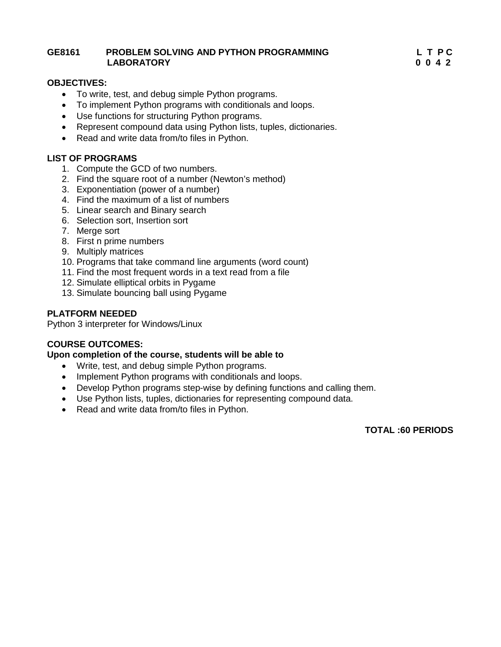### **GE8161 PROBLEM SOLVING AND PYTHON PROGRAMMING L T P C LABORATORY**

### **OBJECTIVES:**

- To write, test, and debug simple Python programs.
- To implement Python programs with conditionals and loops.
- Use functions for structuring Python programs.
- Represent compound data using Python lists, tuples, dictionaries.
- Read and write data from/to files in Python.

## **LIST OF PROGRAMS**

- 1. Compute the GCD of two numbers.
- 2. Find the square root of a number (Newton's method)
- 3. Exponentiation (power of a number)
- 4. Find the maximum of a list of numbers
- 5. Linear search and Binary search
- 6. Selection sort, Insertion sort
- 7. Merge sort
- 8. First n prime numbers
- 9. Multiply matrices
- 10. Programs that take command line arguments (word count)
- 11. Find the most frequent words in a text read from a file
- 12. Simulate elliptical orbits in Pygame
- 13. Simulate bouncing ball using Pygame

### **PLATFORM NEEDED**

Python 3 interpreter for Windows/Linux

## **COURSE OUTCOMES:**

#### **Upon completion of the course, students will be able to**

- Write, test, and debug simple Python programs.
- Implement Python programs with conditionals and loops.
- Develop Python programs step-wise by defining functions and calling them.
- Use Python lists, tuples, dictionaries for representing compound data.
- Read and write data from/to files in Python.

**TOTAL :60 PERIODS**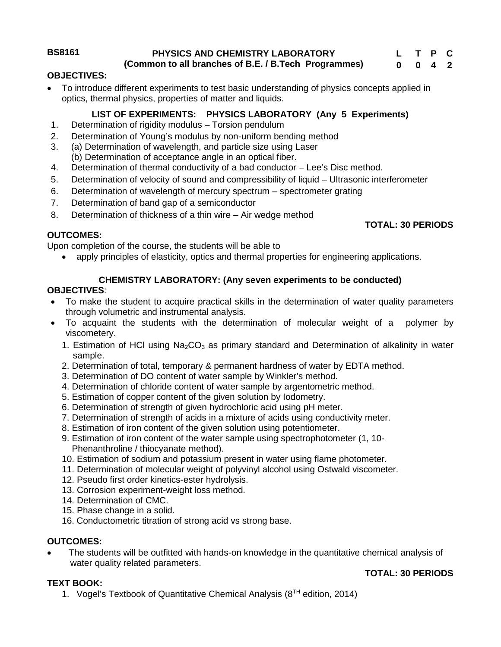**BS8161 PHYSICS AND CHEMISTRY LABORATORY**

**(Common to all branches of B.E. / B.Tech Programmes)**

## **OBJECTIVES:**

 To introduce different experiments to test basic understanding of physics concepts applied in optics, thermal physics, properties of matter and liquids.

## **LIST OF EXPERIMENTS: PHYSICS LABORATORY (Any 5 Experiments)**

- 1. Determination of rigidity modulus Torsion pendulum
- 2. Determination of Young's modulus by non-uniform bending method
- 3. (a) Determination of wavelength, and particle size using Laser
- (b) Determination of acceptance angle in an optical fiber.
- 4. Determination of thermal conductivity of a bad conductor Lee's Disc method.
- 5. Determination of velocity of sound and compressibility of liquid Ultrasonic interferometer
- 6. Determination of wavelength of mercury spectrum spectrometer grating
- 7. Determination of band gap of a semiconductor
- 8. Determination of thickness of a thin wire Air wedge method

## **OUTCOMES:**

Upon completion of the course, the students will be able to

apply principles of elasticity, optics and thermal properties for engineering applications.

## **CHEMISTRY LABORATORY: (Any seven experiments to be conducted)**

## **OBJECTIVES**:

- To make the student to acquire practical skills in the determination of water quality parameters through volumetric and instrumental analysis.
- To acquaint the students with the determination of molecular weight of a polymer by viscometery.
	- 1. Estimation of HCI using  $Na<sub>2</sub>CO<sub>3</sub>$  as primary standard and Determination of alkalinity in water sample.
	- 2. Determination of total, temporary & permanent hardness of water by EDTA method.
	- 3. Determination of DO content of water sample by Winkler's method.
	- 4. Determination of chloride content of water sample by argentometric method.
	- 5. Estimation of copper content of the given solution by Iodometry.
	- 6. Determination of strength of given hydrochloric acid using pH meter.
	- 7. Determination of strength of acids in a mixture of acids using conductivity meter.
	- 8. Estimation of iron content of the given solution using potentiometer.
	- 9. Estimation of iron content of the water sample using spectrophotometer (1, 10- Phenanthroline / thiocyanate method).
	- 10. Estimation of sodium and potassium present in water using flame photometer.
	- 11. Determination of molecular weight of polyvinyl alcohol using Ostwald viscometer.
	- 12. Pseudo first order kinetics-ester hydrolysis.
	- 13. Corrosion experiment-weight loss method.
	- 14. Determination of CMC.
	- 15. Phase change in a solid.
	- 16. Conductometric titration of strong acid vs strong base.

## **OUTCOMES:**

 The students will be outfitted with hands-on knowledge in the quantitative chemical analysis of water quality related parameters.

## **TOTAL: 30 PERIODS**

- **TEXT BOOK:**
	- 1. Vogel's Textbook of Quantitative Chemical Analysis (8<sup>TH</sup> edition, 2014)

## **TOTAL: 30 PERIODS**

#### **L T P C 0 0 4 2**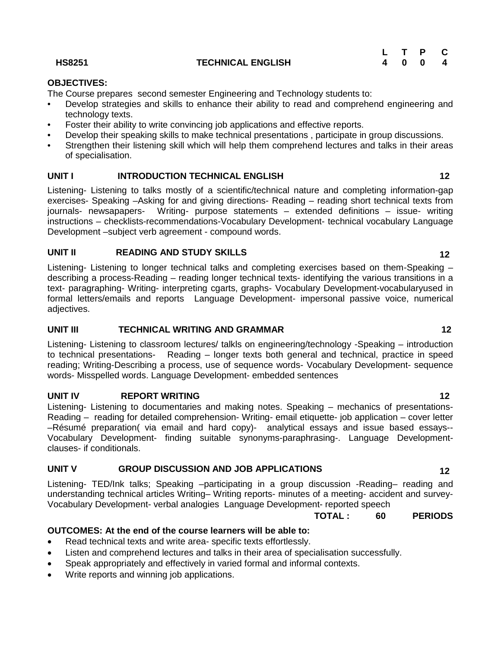### **HS8251 TECHNICAL ENGLISH**

|  | L T P C |  |
|--|---------|--|
|  | 4 0 0 4 |  |

## **OBJECTIVES:**

The Course prepares second semester Engineering and Technology students to:

- Develop strategies and skills to enhance their ability to read and comprehend engineering and technology texts.
- Foster their ability to write convincing job applications and effective reports.
- Develop their speaking skills to make technical presentations , participate in group discussions.
- Strengthen their listening skill which will help them comprehend lectures and talks in their areas of specialisation.

## **UNIT I INTRODUCTION TECHNICAL ENGLISH 12**

Listening- Listening to talks mostly of a scientific/technical nature and completing information-gap exercises- Speaking –Asking for and giving directions- Reading – reading short technical texts from<br>
iournals- newsapapers- Writing- purpose statements – extended definitions – issue- writing Writing- purpose statements – extended definitions – issue- writing instructions – checklists-recommendations-Vocabulary Development- technical vocabulary Language Development –subject verb agreement - compound words.

## **UNIT II READING AND STUDY SKILLS 12**

Listening- Listening to longer technical talks and completing exercises based on them-Speaking – describing a process-Reading – reading longer technical texts- identifying the various transitions in a text- paragraphing- Writing- interpreting cgarts, graphs- Vocabulary Development-vocabularyused in formal letters/emails and reports Language Development- impersonal passive voice, numerical adjectives.

## **UNIT III TECHNICAL WRITING AND GRAMMAR 12**

Listening- Listening to classroom lectures/ talkls on engineering/technology -Speaking – introduction to technical presentations- Reading – longer texts both general and technical, practice in speed reading; Writing-Describing a process, use of sequence words- Vocabulary Development- sequence words- Misspelled words. Language Development- embedded sentences

## **UNIT IV REPORT WRITING 12**

Listening- Listening to documentaries and making notes. Speaking – mechanics of presentations- Reading – reading for detailed comprehension- Writing- email etiquette- job application – cover letter –Résumé preparation( via email and hard copy)- analytical essays and issue based essays-- Vocabulary Development- finding suitable synonyms-paraphrasing-. Language Development clauses- if conditionals.

## **UNIT V GROUP DISCUSSION AND JOB APPLICATIONS 12**

Listening- TED/Ink talks; Speaking –participating in a group discussion -Reading– reading and understanding technical articles Writing– Writing reports- minutes of a meeting- accident and survey- Vocabulary Development- verbal analogies Language Development- reported speech

#### **TOTAL : 60 PERIODS**

## **OUTCOMES: At the end of the course learners will be able to:**

- Read technical texts and write area- specific texts effortlessly.
- Listen and comprehend lectures and talks in their area of specialisation successfully.
- Speak appropriately and effectively in varied formal and informal contexts.
- Write reports and winning job applications.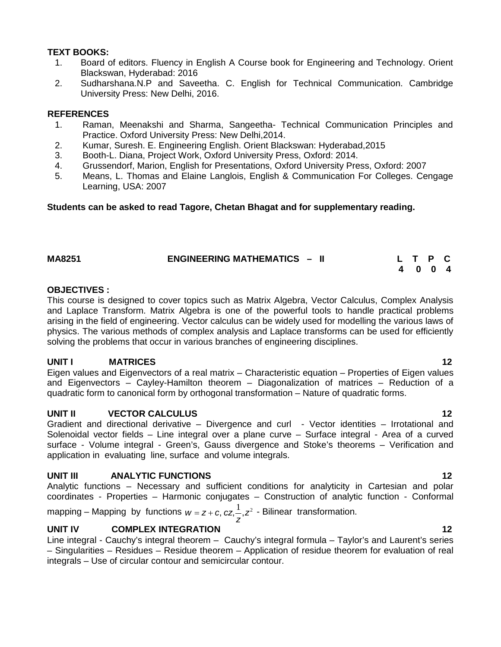## **TEXT BOOKS:**

- 1. Board of editors. Fluency in English A Course book for Engineering and Technology. Orient Blackswan, Hyderabad: 2016
- 2. Sudharshana.N.P and Saveetha. C. English for Technical Communication. Cambridge University Press: New Delhi, 2016.

## **REFERENCES**

- 1. Raman, Meenakshi and Sharma, Sangeetha- Technical Communication Principles and Practice. Oxford University Press: New Delhi,2014.
- 2. Kumar, Suresh. E. Engineering English. Orient Blackswan: Hyderabad,2015
- 3. Booth-L. Diana, Project Work, Oxford University Press, Oxford: 2014.
- 4. Grussendorf, Marion, English for Presentations, Oxford University Press, Oxford: 2007
- 5. Means, L. Thomas and Elaine Langlois, English & Communication For Colleges. Cengage Learning, USA: 2007

## **Students can be asked to read Tagore, Chetan Bhagat and for supplementary reading.**

| <b>MA8251</b> | <b>ENGINEERING MATHEMATICS - II</b> | L T P C |  |
|---------------|-------------------------------------|---------|--|
|               |                                     | 4004    |  |

## **OBJECTIVES :**

This course is designed to cover topics such as Matrix Algebra, Vector Calculus, Complex Analysis and Laplace Transform. Matrix Algebra is one of the powerful tools to handle practical problems arising in the field of engineering. Vector calculus can be widely used for modelling the various laws of physics. The various methods of complex analysis and Laplace transforms can be used for efficiently solving the problems that occur in various branches of engineering disciplines.

## **UNIT I MATRICES 12**

Eigen values and Eigenvectors of a real matrix – Characteristic equation – Properties of Eigen values and Eigenvectors – Cayley-Hamilton theorem – Diagonalization of matrices – Reduction of a quadratic form to canonical form by orthogonal transformation – Nature of quadratic forms.

## **UNIT II VECTOR CALCULUS 12**

Gradient and directional derivative – Divergence and curl - Vector identities – Irrotational and Solenoidal vector fields – Line integral over a plane curve – Surface integral - Area of a curved surface - Volume integral - Green's, Gauss divergence and Stoke's theorems – Verification and application in evaluating line, surface and volume integrals.

## **UNIT III ANALYTIC FUNCTIONS 12**

Analytic functions – Necessary and sufficient conditions for analyticity in Cartesian and polar coordinates - Properties – Harmonic conjugates – Construction of analytic function - Conformal

mapping – Mapping by functions  $w = z + c$ ,  $cz - z^2$  - Bilinear transformation. z<sup>'</sup>  $w = z + c$ ,  $cz, \frac{1}{z}, z^2$  - Bilinear transformation.

## **UNIT IV COMPLEX INTEGRATION 12**

Line integral - Cauchy's integral theorem – Cauchy's integral formula – Taylor's and Laurent's series – Singularities – Residues – Residue theorem – Application of residue theorem for evaluation of real integrals – Use of circular contour and semicircular contour.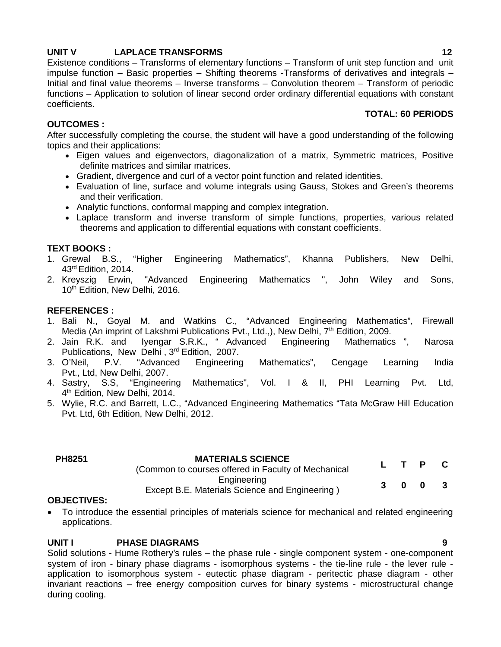## **UNIT V LAPLACE TRANSFORMS 12**

Existence conditions – Transforms of elementary functions – Transform of unit step function and unit impulse function – Basic properties – Shifting theorems -Transforms of derivatives and integrals – Initial and final value theorems – Inverse transforms – Convolution theorem – Transform of periodic functions – Application to solution of linear second order ordinary differential equations with constant coefficients. **TOTAL: 60 PERIODS**

## **OUTCOMES :**

After successfully completing the course, the student will have a good understanding of the following topics and their applications:

- Eigen values and eigenvectors, diagonalization of a matrix, Symmetric matrices, Positive definite matrices and similar matrices.
- Gradient, divergence and curl of a vector point function and related identities.
- Evaluation of line, surface and volume integrals using Gauss, Stokes and Green's theorems and their verification.
- Analytic functions, conformal mapping and complex integration.
- Laplace transform and inverse transform of simple functions, properties, various related theorems and application to differential equations with constant coefficients.

## **TEXT BOOKS :**

- 1. Grewal B.S., "Higher Engineering Mathematics", Khanna Publishers, New Delhi, 43<sup>rd</sup> Edition, 2014.<br>Kreyszig Erwin, "Advanced
- 2. Kreyszig Erwin, "Advanced Engineering Mathematics ", John Wiley and Sons, 10<sup>th</sup> Edition, New Delhi, 2016.

## **REFERENCES :**

- 1. Bali N., Goyal M. and Watkins C., "Advanced Engineering Mathematics", Firewall Media (An imprint of Lakshmi Publications Pvt., Ltd.,), New Delhi,  $7<sup>th</sup>$  Edition, 2009.
- 2. Jain R.K. and Iyengar S.R.K., " Advanced Engineering Mathematics ", Narosa Publications, New Delhi, 3<sup>rd</sup> Edition, 2007.<br>3. O'Neil, P.V. "Advanced Engineering
- P.V. "Advanced Engineering Mathematics", Cengage Learning India Pvt., Ltd, New Delhi, 2007.
- 4. Sastry, S.S, "Engineering Mathematics", Vol. I & II, PHI Learning Pvt. Ltd, 4 th Edition, New Delhi, 2014.
- 5. Wylie, R.C. and Barrett, L.C., "Advanced Engineering Mathematics "Tata McGraw Hill Education Pvt. Ltd, 6th Edition, New Delhi, 2012.

| PH8251 | <b>MATERIALS SCIENCE</b><br>(Common to courses offered in Faculty of Mechanical |  | L T P C |  |
|--------|---------------------------------------------------------------------------------|--|---------|--|
|        | Engineering<br>Except B.E. Materials Science and Engineering)                   |  | 3 0 0 3 |  |

## **OBJECTIVES:**

 To introduce the essential principles of materials science for mechanical and related engineering applications.

## **UNIT I PHASE DIAGRAMS 9**

Solid solutions - Hume Rothery's rules – the phase rule - single component system - one-component system of iron - binary phase diagrams - isomorphous systems - the tie-line rule - the lever rule application to isomorphous system - eutectic phase diagram - peritectic phase diagram - other invariant reactions – free energy composition curves for binary systems - microstructural change during cooling.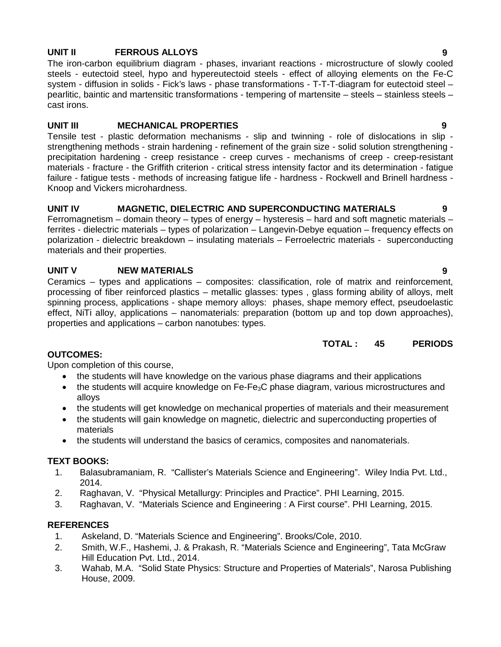## **UNIT II FERROUS ALLOYS 9**

The iron-carbon equilibrium diagram - phases, invariant reactions - microstructure of slowly cooled steels - eutectoid steel, hypo and hypereutectoid steels - effect of alloying elements on the Fe-C system - diffusion in solids - Fick's laws - phase transformations - T-T-T-diagram for eutectoid steel – pearlitic, baintic and martensitic transformations - tempering of martensite – steels – stainless steels – cast irons.

## **UNIT III MECHANICAL PROPERTIES 9**

Tensile test - plastic deformation mechanisms - slip and twinning - role of dislocations in slip strengthening methods - strain hardening - refinement of the grain size - solid solution strengthening precipitation hardening - creep resistance - creep curves - mechanisms of creep - creep-resistant materials - fracture - the Griffith criterion - critical stress intensity factor and its determination - fatigue failure - fatigue tests - methods of increasing fatigue life - hardness - Rockwell and Brinell hardness - Knoop and Vickers microhardness.

## **UNIT IV MAGNETIC, DIELECTRIC AND SUPERCONDUCTING MATERIALS 9**

Ferromagnetism – domain theory – types of energy – hysteresis – hard and soft magnetic materials – ferrites - dielectric materials – types of polarization – Langevin-Debye equation – frequency effects on polarization - dielectric breakdown – insulating materials – Ferroelectric materials - superconducting materials and their properties.

## **UNIT V NEW MATERIALS 9**

Ceramics – types and applications – composites: classification, role of matrix and reinforcement, processing of fiber reinforced plastics – metallic glasses: types , glass forming ability of alloys, melt spinning process, applications - shape memory alloys: phases, shape memory effect, pseudoelastic effect, NiTi alloy, applications – nanomaterials: preparation (bottom up and top down approaches), properties and applications – carbon nanotubes: types.

## **TOTAL : 45 PERIODS**

## **OUTCOMES:**

Upon completion of this course,

- the students will have knowledge on the various phase diagrams and their applications
- the students will acquire knowledge on Fe-Fe<sub>3</sub>C phase diagram, various microstructures and alloys
- the students will get knowledge on mechanical properties of materials and their measurement
- the students will gain knowledge on magnetic, dielectric and superconducting properties of materials
- the students will understand the basics of ceramics, composites and nanomaterials.

## **TEXT BOOKS:**

- 1. Balasubramaniam, R. "Callister's Materials Science and Engineering". Wiley India Pvt. Ltd., 2014.
- 2. Raghavan, V. "Physical Metallurgy: Principles and Practice". PHI Learning, 2015.
- 3. Raghavan, V. "Materials Science and Engineering : A First course". PHI Learning, 2015.

## **REFERENCES**

- 1. Askeland, D. "Materials Science and Engineering". Brooks/Cole, 2010.
- 2. Smith, W.F., Hashemi, J. & Prakash, R. "Materials Science and Engineering", Tata McGraw Hill Education Pvt. Ltd., 2014.
- 3. Wahab, M.A. "Solid State Physics: Structure and Properties of Materials", Narosa Publishing House, 2009.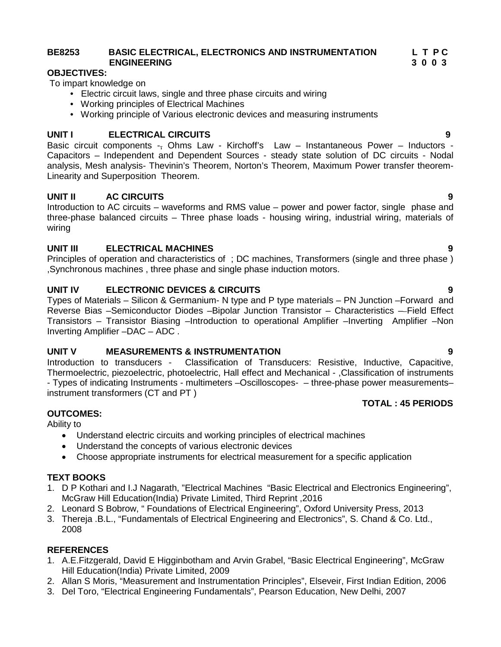## **BE8253 BASIC ELECTRICAL, ELECTRONICS AND INSTRUMENTATION L T P C ENGINEERING 3 0 0 3**

## **OBJECTIVES:**

To impart knowledge on

- Electric circuit laws, single and three phase circuits and wiring
- Working principles of Electrical Machines
- Working principle of Various electronic devices and measuring instruments

## **UNIT I ELECTRICAL CIRCUITS 9**

Basic circuit components -- Ohms Law - Kirchoff's Law - Instantaneous Power - Inductors Capacitors – Independent and Dependent Sources - steady state solution of DC circuits - Nodal analysis, Mesh analysis- Thevinin's Theorem, Norton's Theorem, Maximum Power transfer theorem- Linearity and Superposition Theorem.

## **UNIT II AC CIRCUITS 9**

Introduction to AC circuits – waveforms and RMS value – power and power factor, single phase and three-phase balanced circuits – Three phase loads - housing wiring, industrial wiring, materials of wiring

## **UNIT III ELECTRICAL MACHINES 9**

Principles of operation and characteristics of ; DC machines, Transformers (single and three phase ) ,Synchronous machines , three phase and single phase induction motors.

## **UNIT IV ELECTRONIC DEVICES & CIRCUITS 9**

Types of Materials – Silicon & Germanium- N type and P type materials – PN Junction –Forward and Reverse Bias –Semiconductor Diodes –Bipolar Junction Transistor – Characteristics – Field Effect Transistors – Transistor Biasing –Introduction to operational Amplifier –Inverting Amplifier –Non Inverting Amplifier –DAC – ADC .

## **UNIT V MEASUREMENTS & INSTRUMENTATION 9**

Introduction to transducers - Classification of Transducers: Resistive, Inductive, Capacitive, Thermoelectric, piezoelectric, photoelectric, Hall effect and Mechanical - ,Classification of instruments - Types of indicating Instruments - multimeters –Oscilloscopes- – three-phase power measurements– instrument transformers (CT and PT )

## **OUTCOMES:**

Ability to

- Understand electric circuits and working principles of electrical machines
- Understand the concepts of various electronic devices
- Choose appropriate instruments for electrical measurement for a specific application

## **TEXT BOOKS**

- 1. D P Kothari and I.J Nagarath, "Electrical Machines "Basic Electrical and Electronics Engineering", McGraw Hill Education(India) Private Limited, Third Reprint ,2016
- 2. Leonard S Bobrow, " Foundations of Electrical Engineering", Oxford University Press, 2013
- 3. Thereja .B.L., "Fundamentals of Electrical Engineering and Electronics", S. Chand & Co. Ltd., 2008

## **REFERENCES**

- 1. A.E.Fitzgerald, David E Higginbotham and Arvin Grabel, "Basic Electrical Engineering", McGraw Hill Education(India) Private Limited, 2009
- 2. Allan S Moris, "Measurement and Instrumentation Principles", Elseveir, First Indian Edition, 2006
- 3. Del Toro, "Electrical Engineering Fundamentals", Pearson Education, New Delhi, 2007
- 
- 

**TOTAL : 45 PERIODS**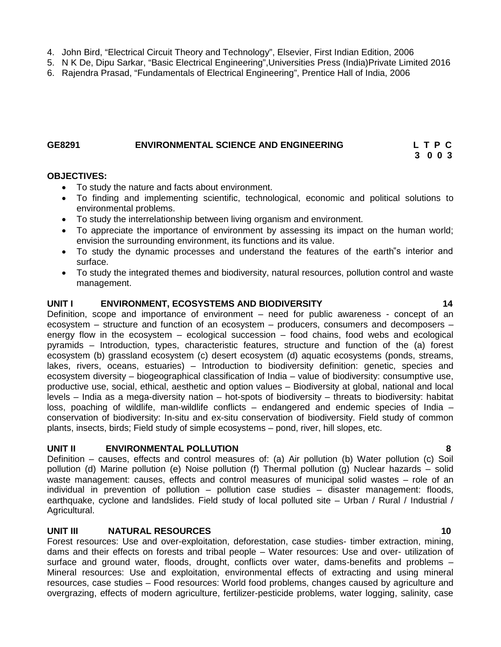- 4. John Bird, "Electrical Circuit Theory and Technology", Elsevier, First Indian Edition, 2006
- 5. N K De, Dipu Sarkar, "Basic Electrical Engineering",Universities Press (India)Private Limited 2016
- 6. Rajendra Prasad, "Fundamentals of Electrical Engineering", Prentice Hall of India, 2006

#### **GE8291 ENVIRONMENTAL SCIENCE AND ENGINEERING L T P C**

#### **OBJECTIVES:**

- To study the nature and facts about environment.
- To finding and implementing scientific, technological, economic and political solutions to environmental problems.
- To study the interrelationship between living organism and environment.
- To appreciate the importance of environment by assessing its impact on the human world; envision the surrounding environment, its functions and its value.
- To study the dynamic processes and understand the features of the earth"s interior and surface.
- To study the integrated themes and biodiversity, natural resources, pollution control and waste management.

#### **UNIT I ENVIRONMENT, ECOSYSTEMS AND BIODIVERSITY 14**

Definition, scope and importance of environment – need for public awareness - concept of an ecosystem – structure and function of an ecosystem – producers, consumers and decomposers – energy flow in the ecosystem – ecological succession – food chains, food webs and ecological pyramids – Introduction, types, characteristic features, structure and function of the (a) forest ecosystem (b) grassland ecosystem (c) desert ecosystem (d) aquatic ecosystems (ponds, streams, lakes, rivers, oceans, estuaries) – Introduction to biodiversity definition: genetic, species and ecosystem diversity – biogeographical classification of India – value of biodiversity: consumptive use, productive use, social, ethical, aesthetic and option values – Biodiversity at global, national and local levels – India as a mega-diversity nation – hot-spots of biodiversity – threats to biodiversity: habitat loss, poaching of wildlife, man-wildlife conflicts – endangered and endemic species of India – conservation of biodiversity: In-situ and ex-situ conservation of biodiversity. Field study of common plants, insects, birds; Field study of simple ecosystems – pond, river, hill slopes, etc.

#### **UNIT II ENVIRONMENTAL POLLUTION 8**

Definition – causes, effects and control measures of: (a) Air pollution (b) Water pollution (c) Soil pollution (d) Marine pollution (e) Noise pollution (f) Thermal pollution (g) Nuclear hazards – solid waste management: causes, effects and control measures of municipal solid wastes – role of an individual in prevention of pollution – pollution case studies – disaster management: floods, earthquake, cyclone and landslides. Field study of local polluted site – Urban / Rural / Industrial / Agricultural.

#### **UNIT III NATURAL RESOURCES 10**

Forest resources: Use and over-exploitation, deforestation, case studies- timber extraction, mining, dams and their effects on forests and tribal people – Water resources: Use and over- utilization of surface and ground water, floods, drought, conflicts over water, dams-benefits and problems – Mineral resources: Use and exploitation, environmental effects of extracting and using mineral resources, case studies – Food resources: World food problems, changes caused by agriculture and overgrazing, effects of modern agriculture, fertilizer-pesticide problems, water logging, salinity, case

**3 0 0 3**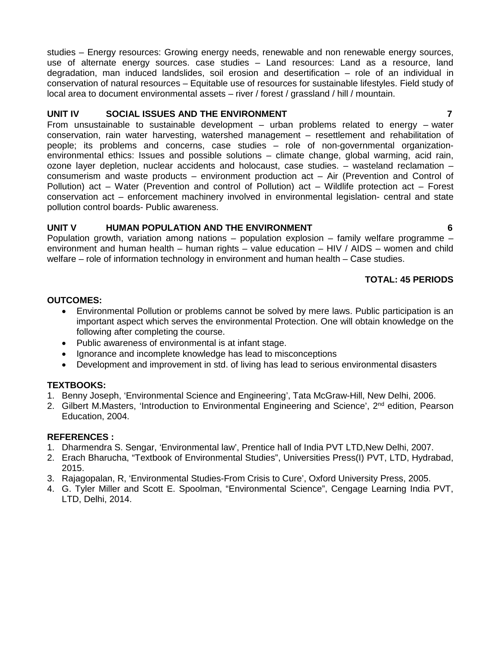studies – Energy resources: Growing energy needs, renewable and non renewable energy sources, use of alternate energy sources. case studies – Land resources: Land as a resource, land degradation, man induced landslides, soil erosion and desertification – role of an individual in conservation of natural resources – Equitable use of resources for sustainable lifestyles. Field study of local area to document environmental assets – river / forest / grassland / hill / mountain.

## **UNIT IV SOCIAL ISSUES AND THE ENVIRONMENT 7**

From unsustainable to sustainable development – urban problems related to energy – water conservation, rain water harvesting, watershed management – resettlement and rehabilitation of people; its problems and concerns, case studies – role of non-governmental organization environmental ethics: Issues and possible solutions – climate change, global warming, acid rain, ozone layer depletion, nuclear accidents and holocaust, case studies. – wasteland reclamation – consumerism and waste products – environment production act – Air (Prevention and Control of Pollution) act – Water (Prevention and control of Pollution) act – Wildlife protection act – Forest conservation act – enforcement machinery involved in environmental legislation- central and state pollution control boards- Public awareness.

## **UNIT V HUMAN POPULATION AND THE ENVIRONMENT 6**

Population growth, variation among nations – population explosion – family welfare programme – environment and human health – human rights – value education – HIV / AIDS – women and child welfare – role of information technology in environment and human health – Case studies.

## **TOTAL: 45 PERIODS**

## **OUTCOMES:**

- Environmental Pollution or problems cannot be solved by mere laws. Public participation is an important aspect which serves the environmental Protection. One will obtain knowledge on the following after completing the course.
- Public awareness of environmental is at infant stage.
- Ignorance and incomplete knowledge has lead to misconceptions
- Development and improvement in std. of living has lead to serious environmental disasters

## **TEXTBOOKS:**

- 1. Benny Joseph, 'Environmental Science and Engineering', Tata McGraw-Hill, New Delhi, 2006.
- 2. Gilbert M.Masters, 'Introduction to Environmental Engineering and Science', 2<sup>nd</sup> edition, Pearson Education, 2004.

## **REFERENCES :**

- 1. Dharmendra S. Sengar, 'Environmental law', Prentice hall of India PVT LTD,New Delhi, 2007.
- 2. Erach Bharucha, "Textbook of Environmental Studies", Universities Press(I) PVT, LTD, Hydrabad, 2015.
- 3. Rajagopalan, R, 'Environmental Studies-From Crisis to Cure', Oxford University Press, 2005.
- 4. G. Tyler Miller and Scott E. Spoolman, "Environmental Science", Cengage Learning India PVT, LTD, Delhi, 2014.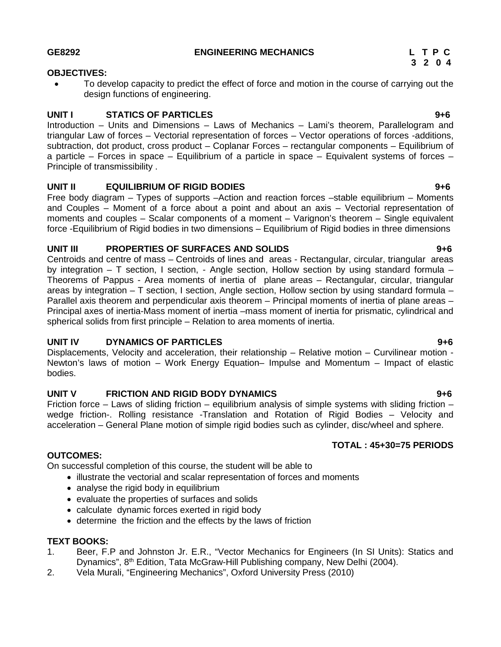#### **OBJECTIVES:**

 To develop capacity to predict the effect of force and motion in the course of carrying out the design functions of engineering.

### **UNIT I STATICS OF PARTICLES 9+6**

Introduction – Units and Dimensions – Laws of Mechanics – Lami's theorem, Parallelogram and triangular Law of forces – Vectorial representation of forces – Vector operations of forces -additions, subtraction, dot product, cross product – Coplanar Forces – rectangular components – Equilibrium of a particle – Forces in space – Equilibrium of a particle in space – Equivalent systems of forces – Principle of transmissibility .

### **UNIT II EQUILIBRIUM OF RIGID BODIES 9+6**

Free body diagram – Types of supports –Action and reaction forces –stable equilibrium – Moments and Couples – Moment of a force about a point and about an axis – Vectorial representation of moments and couples – Scalar components of a moment – Varignon's theorem – Single equivalent force -Equilibrium of Rigid bodies in two dimensions – Equilibrium of Rigid bodies in three dimensions

### **UNIT III PROPERTIES OF SURFACES AND SOLIDS 9+6**

Centroids and centre of mass – Centroids of lines and areas - Rectangular, circular, triangular areas by integration – T section, I section, - Angle section, Hollow section by using standard formula – Theorems of Pappus - Area moments of inertia of plane areas – Rectangular, circular, triangular areas by integration – T section, I section, Angle section, Hollow section by using standard formula – Parallel axis theorem and perpendicular axis theorem – Principal moments of inertia of plane areas – Principal axes of inertia-Mass moment of inertia –mass moment of inertia for prismatic, cylindrical and spherical solids from first principle – Relation to area moments of inertia.

## **UNIT IV DYNAMICS OF PARTICLES 9+6**

Displacements, Velocity and acceleration, their relationship – Relative motion – Curvilinear motion - Newton's laws of motion – Work Energy Equation– Impulse and Momentum – Impact of elastic bodies.

## **UNIT V FRICTION AND RIGID BODY DYNAMICS 9+6**

Friction force – Laws of sliding friction – equilibrium analysis of simple systems with sliding friction – wedge friction-. Rolling resistance -Translation and Rotation of Rigid Bodies – Velocity and acceleration – General Plane motion of simple rigid bodies such as cylinder, disc/wheel and sphere.

## **TOTAL : 45+30=75 PERIODS**

## **OUTCOMES:**

On successful completion of this course, the student will be able to

- illustrate the vectorial and scalar representation of forces and moments
- analyse the rigid body in equilibrium
- evaluate the properties of surfaces and solids
- calculate dynamic forces exerted in rigid body
- determine the friction and the effects by the laws of friction

#### **TEXT BOOKS:**

- 1. Beer, F.P and Johnston Jr. E.R., "Vector Mechanics for Engineers (In SI Units): Statics and Dynamics", 8<sup>th</sup> Edition, Tata McGraw-Hill Publishing company, New Delhi (2004).
- 2. Vela Murali, "Engineering Mechanics", Oxford University Press (2010)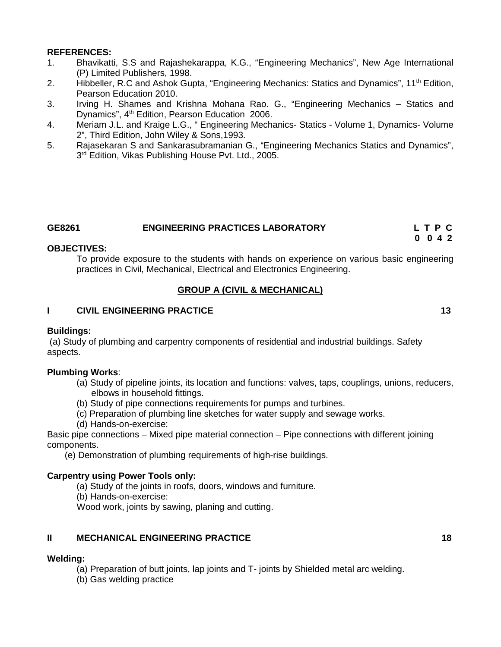#### **REFERENCES:**

- 1. Bhavikatti, S.S and Rajashekarappa, K.G., "Engineering Mechanics", New Age International (P) Limited Publishers, 1998.
- 2. Hibbeller, R.C and Ashok Gupta, "Engineering Mechanics: Statics and Dynamics", 11<sup>th</sup> Edition, Pearson Education 2010.
- 3. Irving H. Shames and Krishna Mohana Rao. G., "Engineering Mechanics Statics and Dynamics", 4<sup>th</sup> Edition, Pearson Education 2006.
- 4. Meriam J.L. and Kraige L.G., " Engineering Mechanics- Statics Volume 1, Dynamics- Volume 2", Third Edition, John Wiley & Sons,1993.
- 5. Rajasekaran S and Sankarasubramanian G., "Engineering Mechanics Statics and Dynamics", 3 rd Edition, Vikas Publishing House Pvt. Ltd., 2005.

| GE8261 | <b>ENGINEERING PRACTICES LABORATORY</b> | LTPC    |
|--------|-----------------------------------------|---------|
|        |                                         | 0 0 4 2 |

### **OBJECTIVES:**

To provide exposure to the students with hands on experience on various basic engineering practices in Civil, Mechanical, Electrical and Electronics Engineering.

## **GROUP A (CIVIL & MECHANICAL)**

### **I CIVIL ENGINEERING PRACTICE 13**

## **Buildings:**

(a) Study of plumbing and carpentry components of residential and industrial buildings. Safety aspects.

## **Plumbing Works**:

- (a) Study of pipeline joints, its location and functions: valves, taps, couplings, unions, reducers, elbows in household fittings.
- (b) Study of pipe connections requirements for pumps and turbines.
- (c) Preparation of plumbing line sketches for water supply and sewage works.
- (d) Hands-on-exercise:

Basic pipe connections – Mixed pipe material connection – Pipe connections with different joining components.

(e) Demonstration of plumbing requirements of high-rise buildings.

## **Carpentry using Power Tools only:**

(a) Study of the joints in roofs, doors, windows and furniture.

(b) Hands-on-exercise:

Wood work, joints by sawing, planing and cutting.

## **II MECHANICAL ENGINEERING PRACTICE 18**

## **Welding:**

(a) Preparation of butt joints, lap joints and T- joints by Shielded metal arc welding.

(b) Gas welding practice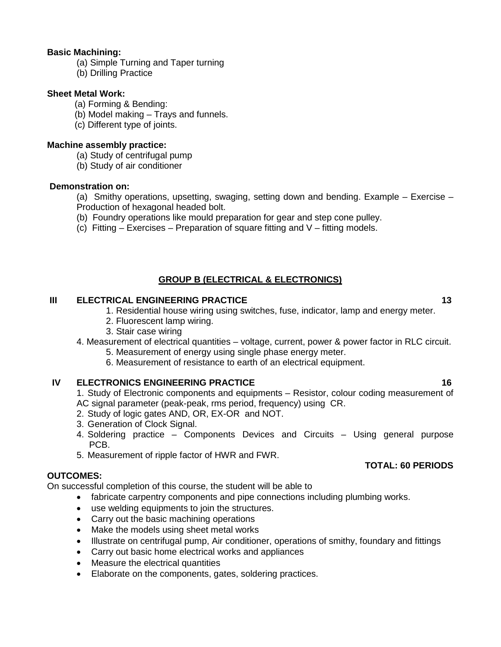### **Basic Machining:**

- (a) Simple Turning and Taper turning
- (b) Drilling Practice

### **Sheet Metal Work:**

- (a) Forming & Bending:
- (b) Model making Trays and funnels.
- (c) Different type of joints.

### **Machine assembly practice:**

- (a) Study of centrifugal pump
- (b) Study of air conditioner

### **Demonstration on:**

(a) Smithy operations, upsetting, swaging, setting down and bending. Example – Exercise – Production of hexagonal headed bolt.

- (b) Foundry operations like mould preparation for gear and step cone pulley.
- (c) Fitting Exercises Preparation of square fitting and  $V$  fitting models.

## **GROUP B (ELECTRICAL & ELECTRONICS)**

## **III ELECTRICAL ENGINEERING PRACTICE 13**

1. Residential house wiring using switches, fuse, indicator, lamp and energy meter.

- 2. Fluorescent lamp wiring.
- 3. Stair case wiring

## 4. Measurement of electrical quantities – voltage, current, power & power factor in RLC circuit.

- 5. Measurement of energy using single phase energy meter.
- 6. Measurement of resistance to earth of an electrical equipment.

## **IV ELECTRONICS ENGINEERING PRACTICE 16**

1. Study of Electronic components and equipments – Resistor, colour coding measurement of AC signal parameter (peak-peak, rms period, frequency) using CR.

- 2. Study of logic gates AND, OR, EX-OR and NOT.
- 3. Generation of Clock Signal.
- 4. Soldering practice Components Devices and Circuits Using general purpose PCB.
- 5. Measurement of ripple factor of HWR and FWR.

## **OUTCOMES:**

On successful completion of this course, the student will be able to

- fabricate carpentry components and pipe connections including plumbing works.
- use welding equipments to join the structures.
- Carry out the basic machining operations
- Make the models using sheet metal works
- Illustrate on centrifugal pump, Air conditioner, operations of smithy, foundary and fittings
- Carry out basic home electrical works and appliances
- Measure the electrical quantities
- Elaborate on the components, gates, soldering practices.

## **TOTAL: 60 PERIODS**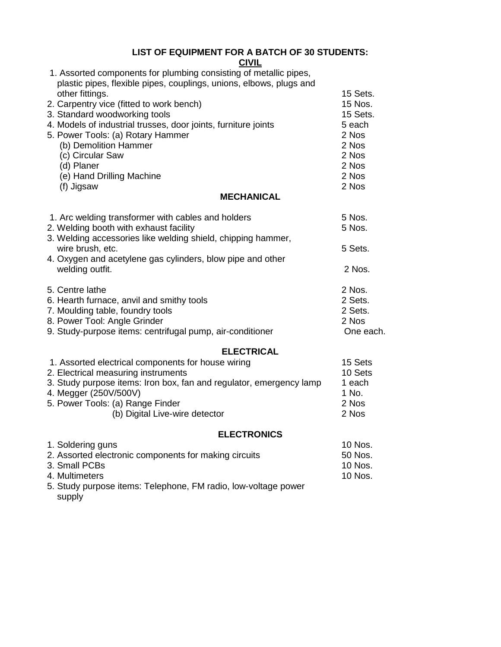## **LIST OF EQUIPMENT FOR A BATCH OF 30 STUDENTS:**

| <b>CIVIL</b>                                                        |           |
|---------------------------------------------------------------------|-----------|
| 1. Assorted components for plumbing consisting of metallic pipes,   |           |
| plastic pipes, flexible pipes, couplings, unions, elbows, plugs and |           |
| other fittings.                                                     | 15 Sets.  |
| 2. Carpentry vice (fitted to work bench)                            | 15 Nos.   |
| 3. Standard woodworking tools                                       | 15 Sets.  |
| 4. Models of industrial trusses, door joints, furniture joints      | 5 each    |
| 5. Power Tools: (a) Rotary Hammer                                   | 2 Nos     |
| (b) Demolition Hammer                                               | 2 Nos     |
| (c) Circular Saw                                                    | 2 Nos     |
| (d) Planer                                                          | 2 Nos     |
| (e) Hand Drilling Machine                                           | 2 Nos     |
| (f) Jigsaw                                                          | 2 Nos     |
| <b>MECHANICAL</b>                                                   |           |
| 1. Arc welding transformer with cables and holders                  | 5 Nos.    |
| 2. Welding booth with exhaust facility                              | 5 Nos.    |
| 3. Welding accessories like welding shield, chipping hammer,        |           |
| wire brush, etc.                                                    | 5 Sets.   |
| 4. Oxygen and acetylene gas cylinders, blow pipe and other          |           |
| welding outfit.                                                     | 2 Nos.    |
| 5. Centre lathe                                                     | 2 Nos.    |
| 6. Hearth furnace, anvil and smithy tools                           | 2 Sets.   |
| 7. Moulding table, foundry tools                                    | 2 Sets.   |
| 8. Power Tool: Angle Grinder                                        | 2 Nos     |
| 9. Study-purpose items: centrifugal pump, air-conditioner           | One each. |
| <b>ELECTRICAL</b>                                                   |           |
| 1. Assorted electrical components for house wiring                  | 15 Sets   |
| 2. Electrical measuring instruments                                 | 10 Sets   |
| 3. Study purpose items: Iron box, fan and regulator, emergency lamp | 1 each    |
| 4. Megger (250V/500V)                                               | 1 No.     |
| 5. Power Tools: (a) Range Finder                                    | 2 Nos     |

5. Power Tools: (a) Range Finder 2 Nos (b) Digital Live-wire detector 2 Nos

## **ELECTRONICS**

| 1. Soldering guns                                              | 10 Nos. |
|----------------------------------------------------------------|---------|
| 2. Assorted electronic components for making circuits          | 50 Nos. |
| 3. Small PCBs                                                  | 10 Nos. |
| 4. Multimeters                                                 | 10 Nos. |
| 5. Study purpose items: Telephone, FM radio, low-voltage power |         |
| supply                                                         |         |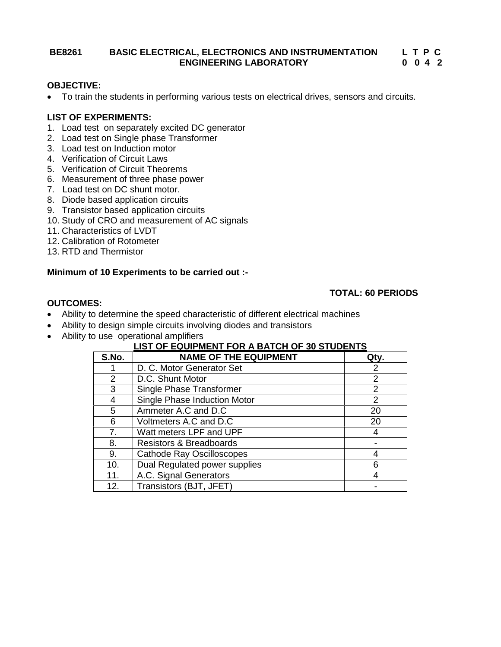#### **BE8261 BASIC ELECTRICAL, ELECTRONICS AND INSTRUMENTATION ENGINEERING LABORATORY**

#### **L T P C L T P C 0 0 4 2**

# **OBJECTIVE:**

To train the students in performing various tests on electrical drives, sensors and circuits.

### **LIST OF EXPERIMENTS:**

- 1. Load test on separately excited DC generator
- 2. Load test on Single phase Transformer
- 3. Load test on Induction motor
- 4. Verification of Circuit Laws
- 5. Verification of Circuit Theorems
- 6. Measurement of three phase power
- 7. Load test on DC shunt motor.
- 8. Diode based application circuits
- 9. Transistor based application circuits
- 10. Study of CRO and measurement of AC signals
- 11. Characteristics of LVDT
- 12. Calibration of Rotometer
- 13. RTD and Thermistor

### **Minimum of 10 Experiments to be carried out :-**

#### **TOTAL: 60 PERIODS**

#### **OUTCOMES:**

- Ability to determine the speed characteristic of different electrical machines
- Ability to design simple circuits involving diodes and transistors
- Ability to use operational amplifiers

| S.No. | <b>NAME OF THE EQUIPMENT</b>       | Qty. |
|-------|------------------------------------|------|
|       | D. C. Motor Generator Set          | 2    |
| 2     | D.C. Shunt Motor                   | 2    |
| 3     | Single Phase Transformer           | 2    |
| 4     | Single Phase Induction Motor       | 2    |
| 5     | Ammeter A.C and D.C                | 20   |
| 6     | Voltmeters A.C and D.C             | 20   |
| 7.    | Watt meters LPF and UPF            |      |
| 8.    | <b>Resistors &amp; Breadboards</b> |      |
| 9.    | <b>Cathode Ray Oscilloscopes</b>   |      |
| 10.   | Dual Regulated power supplies      |      |
| 11.   | A.C. Signal Generators             |      |
| 12.   | Transistors (BJT, JFET)            |      |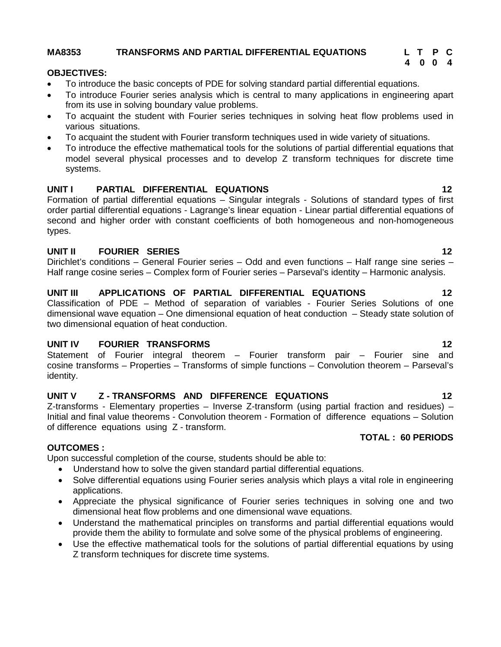### **MA8353 TRANSFORMS AND PARTIAL DIFFERENTIAL EQUATIONS L T P C**

#### **OBJECTIVES:**

- To introduce the basic concepts of PDE for solving standard partial differential equations.
- To introduce Fourier series analysis which is central to many applications in engineering apart from its use in solving boundary value problems.
- To acquaint the student with Fourier series techniques in solving heat flow problems used in various situations.
- To acquaint the student with Fourier transform techniques used in wide variety of situations.
- To introduce the effective mathematical tools for the solutions of partial differential equations that model several physical processes and to develop Z transform techniques for discrete time systems.

### **UNIT I PARTIAL DIFFERENTIAL EQUATIONS 12**

Formation of partial differential equations – Singular integrals - Solutions of standard types of first order partial differential equations - Lagrange's linear equation - Linear partial differential equations of second and higher order with constant coefficients of both homogeneous and non-homogeneous types.

#### **UNIT II FOURIER SERIES 12**

Dirichlet's conditions – General Fourier series – Odd and even functions – Half range sine series – Half range cosine series – Complex form of Fourier series – Parseval's identity – Harmonic analysis.

### **UNIT III APPLICATIONS OF PARTIAL DIFFERENTIAL EQUATIONS 12**

Classification of PDE – Method of separation of variables - Fourier Series Solutions of one dimensional wave equation – One dimensional equation of heat conduction – Steady state solution of two dimensional equation of heat conduction.

#### **UNIT IV FOURIER TRANSFORMS 12**

Statement of Fourier integral theorem – Fourier transform pair – Fourier sine and cosine transforms – Properties – Transforms of simple functions – Convolution theorem – Parseval's identity.

# **UNIT V Z - TRANSFORMS AND DIFFERENCE EQUATIONS 12**

Z-transforms - Elementary properties – Inverse Z-transform (using partial fraction and residues) – Initial and final value theorems - Convolution theorem - Formation of difference equations – Solution of difference equations using Z - transform.

#### **OUTCOMES :**

Upon successful completion of the course, students should be able to:

- Understand how to solve the given standard partial differential equations.
- Solve differential equations using Fourier series analysis which plays a vital role in engineering applications.
- Appreciate the physical significance of Fourier series techniques in solving one and two dimensional heat flow problems and one dimensional wave equations.
- Understand the mathematical principles on transforms and partial differential equations would provide them the ability to formulate and solve some of the physical problems of engineering.
- Use the effective mathematical tools for the solutions of partial differential equations by using Z transform techniques for discrete time systems.

#### **TOTAL : 60 PERIODS**

# **4 0 0 4**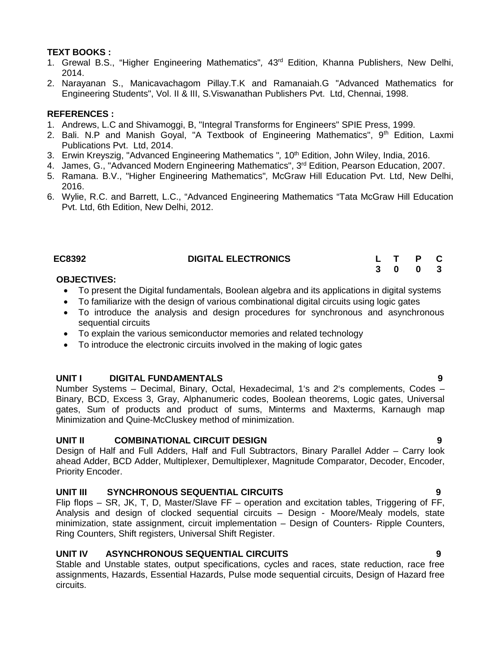## **TEXT BOOKS :**

- 1. Grewal B.S., "Higher Engineering Mathematics"*,* 43rd Edition, Khanna Publishers, New Delhi, 2014.
- 2. Narayanan S., Manicavachagom Pillay.T.K and Ramanaiah.G "Advanced Mathematics for Engineering Students", Vol. II & III, S.Viswanathan Publishers Pvt. Ltd, Chennai, 1998.

### **REFERENCES :**

- 1. Andrews, L.C and Shivamoggi, B, "Integral Transforms for Engineers" SPIE Press, 1999.
- 2. Bali. N.P and Manish Goyal, "A Textbook of Engineering Mathematics",  $9<sup>th</sup>$  Edition, Laxmi Publications Pvt. Ltd, 2014.
- 3. Erwin Kreyszig, "Advanced Engineering Mathematics", 10<sup>th</sup> Edition, John Wiley, India, 2016.
- 4. James, G., "Advanced Modern Engineering Mathematics", 3<sup>rd</sup> Edition, Pearson Education, 2007.
- 5. Ramana. B.V., "Higher Engineering Mathematics"*,* McGraw Hill Education Pvt. Ltd, New Delhi, 2016.
- 6. Wylie, R.C. and Barrett, L.C., "Advanced Engineering Mathematics "Tata McGraw Hill Education Pvt. Ltd, 6th Edition, New Delhi, 2012.

# **EC8392 DIGITAL ELECTRONICS L T P C**

# **OBJECTIVES:**

- To present the Digital fundamentals, Boolean algebra and its applications in digital systems
- To familiarize with the design of various combinational digital circuits using logic gates
- To introduce the analysis and design procedures for synchronous and asynchronous sequential circuits
- To explain the various semiconductor memories and related technology
- To introduce the electronic circuits involved in the making of logic gates

#### **UNIT I DIGITAL FUNDAMENTALS 9**

Number Systems – Decimal, Binary, Octal, Hexadecimal, 1's and 2's complements, Codes – Binary, BCD, Excess 3, Gray, Alphanumeric codes, Boolean theorems, Logic gates, Universal gates, Sum of products and product of sums, Minterms and Maxterms, Karnaugh map Minimization and Quine-McCluskey method of minimization.

#### **UNIT II COMBINATIONAL CIRCUIT DESIGN 9**

Design of Half and Full Adders, Half and Full Subtractors, Binary Parallel Adder – Carry look ahead Adder, BCD Adder, Multiplexer, Demultiplexer, Magnitude Comparator, Decoder, Encoder, Priority Encoder.

# **UNIT III SYNCHRONOUS SEQUENTIAL CIRCUITS 9**

Flip flops – SR, JK, T, D, Master/Slave FF – operation and excitation tables, Triggering of FF, Analysis and design of clocked sequential circuits – Design - Moore/Mealy models, state minimization, state assignment, circuit implementation – Design of Counters- Ripple Counters, Ring Counters, Shift registers, Universal Shift Register.

# **UNIT IV ASYNCHRONOUS SEQUENTIAL CIRCUITS 9**

Stable and Unstable states, output specifications, cycles and races, state reduction, race free assignments, Hazards, Essential Hazards, Pulse mode sequential circuits, Design of Hazard free circuits.

**3 0 0 3**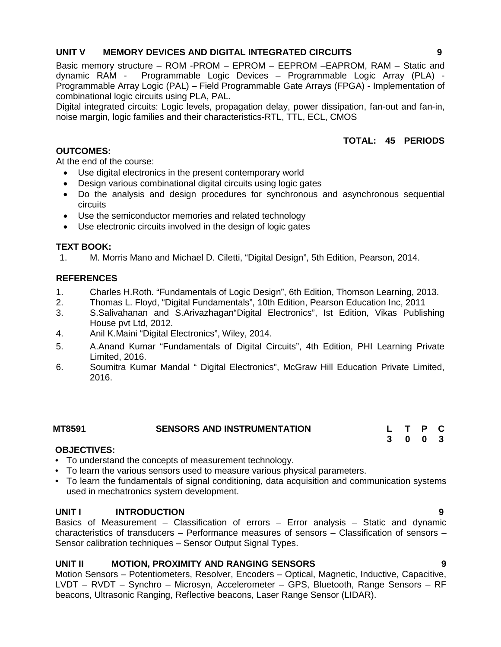## **UNIT V MEMORY DEVICES AND DIGITAL INTEGRATED CIRCUITS 9**

Basic memory structure – ROM -PROM – EPROM – EEPROM –EAPROM, RAM – Static and dynamic RAM - Programmable Logic Devices – Programmable Logic Array (PLA) - Programmable Array Logic (PAL) – Field Programmable Gate Arrays (FPGA) - Implementation of combinational logic circuits using PLA, PAL.

Digital integrated circuits: Logic levels, propagation delay, power dissipation, fan-out and fan-in, noise margin, logic families and their characteristics-RTL, TTL, ECL, CMOS

### **TOTAL: 45 PERIODS**

### **OUTCOMES:**

At the end of the course:

- Use digital electronics in the present contemporary world
- Design various combinational digital circuits using logic gates
- Do the analysis and design procedures for synchronous and asynchronous sequential circuits
- Use the semiconductor memories and related technology
- Use electronic circuits involved in the design of logic gates

### **TEXT BOOK:**

1. M. Morris Mano and Michael D. Ciletti, "Digital Design", 5th Edition, Pearson, 2014.

# **REFERENCES**

- 1. Charles H.Roth. "Fundamentals of Logic Design", 6th Edition, Thomson Learning, 2013.
- 2. Thomas L. Floyd, "Digital Fundamentals", 10th Edition, Pearson Education Inc, 2011
- 3. S.Salivahanan and S.Arivazhagan"Digital Electronics", Ist Edition, Vikas Publishing House pvt Ltd, 2012.
- 4. Anil K.Maini "Digital Electronics", Wiley, 2014.
- 5. A.Anand Kumar "Fundamentals of Digital Circuits", 4th Edition, PHI Learning Private Limited, 2016.
- 6. Soumitra Kumar Mandal " Digital Electronics", McGraw Hill Education Private Limited, 2016.

| MT8591 | <b>SENSORS AND INSTRUMENTATION</b> |     |              |  |
|--------|------------------------------------|-----|--------------|--|
|        |                                    | 3 O | $\mathbf{0}$ |  |

#### **OBJECTIVES:**

- To understand the concepts of measurement technology.
- To learn the various sensors used to measure various physical parameters.
- To learn the fundamentals of signal conditioning, data acquisition and communication systems used in mechatronics system development.

#### **UNIT I INTRODUCTION 9**

Basics of Measurement – Classification of errors – Error analysis – Static and dynamic characteristics of transducers – Performance measures of sensors – Classification of sensors – Sensor calibration techniques – Sensor Output Signal Types.

# **UNIT II MOTION, PROXIMITY AND RANGING SENSORS 9**

Motion Sensors – Potentiometers, Resolver, Encoders – Optical, Magnetic, Inductive, Capacitive, LVDT – RVDT – Synchro – Microsyn, Accelerometer – GPS, Bluetooth, Range Sensors – RF beacons, Ultrasonic Ranging, Reflective beacons, Laser Range Sensor (LIDAR).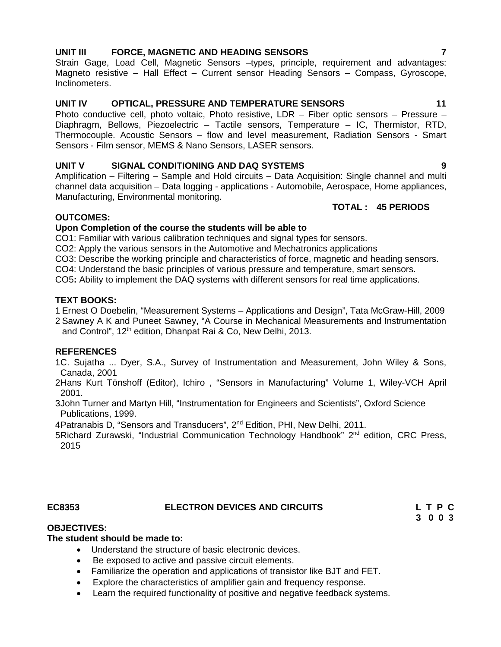### **UNIT III FORCE, MAGNETIC AND HEADING SENSORS 7**

Strain Gage, Load Cell, Magnetic Sensors –types, principle, requirement and advantages: Magneto resistive – Hall Effect – Current sensor Heading Sensors – Compass, Gyroscope, Inclinometers.

#### **UNIT IV OPTICAL, PRESSURE AND TEMPERATURE SENSORS 11**

Photo conductive cell, photo voltaic, Photo resistive, LDR – Fiber optic sensors – Pressure – Diaphragm, Bellows, Piezoelectric – Tactile sensors, Temperature – IC, Thermistor, RTD, Thermocouple. Acoustic Sensors – flow and level measurement, Radiation Sensors - Smart Sensors - Film sensor, MEMS & Nano Sensors, LASER sensors.

### **UNIT V SIGNAL CONDITIONING AND DAQ SYSTEMS 9**

Amplification – Filtering – Sample and Hold circuits – Data Acquisition: Single channel and multi channel data acquisition – Data logging - applications - Automobile, Aerospace, Home appliances, Manufacturing, Environmental monitoring.

#### **TOTAL : 45 PERIODS**

### **OUTCOMES:**

#### **Upon Completion of the course the students will be able to**

CO1: Familiar with various calibration techniques and signal types for sensors.

CO2: Apply the various sensors in the Automotive and Mechatronics applications

CO3: Describe the working principle and characteristics of force, magnetic and heading sensors.

CO4: Understand the basic principles of various pressure and temperature, smart sensors.

CO5**:** Ability to implement the DAQ systems with different sensors for real time applications.

#### **TEXT BOOKS:**

1.Ernest O Doebelin, "Measurement Systems – Applications and Design", Tata McGraw-Hill, 2009

2.Sawney A K and Puneet Sawney, "A Course in Mechanical Measurements and Instrumentation and Control", 12<sup>th</sup> edition, Dhanpat Rai & Co, New Delhi, 2013.

#### **REFERENCES**

1C. Sujatha ... Dyer, S.A., Survey of Instrumentation and Measurement, John Wiley & Sons, Canada, 2001

2.Hans Kurt Tönshoff (Editor), Ichiro , "Sensors in Manufacturing" Volume 1, Wiley-VCH April 2001.

3.John Turner and Martyn Hill, "Instrumentation for Engineers and Scientists", Oxford Science Publications, 1999.

4Patranabis D, "Sensors and Transducers", 2<sup>nd</sup> Edition, PHI, New Delhi, 2011.

5Richard Zurawski, "Industrial Communication Technology Handbook" 2<sup>nd</sup> edition, CRC Press, 2015

#### **EC8353 ELECTRON DEVICES AND CIRCUITS L T P C**

**3 0 0 3**

# **OBJECTIVES:**

#### **The student should be made to:**

- Understand the structure of basic electronic devices.
- Be exposed to active and passive circuit elements.
- Familiarize the operation and applications of transistor like BJT and FET.
- Explore the characteristics of amplifier gain and frequency response.
- Learn the required functionality of positive and negative feedback systems.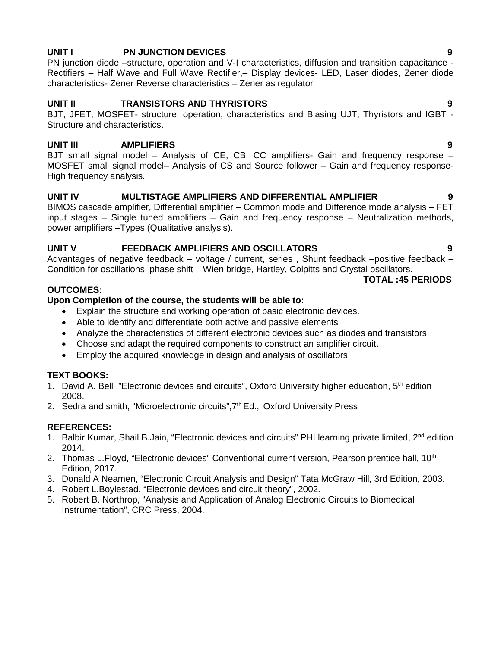# **UNIT I PN JUNCTION DEVICES 9**

PN junction diode –structure, operation and V-I characteristics, diffusion and transition capacitance - Rectifiers – Half Wave and Full Wave Rectifier,– Display devices- LED, Laser diodes, Zener diode characteristics- Zener Reverse characteristics – Zener as regulator

# **UNIT II TRANSISTORS AND THYRISTORS 9**

BJT, JFET, MOSFET- structure, operation, characteristics and Biasing UJT, Thyristors and IGBT - Structure and characteristics.

# **UNIT III AMPLIFIERS 9**

BJT small signal model – Analysis of CE, CB, CC amplifiers- Gain and frequency response – MOSFET small signal model– Analysis of CS and Source follower – Gain and frequency response- High frequency analysis.

# **UNIT IV MULTISTAGE AMPLIFIERS AND DIFFERENTIAL AMPLIFIER 9**

BIMOS cascade amplifier, Differential amplifier – Common mode and Difference mode analysis – FET input stages – Single tuned amplifiers – Gain and frequency response – Neutralization methods, power amplifiers –Types (Qualitative analysis).

# **UNIT V FEEDBACK AMPLIFIERS AND OSCILLATORS 9**

Advantages of negative feedback – voltage / current, series , Shunt feedback –positive feedback – Condition for oscillations, phase shift – Wien bridge, Hartley, Colpitts and Crystal oscillators. **TOTAL :45 PERIODS**

# **OUTCOMES:**

# **Upon Completion of the course, the students will be able to:**

- Explain the structure and working operation of basic electronic devices.
- Able to identify and differentiate both active and passive elements
- Analyze the characteristics of different electronic devices such as diodes and transistors
- Choose and adapt the required components to construct an amplifier circuit.
- Employ the acquired knowledge in design and analysis of oscillators

# **TEXT BOOKS:**

- 1. David A. Bell, "Electronic devices and circuits", Oxford University higher education, 5<sup>th</sup> edition 2008.
- 2. Sedra and smith, "Microelectronic circuits", $7<sup>th</sup>$  Ed., Oxford University Press

# **REFERENCES:**

- 1. Balbir Kumar, Shail.B.Jain, "Electronic devices and circuits" PHI learning private limited, 2<sup>nd</sup> edition 2014.
- 2. Thomas L.Floyd, "Electronic devices" Conventional current version, Pearson prentice hall, 10<sup>th</sup> Edition, 2017.
- 3. Donald A Neamen, "Electronic Circuit Analysis and Design" Tata McGraw Hill, 3rd Edition, 2003.
- 4. Robert L.Boylestad, "Electronic devices and circuit theory", 2002.
- 5. Robert B. Northrop, "Analysis and Application of Analog Electronic Circuits to Biomedical Instrumentation", CRC Press, 2004.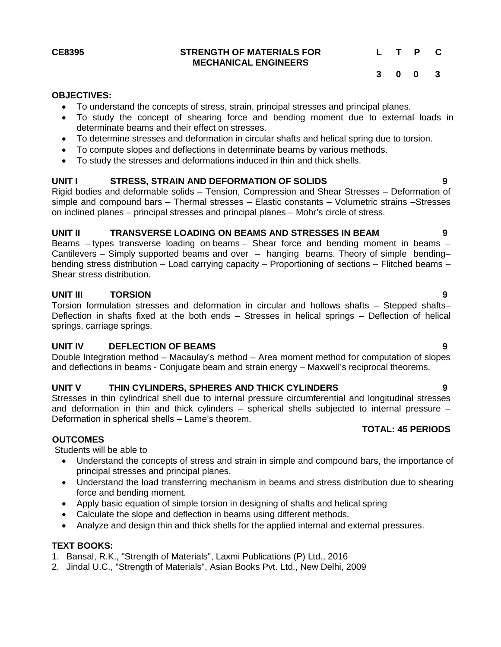#### **CE8395 STRENGTH OF MATERIALS FOR MECHANICAL ENGINEERS**

# **L T P C**

**3 0 0 3**

#### **OBJECTIVES:**

- To understand the concepts of stress, strain, principal stresses and principal planes.
- To study the concept of shearing force and bending moment due to external loads in determinate beams and their effect on stresses.
- To determine stresses and deformation in circular shafts and helical spring due to torsion.
- To compute slopes and deflections in determinate beams by various methods.
- To study the stresses and deformations induced in thin and thick shells.

#### **UNIT I STRESS, STRAIN AND DEFORMATION OF SOLIDS 9**

Rigid bodies and deformable solids – Tension, Compression and Shear Stresses – Deformation of simple and compound bars – Thermal stresses – Elastic constants – Volumetric strains –Stresses on inclined planes – principal stresses and principal planes – Mohr's circle of stress.

#### **UNIT II TRANSVERSE LOADING ON BEAMS AND STRESSES IN BEAM 9**

Beams – types transverse loading on beams – Shear force and bending moment in beams – Cantilevers – Simply supported beams and over – hanging beams. Theory of simple bending– bending stress distribution – Load carrying capacity – Proportioning of sections – Flitched beams – Shear stress distribution.

# **UNIT III TORSION 9**

Torsion formulation stresses and deformation in circular and hollows shafts – Stepped shafts– Deflection in shafts fixed at the both ends – Stresses in helical springs – Deflection of helical springs, carriage springs.

#### **UNIT IV DEFLECTION OF BEAMS 9**

Double Integration method – Macaulay's method – Area moment method for computation of slopes and deflections in beams - Conjugate beam and strain energy – Maxwell's reciprocal theorems.

### **UNIT V THIN CYLINDERS, SPHERES AND THICK CYLINDERS 9**

Stresses in thin cylindrical shell due to internal pressure circumferential and longitudinal stresses and deformation in thin and thick cylinders – spherical shells subjected to internal pressure – Deformation in spherical shells – Lame's theorem.

#### **TOTAL: 45 PERIODS**

#### **OUTCOMES**

Students will be able to

- Understand the concepts of stress and strain in simple and compound bars, the importance of principal stresses and principal planes.
- Understand the load transferring mechanism in beams and stress distribution due to shearing force and bending moment.
- Apply basic equation of simple torsion in designing of shafts and helical spring
- Calculate the slope and deflection in beams using different methods.
- Analyze and design thin and thick shells for the applied internal and external pressures.

#### **TEXT BOOKS:**

- 1. Bansal, R.K., "Strength of Materials", Laxmi Publications (P) Ltd., 2016
- 2. Jindal U.C., "Strength of Materials", Asian Books Pvt. Ltd., New Delhi, 2009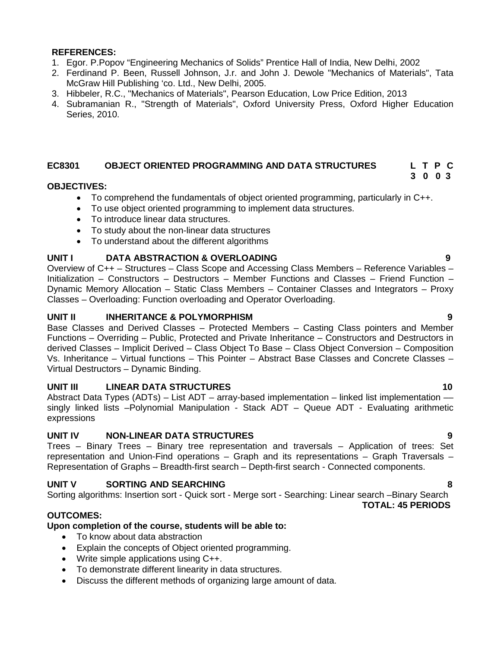#### **REFERENCES:**

- 1. Egor. P.Popov "Engineering Mechanics of Solids" Prentice Hall of India, New Delhi, 2002
- 2. Ferdinand P. Been, Russell Johnson, J.r. and John J. Dewole "Mechanics of Materials", Tata McGraw Hill Publishing 'co. Ltd., New Delhi, 2005.
- 3. Hibbeler, R.C., "Mechanics of Materials", Pearson Education, Low Price Edition, 2013
- 4. Subramanian R., "Strength of Materials", Oxford University Press, Oxford Higher Education Series, 2010.

# **EC8301 OBJECT ORIENTED PROGRAMMING AND DATA STRUCTURES L T P C**

### **OBJECTIVES:**

- To comprehend the fundamentals of object oriented programming, particularly in C++.
- To use object oriented programming to implement data structures.
- To introduce linear data structures.
- To study about the non-linear data structures
- To understand about the different algorithms

### **UNIT I DATA ABSTRACTION & OVERLOADING 9**

Overview of C++ – Structures – Class Scope and Accessing Class Members – Reference Variables – Initialization – Constructors – Destructors – Member Functions and Classes – Friend Function – Dynamic Memory Allocation – Static Class Members – Container Classes and Integrators – Proxy Classes – Overloading: Function overloading and Operator Overloading.

#### **UNIT II INHERITANCE & POLYMORPHISM 9**

Base Classes and Derived Classes – Protected Members – Casting Class pointers and Member Functions – Overriding – Public, Protected and Private Inheritance – Constructors and Destructors in derived Classes – Implicit Derived – Class Object To Base – Class Object Conversion – Composition Vs. Inheritance – Virtual functions – This Pointer – Abstract Base Classes and Concrete Classes – Virtual Destructors – Dynamic Binding.

#### **UNIT III LINEAR DATA STRUCTURES 10**

Abstract Data Types (ADTs) – List ADT – array-based implementation – linked list implementation – singly linked lists –Polynomial Manipulation - Stack ADT – Queue ADT - Evaluating arithmetic expressions

#### **UNIT IV NON-LINEAR DATA STRUCTURES 9**

Trees – Binary Trees – Binary tree representation and traversals – Application of trees: Set representation and Union-Find operations – Graph and its representations – Graph Traversals – Representation of Graphs – Breadth-first search – Depth-first search - Connected components.

#### **UNIT V SORTING AND SEARCHING 8**

Sorting algorithms: Insertion sort - Quick sort - Merge sort - Searching: Linear search –Binary Search **TOTAL: 45 PERIODS**

# **OUTCOMES:**

#### **Upon completion of the course, students will be able to:**

- To know about data abstraction
- Explain the concepts of Object oriented programming.
- Write simple applications using C++.
- To demonstrate different linearity in data structures.
- Discuss the different methods of organizing large amount of data.

**3 0 0 3**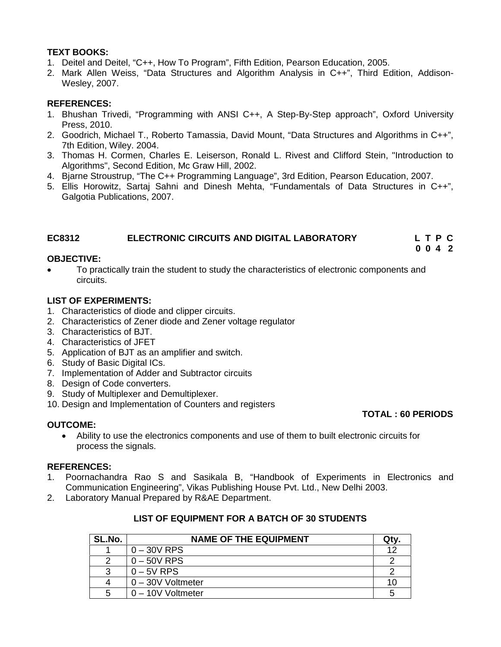# **TEXT BOOKS:**

- 1. Deitel and Deitel, "C++, How To Program", Fifth Edition, Pearson Education, 2005.
- 2. Mark Allen Weiss, "Data Structures and Algorithm Analysis in C++", Third Edition, Addison- Wesley, 2007.

# **REFERENCES:**

- 1. Bhushan Trivedi, "Programming with ANSI C++, A Step-By-Step approach", Oxford University Press, 2010.
- 2. Goodrich, Michael T., Roberto Tamassia, David Mount, "Data Structures and Algorithms in C++", 7th Edition, Wiley. 2004.
- 3. Thomas H. Cormen, Charles E. Leiserson, Ronald L. Rivest and Clifford Stein, "Introduction to Algorithms", Second Edition, Mc Graw Hill, 2002.
- 4. Bjarne Stroustrup, "The C++ Programming Language", 3rd Edition, Pearson Education, 2007.
- 5. Ellis Horowitz, Sartaj Sahni and Dinesh Mehta, "Fundamentals of Data Structures in C++", Galgotia Publications, 2007.

# **EC8312 ELECTRONIC CIRCUITS AND DIGITAL LABORATORY L T P C**

# **0 0 4 2**

**TOTAL : 60 PERIODS**

### **OBJECTIVE:**

 To practically train the student to study the characteristics of electronic components and circuits.

# **LIST OF EXPERIMENTS:**

- 1. Characteristics of diode and clipper circuits.
- 2. Characteristics of Zener diode and Zener voltage regulator
- 3. Characteristics of BJT.
- 4. Characteristics of JFET
- 5. Application of BJT as an amplifier and switch.
- 6. Study of Basic Digital ICs.
- 7. Implementation of Adder and Subtractor circuits
- 8. Design of Code converters.
- 9. Study of Multiplexer and Demultiplexer.
- 10. Design and Implementation of Counters and registers

# **OUTCOME:**

 Ability to use the electronics components and use of them to built electronic circuits for process the signals.

#### **REFERENCES:**

- 1. Poornachandra Rao S and Sasikala B, "Handbook of Experiments in Electronics and Communication Engineering", Vikas Publishing House Pvt. Ltd., New Delhi 2003.
- 2. Laboratory Manual Prepared by R&AE Department.

| SL.No. | <b>NAME OF THE EQUIPMENT</b> | Qtv. |
|--------|------------------------------|------|
|        | $0 - 30V$ RPS                | ィク   |
| າ      | $0 - 50V$ RPS                |      |
| 3      | $0 - 5V$ RPS                 |      |
|        | 0 - 30V Voltmeter            | 1 C  |
| 5      | $0 - 10V$ Voltmeter          | 5    |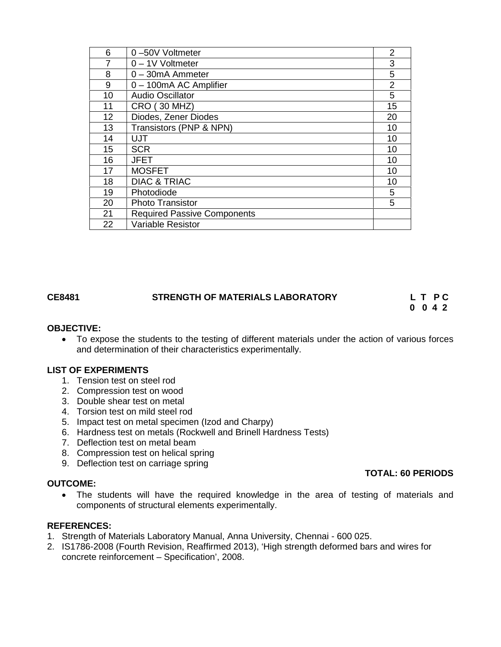| 6  | 0-50V Voltmeter                    | 2  |
|----|------------------------------------|----|
| 7  | 0 - 1V Voltmeter                   | 3  |
| 8  | $0 - 30$ mA Ammeter                | 5  |
| 9  | 0 - 100mA AC Amplifier             | 2  |
| 10 | <b>Audio Oscillator</b>            | 5  |
| 11 | <b>CRO (30 MHZ)</b>                | 15 |
| 12 | Diodes, Zener Diodes               | 20 |
| 13 | Transistors (PNP & NPN)            | 10 |
| 14 | UJT                                | 10 |
| 15 | <b>SCR</b>                         | 10 |
| 16 | <b>JFET</b>                        | 10 |
| 17 | <b>MOSFET</b>                      | 10 |
| 18 | <b>DIAC &amp; TRIAC</b>            | 10 |
| 19 | Photodiode                         | 5  |
| 20 | <b>Photo Transistor</b>            | 5  |
| 21 | <b>Required Passive Components</b> |    |
| 22 | <b>Variable Resistor</b>           |    |

# **CE8481 STRENGTH OF MATERIALS LABORATORY L T P C**

**0 0 4 2**

#### **OBJECTIVE:**

 To expose the students to the testing of different materials under the action of various forces and determination of their characteristics experimentally.

#### **LIST OF EXPERIMENTS**

- 1. Tension test on steel rod
- 2. Compression test on wood
- 3. Double shear test on metal
- 4. Torsion test on mild steel rod
- 5. Impact test on metal specimen (Izod and Charpy)
- 6. Hardness test on metals (Rockwell and Brinell Hardness Tests)
- 7. Deflection test on metal beam
- 8. Compression test on helical spring
- 9. Deflection test on carriage spring

#### **OUTCOME:**

- **TOTAL: 60 PERIODS**
- The students will have the required knowledge in the area of testing of materials and components of structural elements experimentally.

### **REFERENCES:**

- 1. Strength of Materials Laboratory Manual, Anna University, Chennai 600 025.
- 2. IS1786-2008 (Fourth Revision, Reaffirmed 2013), 'High strength deformed bars and wires for concrete reinforcement – Specification', 2008.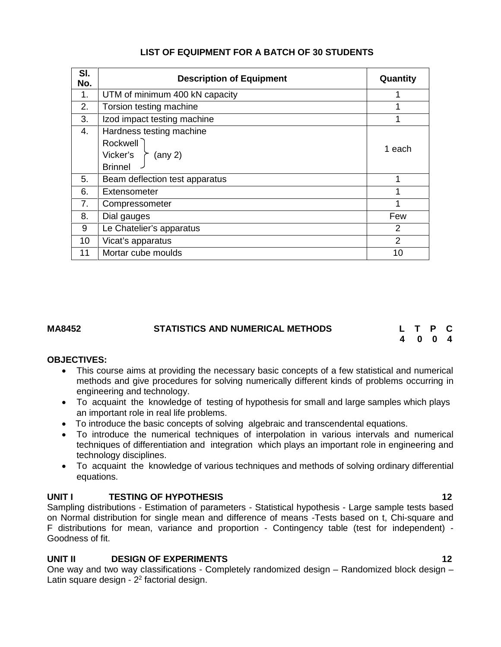| SI.<br>No. | <b>Description of Equipment</b>                                                                   | Quantity |
|------------|---------------------------------------------------------------------------------------------------|----------|
| 1.         | UTM of minimum 400 kN capacity                                                                    |          |
| 2.         | Torsion testing machine                                                                           |          |
| 3.         | Izod impact testing machine                                                                       |          |
| 4.         | Hardness testing machine<br>Rockwell<br>Vicker's<br>$(\text{any } 2)$<br>$\sim$<br><b>Brinnel</b> | 1 each   |
| 5.         | Beam deflection test apparatus                                                                    |          |
| 6.         | Extensometer                                                                                      |          |
| 7.         | Compressometer                                                                                    | 1        |
| 8.         | Dial gauges                                                                                       | Few      |
| 9          | Le Chatelier's apparatus                                                                          | 2        |
| 10         | Vicat's apparatus                                                                                 | 2        |
| 11         | Mortar cube moulds                                                                                | 10       |

# **LIST OF EQUIPMENT FOR A BATCH OF 30 STUDENTS**

#### **MA8452 STATISTICS AND NUMERICAL METHODS L T P C**

**4 0 0 4**

#### **OBJECTIVES:**

- This course aims at providing the necessary basic concepts of a few statistical and numerical methods and give procedures for solving numerically different kinds of problems occurring in engineering and technology.
- To acquaint the knowledge of testing of hypothesis for small and large samples which plays an important role in real life problems.
- To introduce the basic concepts of solving algebraic and transcendental equations.
- To introduce the numerical techniques of interpolation in various intervals and numerical techniques of differentiation and integration which plays an important role in engineering and technology disciplines.
- To acquaint the knowledge of various techniques and methods of solving ordinary differential equations.

#### **UNIT I TESTING OF HYPOTHESIS 12**

Sampling distributions - Estimation of parameters - Statistical hypothesis - Large sample tests based on Normal distribution for single mean and difference of means -Tests based on t, Chi-square and F distributions for mean, variance and proportion - Contingency table (test for independent) - Goodness of fit.

# **UNIT II DESIGN OF EXPERIMENTS 12**

One way and two way classifications - Completely randomized design – Randomized block design – Latin square design -  $2<sup>2</sup>$  factorial design.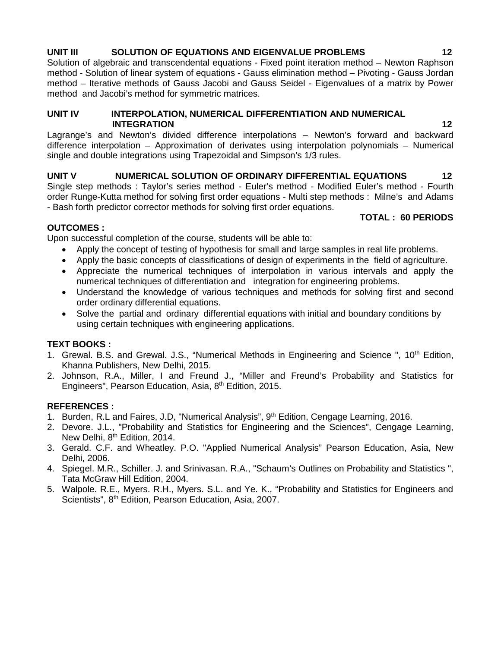## **UNIT III SOLUTION OF EQUATIONS AND EIGENVALUE PROBLEMS 12**

Solution of algebraic and transcendental equations - Fixed point iteration method – Newton Raphson method - Solution of linear system of equations - Gauss elimination method – Pivoting - Gauss Jordan method – Iterative methods of Gauss Jacobi and Gauss Seidel - Eigenvalues of a matrix by Power method and Jacobi's method for symmetric matrices.

#### **UNIT IV INTERPOLATION, NUMERICAL DIFFERENTIATION AND NUMERICAL INTEGRATION**

Lagrange's and Newton's divided difference interpolations – Newton's forward and backward difference interpolation – Approximation of derivates using interpolation polynomials – Numerical single and double integrations using Trapezoidal and Simpson's 1/3 rules.

**UNIT V NUMERICAL SOLUTION OF ORDINARY DIFFERENTIAL EQUATIONS 12** Single step methods : Taylor's series method - Euler's method - Modified Euler's method - Fourth order Runge-Kutta method for solving first order equations - Multi step methods : Milne's and Adams - Bash forth predictor corrector methods for solving first order equations.

#### **OUTCOMES :**

Upon successful completion of the course, students will be able to:

- Apply the concept of testing of hypothesis for small and large samples in real life problems.
- Apply the basic concepts of classifications of design of experiments in the field of agriculture.
- Appreciate the numerical techniques of interpolation in various intervals and apply the numerical techniques of differentiation and integration for engineering problems.
- Understand the knowledge of various techniques and methods for solving first and second order ordinary differential equations.
- Solve the partial and ordinary differential equations with initial and boundary conditions by using certain techniques with engineering applications.

#### **TEXT BOOKS :**

- 1. Grewal. B.S. and Grewal. J.S., "Numerical Methods in Engineering and Science ", 10<sup>th</sup> Edition, Khanna Publishers, New Delhi, 2015.
- 2. Johnson, R.A., Miller, I and Freund J., "Miller and Freund's Probability and Statistics for Engineers", Pearson Education, Asia, 8th Edition, 2015.

#### **REFERENCES :**

- 1. Burden, R.L and Faires, J.D, "Numerical Analysis", 9<sup>th</sup> Edition, Cengage Learning, 2016.
- 2. Devore. J.L., "Probability and Statistics for Engineering and the Sciences", Cengage Learning, New Delhi, 8<sup>th</sup> Edition, 2014.
- 3. Gerald. C.F. and Wheatley. P.O. "Applied Numerical Analysis" Pearson Education, Asia, New Delhi, 2006.
- 4. Spiegel. M.R., Schiller. J. and Srinivasan. R.A., "Schaum's Outlines on Probability and Statistics ", Tata McGraw Hill Edition, 2004.
- 5. Walpole. R.E., Myers. R.H., Myers. S.L. and Ye. K., "Probability and Statistics for Engineers and Scientists", 8<sup>th</sup> Edition, Pearson Education, Asia, 2007.

**TOTAL : 60 PERIODS**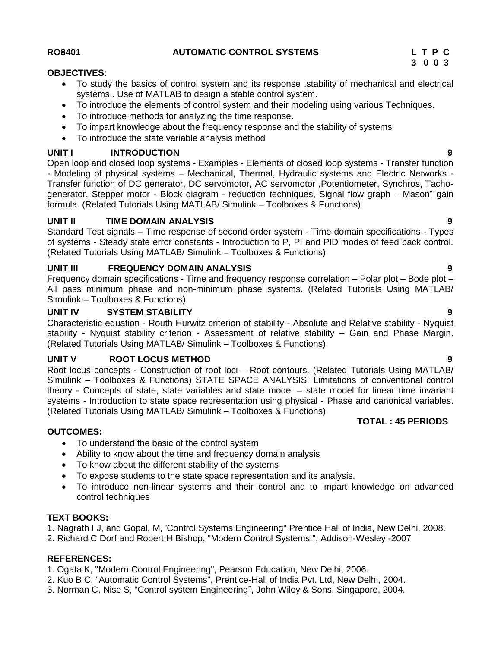### **RO8401 AUTOMATIC CONTROL SYSTEMS L T P C**

#### **OBJECTIVES:**

- To study the basics of control system and its response .stability of mechanical and electrical systems . Use of MATLAB to design a stable control system.
- To introduce the elements of control system and their modeling using various Techniques.
- To introduce methods for analyzing the time response.
- To impart knowledge about the frequency response and the stability of systems
- To introduce the state variable analysis method

# **UNIT I INTRODUCTION 9**

Open loop and closed loop systems - Examples - Elements of closed loop systems - Transfer function - Modeling of physical systems – Mechanical, Thermal, Hydraulic systems and Electric Networks - Transfer function of DC generator, DC servomotor, AC servomotor ,Potentiometer, Synchros, Tacho generator, Stepper motor - Block diagram - reduction techniques, Signal flow graph – Mason" gain formula. (Related Tutorials Using MATLAB/ Simulink – Toolboxes & Functions)

# **UNIT II TIME DOMAIN ANALYSIS 9**

Standard Test signals – Time response of second order system - Time domain specifications - Types of systems - Steady state error constants - Introduction to P, PI and PID modes of feed back control. (Related Tutorials Using MATLAB/ Simulink – Toolboxes & Functions)

# **UNIT III FREQUENCY DOMAIN ANALYSIS 9**

Frequency domain specifications - Time and frequency response correlation – Polar plot – Bode plot – All pass minimum phase and non-minimum phase systems. (Related Tutorials Using MATLAB/ Simulink – Toolboxes & Functions)

# **UNIT IV SYSTEM STABILITY 9**

Characteristic equation - Routh Hurwitz criterion of stability - Absolute and Relative stability - Nyquist stability - Nyquist stability criterion - Assessment of relative stability – Gain and Phase Margin. (Related Tutorials Using MATLAB/ Simulink – Toolboxes & Functions)

# **UNIT V ROOT LOCUS METHOD 9**

Root locus concepts - Construction of root loci – Root contours. (Related Tutorials Using MATLAB/ Simulink – Toolboxes & Functions) STATE SPACE ANALYSIS: Limitations of conventional control theory - Concepts of state, state variables and state model – state model for linear time invariant systems - Introduction to state space representation using physical - Phase and canonical variables. (Related Tutorials Using MATLAB/ Simulink – Toolboxes & Functions)

- To understand the basic of the control system
- Ability to know about the time and frequency domain analysis
- To know about the different stability of the systems
- To expose students to the state space representation and its analysis.
- To introduce non-linear systems and their control and to impart knowledge on advanced control techniques

# **TEXT BOOKS:**

**OUTCOMES:**

1. Nagrath I J, and Gopal, M, 'Control Systems Engineering" Prentice Hall of India, New Delhi, 2008.

2. Richard C Dorf and Robert H Bishop, "Modern Control Systems.", Addison-Wesley -2007

# **REFERENCES:**

1. Ogata K, "Modern Control Engineering", Pearson Education, New Delhi, 2006.

- 2. Kuo B C, "Automatic Control Systems", Prentice-Hall of India Pvt. Ltd, New Delhi, 2004.
- 3. Norman C. Nise S, "Control system Engineering", John Wiley & Sons, Singapore, 2004.
- 
- 

**TOTAL : 45 PERIODS**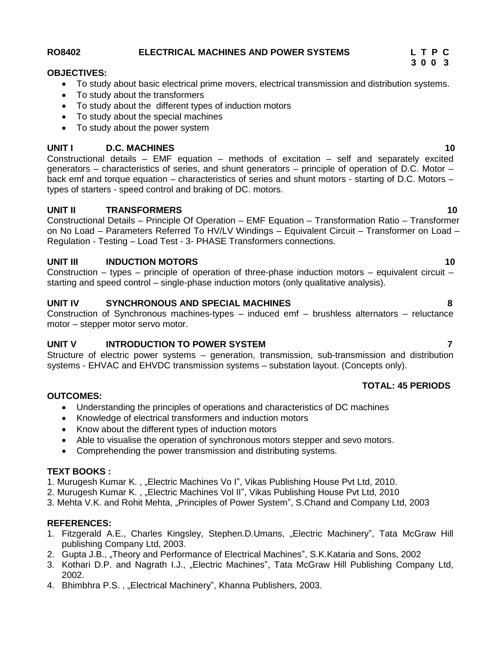### **RO8402 ELECTRICAL MACHINES AND POWER SYSTEMS L T P C**

#### **OBJECTIVES:**

- To study about basic electrical prime movers, electrical transmission and distribution systems.
- To study about the transformers
- To study about the different types of induction motors
- To study about the special machines
- To study about the power system

#### **UNIT I D.C. MACHINES 10**

Constructional details – EMF equation – methods of excitation – self and separately excited generators – characteristics of series, and shunt generators – principle of operation of D.C. Motor – back emf and torque equation – characteristics of series and shunt motors - starting of D.C. Motors – types of starters - speed control and braking of DC. motors.

#### **UNIT II TRANSFORMERS 10**

Constructional Details – Principle Of Operation – EMF Equation – Transformation Ratio – Transformer on No Load – Parameters Referred To HV/LV Windings – Equivalent Circuit – Transformer on Load – Regulation - Testing – Load Test - 3- PHASE Transformers connections.

#### **UNIT III INDUCTION MOTORS 10**

Construction – types – principle of operation of three-phase induction motors – equivalent circuit – starting and speed control – single-phase induction motors (only qualitative analysis).

#### **UNIT IV SYNCHRONOUS AND SPECIAL MACHINES 8**

Construction of Synchronous machines-types – induced emf – brushless alternators – reluctance motor – stepper motor servo motor.

#### **UNIT V INTRODUCTION TO POWER SYSTEM 7**

Structure of electric power systems – generation, transmission, sub-transmission and distribution systems - EHVAC and EHVDC transmission systems – substation layout. (Concepts only).

#### **TOTAL: 45 PERIODS**

#### **OUTCOMES:**

- Understanding the principles of operations and characteristics of DC machines
- Knowledge of electrical transformers and induction motors
- Know about the different types of induction motors
- Able to visualise the operation of synchronous motors stepper and sevo motors.
- Comprehending the power transmission and distributing systems.

#### **TEXT BOOKS :**

1. Murugesh Kumar K., "Electric Machines Vo I", Vikas Publishing House Pvt Ltd, 2010.

- 2. Murugesh Kumar K., "Electric Machines Vol II", Vikas Publishing House Pvt Ltd, 2010
- 3. Mehta V.K. and Rohit Mehta, "Principles of Power System", S.Chand and Company Ltd, 2003

#### **REFERENCES:**

- 1. Fitzgerald A.E., Charles Kingsley, Stephen.D.Umans, "Electric Machinery", Tata McGraw Hill publishing Company Ltd, 2003.
- 2. Gupta J.B., "Theory and Performance of Electrical Machines", S.K.Kataria and Sons, 2002
- 3. Kothari D.P. and Nagrath I.J., "Electric Machines", Tata McGraw Hill Publishing Company Ltd, 2002.
- 4. Bhimbhra P.S., "Electrical Machinery", Khanna Publishers, 2003.

# **3 0 0 3**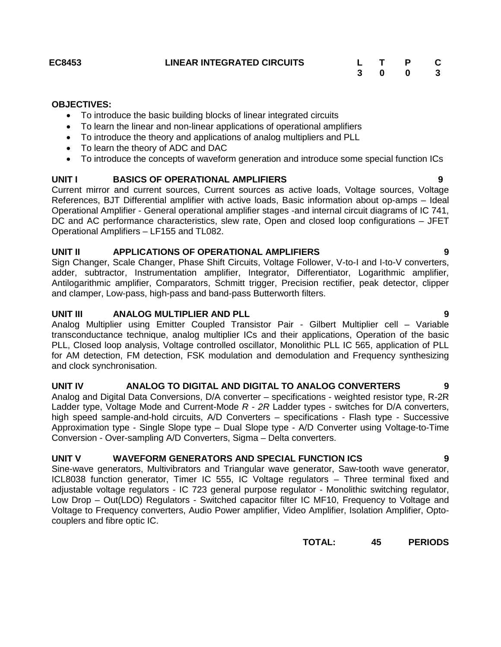# **EC8453 LINEAR INTEGRATED CIRCUITS L T P C 3 0 0 3**

#### **OBJECTIVES:**

- To introduce the basic building blocks of linear integrated circuits
- To learn the linear and non-linear applications of operational amplifiers
- To introduce the theory and applications of analog multipliers and PLL
- To learn the theory of ADC and DAC
- To introduce the concepts of waveform generation and introduce some special function ICs

#### **UNIT I BASICS OF OPERATIONAL AMPLIFIERS 9**

Current mirror and current sources, Current sources as active loads, Voltage sources, Voltage References, BJT Differential amplifier with active loads, Basic information about op-amps – Ideal Operational Amplifier - General operational amplifier stages -and internal circuit diagrams of IC 741, DC and AC performance characteristics, slew rate, Open and closed loop configurations – JFET Operational Amplifiers – LF155 and TL082.

#### **UNIT II APPLICATIONS OF OPERATIONAL AMPLIFIERS 9**

Sign Changer, Scale Changer, Phase Shift Circuits, Voltage Follower, V-to-I and I-to-V converters, adder, subtractor, Instrumentation amplifier, Integrator, Differentiator, Logarithmic amplifier, Antilogarithmic amplifier, Comparators, Schmitt trigger, Precision rectifier, peak detector, clipper and clamper, Low-pass, high-pass and band-pass Butterworth filters.

#### **UNIT III ANALOG MULTIPLIER AND PLL 9**

Analog Multiplier using Emitter Coupled Transistor Pair - Gilbert Multiplier cell – Variable transconductance technique, analog multiplier ICs and their applications, Operation of the basic PLL, Closed loop analysis, Voltage controlled oscillator, Monolithic PLL IC 565, application of PLL for AM detection, FM detection, FSK modulation and demodulation and Frequency synthesizing and clock synchronisation.

### **UNIT IV ANALOG TO DIGITAL AND DIGITAL TO ANALOG CONVERTERS 9**

Analog and Digital Data Conversions, D/A converter – specifications - weighted resistor type, R-2R Ladder type, Voltage Mode and Current-Mode *R* - *2R* Ladder types - switches for D/A converters, high speed sample-and-hold circuits, A/D Converters – specifications - Flash type - Successive Approximation type - Single Slope type – Dual Slope type - A/D Converter using Voltage-to-Time Conversion - Over-sampling A/D Converters, Sigma – Delta converters.

#### **UNIT V WAVEFORM GENERATORS AND SPECIAL FUNCTION ICS 9**

Sine-wave generators, Multivibrators and Triangular wave generator, Saw-tooth wave generator, ICL8038 function generator, Timer IC 555, IC Voltage regulators – Three terminal fixed and adjustable voltage regulators - IC 723 general purpose regulator - Monolithic switching regulator, Low Drop – Out(LDO) Regulators - Switched capacitor filter IC MF10, Frequency to Voltage and Voltage to Frequency converters, Audio Power amplifier, Video Amplifier, Isolation Amplifier, Opto couplers and fibre optic IC.

**TOTAL: 45 PERIODS**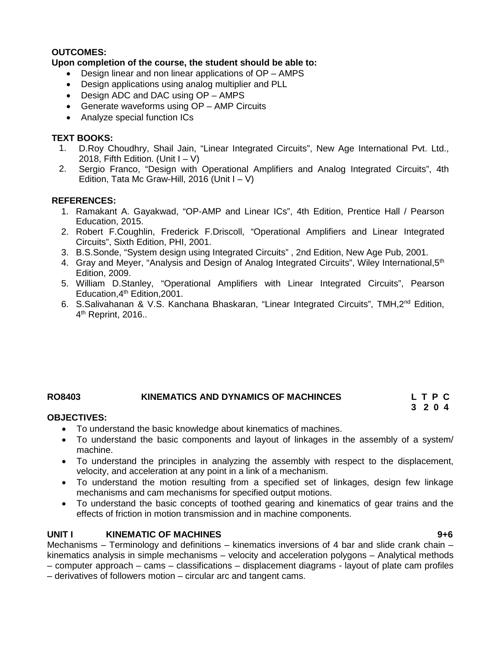### **OUTCOMES:**

### **Upon completion of the course, the student should be able to:**

- Design linear and non linear applications of OP AMPS
- Design applications using analog multiplier and PLL
- Design ADC and DAC using OP AMPS
- Generate waveforms using OP AMP Circuits
- Analyze special function ICs

#### **TEXT BOOKS:**

- 1. D.Roy Choudhry, Shail Jain, "Linear Integrated Circuits", New Age International Pvt. Ltd., 2018, Fifth Edition. (Unit  $I - V$ )
- 2. Sergio Franco, "Design with Operational Amplifiers and Analog Integrated Circuits", 4th Edition, Tata Mc Graw-Hill, 2016 (Unit  $I - V$ )

#### **REFERENCES:**

- 1. Ramakant A. Gayakwad, "OP-AMP and Linear ICs", 4th Edition, Prentice Hall / Pearson Education, 2015.
- 2. Robert F.Coughlin, Frederick F.Driscoll, "Operational Amplifiers and Linear Integrated Circuits", Sixth Edition, PHI, 2001.
- 3. B.S.Sonde, "System design using Integrated Circuits" , 2nd Edition, New Age Pub, 2001.
- 4. Gray and Meyer, "Analysis and Design of Analog Integrated Circuits", Wiley International, 5<sup>th</sup> Edition, 2009.
- 5. William D.Stanley, "Operational Amplifiers with Linear Integrated Circuits", Pearson Education, 4<sup>th</sup> Edition, 2001.
- 6. S.Salivahanan & V.S. Kanchana Bhaskaran, "Linear Integrated Circuits", TMH,2nd Edition, 4 th Reprint, 2016..

# **RO8403 KINEMATICS AND DYNAMICS OF MACHINCES L T P C**

# **3 2 0 4**

#### **OBJECTIVES:**

- To understand the basic knowledge about kinematics of machines.
- To understand the basic components and layout of linkages in the assembly of a system/ machine.
- To understand the principles in analyzing the assembly with respect to the displacement, velocity, and acceleration at any point in a link of a mechanism.
- To understand the motion resulting from a specified set of linkages, design few linkage mechanisms and cam mechanisms for specified output motions.
- To understand the basic concepts of toothed gearing and kinematics of gear trains and the effects of friction in motion transmission and in machine components.

#### **UNIT I KINEMATIC OF MACHINES 9+6**

Mechanisms – Terminology and definitions – kinematics inversions of 4 bar and slide crank chain – kinematics analysis in simple mechanisms – velocity and acceleration polygons – Analytical methods

– computer approach – cams – classifications – displacement diagrams - layout of plate cam profiles

– derivatives of followers motion – circular arc and tangent cams.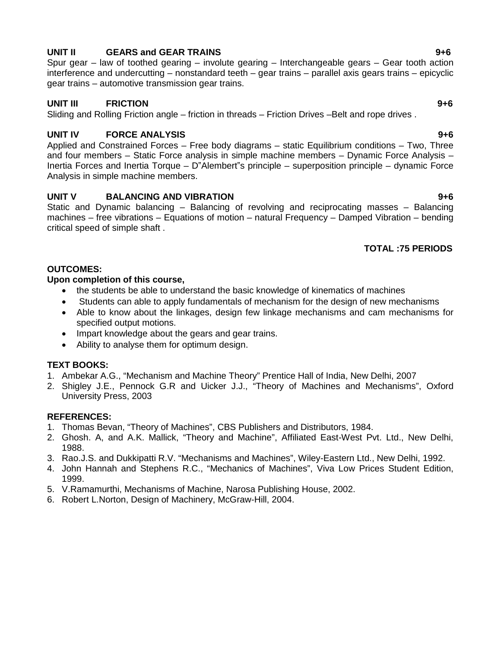# **UNIT II GEARS and GEAR TRAINS 9+6**

Spur gear – law of toothed gearing – involute gearing – Interchangeable gears – Gear tooth action interference and undercutting – nonstandard teeth – gear trains – parallel axis gears trains – epicyclic gear trains – automotive transmission gear trains.

# **UNIT III FRICTION 9+6**

Sliding and Rolling Friction angle – friction in threads – Friction Drives – Belt and rope drives.

# **UNIT IV FORCE ANALYSIS 9+6**

Applied and Constrained Forces – Free body diagrams – static Equilibrium conditions – Two, Three and four members – Static Force analysis in simple machine members – Dynamic Force Analysis – Inertia Forces and Inertia Torque – D"Alembert"s principle – superposition principle – dynamic Force Analysis in simple machine members.

# **UNIT V BALANCING AND VIBRATION 9+6**

Static and Dynamic balancing – Balancing of revolving and reciprocating masses – Balancing machines – free vibrations – Equations of motion – natural Frequency – Damped Vibration – bending critical speed of simple shaft .

# **TOTAL :75 PERIODS**

# **OUTCOMES:**

# **Upon completion of this course,**

- the students be able to understand the basic knowledge of kinematics of machines
- Students can able to apply fundamentals of mechanism for the design of new mechanisms
- Able to know about the linkages, design few linkage mechanisms and cam mechanisms for specified output motions.
- Impart knowledge about the gears and gear trains.
- Ability to analyse them for optimum design.

# **TEXT BOOKS:**

- 1. Ambekar A.G., "Mechanism and Machine Theory" Prentice Hall of India, New Delhi, 2007
- 2. Shigley J.E., Pennock G.R and Uicker J.J., "Theory of Machines and Mechanisms", Oxford University Press, 2003

# **REFERENCES:**

- 1. Thomas Bevan, "Theory of Machines", CBS Publishers and Distributors, 1984.
- 2. Ghosh. A, and A.K. Mallick, "Theory and Machine", Affiliated East-West Pvt. Ltd., New Delhi, 1988.
- 3. Rao.J.S. and Dukkipatti R.V. "Mechanisms and Machines", Wiley-Eastern Ltd., New Delhi, 1992.
- 4. John Hannah and Stephens R.C., "Mechanics of Machines", Viva Low Prices Student Edition, 1999.
- 5. V.Ramamurthi, Mechanisms of Machine, Narosa Publishing House, 2002.
- 6. Robert L.Norton, Design of Machinery, McGraw-Hill, 2004.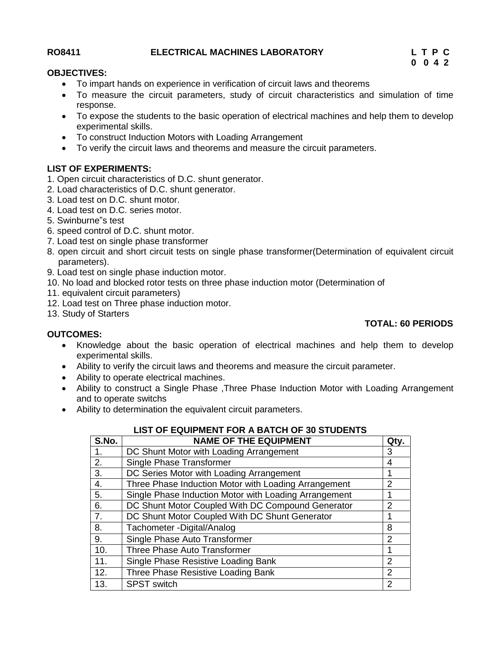### **RO8411 ELECTRICAL MACHINES LABORATORY L T P C**

**0 0 4 2**

### **OBJECTIVES:**

- To impart hands on experience in verification of circuit laws and theorems
- To measure the circuit parameters, study of circuit characteristics and simulation of time response.
- To expose the students to the basic operation of electrical machines and help them to develop experimental skills.
- To construct Induction Motors with Loading Arrangement
- To verify the circuit laws and theorems and measure the circuit parameters.

### **LIST OF EXPERIMENTS:**

- 1. Open circuit characteristics of D.C. shunt generator.
- 2. Load characteristics of D.C. shunt generator.
- 3. Load test on D.C. shunt motor.
- 4. Load test on D.C. series motor.
- 5. Swinburne"s test
- 6. speed control of D.C. shunt motor.
- 7. Load test on single phase transformer
- 8. open circuit and short circuit tests on single phase transformer(Determination of equivalent circuit parameters).
- 9. Load test on single phase induction motor.
- 10. No load and blocked rotor tests on three phase induction motor (Determination of
- 11. equivalent circuit parameters)
- 12. Load test on Three phase induction motor.
- 13. Study of Starters

#### **TOTAL: 60 PERIODS**

#### **OUTCOMES:**

- Knowledge about the basic operation of electrical machines and help them to develop experimental skills.
- Ability to verify the circuit laws and theorems and measure the circuit parameter.
- Ability to operate electrical machines.
- Ability to construct a Single Phase ,Three Phase Induction Motor with Loading Arrangement and to operate switchs
- Ability to determination the equivalent circuit parameters.

| S.No. | <b>NAME OF THE EQUIPMENT</b>                          | Qty.           |
|-------|-------------------------------------------------------|----------------|
| 1.    | DC Shunt Motor with Loading Arrangement               | 3              |
| 2.    | Single Phase Transformer                              | 4              |
| 3.    | DC Series Motor with Loading Arrangement              | 1              |
| 4.    | Three Phase Induction Motor with Loading Arrangement  | $\overline{2}$ |
| 5.    | Single Phase Induction Motor with Loading Arrangement |                |
| 6.    | DC Shunt Motor Coupled With DC Compound Generator     | $\overline{2}$ |
| 7.    | DC Shunt Motor Coupled With DC Shunt Generator        |                |
| 8.    | Tachometer - Digital/Analog                           | 8              |
| 9.    | Single Phase Auto Transformer                         | $\overline{2}$ |
| 10.   | <b>Three Phase Auto Transformer</b>                   |                |
| 11.   | Single Phase Resistive Loading Bank                   | 2              |
| 12.   | Three Phase Resistive Loading Bank                    | $\overline{2}$ |
| 13.   | <b>SPST switch</b>                                    | $\overline{2}$ |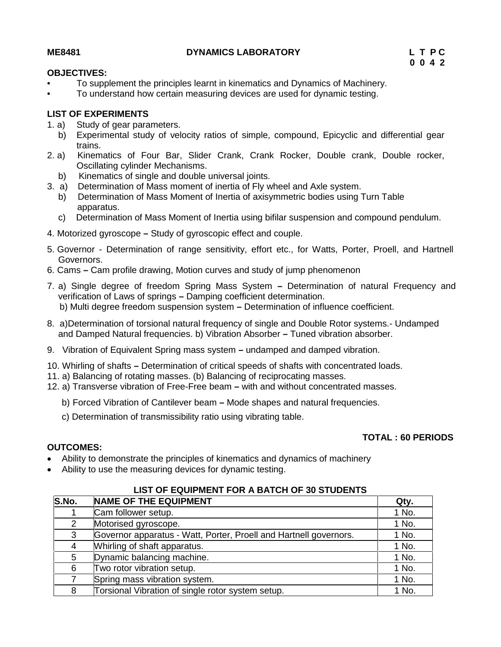### **ME8481 DYNAMICS LABORATORY L T P C**

#### **OBJECTIVES:**

- To supplement the principles learnt in kinematics and Dynamics of Machinery.
- To understand how certain measuring devices are used for dynamic testing.

#### **LIST OF EXPERIMENTS**

- 1. a) Study of gear parameters.
- b) Experimental study of velocity ratios of simple, compound, Epicyclic and differential gear trains.
- 2. a) Kinematics of Four Bar, Slider Crank, Crank Rocker, Double crank, Double rocker, Oscillating cylinder Mechanisms.
	- b) Kinematics of single and double universal joints.
- 3. a) Determination of Mass moment of inertia of Fly wheel and Axle system.
	- b) Determination of Mass Moment of Inertia of axisymmetric bodies using Turn Table apparatus.
		- c) Determination of Mass Moment of Inertia using bifilar suspension and compound pendulum.
- 4. Motorized gyroscope **–** Study of gyroscopic effect and couple.
- 5. Governor Determination of range sensitivity, effort etc., for Watts, Porter, Proell, and Hartnell Governors.
- 6. Cams **–** Cam profile drawing, Motion curves and study of jump phenomenon
- 7. a) Single degree of freedom Spring Mass System **–** Determination of natural Frequency and verification of Laws of springs **–** Damping coefficient determination. b) Multi degree freedom suspension system **–** Determination of influence coefficient.
- 8. a)Determination of torsional natural frequency of single and Double Rotor systems.- Undamped and Damped Natural frequencies. b) Vibration Absorber **–** Tuned vibration absorber.
- 9. Vibration of Equivalent Spring mass system **–** undamped and damped vibration.
- 10. Whirling of shafts **–** Determination of critical speeds of shafts with concentrated loads.
- 11. a) Balancing of rotating masses. (b) Balancing of reciprocating masses.
- 12. a) Transverse vibration of Free-Free beam **–** with and without concentrated masses.
	- b) Forced Vibration of Cantilever beam **–** Mode shapes and natural frequencies.
	- c) Determination of transmissibility ratio using vibrating table.

#### **TOTAL : 60 PERIODS**

### **OUTCOMES:**

- Ability to demonstrate the principles of kinematics and dynamics of machinery
- Ability to use the measuring devices for dynamic testing.

| S.No.         | <b>NAME OF THE EQUIPMENT</b>                                      | Qty.  |
|---------------|-------------------------------------------------------------------|-------|
|               | Cam follower setup.                                               | 1 No. |
| $\mathcal{P}$ | Motorised gyroscope.                                              | 1 No. |
| 3             | Governor apparatus - Watt, Porter, Proell and Hartnell governors. | 1 No. |
| 4             | Whirling of shaft apparatus.                                      | 1 No. |
| 5             | Dynamic balancing machine.                                        | 1 No. |
| 6             | Two rotor vibration setup.                                        | 1 No. |
|               | Spring mass vibration system.                                     | 1 No. |
| 8             | Torsional Vibration of single rotor system setup.                 | 1 No. |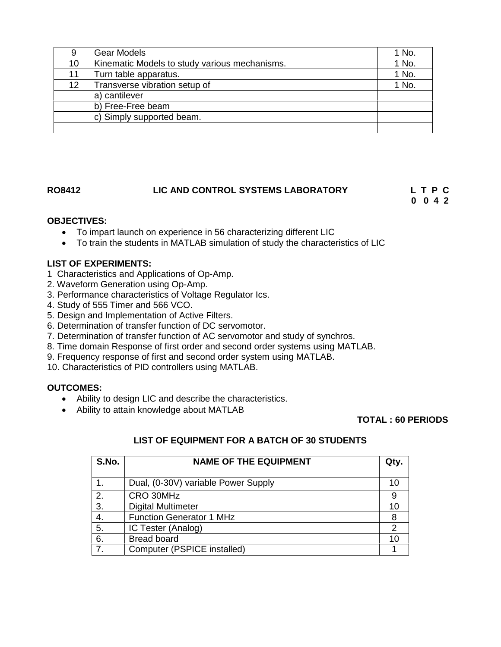| 9                 | <b>Gear Models</b>                            | 1 No. |
|-------------------|-----------------------------------------------|-------|
| 10                | Kinematic Models to study various mechanisms. | 1 No. |
| 11                | Turn table apparatus.                         | 1 No. |
| $12 \overline{ }$ | Transverse vibration setup of                 | 1 No. |
|                   | a) cantilever                                 |       |
|                   | b) Free-Free beam                             |       |
|                   | c) Simply supported beam.                     |       |
|                   |                                               |       |

# **RO8412 LIC AND CONTROL SYSTEMS LABORATORY L T P C**

**0 0 4 2**

### **OBJECTIVES:**

- To impart launch on experience in 56 characterizing different LIC
- To train the students in MATLAB simulation of study the characteristics of LIC

#### **LIST OF EXPERIMENTS:**

- 1 Characteristics and Applications of Op-Amp.
- 2. Waveform Generation using Op-Amp.
- 3. Performance characteristics of Voltage Regulator Ics.
- 4. Study of 555 Timer and 566 VCO.
- 5. Design and Implementation of Active Filters.
- 6. Determination of transfer function of DC servomotor.
- 7. Determination of transfer function of AC servomotor and study of synchros.
- 8. Time domain Response of first order and second order systems using MATLAB.
- 9. Frequency response of first and second order system using MATLAB.
- 10. Characteristics of PID controllers using MATLAB.

#### **OUTCOMES:**

- Ability to design LIC and describe the characteristics.
- Ability to attain knowledge about MATLAB

#### **TOTAL : 60 PERIODS**

| S.No. | <b>NAME OF THE EQUIPMENT</b>        | Qty. |
|-------|-------------------------------------|------|
|       | Dual, (0-30V) variable Power Supply | 10   |
| 2.    | CRO 30MHz                           | 9    |
| 3.    | <b>Digital Multimeter</b>           | 10   |
| 4.    | <b>Function Generator 1 MHz</b>     | 8    |
| 5.    | IC Tester (Analog)                  | 2    |
| 6.    | <b>Bread board</b>                  | 10   |
| 7.    | Computer (PSPICE installed)         |      |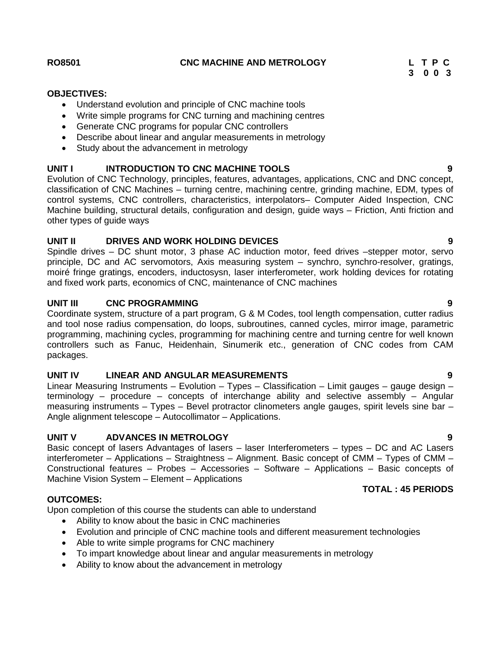#### **RO8501 CNC MACHINE AND METROLOGY L T P C**

#### **OBJECTIVES:**

- Understand evolution and principle of CNC machine tools
- Write simple programs for CNC turning and machining centres
- Generate CNC programs for popular CNC controllers
- Describe about linear and angular measurements in metrology
- Study about the advancement in metrology

#### **UNIT I INTRODUCTION TO CNC MACHINE TOOLS 9**

Evolution of CNC Technology, principles, features, advantages, applications, CNC and DNC concept, classification of CNC Machines – turning centre, machining centre, grinding machine, EDM, types of control systems, CNC controllers, characteristics, interpolators– Computer Aided Inspection, CNC Machine building, structural details, configuration and design, guide ways – Friction, Anti friction and other types of guide ways

#### **UNIT II DRIVES AND WORK HOLDING DEVICES 9**

Spindle drives – DC shunt motor, 3 phase AC induction motor, feed drives –stepper motor, servo principle, DC and AC servomotors, Axis measuring system – synchro, synchro-resolver, gratings, moiré fringe gratings, encoders, inductosysn, laser interferometer, work holding devices for rotating and fixed work parts, economics of CNC, maintenance of CNC machines

#### **UNIT III CNC PROGRAMMING 9**

Coordinate system, structure of a part program, G & M Codes, tool length compensation, cutter radius and tool nose radius compensation, do loops, subroutines, canned cycles, mirror image, parametric programming, machining cycles, programming for machining centre and turning centre for well known controllers such as Fanuc, Heidenhain, Sinumerik etc., generation of CNC codes from CAM packages.

#### **UNIT IV LINEAR AND ANGULAR MEASUREMENTS 9**

Linear Measuring Instruments – Evolution – Types – Classification – Limit gauges – gauge design – terminology – procedure – concepts of interchange ability and selective assembly – Angular measuring instruments – Types – Bevel protractor clinometers angle gauges, spirit levels sine bar – Angle alignment telescope – Autocollimator – Applications.

#### **UNIT V ADVANCES IN METROLOGY 9**

Basic concept of lasers Advantages of lasers – laser Interferometers – types – DC and AC Lasers interferometer – Applications – Straightness – Alignment. Basic concept of CMM – Types of CMM – Constructional features – Probes – Accessories – Software – Applications – Basic concepts of Machine Vision System – Element – Applications

#### **OUTCOMES:**

Upon completion of this course the students can able to understand

- Ability to know about the basic in CNC machineries
- Evolution and principle of CNC machine tools and different measurement technologies
- Able to write simple programs for CNC machinery
- To impart knowledge about linear and angular measurements in metrology
- Ability to know about the advancement in metrology

# **TOTAL : 45 PERIODS**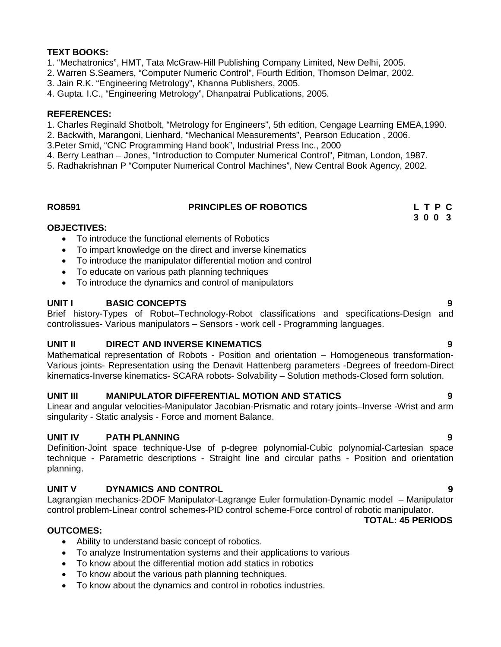## **TEXT BOOKS:**

- 1. "Mechatronics", HMT, Tata McGraw-Hill Publishing Company Limited, New Delhi, 2005.
- 2. Warren S.Seamers, "Computer Numeric Control", Fourth Edition, Thomson Delmar, 2002.
- 3. Jain R.K. "Engineering Metrology", Khanna Publishers, 2005.
- 4. Gupta. I.C., "Engineering Metrology", Dhanpatrai Publications, 2005.

#### **REFERENCES:**

- 1. Charles Reginald Shotbolt, "Metrology for Engineers", 5th edition, Cengage Learning EMEA,1990.
- 2. Backwith, Marangoni, Lienhard, "Mechanical Measurements", Pearson Education , 2006.
- 3.Peter Smid, "CNC Programming Hand book", Industrial Press Inc., 2000
- 4. Berry Leathan Jones, "Introduction to Computer Numerical Control", Pitman, London, 1987.
- 5. Radhakrishnan P "Computer Numerical Control Machines", New Central Book Agency, 2002.

#### **RO8591 PRINCIPLES OF ROBOTICS L T P C**

# **3 0 0 3**

#### **OBJECTIVES:**

- To introduce the functional elements of Robotics
- To impart knowledge on the direct and inverse kinematics
- To introduce the manipulator differential motion and control
- To educate on various path planning techniques
- To introduce the dynamics and control of manipulators

#### **UNIT I BASIC CONCEPTS 9**

Brief history-Types of Robot–Technology-Robot classifications and specifications-Design and controlissues- Various manipulators – Sensors - work cell - Programming languages.

#### **UNIT II DIRECT AND INVERSE KINEMATICS 9**

Mathematical representation of Robots - Position and orientation – Homogeneous transformation- Various joints- Representation using the Denavit Hattenberg parameters -Degrees of freedom-Direct kinematics-Inverse kinematics- SCARA robots- Solvability – Solution methods-Closed form solution.

#### **UNIT III MANIPULATOR DIFFERENTIAL MOTION AND STATICS 9**

Linear and angular velocities-Manipulator Jacobian-Prismatic and rotary joints–Inverse -Wrist and arm singularity - Static analysis - Force and moment Balance.

#### **UNIT IV PATH PLANNING 9**

Definition-Joint space technique-Use of p-degree polynomial-Cubic polynomial-Cartesian space technique - Parametric descriptions - Straight line and circular paths - Position and orientation planning.

#### **UNIT V DYNAMICS AND CONTROL 9**

Lagrangian mechanics-2DOF Manipulator-Lagrange Euler formulation-Dynamic model – Manipulator control problem-Linear control schemes-PID control scheme-Force control of robotic manipulator.

# **TOTAL: 45 PERIODS**

- **OUTCOMES:**
	- Ability to understand basic concept of robotics.
	- To analyze Instrumentation systems and their applications to various
	- To know about the differential motion add statics in robotics
	- To know about the various path planning techniques.
	- To know about the dynamics and control in robotics industries.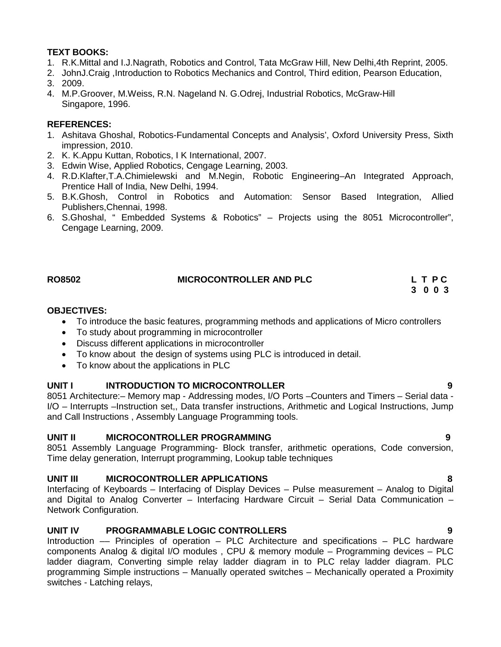# **TEXT BOOKS:**

- 1. R.K.Mittal and I.J.Nagrath, Robotics and Control, Tata McGraw Hill, New Delhi,4th Reprint, 2005.
- 2. JohnJ.Craig ,Introduction to Robotics Mechanics and Control, Third edition, Pearson Education,
- 3. 2009.
- 4. M.P.Groover, M.Weiss, R.N. Nageland N. G.Odrej, Industrial Robotics, McGraw-Hill Singapore, 1996.

# **REFERENCES:**

- 1. Ashitava Ghoshal, Robotics-Fundamental Concepts and Analysis', Oxford University Press, Sixth impression, 2010.
- 2. K. K.Appu Kuttan, Robotics, I K International, 2007.
- 3. Edwin Wise, Applied Robotics, Cengage Learning, 2003.
- 4. R.D.Klafter,T.A.Chimielewski and M.Negin, Robotic Engineering–An Integrated Approach, Prentice Hall of India, New Delhi, 1994.
- 5. B.K.Ghosh, Control in Robotics and Automation: Sensor Based Integration, Allied Publishers,Chennai, 1998.
- 6. S.Ghoshal, " Embedded Systems & Robotics" Projects using the 8051 Microcontroller", Cengage Learning, 2009.

| <b>RO8502</b> | <b>MICROCONTROLLER AND PLC</b> | LTPC |
|---------------|--------------------------------|------|
|               |                                |      |

**3 0 0 3**

### **OBJECTIVES:**

- To introduce the basic features, programming methods and applications of Micro controllers
- To study about programming in microcontroller
- Discuss different applications in microcontroller
- To know about the design of systems using PLC is introduced in detail.
- To know about the applications in PLC

# **UNIT I INTRODUCTION TO MICROCONTROLLER 9**

8051 Architecture:– Memory map - Addressing modes, I/O Ports –Counters and Timers – Serial data - I/O – Interrupts –Instruction set,, Data transfer instructions, Arithmetic and Logical Instructions, Jump and Call Instructions , Assembly Language Programming tools.

# **UNIT II MICROCONTROLLER PROGRAMMING 9**

8051 Assembly Language Programming- Block transfer, arithmetic operations, Code conversion, Time delay generation, Interrupt programming, Lookup table techniques

# **UNIT III MICROCONTROLLER APPLICATIONS 8**

Interfacing of Keyboards – Interfacing of Display Devices – Pulse measurement – Analog to Digital and Digital to Analog Converter – Interfacing Hardware Circuit – Serial Data Communication – Network Configuration.

# **UNIT IV PROGRAMMABLE LOGIC CONTROLLERS 9**

Introduction –– Principles of operation – PLC Architecture and specifications – PLC hardware components Analog & digital I/O modules , CPU & memory module – Programming devices – PLC ladder diagram, Converting simple relay ladder diagram in to PLC relay ladder diagram. PLC programming Simple instructions – Manually operated switches – Mechanically operated a Proximity switches - Latching relays,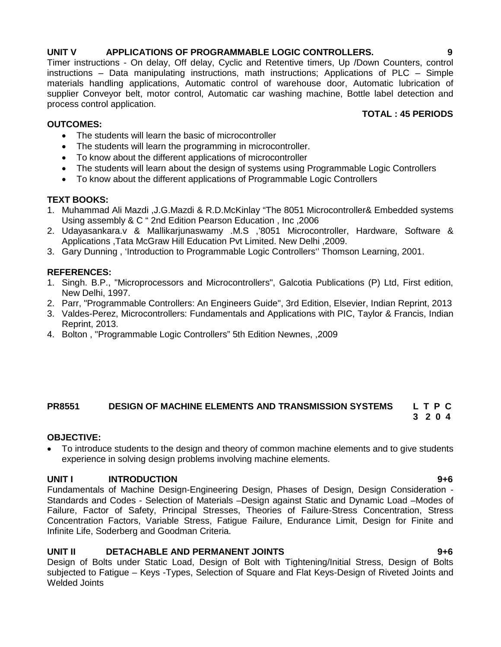# **UNIT V APPLICATIONS OF PROGRAMMABLE LOGIC CONTROLLERS. 9**

Timer instructions - On delay, Off delay, Cyclic and Retentive timers, Up /Down Counters, control instructions – Data manipulating instructions, math instructions; Applications of PLC – Simple materials handling applications, Automatic control of warehouse door, Automatic lubrication of supplier Conveyor belt, motor control, Automatic car washing machine, Bottle label detection and process control application. **TOTAL : 45 PERIODS**

### **OUTCOMES:**

- The students will learn the basic of microcontroller
- The students will learn the programming in microcontroller.
- To know about the different applications of microcontroller
- The students will learn about the design of systems using Programmable Logic Controllers
- To know about the different applications of Programmable Logic Controllers

### **TEXT BOOKS:**

- 1. Muhammad Ali Mazdi ,J.G.Mazdi & R.D.McKinlay "The 8051 Microcontroller& Embedded systems Using assembly & C " 2nd Edition Pearson Education , Inc ,2006
- 2. Udayasankara.v & Mallikarjunaswamy .M.S ,'8051 Microcontroller, Hardware, Software & Applications ,Tata McGraw Hill Education Pvt Limited. New Delhi ,2009.
- 3. Gary Dunning , 'Introduction to Programmable Logic Controllers'' Thomson Learning, 2001.

### **REFERENCES:**

- 1. Singh. B.P., "Microprocessors and Microcontrollers", Galcotia Publications (P) Ltd, First edition, New Delhi, 1997.
- 2. Parr, "Programmable Controllers: An Engineers Guide", 3rd Edition, Elsevier, Indian Reprint, 2013
- 3. Valdes-Perez, Microcontrollers: Fundamentals and Applications with PIC, Taylor & Francis, Indian Reprint, 2013.
- 4. Bolton , "Programmable Logic Controllers" 5th Edition Newnes, ,2009

#### **PR8551 DESIGN OF MACHINE ELEMENTS AND TRANSMISSION SYSTEMS L T P C 3 2 0 4**

#### **OBJECTIVE:**

 To introduce students to the design and theory of common machine elements and to give students experience in solving design problems involving machine elements.

#### **UNIT I INTRODUCTION 9+6**

Fundamentals of Machine Design-Engineering Design, Phases of Design, Design Consideration - Standards and Codes - Selection of Materials –Design against Static and Dynamic Load –Modes of Failure, Factor of Safety, Principal Stresses, Theories of Failure-Stress Concentration, Stress Concentration Factors, Variable Stress, Fatigue Failure, Endurance Limit, Design for Finite and Infinite Life, Soderberg and Goodman Criteria.

#### **UNIT II DETACHABLE AND PERMANENT JOINTS 9+6**

Design of Bolts under Static Load, Design of Bolt with Tightening/Initial Stress, Design of Bolts subjected to Fatigue – Keys -Types, Selection of Square and Flat Keys-Design of Riveted Joints and Welded Joints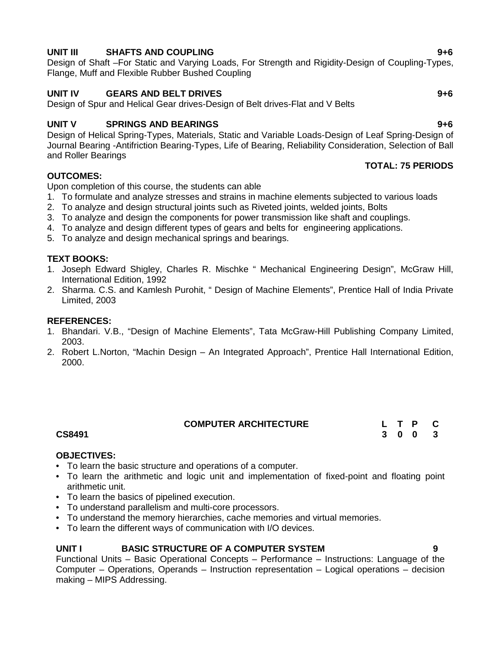# **UNIT III SHAFTS AND COUPLING 9+6**

Design of Shaft –For Static and Varying Loads, For Strength and Rigidity-Design of Coupling-Types, Flange, Muff and Flexible Rubber Bushed Coupling

# **UNIT IV GEARS AND BELT DRIVES 9+6**

Design of Spur and Helical Gear drives-Design of Belt drives-Flat and V Belts

# **UNIT V SPRINGS AND BEARINGS 9+6**

Design of Helical Spring-Types, Materials, Static and Variable Loads-Design of Leaf Spring-Design of Journal Bearing -Antifriction Bearing-Types, Life of Bearing, Reliability Consideration, Selection of Ball and Roller Bearings

# **OUTCOMES:**

Upon completion of this course, the students can able

- 1. To formulate and analyze stresses and strains in machine elements subjected to various loads
- 2. To analyze and design structural joints such as Riveted joints, welded joints, Bolts
- 3. To analyze and design the components for power transmission like shaft and couplings.
- 4. To analyze and design different types of gears and belts for engineering applications.
- 5. To analyze and design mechanical springs and bearings.

# **TEXT BOOKS:**

- 1. Joseph Edward Shigley, Charles R. Mischke " Mechanical Engineering Design", McGraw Hill, International Edition, 1992
- 2. Sharma. C.S. and Kamlesh Purohit, " Design of Machine Elements", Prentice Hall of India Private Limited, 2003

### **REFERENCES:**

- 1. Bhandari. V.B., "Design of Machine Elements", Tata McGraw-Hill Publishing Company Limited, 2003.
- 2. Robert L.Norton, "Machin Design An Integrated Approach", Prentice Hall International Edition, 2000.

| <b>COMPUTER ARCHITECTURE</b> |  |
|------------------------------|--|
|------------------------------|--|

#### **CS8491**

#### **OBJECTIVES:**

- To learn the basic structure and operations of a computer.
- To learn the arithmetic and logic unit and implementation of fixed-point and floating point arithmetic unit.
- To learn the basics of pipelined execution.
- To understand parallelism and multi-core processors.
- To understand the memory hierarchies, cache memories and virtual memories.
- To learn the different ways of communication with I/O devices.

# **UNIT I BASIC STRUCTURE OF A COMPUTER SYSTEM 9**

**3 0 0 3**

Functional Units – Basic Operational Concepts – Performance – Instructions: Language of the Computer – Operations, Operands – Instruction representation – Logical operations – decision making – MIPS Addressing.

**TOTAL: 75 PERIODS**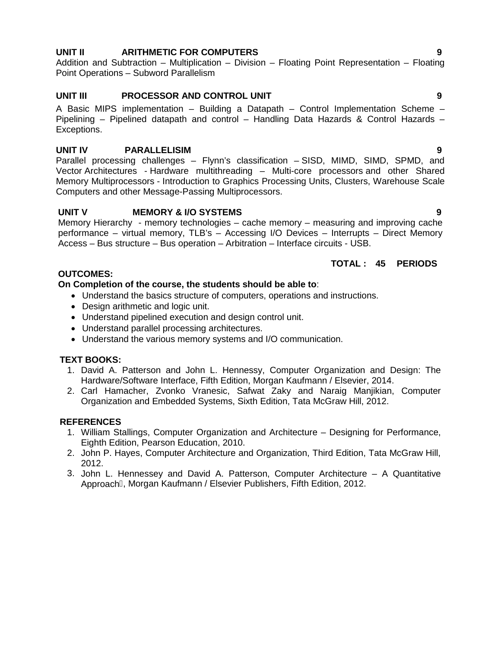## **UNIT II ARITHMETIC FOR COMPUTERS 9**

Addition and Subtraction – Multiplication – Division – Floating Point Representation – Floating Point Operations – Subword Parallelism

# **UNIT III PROCESSOR AND CONTROL UNIT 9**

A Basic MIPS implementation – Building a Datapath – Control Implementation Scheme – Pipelining – Pipelined datapath and control – Handling Data Hazards & Control Hazards – Exceptions.

# **UNIT IV PARALLELISIM 9**

Parallel processing challenges – Flynn's classification – SISD, MIMD, SIMD, SPMD, and Vector Architectures - Hardware multithreading – Multi-core processors and other Shared Memory Multiprocessors - Introduction to Graphics Processing Units, Clusters, Warehouse Scale Computers and other Message-Passing Multiprocessors.

# **UNIT V MEMORY & I/O SYSTEMS 9**

Memory Hierarchy - memory technologies – cache memory – measuring and improving cache performance – virtual memory, TLB's – Accessing I/O Devices – Interrupts – Direct Memory Access – Bus structure – Bus operation – Arbitration – Interface circuits - USB.

#### **TOTAL : 45 PERIODS**

#### **OUTCOMES:**

#### **On Completion of the course, the students should be able to**:

- Understand the basics structure of computers, operations and instructions.
- Design arithmetic and logic unit.
- Understand pipelined execution and design control unit.
- Understand parallel processing architectures.
- Understand the various memory systems and I/O communication.

#### **TEXT BOOKS:**

- 1. David A. Patterson and John L. Hennessy, Computer Organization and Design: The Hardware/Software Interface, Fifth Edition, Morgan Kaufmann / Elsevier, 2014.
- 2. Carl Hamacher, Zvonko Vranesic, Safwat Zaky and Naraig Manjikian, Computer Organization and Embedded Systems, Sixth Edition, Tata McGraw Hill, 2012.

#### **REFERENCES**

- 1. William Stallings, Computer Organization and Architecture Designing for Performance, Eighth Edition, Pearson Education, 2010.
- 2. John P. Hayes, Computer Architecture and Organization, Third Edition, Tata McGraw Hill, 2012.
- 3. John L. Hennessey and David A. Patterson, Computer Architecture A Quantitative Approach, Morgan Kaufmann / Elsevier Publishers, Fifth Edition, 2012.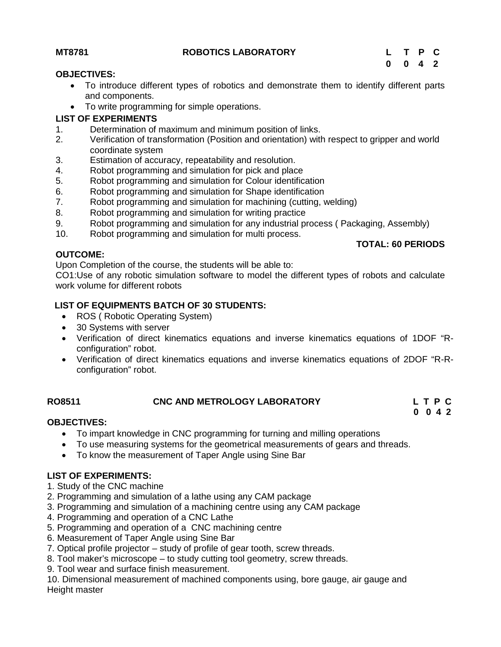### **MT8781 ROBOTICS LABORATORY L T P C**

**TOTAL: 60 PERIODS**

#### **OBJECTIVES:**

- To introduce different types of robotics and demonstrate them to identify different parts and components.
- To write programming for simple operations.

### **LIST OF EXPERIMENTS**

- 1. Determination of maximum and minimum position of links.
- 2. Verification of transformation (Position and orientation) with respect to gripper and world coordinate system
- 3. Estimation of accuracy, repeatability and resolution.
- 4. Robot programming and simulation for pick and place
- 5. Robot programming and simulation for Colour identification
- 6. Robot programming and simulation for Shape identification<br>7. Robot programming and simulation for machining (cutting, v
- Robot programming and simulation for machining (cutting, welding)
- 8. Robot programming and simulation for writing practice
- 9. Robot programming and simulation for any industrial process ( Packaging, Assembly)
- 10. Robot programming and simulation for multi process.

#### **OUTCOME:**

Upon Completion of the course, the students will be able to:

CO1:Use of any robotic simulation software to model the different types of robots and calculate work volume for different robots

# **LIST OF EQUIPMENTS BATCH OF 30 STUDENTS:**

- ROS (Robotic Operating System)
- 30 Systems with server
- Verification of direct kinematics equations and inverse kinematics equations of 1DOF "R configuration" robot.
- Verification of direct kinematics equations and inverse kinematics equations of 2DOF "R-R configuration" robot.

# **RO8511 CNC AND METROLOGY LABORATORY L T P C**

**0 0 4 2**

# **OBJECTIVES:**

- To impart knowledge in CNC programming for turning and milling operations
- To use measuring systems for the geometrical measurements of gears and threads.
- To know the measurement of Taper Angle using Sine Bar

# **LIST OF EXPERIMENTS:**

- 1. Study of the CNC machine
- 2. Programming and simulation of a lathe using any CAM package
- 3. Programming and simulation of a machining centre using any CAM package
- 4. Programming and operation of a CNC Lathe
- 5. Programming and operation of a CNC machining centre
- 6. Measurement of Taper Angle using Sine Bar
- 7. Optical profile projector study of profile of gear tooth, screw threads.
- 8. Tool maker's microscope to study cutting tool geometry, screw threads.
- 9. Tool wear and surface finish measurement.

10. Dimensional measurement of machined components using, bore gauge, air gauge and Height master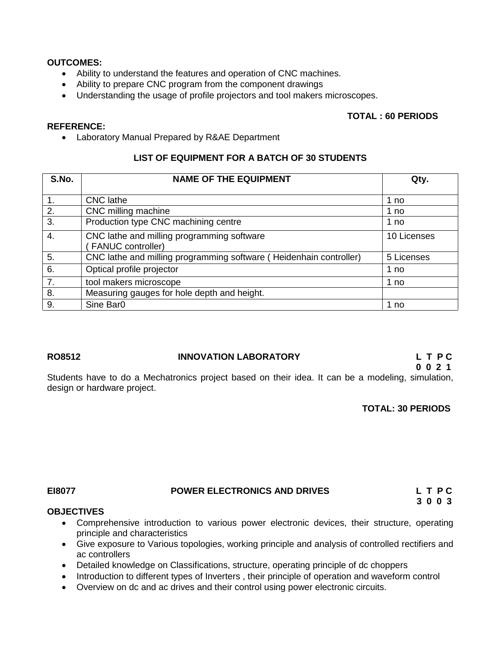#### **OUTCOMES:**

**REFERENCE:**

- Ability to understand the features and operation of CNC machines.
- Ability to prepare CNC program from the component drawings
- Understanding the usage of profile projectors and tool makers microscopes.

#### **TOTAL : 60 PERIODS**

Laboratory Manual Prepared by R&AE Department

#### **LIST OF EQUIPMENT FOR A BATCH OF 30 STUDENTS**

| S.No.         | <b>NAME OF THE EQUIPMENT</b>                                       | Qty.        |
|---------------|--------------------------------------------------------------------|-------------|
|               | <b>CNC</b> lathe                                                   |             |
| $\mathbf 1$ . |                                                                    | 1 no        |
| 2.            | CNC milling machine                                                | 1 no        |
| 3.            | Production type CNC machining centre                               | 1 no        |
| 4.            | CNC lathe and milling programming software                         | 10 Licenses |
|               | <b>FANUC controller)</b>                                           |             |
| 5.            | CNC lathe and milling programming software (Heidenhain controller) | 5 Licenses  |
| 6.            | Optical profile projector                                          | 1 no        |
| 7.            | tool makers microscope                                             | 1 no        |
| 8.            | Measuring gauges for hole depth and height.                        |             |
| 9.            | Sine Bar0                                                          | 1 no        |

#### **RO8512 INNOVATION LABORATORY L T P C**

# **0 0 2 1**

Students have to do a Mechatronics project based on their idea. It can be a modeling, simulation, design or hardware project.

#### **TOTAL: 30 PERIODS**

#### **EI8077 POWER ELECTRONICS AND DRIVES L T P C**

**3 0 0 3**

#### **OBJECTIVES**

- Comprehensive introduction to various power electronic devices, their structure, operating principle and characteristics
- Give exposure to Various topologies, working principle and analysis of controlled rectifiers and ac controllers
- Detailed knowledge on Classifications, structure, operating principle of dc choppers
- Introduction to different types of Inverters, their principle of operation and waveform control
- Overview on dc and ac drives and their control using power electronic circuits.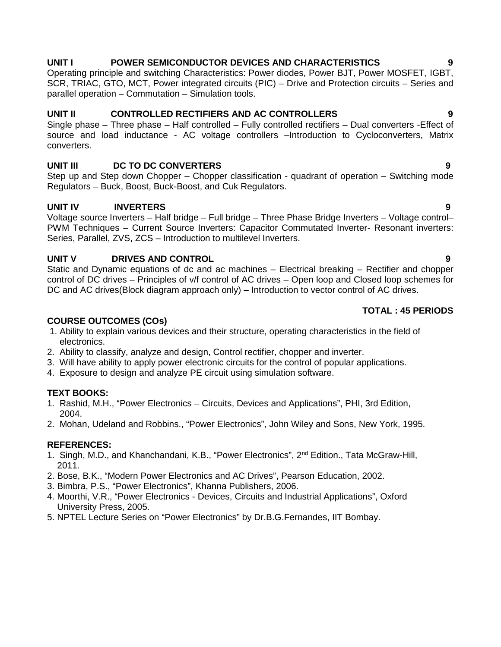#### **UNIT I POWER SEMICONDUCTOR DEVICES AND CHARACTERISTICS 9**

Operating principle and switching Characteristics: Power diodes, Power BJT, Power MOSFET, IGBT, SCR, TRIAC, GTO, MCT, Power integrated circuits (PIC) – Drive and Protection circuits – Series and parallel operation – Commutation – Simulation tools.

#### **UNIT II CONTROLLED RECTIFIERS AND AC CONTROLLERS 9**

Single phase – Three phase – Half controlled – Fully controlled rectifiers – Dual converters -Effect of source and load inductance - AC voltage controllers –Introduction to Cycloconverters, Matrix converters.

### **UNIT III DC TO DC CONVERTERS 9**

Step up and Step down Chopper – Chopper classification - quadrant of operation – Switching mode Regulators – Buck, Boost, Buck-Boost, and Cuk Regulators.

## **UNIT IV INVERTERS 9**

Voltage source Inverters – Half bridge – Full bridge – Three Phase Bridge Inverters – Voltage control– PWM Techniques – Current Source Inverters: Capacitor Commutated Inverter- Resonant inverters: Series, Parallel, ZVS, ZCS - Introduction to multilevel Inverters.

### **UNIT V DRIVES AND CONTROL 9**

Static and Dynamic equations of dc and ac machines – Electrical breaking – Rectifier and chopper control of DC drives – Principles of v/f control of AC drives – Open loop and Closed loop schemes for DC and AC drives(Block diagram approach only) – Introduction to vector control of AC drives.

#### **TOTAL : 45 PERIODS**

### **COURSE OUTCOMES (COs)**

- 1. Ability to explain various devices and their structure, operating characteristics in the field of electronics.
- 2. Ability to classify, analyze and design, Control rectifier, chopper and inverter.
- 3. Will have ability to apply power electronic circuits for the control of popular applications.
- 4. Exposure to design and analyze PE circuit using simulation software.

#### **TEXT BOOKS:**

- 1. Rashid, M.H., "Power Electronics Circuits, Devices and Applications", PHI, 3rd Edition, 2004.
- 2. Mohan, Udeland and Robbins., "Power Electronics", John Wiley and Sons, New York, 1995.

#### **REFERENCES:**

- 1. Singh, M.D., and Khanchandani, K.B., "Power Electronics", 2<sup>nd</sup> Edition., Tata McGraw-Hill, 2011.
- 2. Bose, B.K., "Modern Power Electronics and AC Drives", Pearson Education, 2002.
- 3. Bimbra, P.S., "Power Electronics", Khanna Publishers, 2006.
- 4. Moorthi, V.R., "Power Electronics Devices, Circuits and Industrial Applications", Oxford University Press, 2005.
- 5. NPTEL Lecture Series on "Power Electronics" by Dr.B.G.Fernandes, IIT Bombay.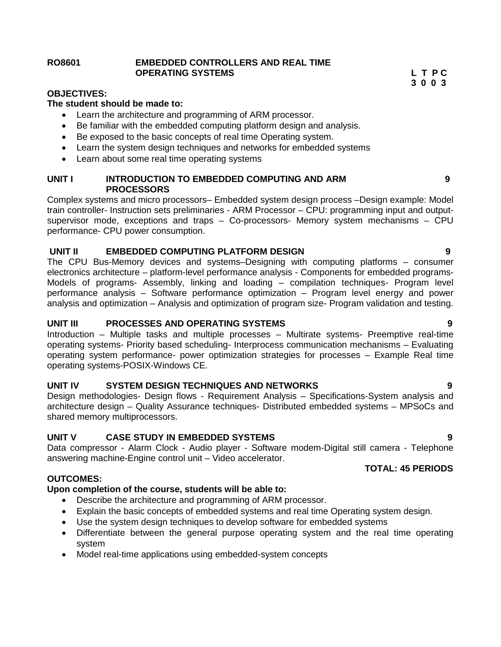#### **RO8601 EMBEDDED CONTROLLERS AND REAL TIME OPERATING SYSTEMS L T P C**

**3 0 0 3**

#### **OBJECTIVES:**

#### **The student should be made to:**

- Learn the architecture and programming of ARM processor.
- Be familiar with the embedded computing platform design and analysis.
- Be exposed to the basic concepts of real time Operating system.
- Learn the system design techniques and networks for embedded systems
- Learn about some real time operating systems

#### **UNIT I INTRODUCTION TO EMBEDDED COMPUTING AND ARM 9 PROCESSORS**

Complex systems and micro processors– Embedded system design process –Design example: Model train controller- Instruction sets preliminaries - ARM Processor – CPU: programming input and output supervisor mode, exceptions and traps – Co-processors- Memory system mechanisms – CPU performance- CPU power consumption.

#### **UNIT II EMBEDDED COMPUTING PLATFORM DESIGN 9**

The CPU Bus-Memory devices and systems–Designing with computing platforms – consumer electronics architecture – platform-level performance analysis - Components for embedded programs- Models of programs- Assembly, linking and loading – compilation techniques- Program level performance analysis – Software performance optimization – Program level energy and power analysis and optimization – Analysis and optimization of program size- Program validation and testing.

#### **UNIT III PROCESSES AND OPERATING SYSTEMS 9**

Introduction – Multiple tasks and multiple processes – Multirate systems- Preemptive real-time operating systems- Priority based scheduling- Interprocess communication mechanisms – Evaluating operating system performance- power optimization strategies for processes – Example Real time operating systems-POSIX-Windows CE.

#### **UNIT IV SYSTEM DESIGN TECHNIQUES AND NETWORKS 9**

Design methodologies- Design flows - Requirement Analysis – Specifications-System analysis and architecture design – Quality Assurance techniques- Distributed embedded systems – MPSoCs and shared memory multiprocessors.

#### **UNIT V CASE STUDY IN EMBEDDED SYSTEMS 9**

Data compressor - Alarm Clock - Audio player - Software modem-Digital still camera - Telephone answering machine-Engine control unit – Video accelerator.

#### **OUTCOMES:**

#### **Upon completion of the course, students will be able to:**

- Describe the architecture and programming of ARM processor.
- Explain the basic concepts of embedded systems and real time Operating system design.
- Use the system design techniques to develop software for embedded systems
- Differentiate between the general purpose operating system and the real time operating system
- Model real-time applications using embedded-system concepts

# **TOTAL: 45 PERIODS**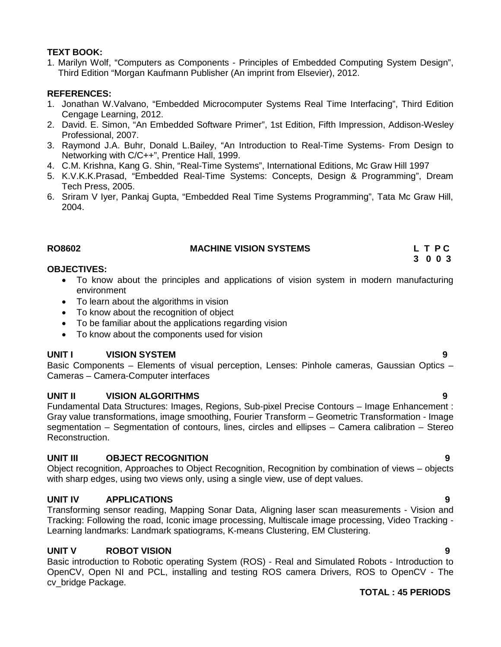### **TEXT BOOK:**

1. Marilyn Wolf, "Computers as Components - Principles of Embedded Computing System Design", Third Edition "Morgan Kaufmann Publisher (An imprint from Elsevier), 2012.

### **REFERENCES:**

- 1. Jonathan W.Valvano, "Embedded Microcomputer Systems Real Time Interfacing", Third Edition Cengage Learning, 2012.
- 2. David. E. Simon, "An Embedded Software Primer", 1st Edition, Fifth Impression, Addison-Wesley Professional, 2007.
- 3. Raymond J.A. Buhr, Donald L.Bailey, "An Introduction to Real-Time Systems- From Design to Networking with C/C++", Prentice Hall, 1999.
- 4. C.M. Krishna, Kang G. Shin, "Real-Time Systems", International Editions, Mc Graw Hill 1997
- 5. K.V.K.K.Prasad, "Embedded Real-Time Systems: Concepts, Design & Programming", Dream Tech Press, 2005.
- 6. Sriram V Iyer, Pankaj Gupta, "Embedded Real Time Systems Programming", Tata Mc Graw Hill, 2004.

### **RO8602 MACHINE VISION SYSTEMS L T P C**

#### **OBJECTIVES:**

- To know about the principles and applications of vision system in modern manufacturing environment
- To learn about the algorithms in vision
- To know about the recognition of object
- To be familiar about the applications regarding vision
- To know about the components used for vision

# **UNIT I VISION SYSTEM 9**

Basic Components – Elements of visual perception, Lenses: Pinhole cameras, Gaussian Optics – Cameras – Camera-Computer interfaces

#### **UNIT II VISION ALGORITHMS 9**

Fundamental Data Structures: Images, Regions, Sub-pixel Precise Contours – Image Enhancement : Gray value transformations, image smoothing, Fourier Transform – Geometric Transformation - Image segmentation – Segmentation of contours, lines, circles and ellipses – Camera calibration – Stereo Reconstruction.

# **UNIT III OBJECT RECOGNITION 9**

Object recognition, Approaches to Object Recognition, Recognition by combination of views – objects with sharp edges, using two views only, using a single view, use of dept values.

# **UNIT IV APPLICATIONS 9**

Transforming sensor reading, Mapping Sonar Data, Aligning laser scan measurements - Vision and Tracking: Following the road, Iconic image processing, Multiscale image processing, Video Tracking - Learning landmarks: Landmark spatiograms, K-means Clustering, EM Clustering.

# **UNIT V ROBOT VISION 9**

Basic introduction to Robotic operating System (ROS) - Real and Simulated Robots - Introduction to OpenCV, Open NI and PCL, installing and testing ROS camera Drivers, ROS to OpenCV - The cv\_bridge Package.

# **TOTAL : 45 PERIODS**

**3 0 0 3**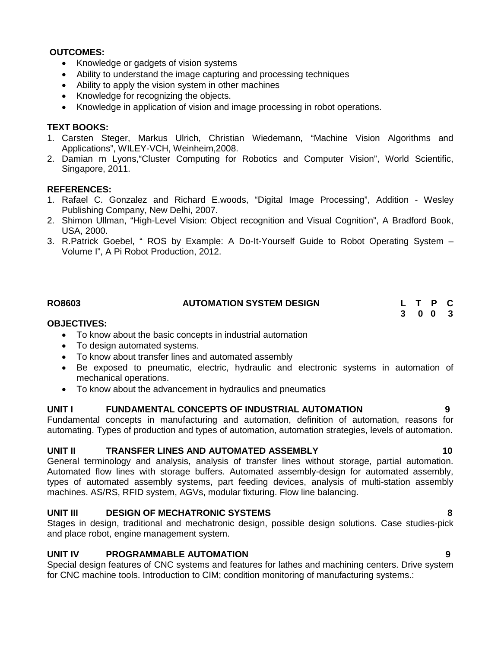#### **OUTCOMES:**

- Knowledge or gadgets of vision systems
- Ability to understand the image capturing and processing techniques
- Ability to apply the vision system in other machines
- Knowledge for recognizing the objects.
- Knowledge in application of vision and image processing in robot operations.

#### **TEXT BOOKS:**

- 1. Carsten Steger, Markus Ulrich, Christian Wiedemann, "Machine Vision Algorithms and Applications", WILEY-VCH, Weinheim,2008.
- 2. Damian m Lyons,"Cluster Computing for Robotics and Computer Vision", World Scientific, Singapore, 2011.

#### **REFERENCES:**

- 1. Rafael C. Gonzalez and Richard E.woods, "Digital Image Processing", Addition Wesley Publishing Company, New Delhi, 2007.
- 2. Shimon Ullman, "High-Level Vision: Object recognition and Visual Cognition", A Bradford Book, USA, 2000.
- 3. R.Patrick Goebel, " ROS by Example: A Do-It-Yourself Guide to Robot Operating System Volume I", A Pi Robot Production, 2012.

| <b>RO8603</b> | <b>AUTOMATION SYSTEM DESIGN</b> | L T P C |  |  |
|---------------|---------------------------------|---------|--|--|
|               |                                 | 3 0 0 3 |  |  |

#### **OBJECTIVES:**

- To know about the basic concepts in industrial automation
- To design automated systems.
- To know about transfer lines and automated assembly
- Be exposed to pneumatic, electric, hydraulic and electronic systems in automation of mechanical operations.
- To know about the advancement in hydraulics and pneumatics

#### **UNIT I FUNDAMENTAL CONCEPTS OF INDUSTRIAL AUTOMATION 9**

Fundamental concepts in manufacturing and automation, definition of automation, reasons for automating. Types of production and types of automation, automation strategies, levels of automation.

#### **UNIT II TRANSFER LINES AND AUTOMATED ASSEMBLY 10**

General terminology and analysis, analysis of transfer lines without storage, partial automation. Automated flow lines with storage buffers. Automated assembly-design for automated assembly, types of automated assembly systems, part feeding devices, analysis of multi-station assembly machines. AS/RS, RFID system, AGVs, modular fixturing. Flow line balancing.

#### **UNIT III DESIGN OF MECHATRONIC SYSTEMS 8**

Stages in design, traditional and mechatronic design, possible design solutions. Case studies-pick and place robot, engine management system.

#### **UNIT IV PROGRAMMABLE AUTOMATION 9**

Special design features of CNC systems and features for lathes and machining centers. Drive system for CNC machine tools. Introduction to CIM; condition monitoring of manufacturing systems.: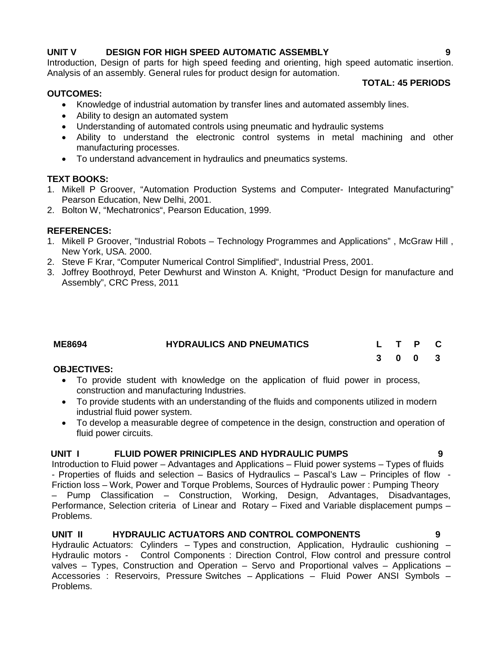# **UNIT V DESIGN FOR HIGH SPEED AUTOMATIC ASSEMBLY 9**

Introduction, Design of parts for high speed feeding and orienting, high speed automatic insertion. Analysis of an assembly. General rules for product design for automation.

### **OUTCOMES:**

- Knowledge of industrial automation by transfer lines and automated assembly lines.
- Ability to design an automated system
- Understanding of automated controls using pneumatic and hydraulic systems
- Ability to understand the electronic control systems in metal machining and other manufacturing processes.
- To understand advancement in hydraulics and pneumatics systems.

# **TEXT BOOKS:**

- 1. Mikell P Groover, "Automation Production Systems and Computer- Integrated Manufacturing" Pearson Education, New Delhi, 2001.
- 2. Bolton W, "Mechatronics", Pearson Education, 1999.

# **REFERENCES:**

- 1. Mikell P Groover, "Industrial Robots Technology Programmes and Applications" , McGraw Hill , New York, USA. 2000.
- 2. Steve F Krar, "Computer Numerical Control Simplified", Industrial Press, 2001.
- 3. Joffrey Boothroyd, Peter Dewhurst and Winston A. Knight, "Product Design for manufacture and Assembly", CRC Press, 2011

| <b>ME8694</b> | <b>HYDRAULICS AND PNEUMATICS</b> |  | L T P C |  |
|---------------|----------------------------------|--|---------|--|
|               |                                  |  | 3 0 0 3 |  |

# **OBJECTIVES:**

- To provide student with knowledge on the application of fluid power in process, construction and manufacturing Industries.
- To provide students with an understanding of the fluids and components utilized in modern industrial fluid power system.
- To develop a measurable degree of competence in the design, construction and operation of fluid power circuits.

# **UNIT I FLUID POWER PRINICIPLES AND HYDRAULIC PUMPS 9**

Introduction to Fluid power – Advantages and Applications – Fluid power systems – Types of fluids - Properties of fluids and selection – Basics of Hydraulics – Pascal's Law – Principles of flow - Friction loss – Work, Power and Torque Problems, Sources of Hydraulic power : Pumping Theory – Pump Classification – Construction, Working, Design, Advantages, Disadvantages, Performance, Selection criteria of Linear and Rotary – Fixed and Variable displacement pumps – Problems.

# **UNIT II HYDRAULIC ACTUATORS AND CONTROL COMPONENTS 9**

Hydraulic Actuators: Cylinders - Types and construction, Application, Hydraulic cushioning -Hydraulic motors - Control Components : Direction Control, Flow control and pressure control valves – Types, Construction and Operation – Servo and Proportional valves – Applications – Accessories : Reservoirs, Pressure Switches – Applications – Fluid Power ANSI Symbols – Problems.

**TOTAL: 45 PERIODS**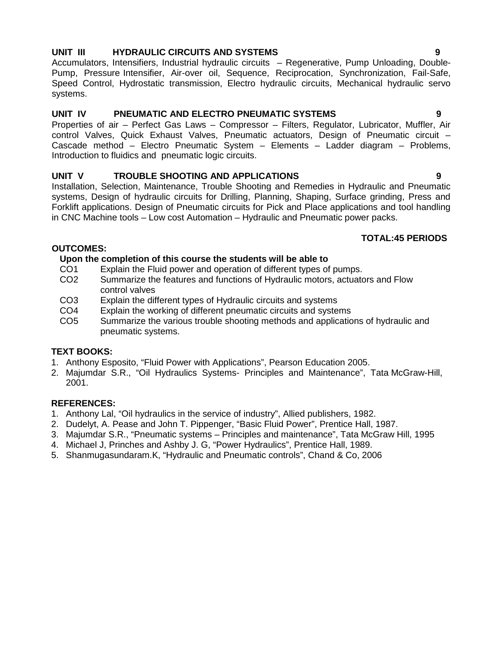# **UNIT III HYDRAULIC CIRCUITS AND SYSTEMS 9**

Accumulators, Intensifiers, Industrial hydraulic circuits – Regenerative, Pump Unloading, Double- Pump, Pressure Intensifier, Air-over oil, Sequence, Reciprocation, Synchronization, Fail-Safe, Speed Control, Hydrostatic transmission, Electro hydraulic circuits, Mechanical hydraulic servo systems.

# **UNIT IV PNEUMATIC AND ELECTRO PNEUMATIC SYSTEMS 9**

Properties of air – Perfect Gas Laws – Compressor – Filters, Regulator, Lubricator, Muffler, Air control Valves, Quick Exhaust Valves, Pneumatic actuators, Design of Pneumatic circuit – Cascade method – Electro Pneumatic System – Elements – Ladder diagram – Problems, Introduction to fluidics and pneumatic logic circuits.

# **UNIT V TROUBLE SHOOTING AND APPLICATIONS 9**

Installation, Selection, Maintenance, Trouble Shooting and Remedies in Hydraulic and Pneumatic systems, Design of hydraulic circuits for Drilling, Planning, Shaping, Surface grinding, Press and Forklift applications. Design of Pneumatic circuits for Pick and Place applications and tool handling in CNC Machine tools – Low cost Automation – Hydraulic and Pneumatic power packs.

# **TOTAL:45 PERIODS**

### **OUTCOMES:**

# **Upon the completion of this course the students will be able to**

- CO1 Explain the Fluid power and operation of different types of pumps.<br>CO2 Summarize the features and functions of Hydraulic motors, actuate
- Summarize the features and functions of Hydraulic motors, actuators and Flow control valves
- CO3 Explain the different types of Hydraulic circuits and systems<br>CO4 Explain the working of different pneumatic circuits and system
- Explain the working of different pneumatic circuits and systems
- CO5 Summarize the various trouble shooting methods and applications of hydraulic and pneumatic systems.

# **TEXT BOOKS:**

- 1. Anthony Esposito, "Fluid Power with Applications", Pearson Education 2005.
- 2. Majumdar S.R., "Oil Hydraulics Systems- Principles and Maintenance", Tata McGraw-Hill, 2001.

# **REFERENCES:**

- 1. Anthony Lal, "Oil hydraulics in the service of industry", Allied publishers, 1982.
- 2. Dudelyt, A. Pease and John T. Pippenger, "Basic Fluid Power", Prentice Hall, 1987.
- 3. Majumdar S.R., "Pneumatic systems Principles and maintenance", Tata McGraw Hill, 1995
- 4. Michael J, Prinches and Ashby J. G, "Power Hydraulics", Prentice Hall, 1989.
- 5. Shanmugasundaram.K, "Hydraulic and Pneumatic controls", Chand & Co, 2006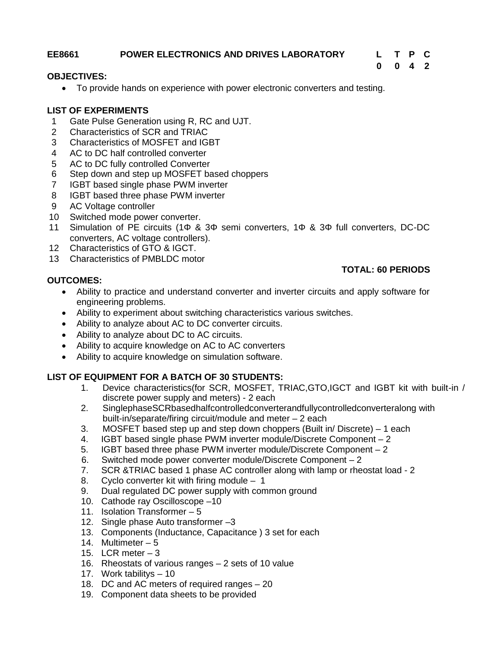### **EE8661 POWER ELECTRONICS AND DRIVES LABORATORY L T P C**

# **0 0 4 2**

#### **OBJECTIVES:**

To provide hands on experience with power electronic converters and testing.

### **LIST OF EXPERIMENTS**

- 1 Gate Pulse Generation using R, RC and UJT.
- 2 Characteristics of SCR and TRIAC
- 3 Characteristics of MOSFET and IGBT
- 4 AC to DC half controlled converter
- 5 AC to DC fully controlled Converter
- 6 Step down and step up MOSFET based choppers
- 7 IGBT based single phase PWM inverter
- 8 IGBT based three phase PWM inverter
- 9 AC Voltage controller
- 10 Switched mode power converter.
- 11 Simulation of PE circuits (1 & 3 semi converters, 1 & 3 full converters, DC-DC converters, AC voltage controllers).
- 12 Characteristics of GTO & IGCT.
- 13 Characteristics of PMBLDC motor

### **OUTCOMES:**

# **TOTAL: 60 PERIODS**

- Ability to practice and understand converter and inverter circuits and apply software for engineering problems.
- Ability to experiment about switching characteristics various switches.
- Ability to analyze about AC to DC converter circuits.
- Ability to analyze about DC to AC circuits.
- Ability to acquire knowledge on AC to AC converters
- Ability to acquire knowledge on simulation software.

- 1. Device characteristics(for SCR, MOSFET, TRIAC,GTO,IGCT and IGBT kit with built-in / discrete power supply and meters) - 2 each
- 2. SinglephaseSCRbasedhalfcontrolledconverterandfullycontrolledconverteralong with built-in/separate/firing circuit/module and meter – 2 each
- 3. MOSFET based step up and step down choppers (Built in/ Discrete) 1 each
- 4. IGBT based single phase PWM inverter module/Discrete Component 2
- 5. IGBT based three phase PWM inverter module/Discrete Component 2
- 6. Switched mode power converter module/Discrete Component 2
- 7. SCR &TRIAC based 1 phase AC controller along with lamp or rheostat load 2
- 8. Cyclo converter kit with firing module 1
- 9. Dual regulated DC power supply with common ground
- 10. Cathode ray Oscilloscope –10
- 11. Isolation Transformer 5
- 12. Single phase Auto transformer –3
- 13. Components (Inductance, Capacitance ) 3 set for each
- 14. Multimeter 5
- 15. LCR meter  $-3$
- 16. Rheostats of various ranges 2 sets of 10 value
- 17. Work tabilitys 10
- 18. DC and AC meters of required ranges 20
- 19. Component data sheets to be provided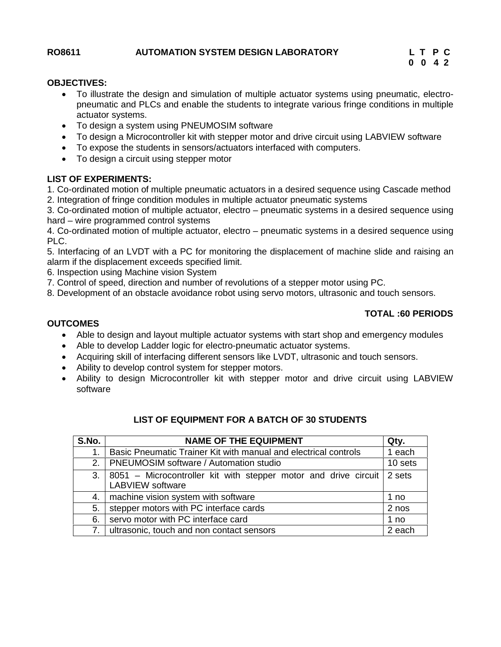#### **OBJECTIVES:**

- To illustrate the design and simulation of multiple actuator systems using pneumatic, electro pneumatic and PLCs and enable the students to integrate various fringe conditions in multiple actuator systems.
- To design a system using PNEUMOSIM software
- To design a Microcontroller kit with stepper motor and drive circuit using LABVIEW software
- To expose the students in sensors/actuators interfaced with computers.
- To design a circuit using stepper motor

#### **LIST OF EXPERIMENTS:**

1. Co-ordinated motion of multiple pneumatic actuators in a desired sequence using Cascade method 2. Integration of fringe condition modules in multiple actuator pneumatic systems

3. Co-ordinated motion of multiple actuator, electro – pneumatic systems in a desired sequence using hard – wire programmed control systems

4. Co-ordinated motion of multiple actuator, electro – pneumatic systems in a desired sequence using PLC.

5. Interfacing of an LVDT with a PC for monitoring the displacement of machine slide and raising an alarm if the displacement exceeds specified limit.

6. Inspection using Machine vision System

7. Control of speed, direction and number of revolutions of a stepper motor using PC.

8. Development of an obstacle avoidance robot using servo motors, ultrasonic and touch sensors.

#### **TOTAL :60 PERIODS**

#### **OUTCOMES**

- Able to design and layout multiple actuator systems with start shop and emergency modules
- Able to develop Ladder logic for electro-pneumatic actuator systems.
- Acquiring skill of interfacing different sensors like LVDT, ultrasonic and touch sensors.
- Ability to develop control system for stepper motors.
- Ability to design Microcontroller kit with stepper motor and drive circuit using LABVIEW software

| S.No. | <b>NAME OF THE EQUIPMENT</b>                                                               | Qty.    |
|-------|--------------------------------------------------------------------------------------------|---------|
|       | Basic Pneumatic Trainer Kit with manual and electrical controls                            | 1 each  |
| 2.1   | PNEUMOSIM software / Automation studio                                                     | 10 sets |
| 3.1   | 8051 – Microcontroller kit with stepper motor and drive circuit<br><b>LABVIEW</b> software | 2 sets  |
| 4.    | machine vision system with software                                                        | 1 no    |
| 5.    | stepper motors with PC interface cards                                                     | 2 nos   |
| 6.    | servo motor with PC interface card                                                         | 1 no    |
| 7.    | ultrasonic, touch and non contact sensors                                                  | 2 each  |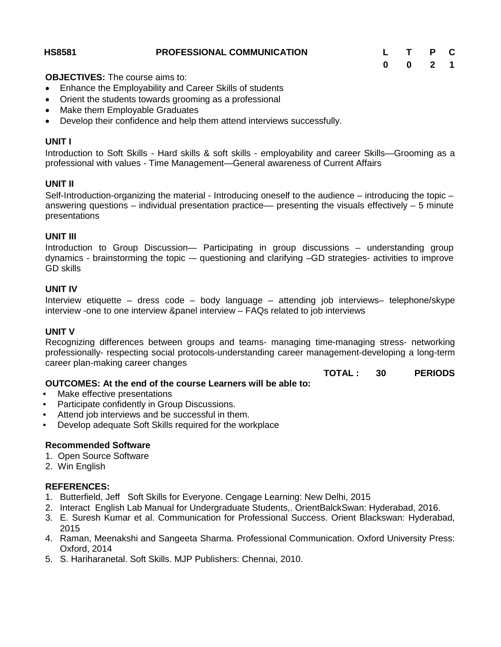#### **HS8581 PROFESSIONAL COMMUNICATION L T P C**

**OBJECTIVES:** The course aims to:

- Enhance the Employability and Career Skills of students
- Orient the students towards grooming as a professional
- Make them Employable Graduates
- Develop their confidence and help them attend interviews successfully.

#### **UNIT I**

Introduction to Soft Skills - Hard skills & soft skills - employability and career Skills—Grooming as a professional with values - Time Management—General awareness of Current Affairs

## **UNIT II**

Self-Introduction-organizing the material - Introducing oneself to the audience – introducing the topic – answering questions  $-$  individual presentation practice— presenting the visuals effectively  $-5$  minute presentations

## **UNIT III**

Introduction to Group Discussion— Participating in group discussions – understanding group dynamics - brainstorming the topic -– questioning and clarifying –GD strategies- activities to improve GD skills

## **UNIT IV**

Interview etiquette – dress code – body language – attending job interviews– telephone/skype interview -one to one interview &panel interview – FAQs related to job interviews

#### **UNIT V**

Recognizing differences between groups and teams- managing time-managing stress- networking professionally- respecting social protocols-understanding career management-developing a long-term career plan-making career changes

# **TOTAL : 30 PERIODS**

# **OUTCOMES: At the end of the course Learners will be able to:**

- Make effective presentations
- Participate confidently in Group Discussions.
- Attend job interviews and be successful in them.
- Develop adequate Soft Skills required for the workplace

#### **Recommended Software**

- 1. Open Source Software
- 2. Win English

## **REFERENCES:**

- 1. Butterfield, Jeff Soft Skills for Everyone. Cengage Learning: New Delhi, 2015
- 2. Interact English Lab Manual for Undergraduate Students,. OrientBalckSwan: Hyderabad, 2016.
- 3. E. Suresh Kumar et al. Communication for Professional Success. Orient Blackswan: Hyderabad, 2015
- 4. Raman, Meenakshi and Sangeeta Sharma. Professional Communication. Oxford University Press: Oxford, 2014
- 5. S. Hariharanetal. Soft Skills. MJP Publishers: Chennai, 2010.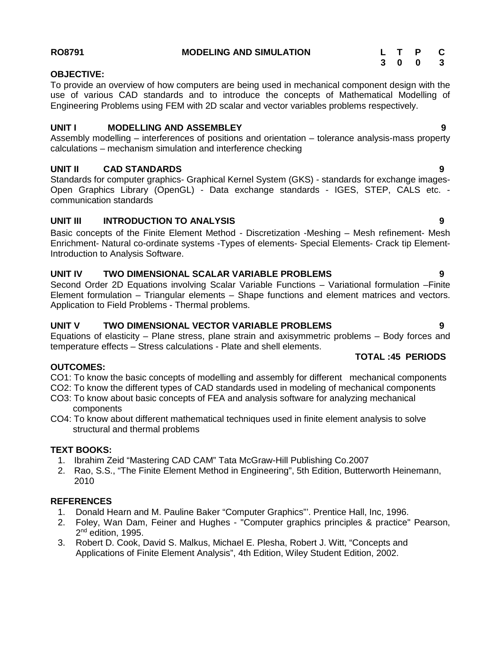**RO8791 MODELING AND SIMULATION L T P C**

# **OBJECTIVE:**

To provide an overview of how computers are being used in mechanical component design with the use of various CAD standards and to introduce the concepts of Mathematical Modelling of Engineering Problems using FEM with 2D scalar and vector variables problems respectively.

# **UNIT I MODELLING AND ASSEMBLEY 9**

Assembly modelling – interferences of positions and orientation – tolerance analysis-mass property calculations – mechanism simulation and interference checking

# **UNIT II CAD STANDARDS 9**

Standards for computer graphics- Graphical Kernel System (GKS) - standards for exchange images- Open Graphics Library (OpenGL) - Data exchange standards - IGES, STEP, CALS etc. communication standards

# **UNIT III INTRODUCTION TO ANALYSIS 9**

Basic concepts of the Finite Element Method - Discretization -Meshing – Mesh refinement- Mesh Enrichment- Natural co-ordinate systems -Types of elements- Special Elements- Crack tip Element-Introduction to Analysis Software.

# **UNIT IV TWO DIMENSIONAL SCALAR VARIABLE PROBLEMS 9**

Second Order 2D Equations involving Scalar Variable Functions – Variational formulation –Finite Element formulation – Triangular elements – Shape functions and element matrices and vectors. Application to Field Problems - Thermal problems.

# **UNIT V TWO DIMENSIONAL VECTOR VARIABLE PROBLEMS 9**

Equations of elasticity – Plane stress, plane strain and axisymmetric problems – Body forces and temperature effects – Stress calculations - Plate and shell elements.

# **OUTCOMES:**

CO1: To know the basic concepts of modelling and assembly for different mechanical components

- CO2: To know the different types of CAD standards used in modeling of mechanical components
- CO3: To know about basic concepts of FEA and analysis software for analyzing mechanical components
- CO4: To know about different mathematical techniques used in finite element analysis to solve structural and thermal problems

## **TEXT BOOKS:**

- 1. Ibrahim Zeid "Mastering CAD CAM" Tata McGraw-Hill Publishing Co.2007
- 2. Rao, S.S., "The Finite Element Method in Engineering", 5th Edition, Butterworth Heinemann, 2010

## **REFERENCES**

- 1. Donald Hearn and M. Pauline Baker "Computer Graphics"'. Prentice Hall, Inc, 1996.
- 2. Foley, Wan Dam, Feiner and Hughes "Computer graphics principles & practice" Pearson, 2<sup>nd</sup> edition, 1995.
- 3. Robert D. Cook, David S. Malkus, Michael E. Plesha, Robert J. Witt, "Concepts and Applications of Finite Element Analysis", 4th Edition, Wiley Student Edition, 2002.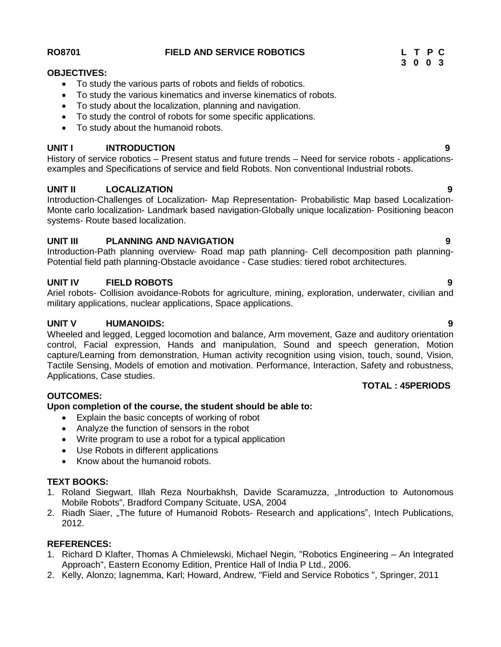#### **RO8701 FIELD AND SERVICE ROBOTICS L T P C**

## **OBJECTIVES:**

- To study the various parts of robots and fields of robotics.
- To study the various kinematics and inverse kinematics of robots.
- To study about the localization, planning and navigation.
- To study the control of robots for some specific applications.
- To study about the humanoid robots.

## **UNIT I INTRODUCTION 9**

History of service robotics – Present status and future trends – Need for service robots - applications examples and Specifications of service and field Robots. Non conventional Industrial robots.

## **UNIT II LOCALIZATION 9**

Introduction-Challenges of Localization- Map Representation- Probabilistic Map based Localization- Monte carlo localization- Landmark based navigation-Globally unique localization- Positioning beacon systems- Route based localization.

#### **UNIT III PLANNING AND NAVIGATION 9**

Introduction-Path planning overview- Road map path planning- Cell decomposition path planning- Potential field path planning-Obstacle avoidance - Case studies: tiered robot architectures.

## **UNIT IV FIELD ROBOTS 9**

Ariel robots- Collision avoidance-Robots for agriculture, mining, exploration, underwater, civilian and military applications, nuclear applications, Space applications.

#### **UNIT V HUMANOIDS: 9**

Wheeled and legged, Legged locomotion and balance, Arm movement, Gaze and auditory orientation control, Facial expression, Hands and manipulation, Sound and speech generation, Motion capture/Learning from demonstration, Human activity recognition using vision, touch, sound, Vision, Tactile Sensing, Models of emotion and motivation. Performance, Interaction, Safety and robustness, Applications, Case studies.

#### **OUTCOMES:**

#### **Upon completion of the course, the student should be able to:**

- Explain the basic concepts of working of robot
- Analyze the function of sensors in the robot
- Write program to use a robot for a typical application
- Use Robots in different applications
- Know about the humanoid robots.

## **TEXT BOOKS:**

- 1. Roland Siegwart, Illah Reza Nourbakhsh, Davide Scaramuzza, "Introduction to Autonomous Mobile Robots", Bradford Company Scituate, USA, 2004
- 2. Riadh Siaer, "The future of Humanoid Robots- Research and applications", Intech Publications, 2012.

# **REFERENCES:**

- 1. Richard D Klafter, Thomas A Chmielewski, Michael Negin, "Robotics Engineering An Integrated Approach", Eastern Economy Edition, Prentice Hall of India P Ltd., 2006.
- 2. Kelly, Alonzo; Iagnemma, Karl; Howard, Andrew, "Field and Service Robotics ", Springer, 2011

**3 0 0 3**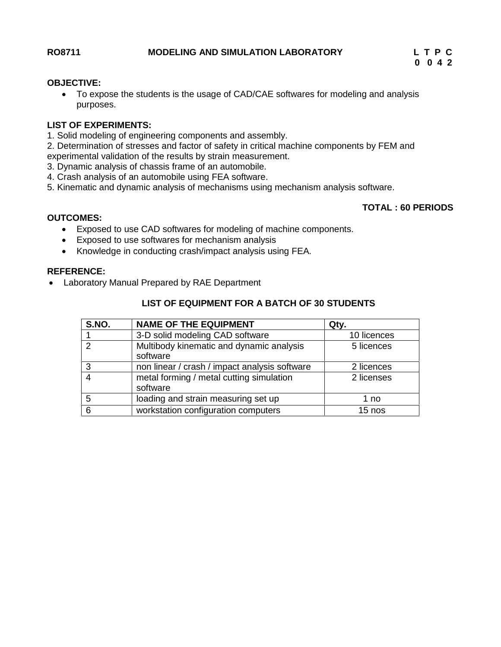#### **OBJECTIVE:**

 To expose the students is the usage of CAD/CAE softwares for modeling and analysis purposes.

#### **LIST OF EXPERIMENTS:**

- 1. Solid modeling of engineering components and assembly.
- 2. Determination of stresses and factor of safety in critical machine components by FEM and experimental validation of the results by strain measurement.
- 3. Dynamic analysis of chassis frame of an automobile.
- 4. Crash analysis of an automobile using FEA software.
- 5. Kinematic and dynamic analysis of mechanisms using mechanism analysis software.

## **TOTAL : 60 PERIODS**

#### **OUTCOMES:**

- Exposed to use CAD softwares for modeling of machine components.
- Exposed to use softwares for mechanism analysis
- Knowledge in conducting crash/impact analysis using FEA.

## **REFERENCE:**

Laboratory Manual Prepared by RAE Department

| S.NO. | <b>NAME OF THE EQUIPMENT</b>                         | Qty.        |
|-------|------------------------------------------------------|-------------|
|       | 3-D solid modeling CAD software                      | 10 licences |
| っ     | Multibody kinematic and dynamic analysis<br>software | 5 licences  |
| 3     | non linear / crash / impact analysis software        | 2 licences  |
| 4     | metal forming / metal cutting simulation<br>software | 2 licenses  |
| 5     | loading and strain measuring set up                  | 1 no        |
| 6     | workstation configuration computers                  | 15 nos      |

#### **LIST OF EQUIPMENT FOR A BATCH OF 30 STUDENTS**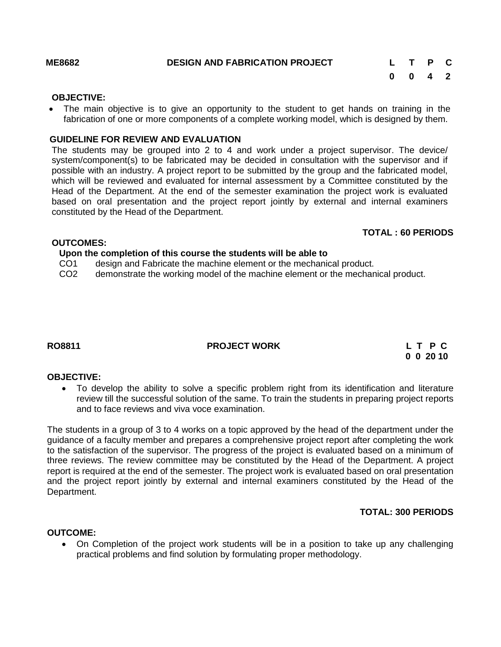#### **OBJECTIVE:**

• The main objective is to give an opportunity to the student to get hands on training in the fabrication of one or more components of a complete working model, which is designed by them.

## **GUIDELINE FOR REVIEW AND EVALUATION**

The students may be grouped into 2 to 4 and work under a project supervisor. The device/ system/component(s) to be fabricated may be decided in consultation with the supervisor and if possible with an industry. A project report to be submitted by the group and the fabricated model, which will be reviewed and evaluated for internal assessment by a Committee constituted by the Head of the Department. At the end of the semester examination the project work is evaluated based on oral presentation and the project report jointly by external and internal examiners constituted by the Head of the Department.

#### **TOTAL : 60 PERIODS**

#### **OUTCOMES:**

#### **Upon the completion of this course the students will be able to**

- CO1 design and Fabricate the machine element or the mechanical product.
- CO2 demonstrate the working model of the machine element or the mechanical product.

# **RO8811 PROJECT WORK L T P C**

**0 0 20 10**

#### **OBJECTIVE:**

 To develop the ability to solve a specific problem right from its identification and literature review till the successful solution of the same. To train the students in preparing project reports and to face reviews and viva voce examination.

The students in a group of 3 to 4 works on a topic approved by the head of the department under the guidance of a faculty member and prepares a comprehensive project report after completing the work to the satisfaction of the supervisor. The progress of the project is evaluated based on a minimum of three reviews. The review committee may be constituted by the Head of the Department. A project report is required at the end of the semester. The project work is evaluated based on oral presentation and the project report jointly by external and internal examiners constituted by the Head of the Department.

#### **TOTAL: 300 PERIODS**

#### **OUTCOME:**

 On Completion of the project work students will be in a position to take up any challenging practical problems and find solution by formulating proper methodology.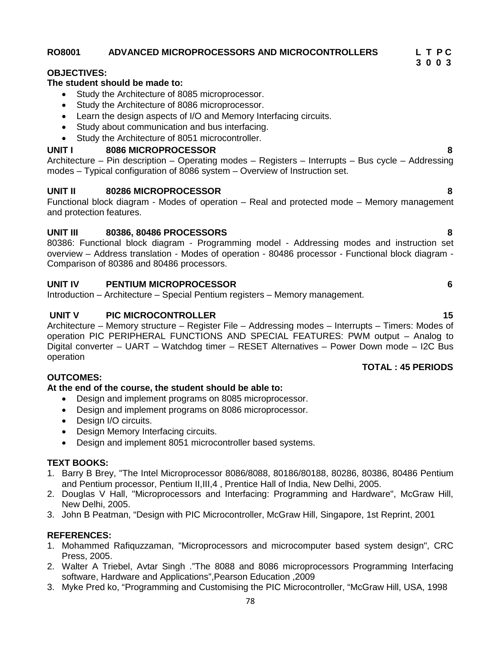## 78

# **RO8001 ADVANCED MICROPROCESSORS AND MICROCONTROLLERS L T P C**

#### **OBJECTIVES:**

#### **The student should be made to:**

- Study the Architecture of 8085 microprocessor.
- Study the Architecture of 8086 microprocessor.
- Learn the design aspects of I/O and Memory Interfacing circuits.
- Study about communication and bus interfacing.
- Study the Architecture of 8051 microcontroller.

## **UNIT I 8086 MICROPROCESSOR 8**

Architecture – Pin description – Operating modes – Registers – Interrupts – Bus cycle – Addressing modes – Typical configuration of 8086 system – Overview of Instruction set.

## **UNIT II 80286 MICROPROCESSOR 8**

Functional block diagram - Modes of operation – Real and protected mode – Memory management and protection features.

## **UNIT III 80386, 80486 PROCESSORS 8**

80386: Functional block diagram - Programming model - Addressing modes and instruction set overview – Address translation - Modes of operation - 80486 processor - Functional block diagram - Comparison of 80386 and 80486 processors.

## **UNIT IV PENTIUM MICROPROCESSOR 6**

Introduction – Architecture – Special Pentium registers – Memory management.

#### **UNIT V PIC MICROCONTROLLER 15**

Architecture – Memory structure – Register File – Addressing modes – Interrupts – Timers: Modes of operation PIC PERIPHERAL FUNCTIONS AND SPECIAL FEATURES: PWM output – Analog to Digital converter – UART – Watchdog timer – RESET Alternatives – Power Down mode – I2C Bus operation

## **OUTCOMES:**

## **At the end of the course, the student should be able to:**

- Design and implement programs on 8085 microprocessor.
- Design and implement programs on 8086 microprocessor.
- Design I/O circuits.
- Design Memory Interfacing circuits.
- Design and implement 8051 microcontroller based systems.

## **TEXT BOOKS:**

- 1. Barry B Brey, "The Intel Microprocessor 8086/8088, 80186/80188, 80286, 80386, 80486 Pentium and Pentium processor, Pentium II,III,4 , Prentice Hall of India, New Delhi, 2005.
- 2. Douglas V Hall, "Microprocessors and Interfacing: Programming and Hardware", McGraw Hill, New Delhi, 2005.
- 3. John B Peatman, "Design with PIC Microcontroller, McGraw Hill, Singapore, 1st Reprint, 2001

## **REFERENCES:**

- 1. Mohammed Rafiquzzaman, "Microprocessors and microcomputer based system design", CRC Press, 2005.
- 2. Walter A Triebel, Avtar Singh ."The 8088 and 8086 microprocessors Programming Interfacing software, Hardware and Applications",Pearson Education ,2009
- 3. Myke Pred ko, "Programming and Customising the PIC Microcontroller, "McGraw Hill, USA, 1998

# **TOTAL : 45 PERIODS**

**3 0 0 3**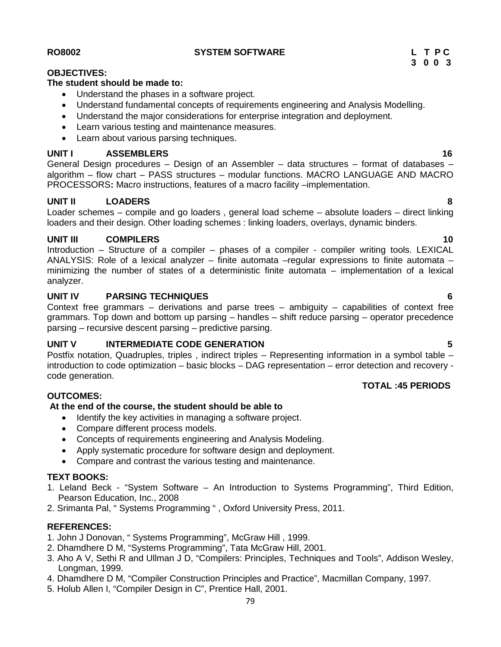#### **RO8002 SYSTEM SOFTWARE L T P C**

#### **OBJECTIVES:**

#### **The student should be made to:**

- Understand the phases in a software project.
- Understand fundamental concepts of requirements engineering and Analysis Modelling.
- Understand the major considerations for enterprise integration and deployment.
- Learn various testing and maintenance measures.
- Learn about various parsing techniques.

# **UNIT I ASSEMBLERS 16**

General Design procedures – Design of an Assembler – data structures – format of databases – algorithm – flow chart – PASS structures – modular functions. MACRO LANGUAGE AND MACRO PROCESSORS**:** Macro instructions, features of a macro facility –implementation.

# **UNIT II LOADERS 8**

Loader schemes – compile and go loaders , general load scheme – absolute loaders – direct linking loaders and their design. Other loading schemes : linking loaders, overlays, dynamic binders.

#### **UNIT III COMPILERS 10**

Introduction – Structure of a compiler – phases of a compiler - compiler writing tools. LEXICAL ANALYSIS: Role of a lexical analyzer – finite automata –regular expressions to finite automata – minimizing the number of states of a deterministic finite automata – implementation of a lexical analyzer.

## **UNIT IV PARSING TECHNIQUES 6**

Context free grammars – derivations and parse trees – ambiguity – capabilities of context free grammars. Top down and bottom up parsing – handles – shift reduce parsing – operator precedence parsing – recursive descent parsing – predictive parsing.

## **UNIT V INTERMEDIATE CODE GENERATION 5**

Postfix notation, Quadruples, triples , indirect triples – Representing information in a symbol table – introduction to code optimization – basic blocks – DAG representation – error detection and recovery code generation.

#### **OUTCOMES:**

#### **At the end of the course, the student should be able to**

- Identify the key activities in managing a software project.
- Compare different process models.
- Concepts of requirements engineering and Analysis Modeling.
- Apply systematic procedure for software design and deployment.
- Compare and contrast the various testing and maintenance.

## **TEXT BOOKS:**

- 1. Leland Beck "System Software An Introduction to Systems Programming", Third Edition, Pearson Education, Inc., 2008
- 2. Srimanta Pal, " Systems Programming " , Oxford University Press, 2011.

#### **REFERENCES:**

- 1. John J Donovan, " Systems Programming", McGraw Hill , 1999.
- 2. Dhamdhere D M, "Systems Programming", Tata McGraw Hill, 2001.
- 3. Aho A V, Sethi R and Ullman J D, "Compilers: Principles, Techniques and Tools", Addison Wesley, Longman, 1999.
- 4. Dhamdhere D M, "Compiler Construction Principles and Practice", Macmillan Company, 1997.
- 5. Holub Allen I, "Compiler Design in C", Prentice Hall, 2001.

- 
-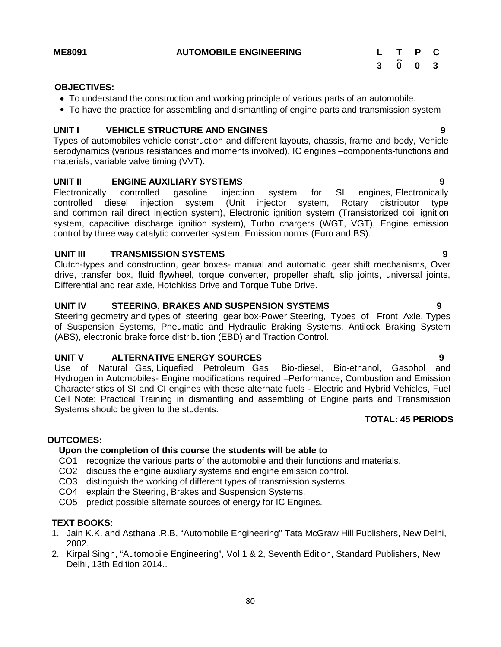#### $\overline{0}$   $\overline{0}$   $\overline{3}$ **P C 3 0 0 3**

#### **OBJECTIVES:**

- To understand the construction and working principle of various parts of an automobile.
- To have the practice for assembling and dismantling of engine parts and transmission system

#### **UNIT I VEHICLE STRUCTURE AND ENGINES 9**

Types of automobiles vehicle construction and different layouts, chassis, frame and body, Vehicle aerodynamics (various resistances and moments involved), IC engines –components-functions and materials, variable valve timing (VVT).

## **UNIT II ENGINE AUXILIARY SYSTEMS 9**

Electronically controlled gasoline injection system for SI engines, Electronically controlled diesel injection system (Unit injector system, Rotary distributor type and common rail direct injection system), Electronic ignition system (Transistorized coil ignition system, capacitive discharge ignition system), Turbo chargers (WGT, VGT), Engine emission control by three way catalytic converter system, Emission norms (Euro and BS).

#### **UNIT III TRANSMISSION SYSTEMS 9**

Clutch-types and construction, gear boxes- manual and automatic, gear shift mechanisms, Over drive, transfer box, fluid flywheel, torque converter, propeller shaft, slip joints, universal joints, Differential and rear axle, Hotchkiss Drive and Torque Tube Drive.

#### **UNIT IV STEERING, BRAKES AND SUSPENSION SYSTEMS 9**

Steering geometry and types of steering gear box-Power Steering, Types of Front Axle, Types of Suspension Systems, Pneumatic and Hydraulic Braking Systems, Antilock Braking System (ABS), electronic brake force distribution (EBD) and Traction Control.

#### **UNIT V ALTERNATIVE ENERGY SOURCES 9**

Use of Natural Gas, Liquefied Petroleum Gas, Bio-diesel, Bio-ethanol, Gasohol and Hydrogen in Automobiles- Engine modifications required –Performance, Combustion and Emission Characteristics of SI and CI engines with these alternate fuels - Electric and Hybrid Vehicles, Fuel Cell Note: Practical Training in dismantling and assembling of Engine parts and Transmission Systems should be given to the students.

#### **TOTAL: 45 PERIODS**

#### **OUTCOMES:**

#### **Upon the completion of this course the students will be able to**

- CO1 recognize the various parts of the automobile and their functions and materials.
- CO2 discuss the engine auxiliary systems and engine emission control.
- CO3 distinguish the working of different types of transmission systems.
- CO4 explain the Steering, Brakes and Suspension Systems.
- CO5 predict possible alternate sources of energy for IC Engines.

#### **TEXT BOOKS:**

- 1. Jain K.K. and Asthana .R.B, "Automobile Engineering" Tata McGraw Hill Publishers, New Delhi, 2002.
- 2. Kirpal Singh, "Automobile Engineering", Vol 1 & 2, Seventh Edition, Standard Publishers, New Delhi, 13th Edition 2014..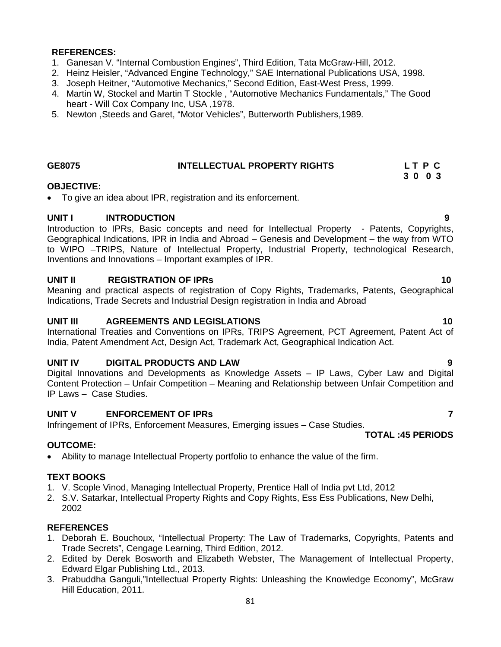#### **REFERENCES:**

- 1. Ganesan V. "Internal Combustion Engines", Third Edition, Tata McGraw-Hill, 2012.
- 2. Heinz Heisler, "Advanced Engine Technology," SAE International Publications USA, 1998.
- 3. Joseph Heitner, "Automotive Mechanics," Second Edition, East-West Press, 1999.
- 4. Martin W, Stockel and Martin T Stockle , "Automotive Mechanics Fundamentals," The Good heart - Will Cox Company Inc, USA ,1978.
- 5. Newton ,Steeds and Garet, "Motor Vehicles", Butterworth Publishers,1989.

# **GE8075 INTELLECTUAL PROPERTY RIGHTS L T P C**

#### **OBJECTIVE:**

To give an idea about IPR, registration and its enforcement.

#### **UNIT I INTRODUCTION 9**

Introduction to IPRs, Basic concepts and need for Intellectual Property - Patents, Copyrights, Geographical Indications, IPR in India and Abroad – Genesis and Development – the way from WTO to WIPO –TRIPS, Nature of Intellectual Property, Industrial Property, technological Research, Inventions and Innovations – Important examples of IPR.

#### **UNIT II REGISTRATION OF IPRs 10**

Meaning and practical aspects of registration of Copy Rights, Trademarks, Patents, Geographical Indications, Trade Secrets and Industrial Design registration in India and Abroad

#### **UNIT III AGREEMENTS AND LEGISLATIONS 10**

International Treaties and Conventions on IPRs, TRIPS Agreement, PCT Agreement, Patent Act of India, Patent Amendment Act, Design Act, Trademark Act, Geographical Indication Act.

#### **UNIT IV DIGITAL PRODUCTS AND LAW 9**

Digital Innovations and Developments as Knowledge Assets – IP Laws, Cyber Law and Digital Content Protection – Unfair Competition – Meaning and Relationship between Unfair Competition and IP Laws – Case Studies.

#### **UNIT V ENFORCEMENT OF IPRs 7**

Infringement of IPRs, Enforcement Measures, Emerging issues – Case Studies.

#### **OUTCOME:**

Ability to manage Intellectual Property portfolio to enhance the value of the firm.

## **TEXT BOOKS**

- 1. V. Scople Vinod, Managing Intellectual Property, Prentice Hall of India pvt Ltd, 2012
- 2. S.V. Satarkar, Intellectual Property Rights and Copy Rights, Ess Ess Publications, New Delhi, 2002

#### **REFERENCES**

- 1. Deborah E. Bouchoux, "Intellectual Property: The Law of Trademarks, Copyrights, Patents and Trade Secrets", Cengage Learning, Third Edition, 2012.
- 2. Edited by Derek Bosworth and Elizabeth Webster, The Management of Intellectual Property, Edward Elgar Publishing Ltd., 2013.
- 3. Prabuddha Ganguli,"Intellectual Property Rights: Unleashing the Knowledge Economy", McGraw Hill Education, 2011.

**3 0 0 3**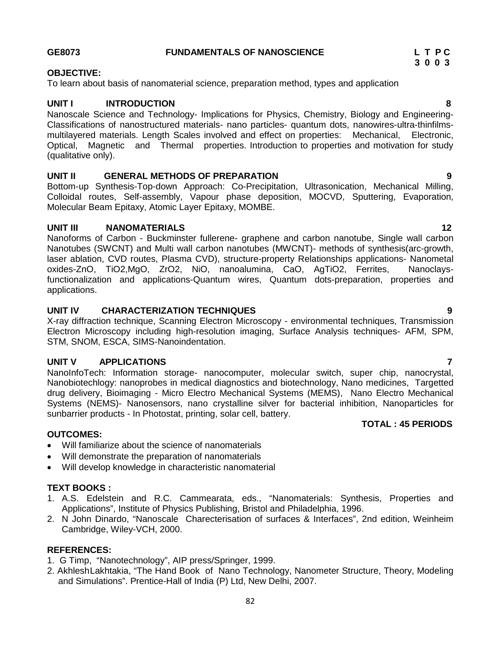## **GE8073 FUNDAMENTALS OF NANOSCIENCE L T P C**

# **OBJECTIVE:**

To learn about basis of nanomaterial science, preparation method, types and application

# **UNIT I INTRODUCTION 8**

Nanoscale Science and Technology- Implications for Physics, Chemistry, Biology and Engineering- Classifications of nanostructured materials- nano particles- quantum dots, nanowires-ultra-thinfilms multilayered materials. Length Scales involved and effect on properties: Mechanical, Electronic, Optical, Magnetic and Thermal properties. Introduction to properties and motivation for study (qualitative only).

# **UNIT II GENERAL METHODS OF PREPARATION 9**

Bottom-up Synthesis-Top-down Approach: Co-Precipitation, Ultrasonication, Mechanical Milling, Colloidal routes, Self-assembly, Vapour phase deposition, MOCVD, Sputtering, Evaporation, Molecular Beam Epitaxy, Atomic Layer Epitaxy, MOMBE.

## **UNIT III NANOMATERIALS 12**

Nanoforms of Carbon - Buckminster fullerene- graphene and carbon nanotube, Single wall carbon Nanotubes (SWCNT) and Multi wall carbon nanotubes (MWCNT)- methods of synthesis(arc-growth, laser ablation, CVD routes, Plasma CVD), structure-property Relationships applications- Nanometal oxides-ZnO, TiO2,MgO, ZrO2, NiO, nanoalumina, CaO, AgTiO2, Ferrites, Nanoclaysfunctionalization and applications-Quantum wires, Quantum dots-preparation, properties and applications.

# **UNIT IV CHARACTERIZATION TECHNIQUES 9**

X-ray diffraction technique, Scanning Electron Microscopy - environmental techniques, Transmission Electron Microscopy including high-resolution imaging, Surface Analysis techniques- AFM, SPM, STM, SNOM, ESCA, SIMS-Nanoindentation.

# **UNIT V APPLICATIONS 7**

NanoInfoTech: Information storage- nanocomputer, molecular switch, super chip, nanocrystal, Nanobiotechlogy: nanoprobes in medical diagnostics and biotechnology, Nano medicines, Targetted drug delivery, Bioimaging - Micro Electro Mechanical Systems (MEMS), Nano Electro Mechanical Systems (NEMS)- Nanosensors, nano crystalline silver for bacterial inhibition, Nanoparticles for sunbarrier products - In Photostat, printing, solar cell, battery. **TOTAL : 45 PERIODS**

## **OUTCOMES:**

- Will familiarize about the science of nanomaterials
- Will demonstrate the preparation of nanomaterials
- Will develop knowledge in characteristic nanomaterial

## **TEXT BOOKS :**

- 1. A.S. Edelstein and R.C. Cammearata, eds., "Nanomaterials: Synthesis, Properties and Applications", Institute of Physics Publishing, Bristol and Philadelphia, 1996.
- 2. N John Dinardo, "Nanoscale Charecterisation of surfaces & Interfaces", 2nd edition, Weinheim Cambridge, Wiley-VCH, 2000.

## **REFERENCES:**

- 1. G Timp, "Nanotechnology", AIP press/Springer, 1999.
- 2. AkhleshLakhtakia, "The Hand Book of Nano Technology, Nanometer Structure, Theory, Modeling and Simulations". Prentice-Hall of India (P) Ltd, New Delhi, 2007.

**3 0 0 3**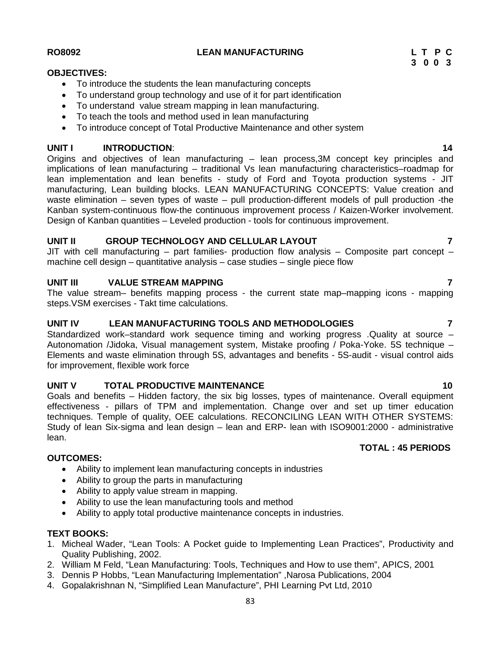**UNIT I INTRODUCTION**: **14**

Origins and objectives of lean manufacturing – lean process,3M concept key principles and implications of lean manufacturing – traditional Vs lean manufacturing characteristics–roadmap for lean implementation and lean benefits - study of Ford and Toyota production systems - JIT manufacturing, Lean building blocks. LEAN MANUFACTURING CONCEPTS: Value creation and waste elimination – seven types of waste – pull production-different models of pull production -the Kanban system-continuous flow-the continuous improvement process / Kaizen-Worker involvement. Design of Kanban quantities – Leveled production - tools for continuous improvement.

# **UNIT II GROUP TECHNOLOGY AND CELLULAR LAYOUT 7**

To introduce the students the lean manufacturing concepts

 To understand value stream mapping in lean manufacturing. • To teach the tools and method used in lean manufacturing

To understand group technology and use of it for part identification

To introduce concept of Total Productive Maintenance and other system

JIT with cell manufacturing  $-$  part families- production flow analysis  $-$  Composite part concept  $$ machine cell design – quantitative analysis – case studies – single piece flow

# **UNIT III VALUE STREAM MAPPING 7**

The value stream– benefits mapping process - the current state map–mapping icons - mapping steps.VSM exercises - Takt time calculations.

# **UNIT IV LEAN MANUFACTURING TOOLS AND METHODOLOGIES 7**

Standardized work–standard work sequence timing and working progress .Quality at source – Autonomation /Jidoka, Visual management system, Mistake proofing / Poka-Yoke. 5S technique – Elements and waste elimination through 5S, advantages and benefits - 5S-audit - visual control aids for improvement, flexible work force

# **UNIT V TOTAL PRODUCTIVE MAINTENANCE 10**

Goals and benefits – Hidden factory, the six big losses, types of maintenance. Overall equipment effectiveness - pillars of TPM and implementation. Change over and set up timer education techniques. Temple of quality, OEE calculations. RECONCILING LEAN WITH OTHER SYSTEMS: Study of lean Six-sigma and lean design – lean and ERP- lean with ISO9001:2000 - administrative lean.

# **OUTCOMES:**

- Ability to implement lean manufacturing concepts in industries
- Ability to group the parts in manufacturing
- Ability to apply value stream in mapping.
- Ability to use the lean manufacturing tools and method
- Ability to apply total productive maintenance concepts in industries.

# **TEXT BOOKS:**

- 1. Micheal Wader, "Lean Tools: A Pocket guide to Implementing Lean Practices", Productivity and Quality Publishing, 2002.
- 2. William M Feld, "Lean Manufacturing: Tools, Techniques and How to use them", APICS, 2001
- 3. Dennis P Hobbs, "Lean Manufacturing Implementation" ,Narosa Publications, 2004
- 4. Gopalakrishnan N, "Simplified Lean Manufacture", PHI Learning Pvt Ltd, 2010

#### **RO8092 LEAN MANUFACTURING L T P C**

**OBJECTIVES:**

**3 0 0 3**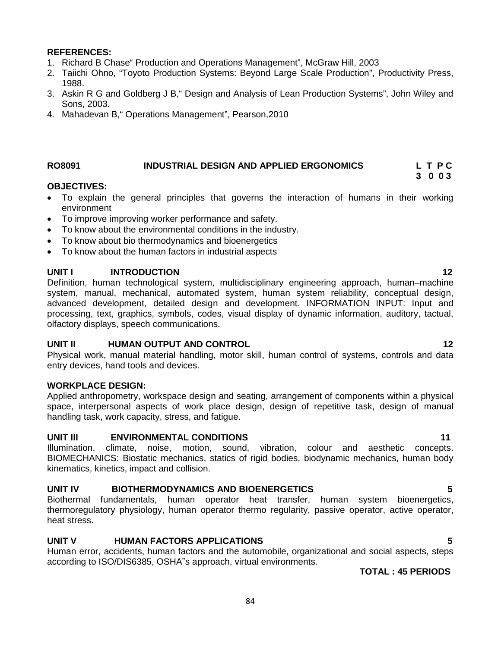#### **REFERENCES:**

- 1. Richard B Chase" Production and Operations Management", McGraw Hill, 2003
- 2. Taiichi Ohno, "Toyoto Production Systems: Beyond Large Scale Production", Productivity Press, 1988.
- 3. Askin R G and Goldberg J B," Design and Analysis of Lean Production Systems", John Wiley and Sons, 2003.
- 4. Mahadevan B," Operations Management", Pearson,2010

## **RO8091 INDUSTRIAL DESIGN AND APPLIED ERGONOMICS L T P C**

#### **OBJECTIVES:**

- To explain the general principles that governs the interaction of humans in their working environment
- To improve improving worker performance and safety.
- To know about the environmental conditions in the industry.
- To know about bio thermodynamics and bioenergetics
- To know about the human factors in industrial aspects

#### **UNIT I INTRODUCTION 12**

Definition, human technological system, multidisciplinary engineering approach, human–machine system, manual, mechanical, automated system, human system reliability, conceptual design, advanced development, detailed design and development. INFORMATION INPUT: Input and processing, text, graphics, symbols, codes, visual display of dynamic information, auditory, tactual, olfactory displays, speech communications.

#### **UNIT II HUMAN OUTPUT AND CONTROL 12**

Physical work, manual material handling, motor skill, human control of systems, controls and data entry devices, hand tools and devices.

#### **WORKPLACE DESIGN:**

Applied anthropometry, workspace design and seating, arrangement of components within a physical space, interpersonal aspects of work place design, design of repetitive task, design of manual handling task, work capacity, stress, and fatigue.

#### **UNIT III ENVIRONMENTAL CONDITIONS 11**

Illumination, climate, noise, motion, sound, vibration, colour and aesthetic concepts. BIOMECHANICS: Biostatic mechanics, statics of rigid bodies, biodynamic mechanics, human body kinematics, kinetics, impact and collision.

## **UNIT IV BIOTHERMODYNAMICS AND BIOENERGETICS 5**

Biothermal fundamentals, human operator heat transfer, human system bioenergetics, thermoregulatory physiology, human operator thermo regularity, passive operator, active operator, heat stress.

# **UNIT V HUMAN FACTORS APPLICATIONS 5**

Human error, accidents, human factors and the automobile, organizational and social aspects, steps according to ISO/DIS6385, OSHA"s approach, virtual environments.

**TOTAL : 45 PERIODS**

**3 0 0 3**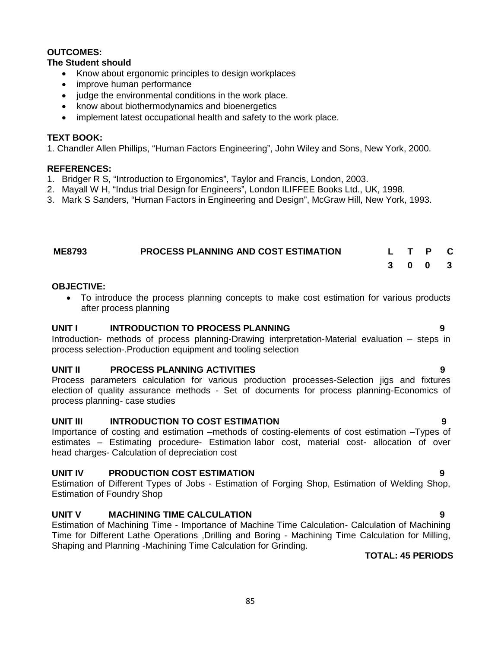#### **OUTCOMES:**

#### **The Student should**

- Know about ergonomic principles to design workplaces
- improve human performance
- judge the environmental conditions in the work place.
- know about biothermodynamics and bioenergetics
- implement latest occupational health and safety to the work place.

#### **TEXT BOOK:**

1. Chandler Allen Phillips, "Human Factors Engineering", John Wiley and Sons, New York, 2000.

#### **REFERENCES:**

- 1. Bridger R S, "Introduction to Ergonomics", Taylor and Francis, London, 2003.
- 2. Mayall W H, "Indus trial Design for Engineers", London ILIFFEE Books Ltd., UK, 1998.
- 3. Mark S Sanders, "Human Factors in Engineering and Design", McGraw Hill, New York, 1993.

| <b>ME8793</b> | <b>PROCESS PLANNING AND COST ESTIMATION</b> |  | L T P C |  |
|---------------|---------------------------------------------|--|---------|--|
|               |                                             |  | 3 0 0 3 |  |

#### **OBJECTIVE:**

 To introduce the process planning concepts to make cost estimation for various products after process planning

#### **UNIT I INTRODUCTION TO PROCESS PLANNING 9**

Introduction- methods of process planning-Drawing interpretation-Material evaluation – steps in process selection-.Production equipment and tooling selection

## **UNIT II PROCESS PLANNING ACTIVITIES 9**

Process parameters calculation for various production processes-Selection jigs and fixtures election of quality assurance methods - Set of documents for process planning-Economics of process planning- case studies

## **UNIT III INTRODUCTION TO COST ESTIMATION 9**

Importance of costing and estimation –methods of costing-elements of cost estimation –Types of estimates – Estimating procedure- Estimation labor cost, material cost- allocation of over head charges- Calculation of depreciation cost

## **UNIT IV PRODUCTION COST ESTIMATION 9**

Estimation of Different Types of Jobs - Estimation of Forging Shop, Estimation of Welding Shop, Estimation of Foundry Shop

## **UNIT V MACHINING TIME CALCULATION 9**

Estimation of Machining Time - Importance of Machine Time Calculation- Calculation of Machining Time for Different Lathe Operations ,Drilling and Boring - Machining Time Calculation for Milling, Shaping and Planning -Machining Time Calculation for Grinding.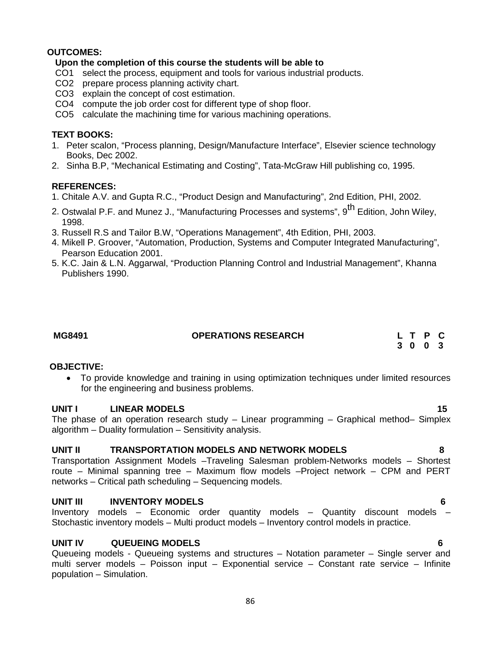# **OUTCOMES:**

# **Upon the completion of this course the students will be able to**

- CO1 select the process, equipment and tools for various industrial products.
- CO2 prepare process planning activity chart.
- CO3 explain the concept of cost estimation.
- CO4 compute the job order cost for different type of shop floor.
- CO5 calculate the machining time for various machining operations.

## **TEXT BOOKS:**

- 1. Peter scalon, "Process planning, Design/Manufacture Interface", Elsevier science technology Books, Dec 2002.
- 2. Sinha B.P, "Mechanical Estimating and Costing", Tata-McGraw Hill publishing co, 1995.

## **REFERENCES:**

- 1. Chitale A.V. and Gupta R.C., "Product Design and Manufacturing", 2nd Edition, PHI, 2002.
- 2. Ostwalal P.F. and Munez J., "Manufacturing Processes and systems", 9<sup>th</sup> Edition, John Wiley, 1998.
- 3. Russell R.S and Tailor B.W, "Operations Management", 4th Edition, PHI, 2003.
- 4. Mikell P. Groover, "Automation, Production, Systems and Computer Integrated Manufacturing", Pearson Education 2001.
- 5. K.C. Jain & L.N. Aggarwal, "Production Planning Control and Industrial Management", Khanna Publishers 1990.

## **MG8491 OPERATIONS RESEARCH L T P C**

**3 0 0 3**

## **OBJECTIVE:**

 To provide knowledge and training in using optimization techniques under limited resources for the engineering and business problems.

## **UNIT I LINEAR MODELS 15**

The phase of an operation research study – Linear programming – Graphical method– Simplex algorithm – Duality formulation – Sensitivity analysis.

## **UNIT II TRANSPORTATION MODELS AND NETWORK MODELS 8**

Transportation Assignment Models –Traveling Salesman problem-Networks models – Shortest route – Minimal spanning tree – Maximum flow models –Project network – CPM and PERT networks – Critical path scheduling – Sequencing models.

## **UNIT III INVENTORY MODELS 6**

Inventory models – Economic order quantity models – Quantity discount models – Stochastic inventory models – Multi product models – Inventory control models in practice.

## **UNIT IV QUEUEING MODELS 6**

Queueing models - Queueing systems and structures – Notation parameter – Single server and multi server models – Poisson input – Exponential service – Constant rate service – Infinite population – Simulation.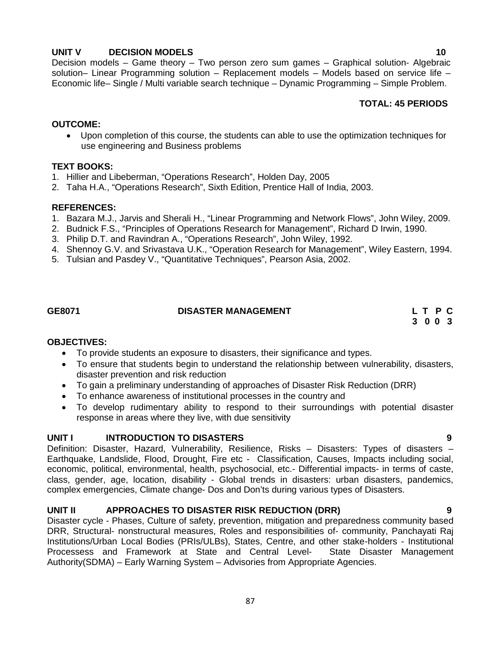# **UNIT V DECISION MODELS 10**

Decision models – Game theory – Two person zero sum games – Graphical solution- Algebraic solution– Linear Programming solution – Replacement models – Models based on service life – Economic life– Single / Multi variable search technique – Dynamic Programming – Simple Problem.

## **TOTAL: 45 PERIODS**

#### **OUTCOME:**

 Upon completion of this course, the students can able to use the optimization techniques for use engineering and Business problems

#### **TEXT BOOKS:**

- 1. Hillier and Libeberman, "Operations Research", Holden Day, 2005
- 2. Taha H.A., "Operations Research", Sixth Edition, Prentice Hall of India, 2003.

#### **REFERENCES:**

- 1. Bazara M.J., Jarvis and Sherali H., "Linear Programming and Network Flows", John Wiley, 2009.
- 2. Budnick F.S., "Principles of Operations Research for Management", Richard D Irwin, 1990.
- 3. Philip D.T. and Ravindran A., "Operations Research", John Wiley, 1992.
- 4. Shennoy G.V. and Srivastava U.K., "Operation Research for Management", Wiley Eastern, 1994.
- 5. Tulsian and Pasdey V., "Quantitative Techniques", Pearson Asia, 2002.

# **GE8071 DISASTER MANAGEMENT L T P C 3 0 0 3**

#### **OBJECTIVES:**

- To provide students an exposure to disasters, their significance and types.
- To ensure that students begin to understand the relationship between vulnerability, disasters, disaster prevention and risk reduction
- To gain a preliminary understanding of approaches of Disaster Risk Reduction (DRR)
- To enhance awareness of institutional processes in the country and
- To develop rudimentary ability to respond to their surroundings with potential disaster response in areas where they live, with due sensitivity

## **UNIT I INTRODUCTION TO DISASTERS 9**

Definition: Disaster, Hazard, Vulnerability, Resilience, Risks – Disasters: Types of disasters – Earthquake, Landslide, Flood, Drought, Fire etc - Classification, Causes, Impacts including social, economic, political, environmental, health, psychosocial, etc.- Differential impacts- in terms of caste, class, gender, age, location, disability - Global trends in disasters: urban disasters, pandemics, complex emergencies, Climate change- Dos and Don'ts during various types of Disasters.

## **UNIT II APPROACHES TO DISASTER RISK REDUCTION (DRR) 9**

Disaster cycle - Phases, Culture of safety, prevention, mitigation and preparedness community based DRR, Structural- nonstructural measures, Roles and responsibilities of- community, Panchayati Raj Institutions/Urban Local Bodies (PRIs/ULBs), States, Centre, and other stake-holders - Institutional Processess and Framework at State and Central Level- State Disaster Management Authority(SDMA) – Early Warning System – Advisories from Appropriate Agencies.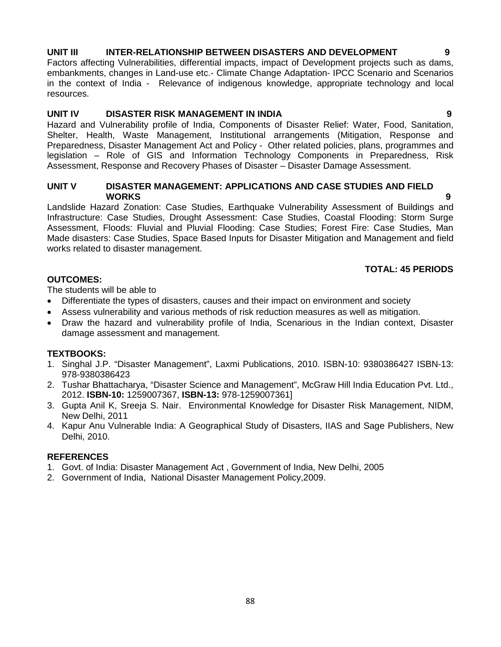# **UNIT III INTER-RELATIONSHIP BETWEEN DISASTERS AND DEVELOPMENT 9**

Factors affecting Vulnerabilities, differential impacts, impact of Development projects such as dams, embankments, changes in Land-use etc.- Climate Change Adaptation- IPCC Scenario and Scenarios in the context of India - Relevance of indigenous knowledge, appropriate technology and local resources.

## **UNIT IV DISASTER RISK MANAGEMENT IN INDIA 9**

Hazard and Vulnerability profile of India, Components of Disaster Relief: Water, Food, Sanitation, Shelter, Health, Waste Management, Institutional arrangements (Mitigation, Response and Preparedness, Disaster Management Act and Policy - Other related policies, plans, programmes and legislation – Role of GIS and Information Technology Components in Preparedness, Risk Assessment, Response and Recovery Phases of Disaster – Disaster Damage Assessment.

## **UNIT V DISASTER MANAGEMENT: APPLICATIONS AND CASE STUDIES AND FIELD WORKS 9**

Landslide Hazard Zonation: Case Studies, Earthquake Vulnerability Assessment of Buildings and Infrastructure: Case Studies, Drought Assessment: Case Studies, Coastal Flooding: Storm Surge Assessment, Floods: Fluvial and Pluvial Flooding: Case Studies; Forest Fire: Case Studies, Man Made disasters: Case Studies, Space Based Inputs for Disaster Mitigation and Management and field works related to disaster management.

## **TOTAL: 45 PERIODS**

#### **OUTCOMES:**

The students will be able to

- Differentiate the types of disasters, causes and their impact on environment and society
- Assess vulnerability and various methods of risk reduction measures as well as mitigation.
- Draw the hazard and vulnerability profile of India, Scenarious in the Indian context, Disaster damage assessment and management.

#### **TEXTBOOKS:**

- 1. Singhal J.P. "Disaster Management", Laxmi Publications, 2010. ISBN-10: 9380386427 ISBN-13: 978-9380386423
- 2. Tushar Bhattacharya, "Disaster Science and Management", McGraw Hill India Education Pvt. Ltd., 2012. **ISBN-10:** 1259007367, **ISBN-13:** 978-1259007361]
- 3. Gupta Anil K, Sreeja S. Nair. Environmental Knowledge for Disaster Risk Management, NIDM, New Delhi, 2011
- 4. Kapur Anu Vulnerable India: A Geographical Study of Disasters, IIAS and Sage Publishers, New Delhi, 2010.

#### **REFERENCES**

- 1. Govt. of India: Disaster Management Act , Government of India, New Delhi, 2005
- 2. Government of India, National Disaster Management Policy,2009.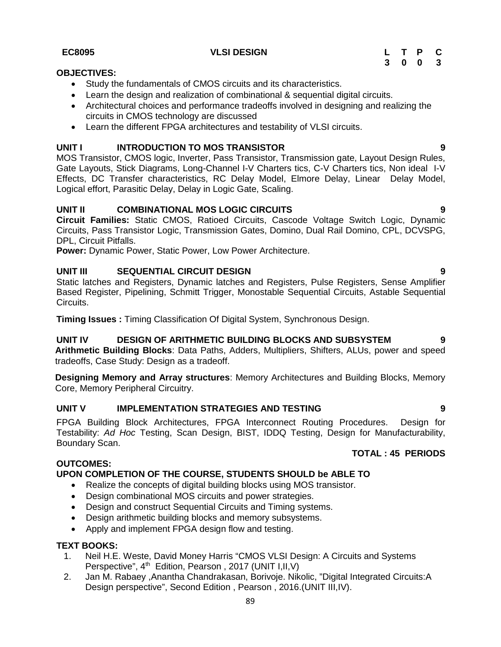#### 89

#### **EC8095 VLSI DESIGN L T P C 3 0 0 3**

## **OBJECTIVES:**

- Study the fundamentals of CMOS circuits and its characteristics.
- Learn the design and realization of combinational & sequential digital circuits.
- Architectural choices and performance tradeoffs involved in designing and realizing the circuits in CMOS technology are discussed
- Learn the different FPGA architectures and testability of VLSI circuits.

# **UNIT I INTRODUCTION TO MOS TRANSISTOR 9**

MOS Transistor, CMOS logic, Inverter, Pass Transistor, Transmission gate, Layout Design Rules, Gate Layouts, Stick Diagrams, Long-Channel I-V Charters tics, C-V Charters tics, Non ideal I-V Effects, DC Transfer characteristics, RC Delay Model, Elmore Delay, Linear Delay Model, Logical effort, Parasitic Delay, Delay in Logic Gate, Scaling.

# **UNIT II COMBINATIONAL MOS LOGIC CIRCUITS 9**

**Circuit Families:** Static CMOS, Ratioed Circuits, Cascode Voltage Switch Logic, Dynamic Circuits, Pass Transistor Logic, Transmission Gates, Domino, Dual Rail Domino, CPL, DCVSPG, DPL, Circuit Pitfalls.

**Power:** Dynamic Power, Static Power, Low Power Architecture.

# **UNIT III SEQUENTIAL CIRCUIT DESIGN 9**

Static latches and Registers, Dynamic latches and Registers, Pulse Registers, Sense Amplifier Based Register, Pipelining, Schmitt Trigger, Monostable Sequential Circuits, Astable Sequential Circuits.

**Timing Issues :** Timing Classification Of Digital System, Synchronous Design.

# **UNIT IV DESIGN OF ARITHMETIC BUILDING BLOCKS AND SUBSYSTEM 9**

**Arithmetic Building Blocks**: Data Paths, Adders, Multipliers, Shifters, ALUs, power and speed tradeoffs, Case Study: Design as a tradeoff.

**Designing Memory and Array structures**: Memory Architectures and Building Blocks, Memory Core, Memory Peripheral Circuitry.

# **UNIT V IMPLEMENTATION STRATEGIES AND TESTING 9**

FPGA Building Block Architectures, FPGA Interconnect Routing Procedures. Design for Testability: *Ad Hoc* Testing, Scan Design, BIST, IDDQ Testing, Design for Manufacturability, Boundary Scan.

## **OUTCOMES:**

# **UPON COMPLETION OF THE COURSE, STUDENTS SHOULD be ABLE TO**

- Realize the concepts of digital building blocks using MOS transistor.
- Design combinational MOS circuits and power strategies.
- Design and construct Sequential Circuits and Timing systems.
- Design arithmetic building blocks and memory subsystems.
- Apply and implement FPGA design flow and testing.

## **TEXT BOOKS:**

- 1. Neil H.E. Weste, David Money Harris "CMOS VLSI Design: A Circuits and Systems Perspective", 4<sup>th</sup> Edition, Pearson, 2017 (UNIT I, II, V)
- 2. Jan M. Rabaey ,Anantha Chandrakasan, Borivoje. Nikolic, "Digital Integrated Circuits:A Design perspective", Second Edition , Pearson , 2016.(UNIT III,IV).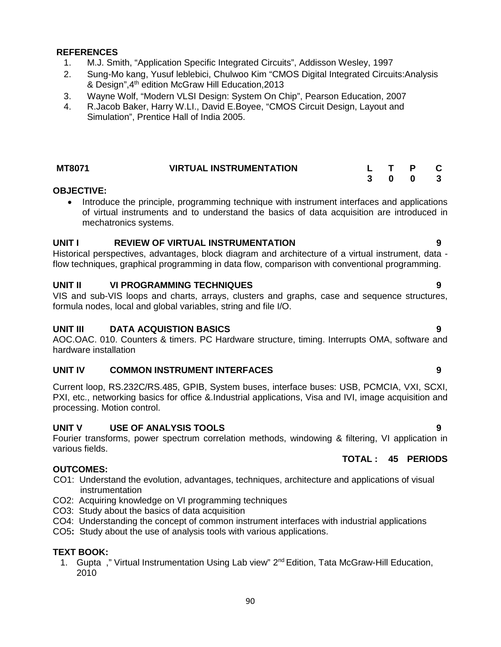#### **REFERENCES**

- 1. M.J. Smith, "Application Specific Integrated Circuits", Addisson Wesley, 1997
- 2. Sung-Mo kang, Yusuf leblebici, Chulwoo Kim "CMOS Digital Integrated Circuits:Analysis & Design",4th edition McGraw Hill Education,2013
- 3. Wayne Wolf, "Modern VLSI Design: System On Chip", Pearson Education, 2007
- 4. R.Jacob Baker, Harry W.LI., David E.Boyee, "CMOS Circuit Design, Layout and Simulation", Prentice Hall of India 2005.

| <b>MT8071</b> | <b>VIRTUAL INSTRUMENTATION</b> | $\blacksquare$ |  |
|---------------|--------------------------------|----------------|--|
|               |                                | 3 0 0          |  |

#### **OBJECTIVE:**

• Introduce the principle, programming technique with instrument interfaces and applications of virtual instruments and to understand the basics of data acquisition are introduced in mechatronics systems.

#### **UNIT I REVIEW OF VIRTUAL INSTRUMENTATION 9**

Historical perspectives, advantages, block diagram and architecture of a virtual instrument, data flow techniques, graphical programming in data flow, comparison with conventional programming.

## **UNIT II VI PROGRAMMING TECHNIQUES 9**

VIS and sub-VIS loops and charts, arrays, clusters and graphs, case and sequence structures, formula nodes, local and global variables, string and file I/O.

#### **UNIT III DATA ACQUISTION BASICS 9**

AOC.OAC. 010. Counters & timers. PC Hardware structure, timing. Interrupts OMA, software and hardware installation

## **UNIT IV COMMON INSTRUMENT INTERFACES 9**

Current loop, RS.232C/RS.485, GPIB, System buses, interface buses: USB, PCMCIA, VXI, SCXI, PXI, etc., networking basics for office &.Industrial applications, Visa and IVI, image acquisition and processing. Motion control.

## **UNIT V USE OF ANALYSIS TOOLS 9**

Fourier transforms, power spectrum correlation methods, windowing & filtering, VI application in various fields.

#### **OUTCOMES:**

- CO1: Understand the evolution, advantages, techniques, architecture and applications of visual instrumentation
- CO2: Acquiring knowledge on VI programming techniques
- CO3: Study about the basics of data acquisition
- CO4: Understanding the concept of common instrument interfaces with industrial applications
- CO5**:** Study about the use of analysis tools with various applications.

#### **TEXT BOOK:**

1. Gupta, "Virtual Instrumentation Using Lab view" 2<sup>nd</sup> Edition, Tata McGraw-Hill Education, 2010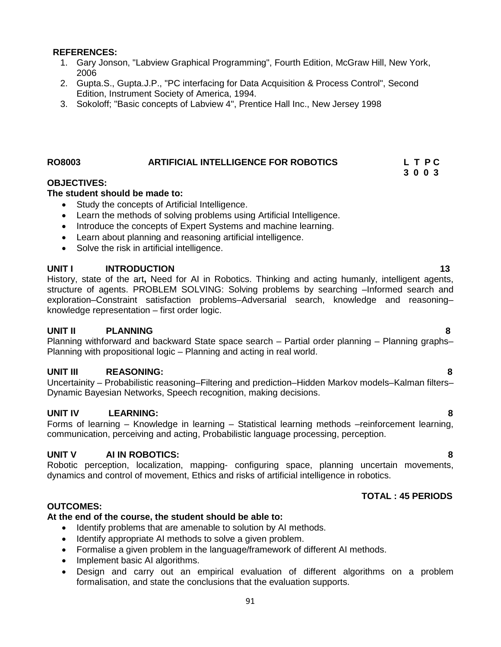#### **REFERENCES:**

- 1. Gary Jonson, "Labview Graphical Programming", Fourth Edition, McGraw Hill, New York, 2006
- 2. Gupta.S., Gupta.J.P., "PC interfacing for Data Acquisition & Process Control", Second Edition, Instrument Society of America, 1994.
- 3. Sokoloff; "Basic concepts of Labview 4", Prentice Hall Inc., New Jersey 1998

# **RO8003 ARTIFICIAL INTELLIGENCE FOR ROBOTICS L T P C**

#### **OBJECTIVES:**

#### **The student should be made to:**

- Study the concepts of Artificial Intelligence.
- Learn the methods of solving problems using Artificial Intelligence.
- Introduce the concepts of Expert Systems and machine learning.
- Learn about planning and reasoning artificial intelligence.
- Solve the risk in artificial intelligence.

#### **UNIT I INTRODUCTION 13**

History, state of the art**,** Need for AI in Robotics. Thinking and acting humanly, intelligent agents, structure of agents. PROBLEM SOLVING: Solving problems by searching -Informed search and exploration–Constraint satisfaction problems–Adversarial search, knowledge and reasoning– knowledge representation – first order logic.

#### **UNIT II PLANNING 8**

Planning withforward and backward State space search – Partial order planning – Planning graphs– Planning with propositional logic – Planning and acting in real world.

# **UNIT III REASONING: 8**

Uncertainity – Probabilistic reasoning–Filtering and prediction–Hidden Markov models–Kalman filters– Dynamic Bayesian Networks, Speech recognition, making decisions.

# **UNIT IV LEARNING: 8**

Forms of learning – Knowledge in learning – Statistical learning methods –reinforcement learning, communication, perceiving and acting, Probabilistic language processing, perception.

#### **UNIT V AI IN ROBOTICS: 8**

Robotic perception, localization, mapping- configuring space, planning uncertain movements, dynamics and control of movement, Ethics and risks of artificial intelligence in robotics.

## **OUTCOMES:**

## **At the end of the course, the student should be able to:**

- Identify problems that are amenable to solution by AI methods.
- Identify appropriate AI methods to solve a given problem.
- Formalise a given problem in the language/framework of different AI methods.
- Implement basic AI algorithms.
- Design and carry out an empirical evaluation of different algorithms on a problem formalisation, and state the conclusions that the evaluation supports.

# **TOTAL : 45 PERIODS**

**3 0 0 3**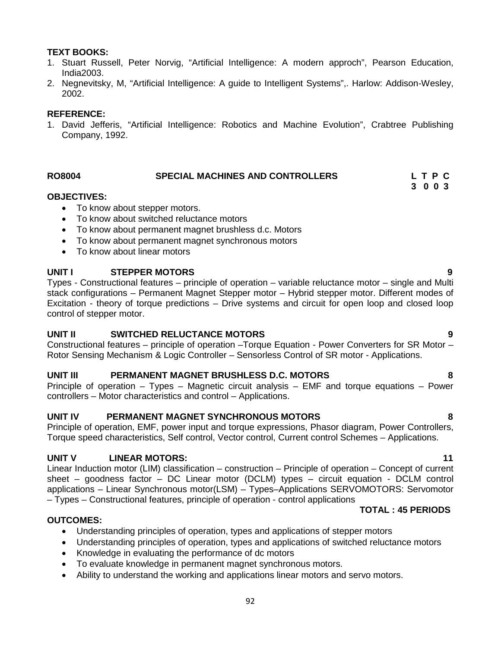# **TEXT BOOKS:**

- 1. Stuart Russell, Peter Norvig, "Artificial Intelligence: A modern approch", Pearson Education, India2003.
- 2. Negnevitsky, M, "Artificial Intelligence: A guide to Intelligent Systems",. Harlow: Addison-Wesley, 2002.

## **REFERENCE:**

1. David Jefferis, "Artificial Intelligence: Robotics and Machine Evolution", Crabtree Publishing Company, 1992.

# **RO8004 SPECIAL MACHINES AND CONTROLLERS L T P C**

#### **OBJECTIVES:**

- To know about stepper motors.
- To know about switched reluctance motors
- To know about permanent magnet brushless d.c. Motors
- To know about permanent magnet synchronous motors
- To know about linear motors

## **UNIT I STEPPER MOTORS 9**

Types - Constructional features – principle of operation – variable reluctance motor – single and Multi stack configurations – Permanent Magnet Stepper motor – Hybrid stepper motor. Different modes of Excitation - theory of torque predictions – Drive systems and circuit for open loop and closed loop control of stepper motor.

# **UNIT II SWITCHED RELUCTANCE MOTORS 9**

Constructional features – principle of operation –Torque Equation - Power Converters for SR Motor – Rotor Sensing Mechanism & Logic Controller – Sensorless Control of SR motor - Applications.

## **UNIT III PERMANENT MAGNET BRUSHLESS D.C. MOTORS 8**

Principle of operation – Types – Magnetic circuit analysis – EMF and torque equations – Power controllers – Motor characteristics and control – Applications.

## **UNIT IV PERMANENT MAGNET SYNCHRONOUS MOTORS 8**

Principle of operation, EMF, power input and torque expressions, Phasor diagram, Power Controllers, Torque speed characteristics, Self control, Vector control, Current control Schemes – Applications.

# **UNIT V LINEAR MOTORS: 11**

Linear Induction motor (LIM) classification – construction – Principle of operation – Concept of current sheet – goodness factor – DC Linear motor (DCLM) types – circuit equation - DCLM control applications – Linear Synchronous motor(LSM) – Types–Applications SERVOMOTORS: Servomotor – Types – Constructional features, principle of operation - control applications

## **TOTAL : 45 PERIODS**

## **OUTCOMES:**

- Understanding principles of operation, types and applications of stepper motors
- Understanding principles of operation, types and applications of switched reluctance motors
- Knowledge in evaluating the performance of dc motors
- To evaluate knowledge in permanent magnet synchronous motors.
- Ability to understand the working and applications linear motors and servo motors.

**3 0 0 3**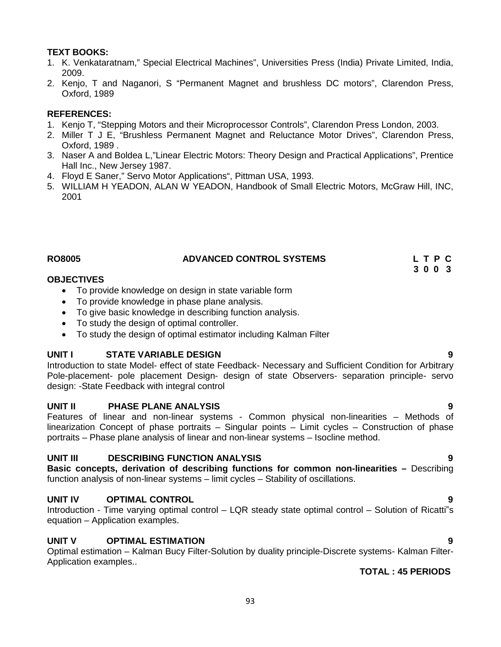# **TEXT BOOKS:**

- 1. K. Venkataratnam," Special Electrical Machines", Universities Press (India) Private Limited, India, 2009.
- 2. Kenjo, T and Naganori, S "Permanent Magnet and brushless DC motors", Clarendon Press, Oxford, 1989

# **REFERENCES:**

- 1. Kenjo T, "Stepping Motors and their Microprocessor Controls", Clarendon Press London, 2003.
- 2. Miller T J E, "Brushless Permanent Magnet and Reluctance Motor Drives", Clarendon Press, Oxford, 1989 .
- 3. Naser A and Boldea L,"Linear Electric Motors: Theory Design and Practical Applications", Prentice Hall Inc., New Jersey 1987.
- 4. Floyd E Saner," Servo Motor Applications", Pittman USA, 1993.
- 5. WILLIAM H YEADON, ALAN W YEADON, Handbook of Small Electric Motors, McGraw Hill, INC, 2001

#### **RO8005 ADVANCED CONTROL SYSTEMS L T P C 3 0 0 3**

#### **OBJECTIVES**

- To provide knowledge on design in state variable form
- To provide knowledge in phase plane analysis.
- To give basic knowledge in describing function analysis.
- To study the design of optimal controller.
- To study the design of optimal estimator including Kalman Filter

## **UNIT I STATE VARIABLE DESIGN 9**

Introduction to state Model- effect of state Feedback- Necessary and Sufficient Condition for Arbitrary Pole-placement- pole placement Design- design of state Observers- separation principle- servo design: -State Feedback with integral control

## **UNIT II PHASE PLANE ANALYSIS 9**

Features of linear and non-linear systems - Common physical non-linearities – Methods of linearization Concept of phase portraits – Singular points – Limit cycles – Construction of phase portraits – Phase plane analysis of linear and non-linear systems – Isocline method.

# **UNIT III DESCRIBING FUNCTION ANALYSIS 9**

**Basic concepts, derivation of describing functions for common non-linearities –** Describing function analysis of non-linear systems – limit cycles – Stability of oscillations.

# **UNIT IV OPTIMAL CONTROL 9**

Introduction - Time varying optimal control – LQR steady state optimal control – Solution of Ricatti"s equation – Application examples.

# **UNIT V OPTIMAL ESTIMATION 9**

Optimal estimation – Kalman Bucy Filter-Solution by duality principle-Discrete systems- Kalman Filter- Application examples..

- 
- 
-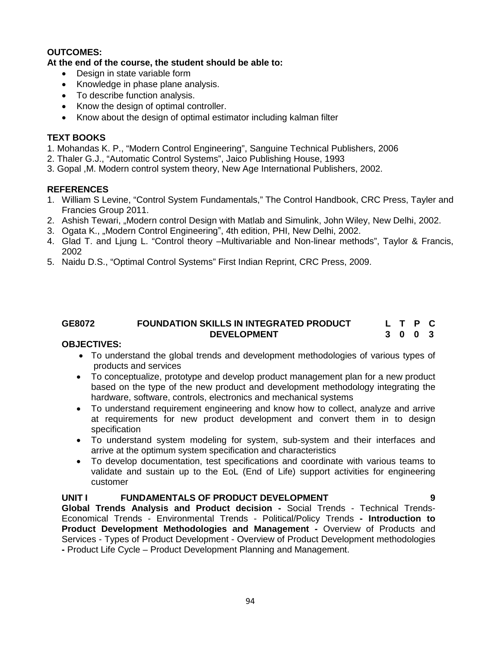# **OUTCOMES:**

# **At the end of the course, the student should be able to:**

- Design in state variable form
- Knowledge in phase plane analysis.
- To describe function analysis.
- Know the design of optimal controller.
- Know about the design of optimal estimator including kalman filter

# **TEXT BOOKS**

1. Mohandas K. P., "Modern Control Engineering", Sanguine Technical Publishers, 2006

- 2. Thaler G.J., "Automatic Control Systems", Jaico Publishing House, 1993
- 3. Gopal ,M. Modern control system theory, New Age International Publishers, 2002.

# **REFERENCES**

- 1. William S Levine, "Control System Fundamentals," The Control Handbook, CRC Press, Tayler and Francies Group 2011.
- 2. Ashish Tewari, "Modern control Design with Matlab and Simulink, John Wiley, New Delhi, 2002.
- 3. Ogata K., "Modern Control Engineering", 4th edition, PHI, New Delhi, 2002.
- 4. Glad T. and Ljung L. "Control theory –Multivariable and Non-linear methods", Taylor & Francis, 2002
- 5. Naidu D.S., "Optimal Control Systems" First Indian Reprint, CRC Press, 2009.

#### **GE8072 FOUNDATION SKILLS IN INTEGRATED PRODUCT DEVELOPMENT L T P C 3 0 0 3**

## **OBJECTIVES:**

- To understand the global trends and development methodologies of various types of products and services
- To conceptualize, prototype and develop product management plan for a new product based on the type of the new product and development methodology integrating the hardware, software, controls, electronics and mechanical systems
- To understand requirement engineering and know how to collect, analyze and arrive at requirements for new product development and convert them in to design specification
- To understand system modeling for system, sub-system and their interfaces and arrive at the optimum system specification and characteristics
- To develop documentation, test specifications and coordinate with various teams to validate and sustain up to the EoL (End of Life) support activities for engineering customer

# **UNIT I FUNDAMENTALS OF PRODUCT DEVELOPMENT 9**

**Global Trends Analysis and Product decision -** Social Trends - Technical Trends- Economical Trends - Environmental Trends - Political/Policy Trends **- Introduction to Product Development Methodologies and Management -** Overview of Products and Services - Types of Product Development - Overview of Product Development methodologies **-** Product Life Cycle – Product Development Planning and Management.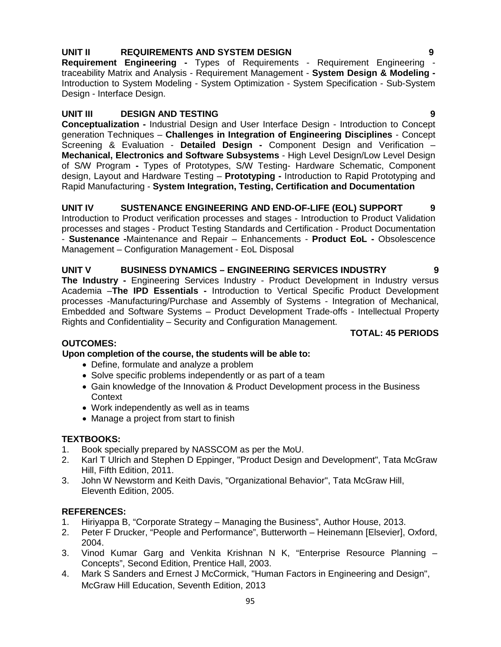# **UNIT II REQUIREMENTS AND SYSTEM DESIGN 9**

**Requirement Engineering -** Types of Requirements - Requirement Engineering traceability Matrix and Analysis - Requirement Management - **System Design & Modeling -** Introduction to System Modeling - System Optimization - System Specification - Sub-System Design - Interface Design.

# **UNIT III DESIGN AND TESTING 9**

**Conceptualization -** Industrial Design and User Interface Design - Introduction to Concept generation Techniques – **Challenges in Integration of Engineering Disciplines** - Concept Screening & Evaluation - **Detailed Design -** Component Design and Verification – **Mechanical, Electronics and Software Subsystems** - High Level Design/Low Level Design of S/W Program **-** Types of Prototypes, S/W Testing- Hardware Schematic, Component design, Layout and Hardware Testing – **Prototyping -** Introduction to Rapid Prototyping and Rapid Manufacturing - **System Integration, Testing, Certification and Documentation**

# **UNIT IV SUSTENANCE ENGINEERING AND END-OF-LIFE (EOL) SUPPORT 9**

Introduction to Product verification processes and stages - Introduction to Product Validation processes and stages - Product Testing Standards and Certification - Product Documentation - **Sustenance -**Maintenance and Repair – Enhancements - **Product EoL -** Obsolescence Management – Configuration Management - EoL Disposal

# **UNIT V BUSINESS DYNAMICS – ENGINEERING SERVICES INDUSTRY 9**

**The Industry -** Engineering Services Industry - Product Development in Industry versus Academia –**The IPD Essentials -** Introduction to Vertical Specific Product Development processes -Manufacturing/Purchase and Assembly of Systems - Integration of Mechanical, Embedded and Software Systems – Product Development Trade-offs - Intellectual Property Rights and Confidentiality – Security and Configuration Management.

## **TOTAL: 45 PERIODS**

## **OUTCOMES:**

## **Upon completion of the course, the students will be able to:**

- Define, formulate and analyze a problem
- Solve specific problems independently or as part of a team
- Gain knowledge of the Innovation & Product Development process in the Business **Context**
- Work independently as well as in teams
- Manage a project from start to finish

## **TEXTBOOKS:**

- 1. Book specially prepared by NASSCOM as per the MoU.
- 2. Karl T Ulrich and Stephen D Eppinger, "Product Design and Development", Tata McGraw Hill, Fifth Edition, 2011.
- 3. John W Newstorm and Keith Davis, "Organizational Behavior", Tata McGraw Hill, Eleventh Edition, 2005.

## **REFERENCES:**

- 1. Hiriyappa B, "Corporate Strategy Managing the Business", Author House, 2013.
- 2. Peter F Drucker, "People and Performance", Butterworth Heinemann [Elsevier], Oxford, 2004.
- 3. Vinod Kumar Garg and Venkita Krishnan N K, "Enterprise Resource Planning Concepts", Second Edition, Prentice Hall, 2003.
- 4. Mark S Sanders and Ernest J McCormick, "Human Factors in Engineering and Design", McGraw Hill Education, Seventh Edition, 2013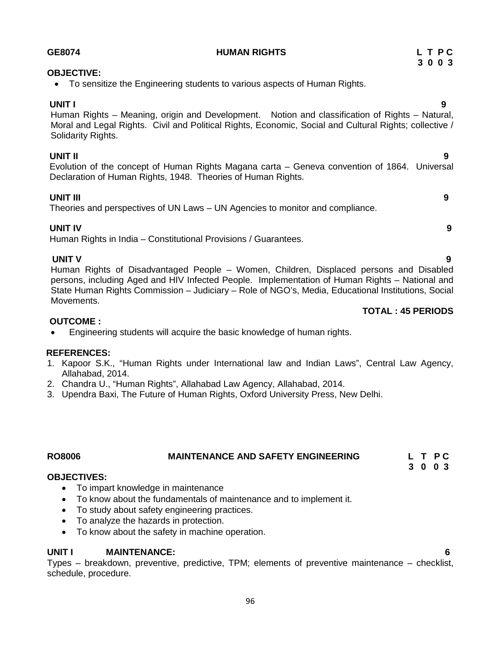| <b>OBJECTIVE:</b><br>To sensitize the Engineering students to various aspects of Human Rights.<br>$\bullet$                                                                                                                                                                                                                        |
|------------------------------------------------------------------------------------------------------------------------------------------------------------------------------------------------------------------------------------------------------------------------------------------------------------------------------------|
| <b>UNIT I</b><br>9<br>Human Rights – Meaning, origin and Development. Notion and classification of Rights – Natural,<br>Moral and Legal Rights. Civil and Political Rights, Economic, Social and Cultural Rights; collective /<br>Solidarity Rights.                                                                               |
| <b>UNIT II</b><br>9<br>Evolution of the concept of Human Rights Magana carta - Geneva convention of 1864. Universal<br>Declaration of Human Rights, 1948. Theories of Human Rights.                                                                                                                                                |
| <b>UNIT III</b><br>9<br>Theories and perspectives of UN Laws – UN Agencies to monitor and compliance.                                                                                                                                                                                                                              |
| <b>UNIT IV</b><br>9<br>Human Rights in India – Constitutional Provisions / Guarantees.                                                                                                                                                                                                                                             |
| <b>UNIT V</b><br>9<br>Human Rights of Disadvantaged People – Women, Children, Displaced persons and Disabled<br>persons, including Aged and HIV Infected People. Implementation of Human Rights - National and<br>State Human Rights Commission – Judiciary – Role of NGO's, Media, Educational Institutions, Social<br>Movements. |

#### **TOTAL : 45 PERIODS**

#### **OUTCOME :**

Engineering students will acquire the basic knowledge of human rights.

# **REFERENCES:**

- 1. Kapoor S.K., "Human Rights under International law and Indian Laws", Central Law Agency, Allahabad, 2014.
- 2. Chandra U., "Human Rights", Allahabad Law Agency, Allahabad, 2014.
- 3. Upendra Baxi, The Future of Human Rights, Oxford University Press, New Delhi.

#### **RO8006 MAINTENANCE AND SAFETY ENGINEERING L T P C 3 0 0 3**

# **OBJECTIVES:**

- To impart knowledge in maintenance
- To know about the fundamentals of maintenance and to implement it.
- To study about safety engineering practices.
- To analyze the hazards in protection.
- To know about the safety in machine operation.

# **UNIT I MAINTENANCE: 6**

Types – breakdown, preventive, predictive, TPM; elements of preventive maintenance – checklist, schedule, procedure.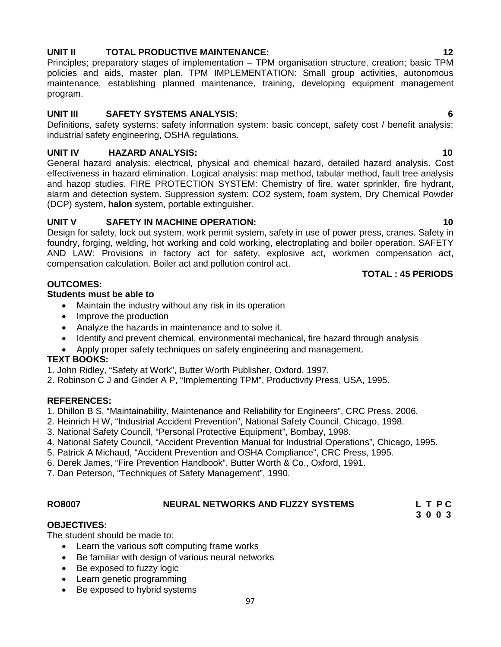# **UNIT II TOTAL PRODUCTIVE MAINTENANCE: 12**

Principles; preparatory stages of implementation – TPM organisation structure, creation; basic TPM policies and aids, master plan. TPM IMPLEMENTATION: Small group activities, autonomous maintenance, establishing planned maintenance, training, developing equipment management program.

# **UNIT III SAFETY SYSTEMS ANALYSIS: 6**

Definitions, safety systems; safety information system: basic concept, safety cost / benefit analysis; industrial safety engineering, OSHA regulations.

# **UNIT IV HAZARD ANALYSIS: 10**

General hazard analysis: electrical, physical and chemical hazard, detailed hazard analysis. Cost effectiveness in hazard elimination. Logical analysis: map method, tabular method, fault tree analysis and hazop studies. FIRE PROTECTION SYSTEM: Chemistry of fire, water sprinkler, fire hydrant, alarm and detection system. Suppression system: CO2 system, foam system, Dry Chemical Powder (DCP) system, **halon** system, portable extinguisher.

# **UNIT V SAFETY IN MACHINE OPERATION: 10**

Design for safety, lock out system, work permit system, safety in use of power press, cranes. Safety in foundry, forging, welding, hot working and cold working, electroplating and boiler operation. SAFETY AND LAW: Provisions in factory act for safety, explosive act, workmen compensation act, compensation calculation. Boiler act and pollution control act.

# **OUTCOMES:**

# **Students must be able to**

- Maintain the industry without any risk in its operation
- Improve the production
- Analyze the hazards in maintenance and to solve it.
- Identify and prevent chemical, environmental mechanical, fire hazard through analysis
- Apply proper safety techniques on safety engineering and management.

# **TEXT BOOKS:**

- 1. John Ridley, "Safety at Work", Butter Worth Publisher, Oxford, 1997.
- 2. Robinson C J and Ginder A P, "Implementing TPM", Productivity Press, USA, 1995.

# **REFERENCES:**

1. Dhillon B S, "Maintainability, Maintenance and Reliability for Engineers", CRC Press, 2006.

- 2. Heinrich H W, "Industrial Accident Prevention", National Safety Council, Chicago, 1998.
- 3. National Safety Council, "Personal Protective Equipment", Bombay, 1998.
- 4. National Safety Council, "Accident Prevention Manual for Industrial Operations", Chicago, 1995.
- 5. Patrick A Michaud, "Accident Prevention and OSHA Compliance", CRC Press, 1995.
- 6. Derek James, "Fire Prevention Handbook", Butter Worth & Co., Oxford, 1991.
- 7. Dan Peterson, "Techniques of Safety Management", 1990.

#### **RO8007 NEURAL NETWORKS AND FUZZY SYSTEMS L T P C 3 0 0 3**

## **OBJECTIVES:**

The student should be made to:

- Learn the various soft computing frame works
- Be familiar with design of various neural networks
- Be exposed to fuzzy logic
- Learn genetic programming
- Be exposed to hybrid systems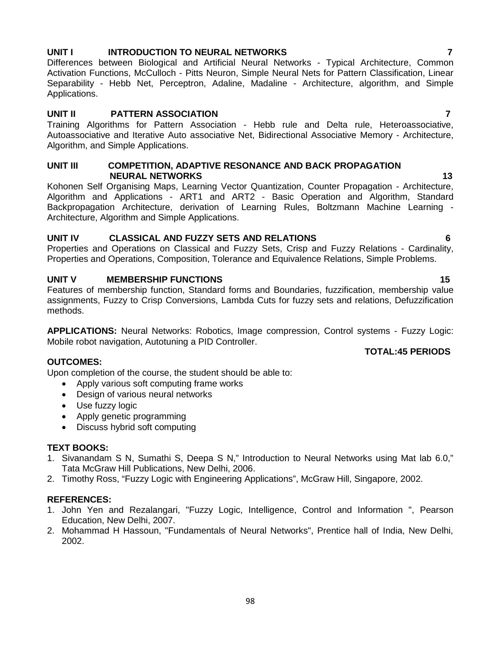# **UNIT I INTRODUCTION TO NEURAL NETWORKS 7**

Differences between Biological and Artificial Neural Networks - Typical Architecture, Common Activation Functions, McCulloch - Pitts Neuron, Simple Neural Nets for Pattern Classification, Linear Separability - Hebb Net, Perceptron, Adaline, Madaline - Architecture, algorithm, and Simple Applications.

#### **UNIT II PATTERN ASSOCIATION 7**

Training Algorithms for Pattern Association - Hebb rule and Delta rule, Heteroassociative, Autoassociative and Iterative Auto associative Net, Bidirectional Associative Memory - Architecture, Algorithm, and Simple Applications.

#### **UNIT III COMPETITION, ADAPTIVE RESONANCE AND BACK PROPAGATION NEURAL NETWORKS 13**

Kohonen Self Organising Maps, Learning Vector Quantization, Counter Propagation - Architecture, Algorithm and Applications - ART1 and ART2 - Basic Operation and Algorithm, Standard Backpropagation Architecture, derivation of Learning Rules, Boltzmann Machine Learning - Architecture, Algorithm and Simple Applications.

## **UNIT IV CLASSICAL AND FUZZY SETS AND RELATIONS 6**

Properties and Operations on Classical and Fuzzy Sets, Crisp and Fuzzy Relations - Cardinality, Properties and Operations, Composition, Tolerance and Equivalence Relations, Simple Problems.

# **UNIT V MEMBERSHIP FUNCTIONS 15**

Features of membership function, Standard forms and Boundaries, fuzzification, membership value assignments, Fuzzy to Crisp Conversions, Lambda Cuts for fuzzy sets and relations, Defuzzification methods.

**APPLICATIONS:** Neural Networks: Robotics, Image compression, Control systems - Fuzzy Logic: Mobile robot navigation, Autotuning a PID Controller.

## **OUTCOMES:**

Upon completion of the course, the student should be able to:

- Apply various soft computing frame works
- Design of various neural networks
- Use fuzzy logic
- Apply genetic programming
- Discuss hybrid soft computing

## **TEXT BOOKS:**

- 1. Sivanandam S N, Sumathi S, Deepa S N," Introduction to Neural Networks using Mat lab 6.0," Tata McGraw Hill Publications, New Delhi, 2006.
- 2. Timothy Ross, "Fuzzy Logic with Engineering Applications", McGraw Hill, Singapore, 2002.

## **REFERENCES:**

- 1. John Yen and Rezalangari, "Fuzzy Logic, Intelligence, Control and Information ", Pearson Education, New Delhi, 2007.
- 2. Mohammad H Hassoun, "Fundamentals of Neural Networks", Prentice hall of India, New Delhi, 2002.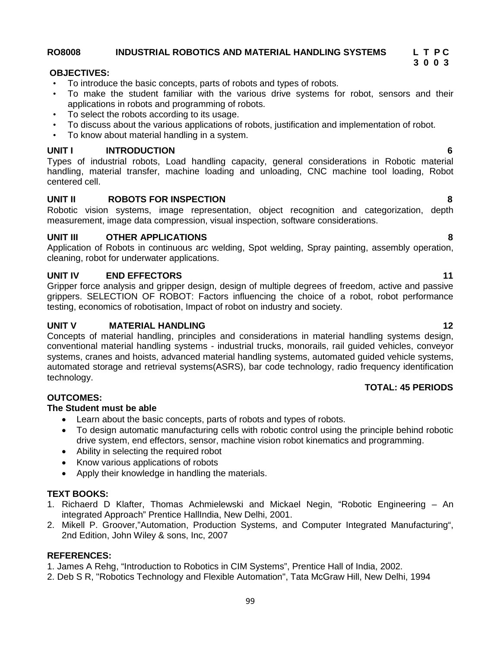# 1. James A Rehg, "Introduction to Robotics in CIM Systems", Prentice Hall of India, 2002.

2. Deb S R, "Robotics Technology and Flexible Automation", Tata McGraw Hill, New Delhi, 1994

Gripper force analysis and gripper design, design of multiple degrees of freedom, active and passive grippers. SELECTION OF ROBOT: Factors influencing the choice of a robot, robot performance

Concepts of material handling, principles and considerations in material handling systems design, conventional material handling systems - industrial trucks, monorails, rail guided vehicles, conveyor systems, cranes and hoists, advanced material handling systems, automated guided vehicle systems, automated storage and retrieval systems(ASRS), bar code technology, radio frequency identification technology.

# **OUTCOMES:**

# **The Student must be able**

- Learn about the basic concepts, parts of robots and types of robots.
- To design automatic manufacturing cells with robotic control using the principle behind robotic drive system, end effectors, sensor, machine vision robot kinematics and programming.
- Ability in selecting the required robot
- Know various applications of robots
- Apply their knowledge in handling the materials.

# **TEXT BOOKS:**

- 1. Richaerd D Klafter, Thomas Achmielewski and Mickael Negin, "Robotic Engineering An integrated Approach" Prentice HallIndia, New Delhi, 2001.
- 2. Mikell P. Groover,"Automation, Production Systems, and Computer Integrated Manufacturing", 2nd Edition, John Wiley & sons, Inc, 2007

# **REFERENCES:**

# **TOTAL: 45 PERIODS**

# **OBJECTIVES:**

- To introduce the basic concepts, parts of robots and types of robots.
- To make the student familiar with the various drive systems for robot, sensors and their applications in robots and programming of robots.
- To select the robots according to its usage.
- To discuss about the various applications of robots, justification and implementation of robot.
- To know about material handling in a system.

# **UNIT I INTRODUCTION 6**

Types of industrial robots, Load handling capacity, general considerations in Robotic material handling, material transfer, machine loading and unloading, CNC machine tool loading, Robot centered cell.

# **UNIT II ROBOTS FOR INSPECTION 8**

Robotic vision systems, image representation, object recognition and categorization, depth measurement, image data compression, visual inspection, software considerations.

# **UNIT III OTHER APPLICATIONS 8**

Application of Robots in continuous arc welding, Spot welding, Spray painting, assembly operation, cleaning, robot for underwater applications.

# **UNIT IV END EFFECTORS 11**

testing, economics of robotisation, Impact of robot on industry and society.

**UNIT V MATERIAL HANDLING 12**

**3 0 0 3**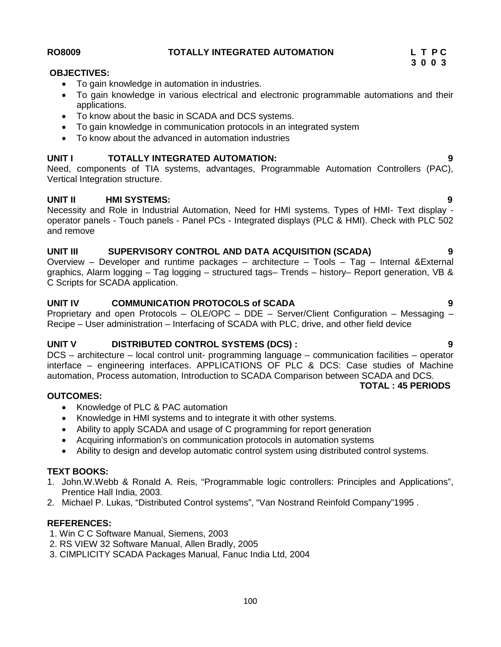To gain knowledge in various electrical and electronic programmable automations and their

Vertical Integration structure.

applications.

Necessity and Role in Industrial Automation, Need for HMI systems. Types of HMI- Text display operator panels - Touch panels - Panel PCs - Integrated displays (PLC & HMI). Check with PLC 502 and remove

**UNIT I TOTALLY INTEGRATED AUTOMATION: 9** Need, components of TIA systems, advantages, Programmable Automation Controllers (PAC),

# **UNIT III SUPERVISORY CONTROL AND DATA ACQUISITION (SCADA) 9**

To gain knowledge in communication protocols in an integrated system

Overview – Developer and runtime packages – architecture – Tools – Tag – Internal &External graphics, Alarm logging – Tag logging – structured tags– Trends – history– Report generation, VB & C Scripts for SCADA application.

# **UNIT IV COMMUNICATION PROTOCOLS of SCADA 9**

Proprietary and open Protocols – OLE/OPC – DDE – Server/Client Configuration – Messaging – Recipe – User administration – Interfacing of SCADA with PLC, drive, and other field device

# **UNIT V DISTRIBUTED CONTROL SYSTEMS (DCS) : 9**

DCS – architecture – local control unit- programming language – communication facilities – operator interface – engineering interfaces. APPLICATIONS OF PLC & DCS: Case studies of Machine automation, Process automation, Introduction to SCADA Comparison between SCADA and DCS. **TOTAL : 45 PERIODS**

## **OUTCOMES:**

- Knowledge of PLC & PAC automation
- Knowledge in HMI systems and to integrate it with other systems.
- Ability to apply SCADA and usage of C programming for report generation
- Acquiring information's on communication protocols in automation systems
- Ability to design and develop automatic control system using distributed control systems.

# **TEXT BOOKS:**

- 1. John.W.Webb & Ronald A. Reis, "Programmable logic controllers: Principles and Applications", Prentice Hall India, 2003.
- 2. Michael P. Lukas, "Distributed Control systems", "Van Nostrand Reinfold Company"1995 .

# **REFERENCES:**

- 1. Win C C Software Manual, Siemens, 2003
- 2. RS VIEW 32 Software Manual, Allen Bradly, 2005
- 3. CIMPLICITY SCADA Packages Manual, Fanuc India Ltd, 2004

# **UNIT II HMI SYSTEMS: 9**

To gain knowledge in automation in industries.

• To know about the basic in SCADA and DCS systems.

To know about the advanced in automation industries

# **RO8009 TOTALLY INTEGRATED AUTOMATION L T P C**

**OBJECTIVES:**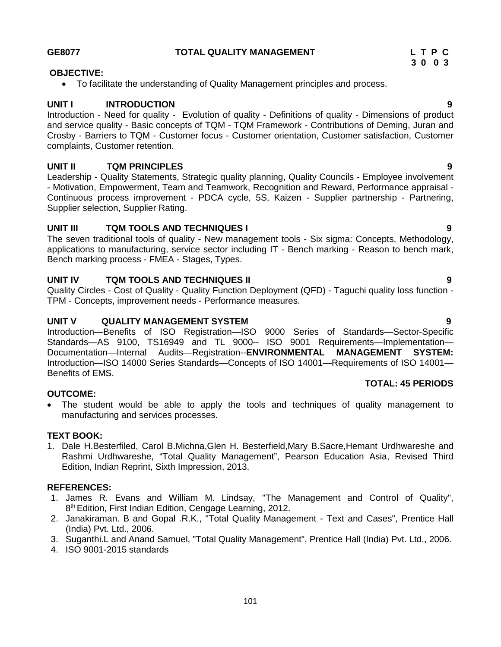#### **GE8077 TOTAL QUALITY MANAGEMENT L T P C**

# **OBJECTIVE:**

To facilitate the understanding of Quality Management principles and process.

# **UNIT I INTRODUCTION 9**

Introduction - Need for quality - Evolution of quality - Definitions of quality - Dimensions of product and service quality - Basic concepts of TQM - TQM Framework - Contributions of Deming, Juran and Crosby - Barriers to TQM - Customer focus - Customer orientation, Customer satisfaction, Customer complaints, Customer retention.

# **UNIT II TQM PRINCIPLES 9**

Leadership - Quality Statements, Strategic quality planning, Quality Councils - Employee involvement - Motivation, Empowerment, Team and Teamwork, Recognition and Reward, Performance appraisal - Continuous process improvement - PDCA cycle, 5S, Kaizen - Supplier partnership - Partnering, Supplier selection, Supplier Rating.

# **UNIT III TQM TOOLS AND TECHNIQUES I 9**

The seven traditional tools of quality - New management tools - Six sigma: Concepts, Methodology, applications to manufacturing, service sector including IT - Bench marking - Reason to bench mark, Bench marking process - FMEA - Stages, Types.

# **UNIT IV TQM TOOLS AND TECHNIQUES II 9**

Quality Circles - Cost of Quality - Quality Function Deployment (QFD) - Taguchi quality loss function - TPM - Concepts, improvement needs - Performance measures.

# **UNIT V QUALITY MANAGEMENT SYSTEM 9**

Introduction—Benefits of ISO Registration—ISO 9000 Series of Standards—Sector-Specific Standards—AS 9100, TS16949 and TL 9000-- ISO 9001 Requirements—Implementation—<br>Documentation—Internal Audits—Registration--ENVIRONMENTAL MANAGEMENT SYSTEM: Documentation—Internal Audits—Registration--**ENVIRONMENTAL MANAGEMENT** Introduction—ISO 14000 Series Standards—Concepts of ISO 14001—Requirements of ISO 14001— Benefits of EMS.

## **OUTCOME:**

 The student would be able to apply the tools and techniques of quality management to manufacturing and services processes.

# **TEXT BOOK:**

1. Dale H.Besterfiled, Carol B.Michna,Glen H. Besterfield,Mary B.Sacre,Hemant Urdhwareshe and Rashmi Urdhwareshe, "Total Quality Management", Pearson Education Asia, Revised Third Edition, Indian Reprint, Sixth Impression, 2013.

## **REFERENCES:**

- 1. James R. Evans and William M. Lindsay, "The Management and Control of Quality", 8 th Edition, First Indian Edition, Cengage Learning, 2012.
- 2. Janakiraman. B and Gopal .R.K., "Total Quality Management Text and Cases", Prentice Hall (India) Pvt. Ltd., 2006.
- 3. Suganthi.L and Anand Samuel, "Total Quality Management", Prentice Hall (India) Pvt. Ltd., 2006.
- 4. ISO 9001-2015 standards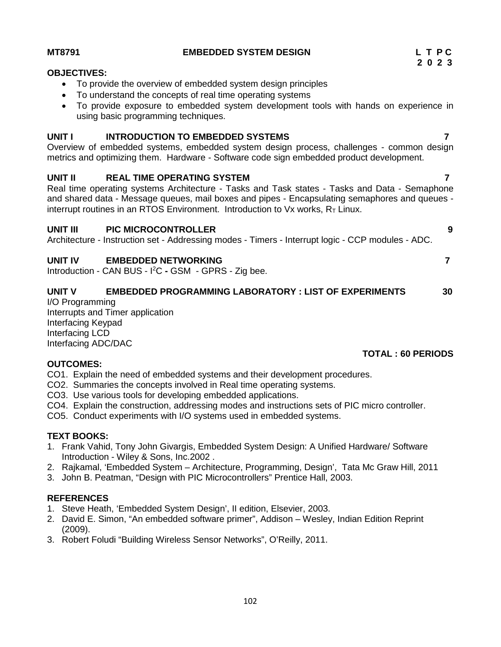| <b>OBJECTIVES:</b>                                                                                                                                                                                                                                                                                                                    |  |
|---------------------------------------------------------------------------------------------------------------------------------------------------------------------------------------------------------------------------------------------------------------------------------------------------------------------------------------|--|
| To provide the overview of embedded system design principles<br>To understand the concepts of real time operating systems<br>To provide exposure to embedded system development tools with hands on experience in<br>using basic programming techniques.                                                                              |  |
| <b>INTRODUCTION TO EMBEDDED SYSTEMS</b><br><b>UNIT I</b><br>Overview of embedded systems, embedded system design process, challenges - common design<br>metrics and optimizing them. Hardware - Software code sign embedded product development.                                                                                      |  |
| <b>REAL TIME OPERATING SYSTEM</b><br>UNIT II<br>Real time operating systems Architecture - Tasks and Task states - Tasks and Data - Semaphone<br>and shared data - Message queues, mail boxes and pipes - Encapsulating semaphores and queues -<br>interrupt routines in an RTOS Environment. Introduction to $Vx$ works, $RT$ Linux. |  |
| <b>UNIT III</b><br><b>PIC MICROCONTROLLER</b><br>9<br>Architecture - Instruction set - Addressing modes - Timers - Interrupt logic - CCP modules - ADC.                                                                                                                                                                               |  |
| <b>UNIT IV</b><br><b>EMBEDDED NETWORKING</b><br>Introduction - CAN BUS - I <sup>2</sup> C - GSM - GPRS - Zig bee.                                                                                                                                                                                                                     |  |

# **UNIT V EMBEDDED PROGRAMMING LABORATORY : LIST OF EXPERIMENTS 30**

I/O Programming Interrupts and Timer application Interfacing Keypad Interfacing LCD Interfacing ADC/DAC

# **OUTCOMES:**

- CO1. Explain the need of embedded systems and their development procedures.
- CO2. Summaries the concepts involved in Real time operating systems.
- CO3. Use various tools for developing embedded applications.
- CO4. Explain the construction, addressing modes and instructions sets of PIC micro controller.
- CO5. Conduct experiments with I/O systems used in embedded systems.

# **TEXT BOOKS:**

- 1. Frank Vahid, Tony John Givargis, Embedded System Design: A Unified Hardware/ Software Introduction - Wiley & Sons, Inc.2002 .
- 2. Rajkamal, 'Embedded System Architecture, Programming, Design', Tata Mc Graw Hill, 2011
- 3. John B. Peatman, "Design with PIC Microcontrollers" Prentice Hall, 2003.

# **REFERENCES**

- 1. Steve Heath, 'Embedded System Design', II edition, Elsevier, 2003.
- 2. David E. Simon, "An embedded software primer", Addison Wesley, Indian Edition Reprint (2009).
- 3. Robert Foludi "Building Wireless Sensor Networks", O'Reilly, 2011.

# **MT8791 EMBEDDED SYSTEM DESIGN L T P C**

#### **TOTAL : 60 PERIODS**

- 
-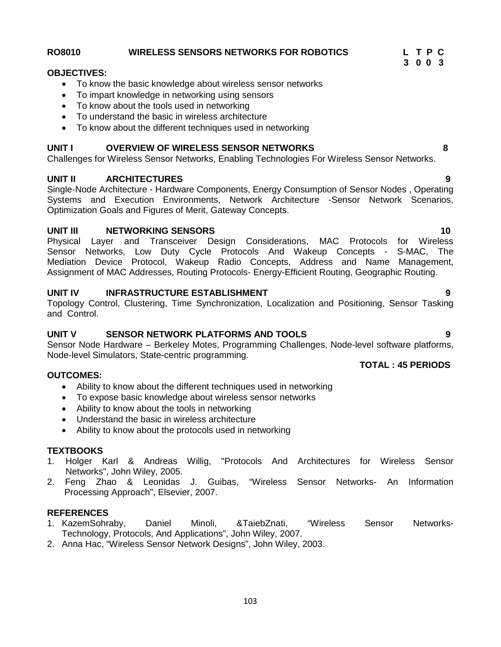# Challenges for Wireless Sensor Networks, Enabling Technologies For Wireless Sensor Networks. **UNIT II ARCHITECTURES 9**

**UNIT I OVERVIEW OF WIRELESS SENSOR NETWORKS 8**

Single-Node Architecture - Hardware Components, Energy Consumption of Sensor Nodes , Operating Systems and Execution Environments, Network Architecture -Sensor Network Scenarios, Optimization Goals and Figures of Merit, Gateway Concepts.

#### **UNIT III NETWORKING SENSORS 10**

Physical Layer and Transceiver Design Considerations, MAC Protocols for Wireless Sensor Networks, Low Duty Cycle Protocols And Wakeup Concepts - S-MAC, The Mediation Device Protocol, Wakeup Radio Concepts, Address and Name Management, Assignment of MAC Addresses, Routing Protocols- Energy-Efficient Routing, Geographic Routing.

#### **UNIT IV INFRASTRUCTURE ESTABLISHMENT 9**

Topology Control, Clustering, Time Synchronization, Localization and Positioning, Sensor Tasking and Control.

#### **UNIT V SENSOR NETWORK PLATFORMS AND TOOLS 9**

Sensor Node Hardware – Berkeley Motes, Programming Challenges, Node-level software platforms, Node-level Simulators, State-centric programming.

#### **OUTCOMES:**

- Ability to know about the different techniques used in networking
- To expose basic knowledge about wireless sensor networks
- Ability to know about the tools in networking
- Understand the basic in wireless architecture
- Ability to know about the protocols used in networking

#### **TEXTBOOKS**

- 1. Holger Karl & Andreas Willig, "Protocols And Architectures for Wireless Sensor Networks", John Wiley, 2005.
- 2. Feng Zhao & Leonidas J. Guibas, "Wireless Sensor Networks- An Information Processing Approach", Elsevier, 2007.

- **REFERENCES**<br>1. KazemSohraby. Daniel 1. KazemSohraby, Daniel Minoli, &TaiebZnati, "Wireless Sensor Networks- Technology, Protocols, And Applications", John Wiley, 2007.
- 2. Anna Hac, "Wireless Sensor Network Designs", John Wiley, 2003.

#### **RO8010 WIRELESS SENSORS NETWORKS FOR ROBOTICS L T P C**

• To know the basic knowledge about wireless sensor networks

• To know about the different techniques used in networking

 To impart knowledge in networking using sensors • To know about the tools used in networking To understand the basic in wireless architecture

**OBJECTIVES:**

**3 0 0 3**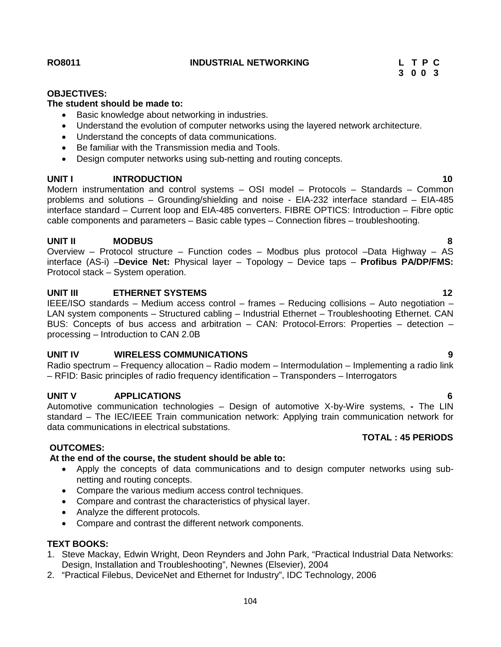**RO8011 INDUSTRIAL NETWORKING L T P C**

#### **OBJECTIVES:**

## **The student should be made to:**

- Basic knowledge about networking in industries.
- Understand the evolution of computer networks using the layered network architecture.
- Understand the concepts of data communications.
- Be familiar with the Transmission media and Tools.
- Design computer networks using sub-netting and routing concepts.

#### **UNIT I INTRODUCTION 10**

Modern instrumentation and control systems – OSI model – Protocols – Standards – Common problems and solutions – Grounding/shielding and noise - EIA-232 interface standard – EIA-485 interface standard – Current loop and EIA-485 converters. FIBRE OPTICS: Introduction – Fibre optic cable components and parameters – Basic cable types – Connection fibres – troubleshooting.

# **UNIT II MODBUS 8**

Overview – Protocol structure – Function codes – Modbus plus protocol –Data Highway – AS interface (AS-i) –**Device Net:** Physical layer – Topology – Device taps – **Profibus PA/DP/FMS:** Protocol stack – System operation.

## **UNIT III ETHERNET SYSTEMS 12**

IEEE/ISO standards – Medium access control – frames – Reducing collisions – Auto negotiation – LAN system components – Structured cabling – Industrial Ethernet – Troubleshooting Ethernet. CAN BUS: Concepts of bus access and arbitration – CAN: Protocol-Errors: Properties – detection – processing – Introduction to CAN 2.0B

#### **UNIT IV WIRELESS COMMUNICATIONS 9**

Radio spectrum – Frequency allocation – Radio modem – Intermodulation – Implementing a radio link – RFID: Basic principles of radio frequency identification – Transponders – Interrogators

#### **UNIT V APPLICATIONS 6**

Automotive communication technologies – Design of automotive X-by-Wire systems, **-** The LIN standard – The IEC/IEEE Train communication network: Applying train communication network for data communications in electrical substations.

#### **OUTCOMES:**

#### **At the end of the course, the student should be able to:**

- Apply the concepts of data communications and to design computer networks using sub netting and routing concepts.
- Compare the various medium access control techniques.
- Compare and contrast the characteristics of physical layer.
- Analyze the different protocols.
- Compare and contrast the different network components.

## **TEXT BOOKS:**

- 1. Steve Mackay, Edwin Wright, Deon Reynders and John Park, "Practical Industrial Data Networks: Design, Installation and Troubleshooting", Newnes (Elsevier), 2004
- 2. "Practical Filebus, DeviceNet and Ethernet for Industry", IDC Technology, 2006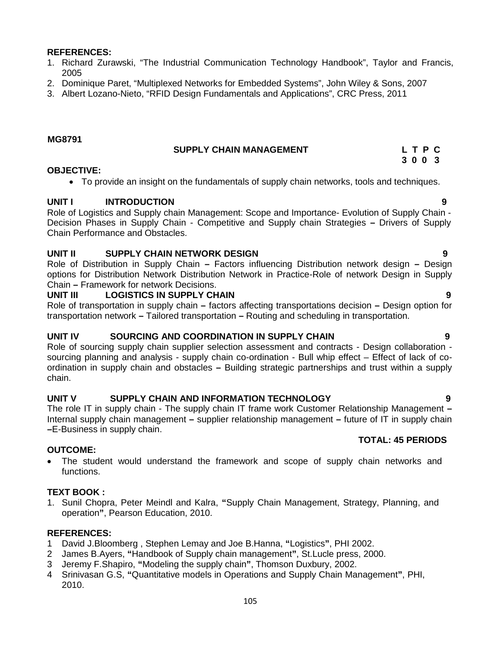#### **REFERENCES:**

- 1. Richard Zurawski, "The Industrial Communication Technology Handbook", Taylor and Francis, 2005
- 2. Dominique Paret, "Multiplexed Networks for Embedded Systems", John Wiley & Sons, 2007
- 3. Albert Lozano-Nieto, "RFID Design Fundamentals and Applications", CRC Press, 2011

#### **MG8791**

#### **SUPPLY CHAIN MANAGEMENT L T P C 3 0 0 3**

#### **OBJECTIVE:**

To provide an insight on the fundamentals of supply chain networks, tools and techniques.

## **UNIT I INTRODUCTION 9**

Role of Logistics and Supply chain Management: Scope and Importance- Evolution of Supply Chain - Decision Phases in Supply Chain - Competitive and Supply chain Strategies **–** Drivers of Supply Chain Performance and Obstacles.

## **UNIT II SUPPLY CHAIN NETWORK DESIGN 9**

Role of Distribution in Supply Chain **–** Factors influencing Distribution network design **–** Design options for Distribution Network Distribution Network in Practice-Role of network Design in Supply Chain **–** Framework for network Decisions.

#### **UNIT III LOGISTICS IN SUPPLY CHAIN 9**

Role of transportation in supply chain **–** factors affecting transportations decision **–** Design option for transportation network **–** Tailored transportation **–** Routing and scheduling in transportation.

#### **UNIT IV SOURCING AND COORDINATION IN SUPPLY CHAIN 9**

Role of sourcing supply chain supplier selection assessment and contracts - Design collaboration sourcing planning and analysis - supply chain co-ordination - Bull whip effect – Effect of lack of co ordination in supply chain and obstacles **–** Building strategic partnerships and trust within a supply chain.

#### **UNIT V SUPPLY CHAIN AND INFORMATION TECHNOLOGY 9**

The role IT in supply chain - The supply chain IT frame work Customer Relationship Management **–** Internal supply chain management **–** supplier relationship management **–** future of IT in supply chain **–**E-Business in supply chain.

#### **TOTAL: 45 PERIODS**

 The student would understand the framework and scope of supply chain networks and functions.

## **TEXT BOOK :**

**OUTCOME:**

1. Sunil Chopra, Peter Meindl and Kalra, **"**Supply Chain Management, Strategy, Planning, and operation**"**, Pearson Education, 2010.

#### **REFERENCES:**

- 1 David J.Bloomberg , Stephen Lemay and Joe B.Hanna, **"**Logistics**"**, PHI 2002.
- 2 James B.Ayers, **"**Handbook of Supply chain management**"**, St.Lucle press, 2000.
- 3 Jeremy F.Shapiro, **"**Modeling the supply chain**"**, Thomson Duxbury, 2002.
- 4 Srinivasan G.S, **"**Quantitative models in Operations and Supply Chain Management**"**, PHI, 2010.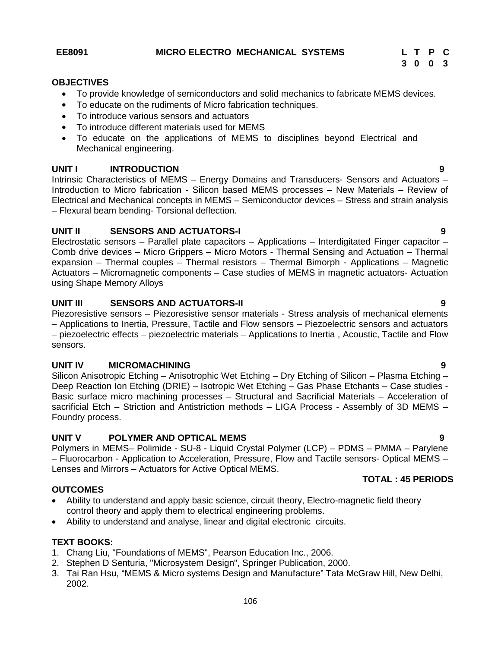**3 0 0 3**

#### **OBJECTIVES**

- To provide knowledge of semiconductors and solid mechanics to fabricate MEMS devices.
- To educate on the rudiments of Micro fabrication techniques.
- To introduce various sensors and actuators
- To introduce different materials used for MEMS
- To educate on the applications of MEMS to disciplines beyond Electrical and Mechanical engineering.

## **UNIT I INTRODUCTION 9**

Intrinsic Characteristics of MEMS – Energy Domains and Transducers- Sensors and Actuators – Introduction to Micro fabrication - Silicon based MEMS processes – New Materials – Review of Electrical and Mechanical concepts in MEMS – Semiconductor devices – Stress and strain analysis – Flexural beam bending- Torsional deflection.

## **UNIT II SENSORS AND ACTUATORS-I 9**

Electrostatic sensors – Parallel plate capacitors – Applications – Interdigitated Finger capacitor – Comb drive devices – Micro Grippers – Micro Motors - Thermal Sensing and Actuation – Thermal expansion – Thermal couples – Thermal resistors – Thermal Bimorph - Applications – Magnetic Actuators – Micromagnetic components – Case studies of MEMS in magnetic actuators- Actuation using Shape Memory Alloys

## **UNIT III SENSORS AND ACTUATORS-II 9**

Piezoresistive sensors – Piezoresistive sensor materials - Stress analysis of mechanical elements – Applications to Inertia, Pressure, Tactile and Flow sensors – Piezoelectric sensors and actuators – piezoelectric effects – piezoelectric materials – Applications to Inertia , Acoustic, Tactile and Flow sensors.

#### **UNIT IV MICROMACHINING 9**

Silicon Anisotropic Etching – Anisotrophic Wet Etching – Dry Etching of Silicon – Plasma Etching – Deep Reaction Ion Etching (DRIE) – Isotropic Wet Etching – Gas Phase Etchants – Case studies - Basic surface micro machining processes – Structural and Sacrificial Materials – Acceleration of sacrificial Etch – Striction and Antistriction methods – LIGA Process - Assembly of 3D MEMS – Foundry process.

## **UNIT V POLYMER AND OPTICAL MEMS 9**

Polymers in MEMS– Polimide - SU-8 - Liquid Crystal Polymer (LCP) – PDMS – PMMA – Parylene – Fluorocarbon - Application to Acceleration, Pressure, Flow and Tactile sensors- Optical MEMS – Lenses and Mirrors – Actuators for Active Optical MEMS.

## **OUTCOMES**

- Ability to understand and apply basic science, circuit theory, Electro-magnetic field theory control theory and apply them to electrical engineering problems.
- Ability to understand and analyse, linear and digital electronic circuits.

## **TEXT BOOKS:**

- 1. Chang Liu, "Foundations of MEMS", Pearson Education Inc., 2006.
- 2. Stephen D Senturia, "Microsystem Design", Springer Publication, 2000.
- 3. Tai Ran Hsu, "MEMS & Micro systems Design and Manufacture" Tata McGraw Hill, New Delhi, 2002.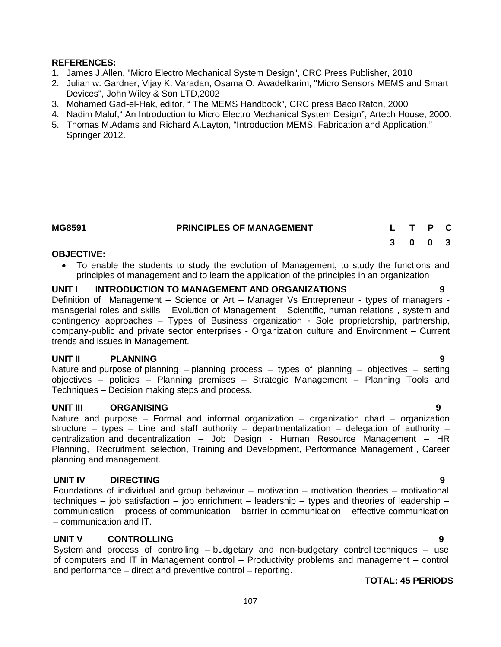## **REFERENCES:**

- 1. James J.Allen, "Micro Electro Mechanical System Design", CRC Press Publisher, 2010
- 2. Julian w. Gardner, Vijay K. Varadan, Osama O. Awadelkarim, "Micro Sensors MEMS and Smart Devices", John Wiley & Son LTD,2002
- 3. Mohamed Gad-el-Hak, editor, " The MEMS Handbook", CRC press Baco Raton, 2000
- 4. Nadim Maluf," An Introduction to Micro Electro Mechanical System Design", Artech House, 2000.
- 5. Thomas M.Adams and Richard A.Layton, "Introduction MEMS, Fabrication and Application," Springer 2012.

| MG8591 | <b>PRINCIPLES OF MANAGEMENT</b> | L T P C |  |  |
|--------|---------------------------------|---------|--|--|
|        |                                 | 3 0 0 3 |  |  |

#### **OBJECTIVE:**

 To enable the students to study the evolution of Management, to study the functions and principles of management and to learn the application of the principles in an organization

#### **UNIT I INTRODUCTION TO MANAGEMENT AND ORGANIZATIONS 9**

Definition of Management – Science or Art – Manager Vs Entrepreneur - types of managers managerial roles and skills – Evolution of Management – Scientific, human relations , system and contingency approaches – Types of Business organization - Sole proprietorship, partnership, company-public and private sector enterprises - Organization culture and Environment – Current trends and issues in Management.

## **UNIT II PLANNING 9**

Nature and purpose of planning – planning process – types of planning – objectives – setting objectives – policies – Planning premises – Strategic Management – Planning Tools and Techniques – Decision making steps and process.

#### **UNIT III ORGANISING 9**

Nature and purpose – Formal and informal organization – organization chart – organization structure – types – Line and staff authority – departmentalization – delegation of authority – centralization and decentralization – Job Design - Human Resource Management – HR Planning, Recruitment, selection, Training and Development, Performance Management , Career planning and management.

# **UNIT IV DIRECTING 9**

Foundations of individual and group behaviour – motivation – motivation theories – motivational techniques – job satisfaction – job enrichment – leadership – types and theories of leadership – communication – process of communication – barrier in communication – effective communication – communication and IT.

## **UNIT V CONTROLLING 9**

System and process of controlling – budgetary and non-budgetary control techniques – use of computers and IT in Management control – Productivity problems and management – control and performance – direct and preventive control – reporting.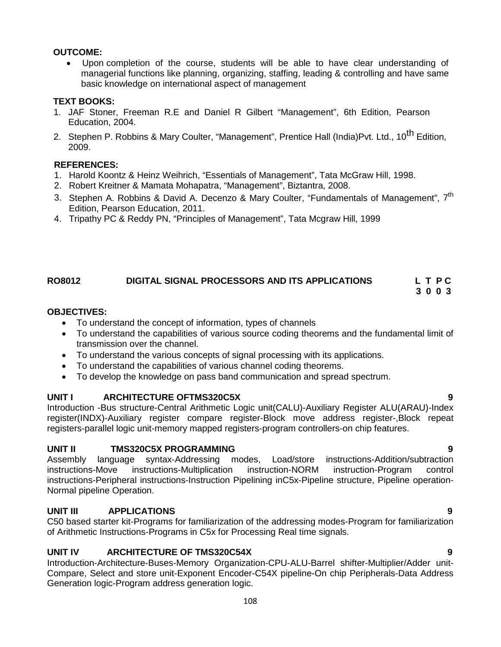## **OUTCOME:**

 Upon completion of the course, students will be able to have clear understanding of managerial functions like planning, organizing, staffing, leading & controlling and have same basic knowledge on international aspect of management

# **TEXT BOOKS:**

- 1. JAF Stoner, Freeman R.E and Daniel R Gilbert "Management", 6th Edition, Pearson Education, 2004.
- 2. Stephen P. Robbins & Mary Coulter, "Management", Prentice Hall (India)Pvt. Ltd., 10<sup>th</sup> Edition. 2009.

# **REFERENCES:**

- 1. Harold Koontz & Heinz Weihrich, "Essentials of Management", Tata McGraw Hill, 1998.
- 2. Robert Kreitner & Mamata Mohapatra, "Management", Biztantra, 2008.
- 3. Stephen A. Robbins & David A. Decenzo & Mary Coulter, "Fundamentals of Management", 7<sup>th</sup> Edition, Pearson Education, 2011.
- 4. Tripathy PC & Reddy PN, "Principles of Management", Tata Mcgraw Hill, 1999

# **RO8012 DIGITAL SIGNAL PROCESSORS AND ITS APPLICATIONS L T P C**

**3 0 0 3**

# **OBJECTIVES:**

- To understand the concept of information, types of channels
- To understand the capabilities of various source coding theorems and the fundamental limit of transmission over the channel.
- To understand the various concepts of signal processing with its applications.
- To understand the capabilities of various channel coding theorems.
- To develop the knowledge on pass band communication and spread spectrum.

# **UNIT I ARCHITECTURE OFTMS320C5X 9**

Introduction -Bus structure-Central Arithmetic Logic unit(CALU)-Auxiliary Register ALU(ARAU)-Index register(INDX)-Auxiliary register compare register-Block move address register-,Block repeat registers-parallel logic unit-memory mapped registers-program controllers-on chip features.

# **UNIT II TMS320C5X PROGRAMMING 9**

Assembly language syntax-Addressing modes, Load/store instructions-Addition/subtraction instructions-Move instructions-Multiplication instruction-NORM instruction-Program control instructions-Peripheral instructions-Instruction Pipelining inC5x-Pipeline structure, Pipeline operation- Normal pipeline Operation.

# **UNIT III APPLICATIONS 9**

C50 based starter kit-Programs for familiarization of the addressing modes-Program for familiarization of Arithmetic Instructions-Programs in C5x for Processing Real time signals.

# **UNIT IV ARCHITECTURE OF TMS320C54X 9**

Introduction-Architecture-Buses-Memory Organization-CPU-ALU-Barrel shifter-Multiplier/Adder unit- Compare, Select and store unit-Exponent Encoder-C54X pipeline-On chip Peripherals-Data Address Generation logic-Program address generation logic.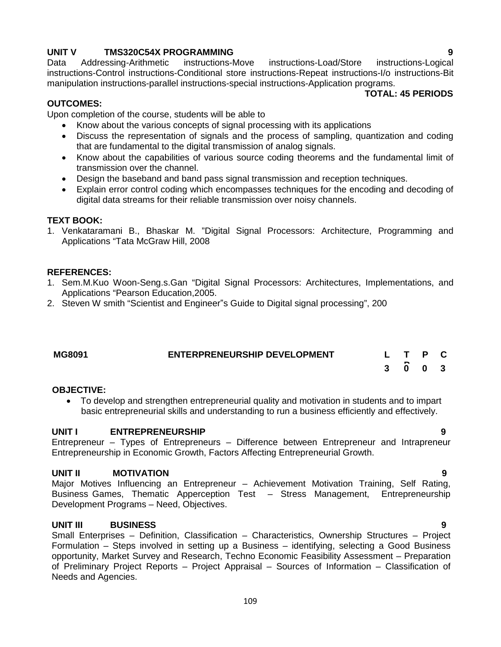**UNIT V TMS320C54X PROGRAMMING 9** instructions-Load/Store instructions-Control instructions-Conditional store instructions-Repeat instructions-I/o instructions-Bit manipulation instructions-parallel instructions-special instructions-Application programs.

#### **TOTAL: 45 PERIODS**

### **OUTCOMES:**

Upon completion of the course, students will be able to

- Know about the various concepts of signal processing with its applications
- Discuss the representation of signals and the process of sampling, quantization and coding that are fundamental to the digital transmission of analog signals.
- Know about the capabilities of various source coding theorems and the fundamental limit of transmission over the channel.
- Design the baseband and band pass signal transmission and reception techniques.
- Explain error control coding which encompasses techniques for the encoding and decoding of digital data streams for their reliable transmission over noisy channels.

#### **TEXT BOOK:**

1. Venkataramani B., Bhaskar M. "Digital Signal Processors: Architecture, Programming and Applications "Tata McGraw Hill, 2008

#### **REFERENCES:**

- 1. Sem.M.Kuo Woon-Seng.s.Gan "Digital Signal Processors: Architectures, Implementations, and Applications "Pearson Education,2005.
- 2. Steven W smith "Scientist and Engineer"s Guide to Digital signal processing", 200

| <b>MG8091</b> | <b>ENTERPRENEURSHIP DEVELOPMENT</b> | L T P C |  |  |
|---------------|-------------------------------------|---------|--|--|
|               |                                     | 3 0 0 3 |  |  |

#### **OBJECTIVE:**

 To develop and strengthen entrepreneurial quality and motivation in students and to impart basic entrepreneurial skills and understanding to run a business efficiently and effectively.

#### **UNIT I ENTREPRENEURSHIP 9**

Entrepreneur – Types of Entrepreneurs – Difference between Entrepreneur and Intrapreneur Entrepreneurship in Economic Growth, Factors Affecting Entrepreneurial Growth.

## **UNIT II MOTIVATION 9**

Major Motives Influencing an Entrepreneur – Achievement Motivation Training, Self Rating, Business Games, Thematic Apperception Test – Stress Management, Entrepreneurship Development Programs – Need, Objectives.

### **UNIT III BUSINESS 9**

Small Enterprises – Definition, Classification – Characteristics, Ownership Structures – Project Formulation – Steps involved in setting up a Business – identifying, selecting a Good Business opportunity, Market Survey and Research, Techno Economic Feasibility Assessment – Preparation of Preliminary Project Reports – Project Appraisal – Sources of Information – Classification of Needs and Agencies.

109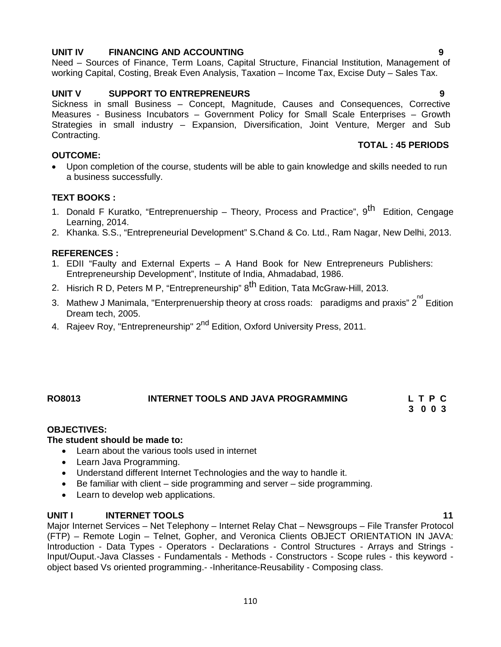# **UNIT IV FINANCING AND ACCOUNTING 9**

Need – Sources of Finance, Term Loans, Capital Structure, Financial Institution, Management of working Capital, Costing, Break Even Analysis, Taxation – Income Tax, Excise Duty – Sales Tax.

## **UNIT V SUPPORT TO ENTREPRENEURS 9**

Sickness in small Business – Concept, Magnitude, Causes and Consequences, Corrective Measures - Business Incubators – Government Policy for Small Scale Enterprises – Growth Strategies in small industry – Expansion, Diversification, Joint Venture, Merger and Sub Contracting.

## **OUTCOME:**

- **TOTAL : 45 PERIODS**
- Upon completion of the course, students will be able to gain knowledge and skills needed to run a business successfully.

## **TEXT BOOKS :**

- 1. Donald F Kuratko, "Entreprenuership Theory, Process and Practice", 9<sup>th</sup> Edition, Cengage Learning, 2014.
- 2. Khanka. S.S., "Entrepreneurial Development" S.Chand & Co. Ltd., Ram Nagar, New Delhi, 2013.

### **REFERENCES :**

- 1. EDII "Faulty and External Experts A Hand Book for New Entrepreneurs Publishers: Entrepreneurship Development", Institute of India, Ahmadabad, 1986.
- 2. Hisrich R D, Peters M P, "Entrepreneurship" 8<sup>th</sup> Edition, Tata McGraw-Hill, 2013.
- 3. Mathew J Manimala, "Enterprenuership theory at cross roads: paradigms and praxis" 2<sup>nd</sup> Edition Dream tech, 2005.
- 4. Rajeev Roy, "Entrepreneurship" 2<sup>nd</sup> Edition, Oxford University Press, 2011.

# **RO8013 INTERNET TOOLS AND JAVA PROGRAMMING L T P C**

**3 0 0 3**

### **OBJECTIVES:**

### **The student should be made to:**

- Learn about the various tools used in internet
- Learn Java Programming.
- Understand different Internet Technologies and the way to handle it.
- Be familiar with client side programming and server side programming.
- Learn to develop web applications.

### **UNIT I INTERNET TOOLS 11**

Major Internet Services – Net Telephony – Internet Relay Chat – Newsgroups – File Transfer Protocol (FTP) – Remote Login – Telnet, Gopher, and Veronica Clients OBJECT ORIENTATION IN JAVA: Introduction - Data Types - Operators - Declarations - Control Structures - Arrays and Strings - Input/Ouput.-Java Classes - Fundamentals - Methods - Constructors - Scope rules - this keyword object based Vs oriented programming.- -Inheritance-Reusability - Composing class.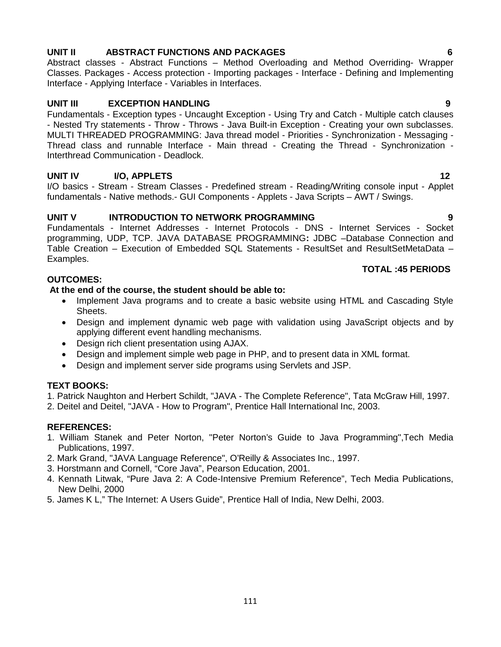## **UNIT II ABSTRACT FUNCTIONS AND PACKAGES 6**

Abstract classes - Abstract Functions – Method Overloading and Method Overriding- Wrapper Classes. Packages - Access protection - Importing packages - Interface - Defining and Implementing Interface - Applying Interface - Variables in Interfaces.

## **UNIT III EXCEPTION HANDLING 9**

Fundamentals - Exception types - Uncaught Exception - Using Try and Catch - Multiple catch clauses - Nested Try statements - Throw - Throws - Java Built-in Exception - Creating your own subclasses. MULTI THREADED PROGRAMMING: Java thread model - Priorities - Synchronization - Messaging - Thread class and runnable Interface - Main thread - Creating the Thread - Synchronization - Interthread Communication - Deadlock.

## **UNIT IV I/O, APPLETS 12**

I/O basics - Stream - Stream Classes - Predefined stream - Reading/Writing console input - Applet fundamentals - Native methods.- GUI Components - Applets - Java Scripts – AWT / Swings.

## **UNIT V INTRODUCTION TO NETWORK PROGRAMMING 9**

Fundamentals - Internet Addresses - Internet Protocols - DNS - Internet Services - Socket programming, UDP, TCP. JAVA DATABASE PROGRAMMING**:** JDBC –Database Connection and Table Creation – Execution of Embedded SQL Statements - ResultSet and ResultSetMetaData – Examples.

### **TOTAL :45 PERIODS**

## **OUTCOMES:**

## **At the end of the course, the student should be able to:**

- Implement Java programs and to create a basic website using HTML and Cascading Style Sheets.
- Design and implement dynamic web page with validation using JavaScript objects and by applying different event handling mechanisms.
- Design rich client presentation using AJAX.
- Design and implement simple web page in PHP, and to present data in XML format.
- Design and implement server side programs using Servlets and JSP.

## **TEXT BOOKS:**

1. Patrick Naughton and Herbert Schildt, "JAVA - The Complete Reference", Tata McGraw Hill, 1997.

2. Deitel and Deitel, "JAVA - How to Program", Prentice Hall International Inc, 2003.

## **REFERENCES:**

- 1. William Stanek and Peter Norton, "Peter Norton's Guide to Java Programming",Tech Media Publications, 1997.
- 2. Mark Grand, "JAVA Language Reference", O'Reilly & Associates Inc., 1997.
- 3. Horstmann and Cornell, "Core Java", Pearson Education, 2001.
- 4. Kennath Litwak, "Pure Java 2: A Code-Intensive Premium Reference", Tech Media Publications, New Delhi, 2000
- 5. James K L," The Internet: A Users Guide", Prentice Hall of India, New Delhi, 2003.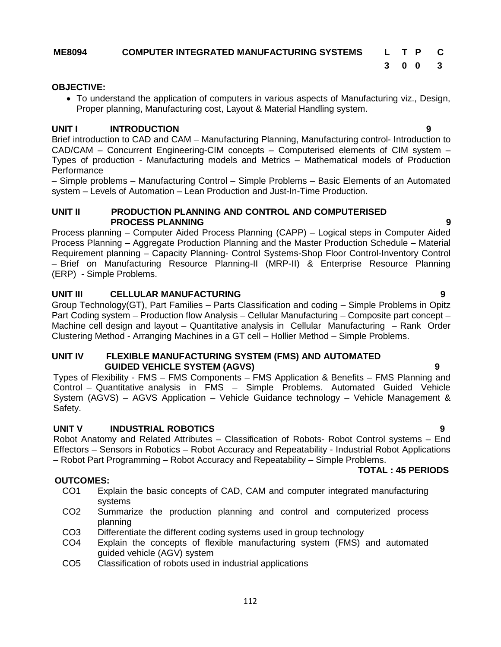## **ME8094 COMPUTER INTEGRATED MANUFACTURING SYSTEMS L T P C**

**3 0 0 3**

#### **OBJECTIVE:**

 To understand the application of computers in various aspects of Manufacturing viz., Design, Proper planning, Manufacturing cost, Layout & Material Handling system.

### **UNIT I INTRODUCTION 9**

Brief introduction to CAD and CAM – Manufacturing Planning, Manufacturing control- Introduction to CAD/CAM – Concurrent Engineering-CIM concepts – Computerised elements of CIM system – Types of production - Manufacturing models and Metrics – Mathematical models of Production **Performance** 

– Simple problems – Manufacturing Control – Simple Problems – Basic Elements of an Automated system – Levels of Automation – Lean Production and Just-In-Time Production.

### **UNIT II PRODUCTION PLANNING AND CONTROL AND COMPUTERISED PROCESS PLANNING 9**

Process planning – Computer Aided Process Planning (CAPP) – Logical steps in Computer Aided Process Planning – Aggregate Production Planning and the Master Production Schedule – Material Requirement planning – Capacity Planning- Control Systems-Shop Floor Control-Inventory Control – Brief on Manufacturing Resource Planning-II (MRP-II) & Enterprise Resource Planning (ERP) - Simple Problems.

### **UNIT III CELLULAR MANUFACTURING 9**

Group Technology(GT), Part Families – Parts Classification and coding – Simple Problems in Opitz Part Coding system – Production flow Analysis – Cellular Manufacturing – Composite part concept – Machine cell design and layout – Quantitative analysis in Cellular Manufacturing – Rank Order Clustering Method - Arranging Machines in a GT cell – Hollier Method – Simple Problems.

#### **UNIT IV FLEXIBLE MANUFACTURING SYSTEM (FMS) AND AUTOMATED GUIDED VEHICLE SYSTEM (AGVS) 9**

Types of Flexibility - FMS – FMS Components – FMS Application & Benefits – FMS Planning and Control – Quantitative analysis in FMS – Simple Problems. Automated Guided Vehicle System (AGVS) – AGVS Application – Vehicle Guidance technology – Vehicle Management & Safety.

### **UNIT V INDUSTRIAL ROBOTICS 9**

Robot Anatomy and Related Attributes – Classification of Robots- Robot Control systems – End Effectors – Sensors in Robotics – Robot Accuracy and Repeatability - Industrial Robot Applications – Robot Part Programming – Robot Accuracy and Repeatability – Simple Problems.

#### **TOTAL : 45 PERIODS**

- **OUTCOMES:**<br>CO1 Ext Explain the basic concepts of CAD, CAM and computer integrated manufacturing systems
	- CO2 Summarize the production planning and control and computerized process planning
	- CO3 Differentiate the different coding systems used in group technology
	- CO4 Explain the concepts of flexible manufacturing system (FMS) and automated guided vehicle (AGV) system
	- CO5 Classification of robots used in industrial applications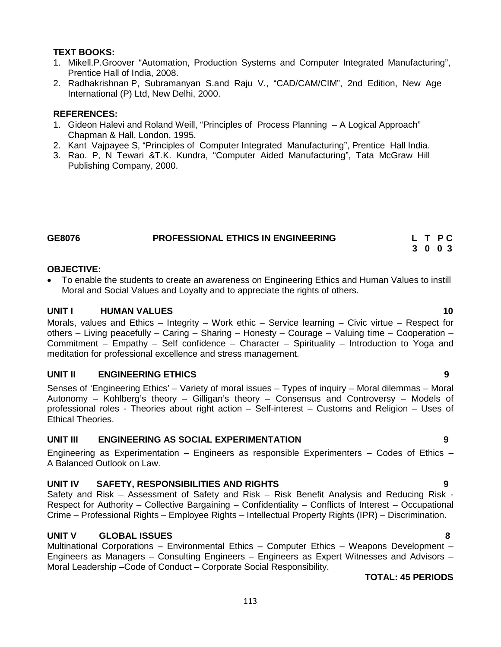## **TEXT BOOKS:**

- 1. Mikell.P.Groover "Automation, Production Systems and Computer Integrated Manufacturing", Prentice Hall of India, 2008.
- 2. Radhakrishnan P, Subramanyan S.and Raju V., "CAD/CAM/CIM", 2nd Edition, New Age International (P) Ltd, New Delhi, 2000.

## **REFERENCES:**

- 1. Gideon Halevi and Roland Weill, "Principles of Process Planning A Logical Approach" Chapman & Hall, London, 1995.
- 2. Kant Vajpayee S, "Principles of Computer Integrated Manufacturing", Prentice Hall India.
- 3. Rao. P, N Tewari &T.K. Kundra, "Computer Aided Manufacturing", Tata McGraw Hill Publishing Company, 2000.

# **GE8076 PROFESSIONAL ETHICS IN ENGINEERING L T P C**

## **3 0 0 3**

### **OBJECTIVE:**

 To enable the students to create an awareness on Engineering Ethics and Human Values to instill Moral and Social Values and Loyalty and to appreciate the rights of others.

### **UNIT I HUMAN VALUES 10**

Morals, values and Ethics – Integrity – Work ethic – Service learning – Civic virtue – Respect for others – Living peacefully – Caring – Sharing – Honesty – Courage – Valuing time – Cooperation – Commitment – Empathy – Self confidence – Character – Spirituality – Introduction to Yoga and meditation for professional excellence and stress management.

## **UNIT II ENGINEERING ETHICS 9**

Senses of 'Engineering Ethics' – Variety of moral issues – Types of inquiry – Moral dilemmas – Moral Autonomy – Kohlberg's theory – Gilligan's theory – Consensus and Controversy – Models of professional roles - Theories about right action – Self-interest – Customs and Religion – Uses of Ethical Theories.

### **UNIT III ENGINEERING AS SOCIAL EXPERIMENTATION 9**

Engineering as Experimentation – Engineers as responsible Experimenters – Codes of Ethics – A Balanced Outlook on Law.

### **UNIT IV SAFETY, RESPONSIBILITIES AND RIGHTS 9**

Safety and Risk – Assessment of Safety and Risk – Risk Benefit Analysis and Reducing Risk - Respect for Authority – Collective Bargaining – Confidentiality – Conflicts of Interest – Occupational Crime – Professional Rights – Employee Rights – Intellectual Property Rights (IPR) – Discrimination.

### **UNIT V GLOBAL ISSUES 8**

Multinational Corporations – Environmental Ethics – Computer Ethics – Weapons Development – Engineers as Managers – Consulting Engineers – Engineers as Expert Witnesses and Advisors – Moral Leadership –Code of Conduct – Corporate Social Responsibility.

### **TOTAL: 45 PERIODS**